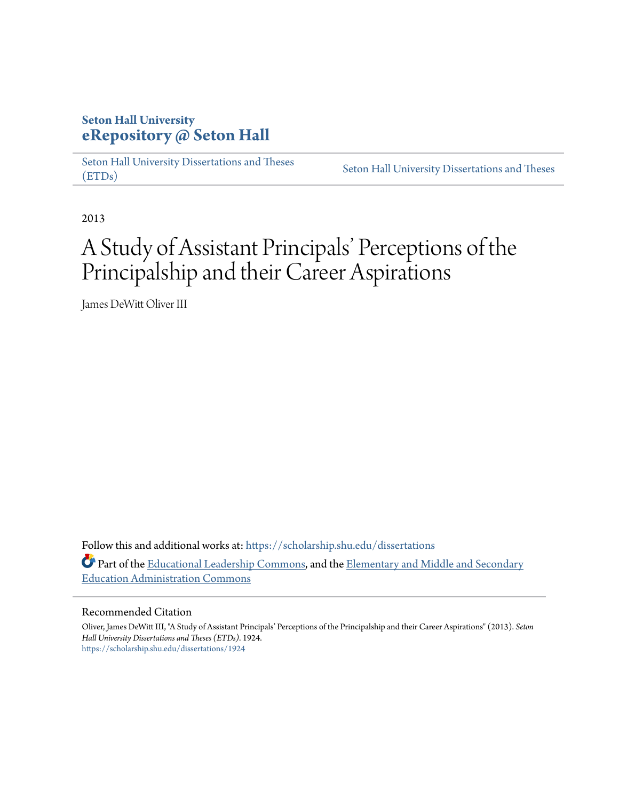# **Seton Hall University [eRepository @ Seton Hall](https://scholarship.shu.edu?utm_source=scholarship.shu.edu%2Fdissertations%2F1924&utm_medium=PDF&utm_campaign=PDFCoverPages)**

[Seton Hall University Dissertations and Theses](https://scholarship.shu.edu/dissertations?utm_source=scholarship.shu.edu%2Fdissertations%2F1924&utm_medium=PDF&utm_campaign=PDFCoverPages) [\(ETDs\)](https://scholarship.shu.edu/dissertations?utm_source=scholarship.shu.edu%2Fdissertations%2F1924&utm_medium=PDF&utm_campaign=PDFCoverPages)

[Seton Hall University Dissertations and Theses](https://scholarship.shu.edu/etds?utm_source=scholarship.shu.edu%2Fdissertations%2F1924&utm_medium=PDF&utm_campaign=PDFCoverPages)

2013

# A Study of Assistant Principals' Perceptions of the Principalship and their Career Aspirations

James DeWitt Oliver III

Follow this and additional works at: [https://scholarship.shu.edu/dissertations](https://scholarship.shu.edu/dissertations?utm_source=scholarship.shu.edu%2Fdissertations%2F1924&utm_medium=PDF&utm_campaign=PDFCoverPages) Part of the [Educational Leadership Commons](http://network.bepress.com/hgg/discipline/1230?utm_source=scholarship.shu.edu%2Fdissertations%2F1924&utm_medium=PDF&utm_campaign=PDFCoverPages), and the [Elementary and Middle and Secondary](http://network.bepress.com/hgg/discipline/790?utm_source=scholarship.shu.edu%2Fdissertations%2F1924&utm_medium=PDF&utm_campaign=PDFCoverPages) [Education Administration Commons](http://network.bepress.com/hgg/discipline/790?utm_source=scholarship.shu.edu%2Fdissertations%2F1924&utm_medium=PDF&utm_campaign=PDFCoverPages)

## Recommended Citation

Oliver, James DeWitt III, "A Study of Assistant Principals' Perceptions of the Principalship and their Career Aspirations" (2013). *Seton Hall University Dissertations and Theses (ETDs)*. 1924. [https://scholarship.shu.edu/dissertations/1924](https://scholarship.shu.edu/dissertations/1924?utm_source=scholarship.shu.edu%2Fdissertations%2F1924&utm_medium=PDF&utm_campaign=PDFCoverPages)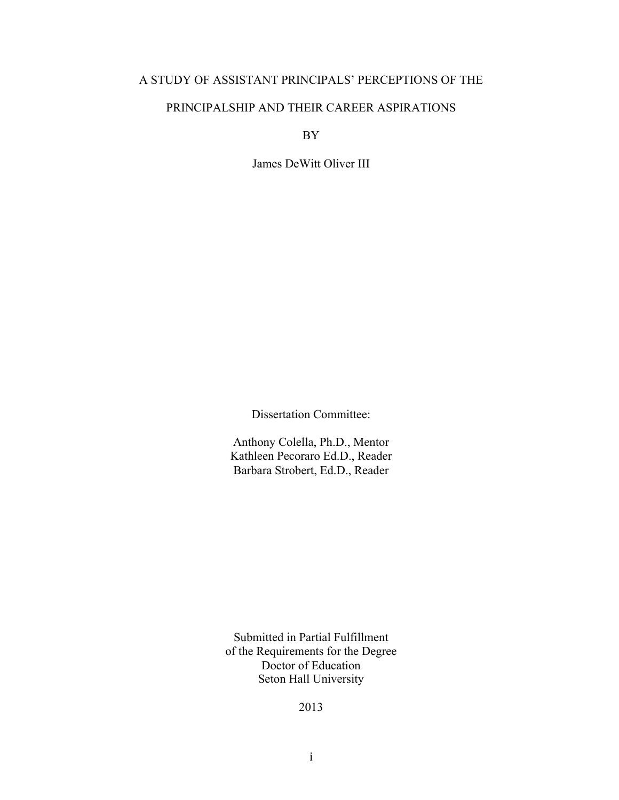# A STUDY OF ASSISTANT PRINCIPALS' PERCEPTIONS OF THE

# PRINCIPALSHIP AND THEIR CAREER ASPIRATIONS

BY

James DeWitt Oliver III

Dissertation Committee:

Anthony Colella, Ph.D., Mentor Kathleen Pecoraro Ed.D., Reader Barbara Strobert, Ed.D., Reader

Submitted in Partial Fulfillment of the Requirements for the Degree Doctor of Education Seton Hall University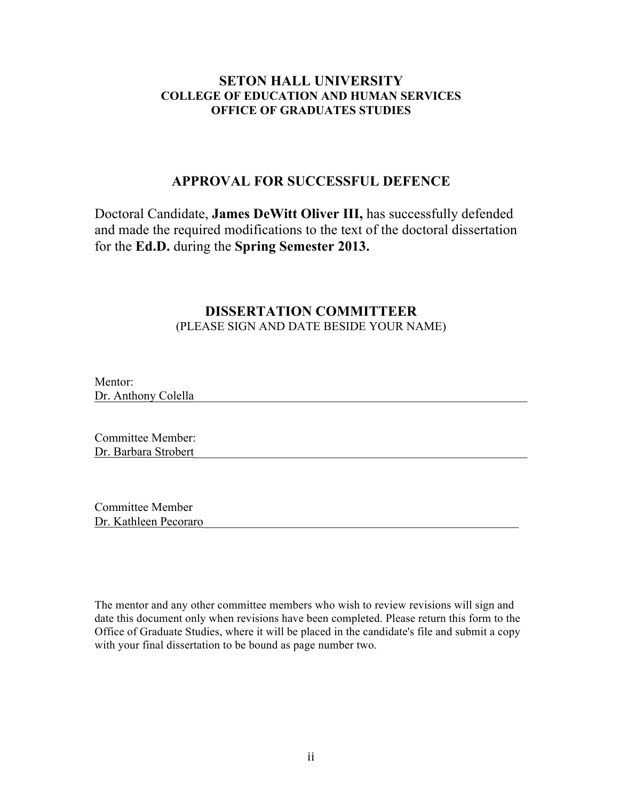# **SETON HALL UNIVERSITY COLLEGE OF EDUCATION AND HUMAN SERVICES OFFICE OF GRADUATES STUDIES**

# **APPROVAL FOR SUCCESSFUL DEFENCE**

Doctoral Candidate, **James DeWitt Oliver III,** has successfully defended and made the required modifications to the text of the doctoral dissertation for the **Ed.D.** during the **Spring Semester 2013.**

# **DISSERTATION COMMITTEER** (PLEASE SIGN AND DATE BESIDE YOUR NAME)

Mentor: Dr. Anthony Colella

Committee Member: Dr. Barbara Strobert

Committee Member Dr. Kathleen Pecoraro

The mentor and any other committee members who wish to review revisions will sign and date this document only when revisions have been completed. Please return this form to the Office of Graduate Studies, where it will be placed in the candidate's file and submit a copy with your final dissertation to be bound as page number two.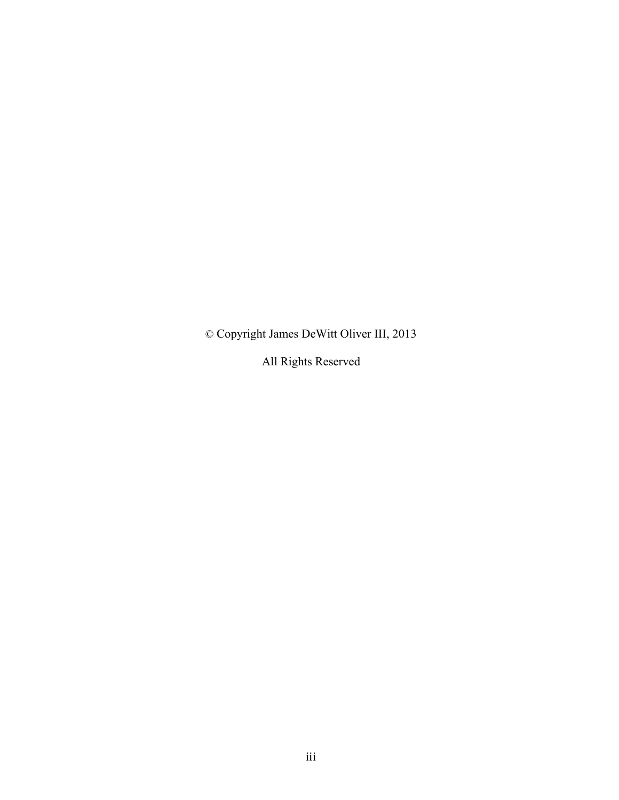© Copyright James DeWitt Oliver III, 2013

All Rights Reserved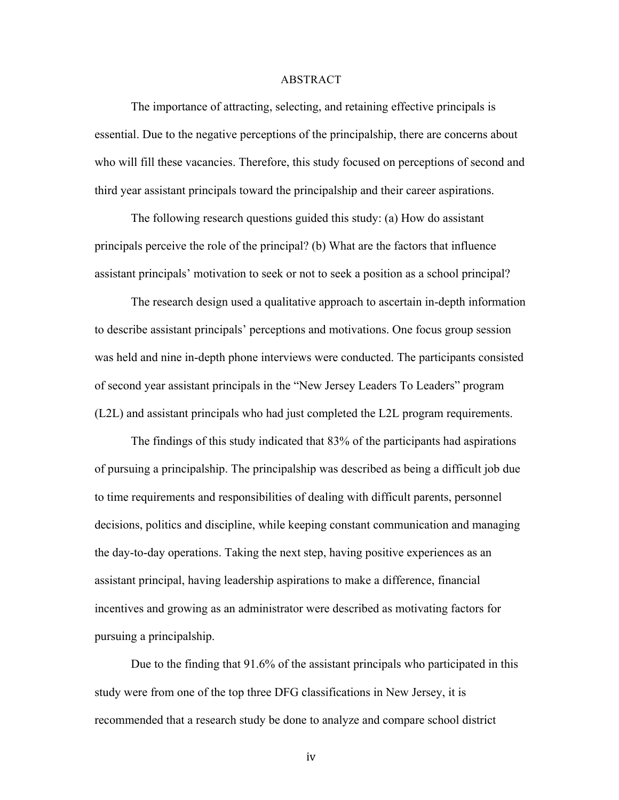#### ABSTRACT

The importance of attracting, selecting, and retaining effective principals is essential. Due to the negative perceptions of the principalship, there are concerns about who will fill these vacancies. Therefore, this study focused on perceptions of second and third year assistant principals toward the principalship and their career aspirations.

The following research questions guided this study: (a) How do assistant principals perceive the role of the principal? (b) What are the factors that influence assistant principals' motivation to seek or not to seek a position as a school principal?

The research design used a qualitative approach to ascertain in-depth information to describe assistant principals' perceptions and motivations. One focus group session was held and nine in-depth phone interviews were conducted. The participants consisted of second year assistant principals in the "New Jersey Leaders To Leaders" program (L2L) and assistant principals who had just completed the L2L program requirements.

The findings of this study indicated that 83% of the participants had aspirations of pursuing a principalship. The principalship was described as being a difficult job due to time requirements and responsibilities of dealing with difficult parents, personnel decisions, politics and discipline, while keeping constant communication and managing the day-to-day operations. Taking the next step, having positive experiences as an assistant principal, having leadership aspirations to make a difference, financial incentives and growing as an administrator were described as motivating factors for pursuing a principalship.

Due to the finding that 91.6% of the assistant principals who participated in this study were from one of the top three DFG classifications in New Jersey, it is recommended that a research study be done to analyze and compare school district

iv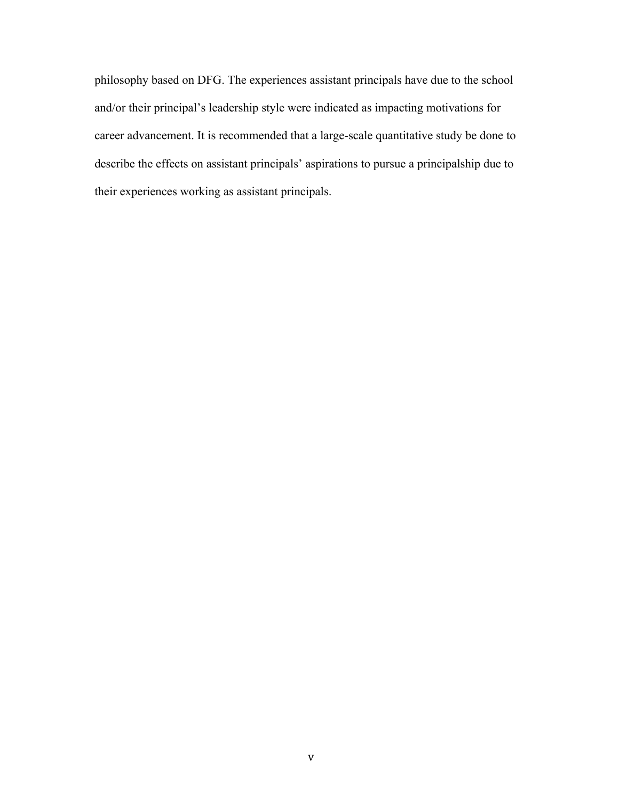philosophy based on DFG. The experiences assistant principals have due to the school and/or their principal's leadership style were indicated as impacting motivations for career advancement. It is recommended that a large-scale quantitative study be done to describe the effects on assistant principals' aspirations to pursue a principalship due to their experiences working as assistant principals.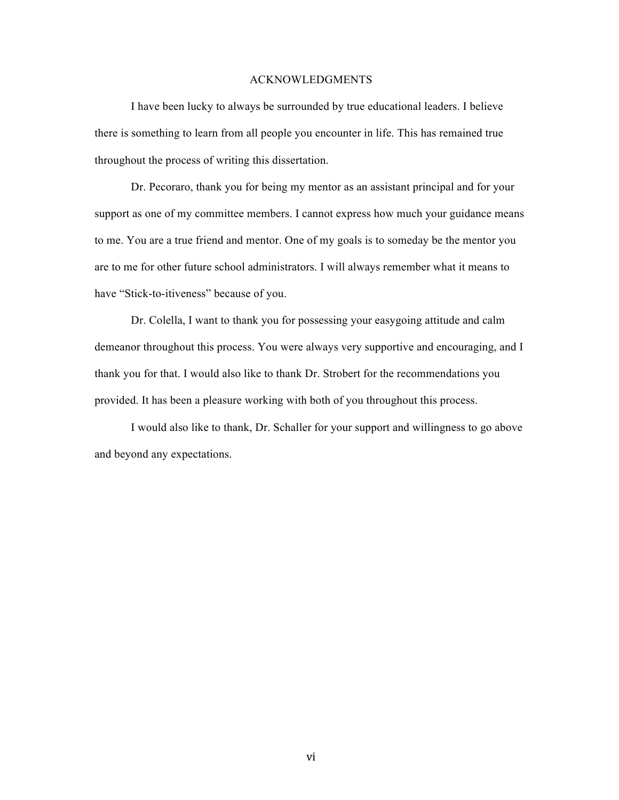#### ACKNOWLEDGMENTS

I have been lucky to always be surrounded by true educational leaders. I believe there is something to learn from all people you encounter in life. This has remained true throughout the process of writing this dissertation.

Dr. Pecoraro, thank you for being my mentor as an assistant principal and for your support as one of my committee members. I cannot express how much your guidance means to me. You are a true friend and mentor. One of my goals is to someday be the mentor you are to me for other future school administrators. I will always remember what it means to have "Stick-to-itiveness" because of you.

Dr. Colella, I want to thank you for possessing your easygoing attitude and calm demeanor throughout this process. You were always very supportive and encouraging, and I thank you for that. I would also like to thank Dr. Strobert for the recommendations you provided. It has been a pleasure working with both of you throughout this process.

I would also like to thank, Dr. Schaller for your support and willingness to go above and beyond any expectations.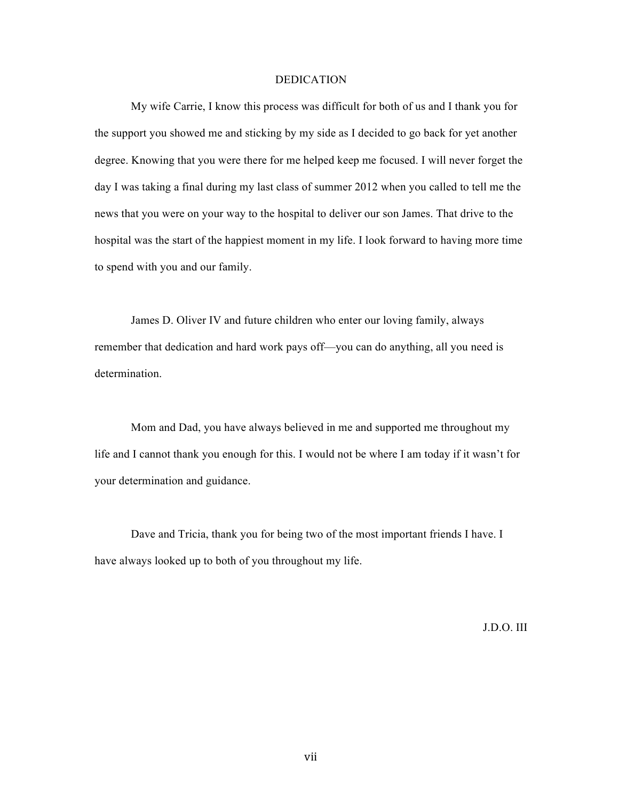#### DEDICATION

My wife Carrie, I know this process was difficult for both of us and I thank you for the support you showed me and sticking by my side as I decided to go back for yet another degree. Knowing that you were there for me helped keep me focused. I will never forget the day I was taking a final during my last class of summer 2012 when you called to tell me the news that you were on your way to the hospital to deliver our son James. That drive to the hospital was the start of the happiest moment in my life. I look forward to having more time to spend with you and our family.

James D. Oliver IV and future children who enter our loving family, always remember that dedication and hard work pays off—you can do anything, all you need is determination.

Mom and Dad, you have always believed in me and supported me throughout my life and I cannot thank you enough for this. I would not be where I am today if it wasn't for your determination and guidance.

Dave and Tricia, thank you for being two of the most important friends I have. I have always looked up to both of you throughout my life.

J.D.O. III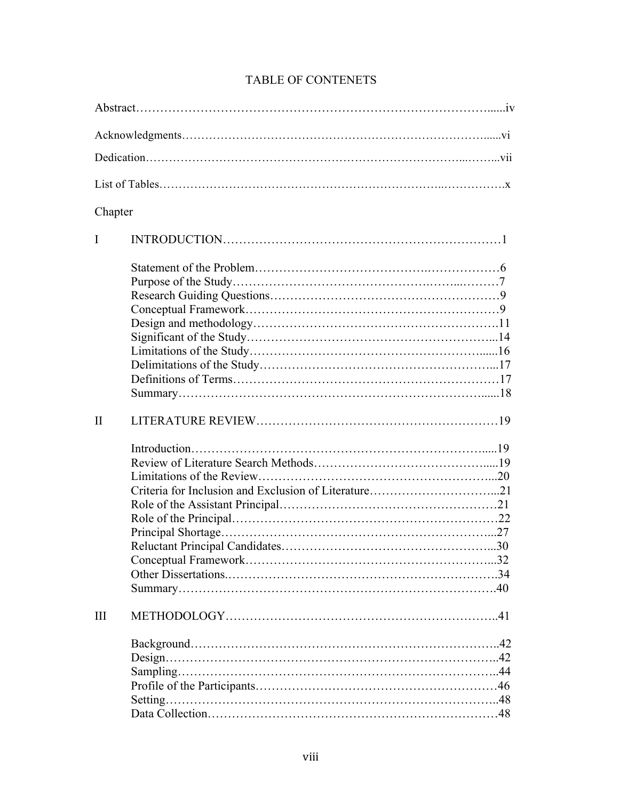| Chapter      |                    |  |
|--------------|--------------------|--|
| I            |                    |  |
|              |                    |  |
| $\mathbf{I}$ |                    |  |
|              |                    |  |
| III          | $Design. \dots 42$ |  |

# TABLE OF CONTENETS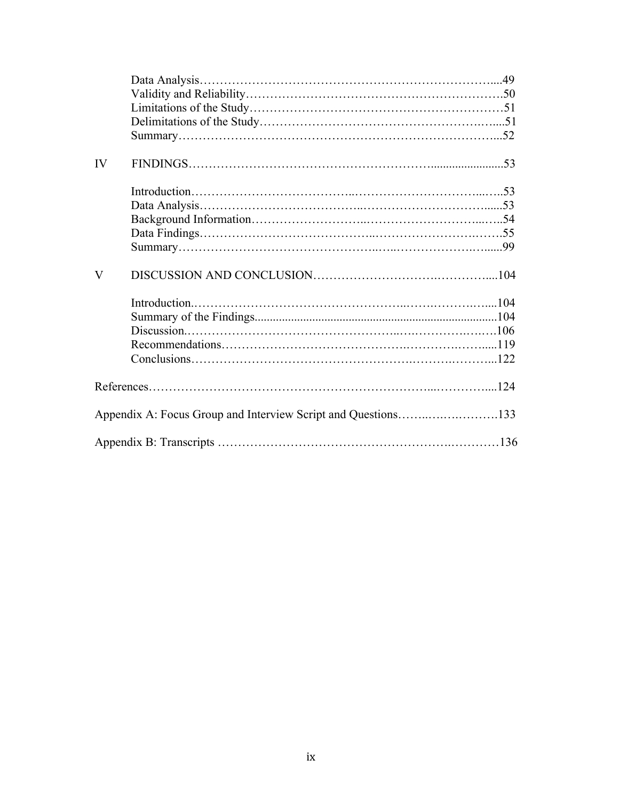| IV                      |                                                               |  |
|-------------------------|---------------------------------------------------------------|--|
|                         |                                                               |  |
|                         |                                                               |  |
|                         |                                                               |  |
|                         |                                                               |  |
|                         |                                                               |  |
|                         |                                                               |  |
| $\overline{\mathsf{V}}$ |                                                               |  |
|                         |                                                               |  |
|                         |                                                               |  |
|                         |                                                               |  |
|                         |                                                               |  |
|                         |                                                               |  |
|                         |                                                               |  |
|                         |                                                               |  |
|                         | Appendix A: Focus Group and Interview Script and Questions133 |  |
|                         |                                                               |  |
|                         |                                                               |  |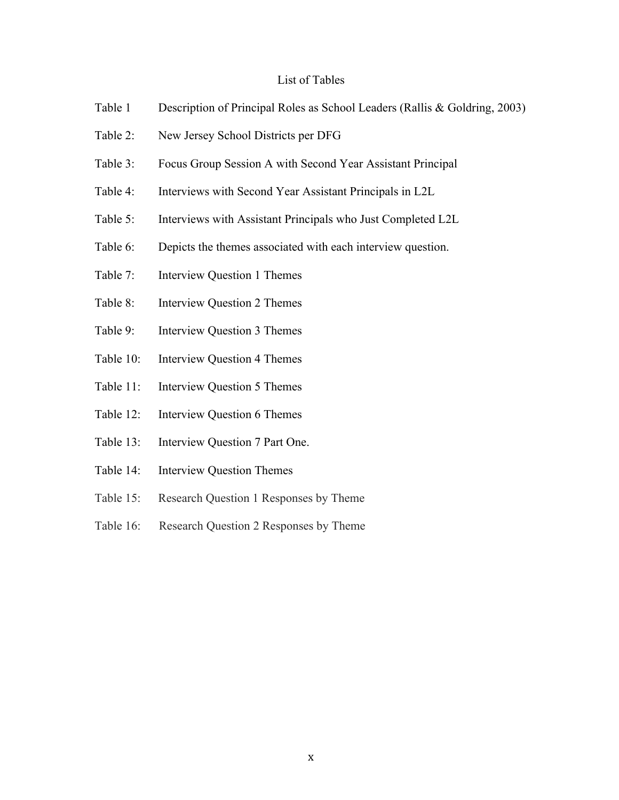# List of Tables

- Table 1 Description of Principal Roles as School Leaders (Rallis & Goldring, 2003)
- Table 2: New Jersey School Districts per DFG
- Table 3: Focus Group Session A with Second Year Assistant Principal
- Table 4: Interviews with Second Year Assistant Principals in L2L
- Table 5: Interviews with Assistant Principals who Just Completed L2L
- Table 6: Depicts the themes associated with each interview question.
- Table 7: Interview Question 1 Themes
- Table 8: Interview Question 2 Themes
- Table 9: Interview Question 3 Themes
- Table 10: Interview Question 4 Themes
- Table 11: Interview Question 5 Themes
- Table 12: Interview Question 6 Themes
- Table 13: Interview Question 7 Part One.
- Table 14: Interview Question Themes
- Table 15: Research Question 1 Responses by Theme
- Table 16: Research Question 2 Responses by Theme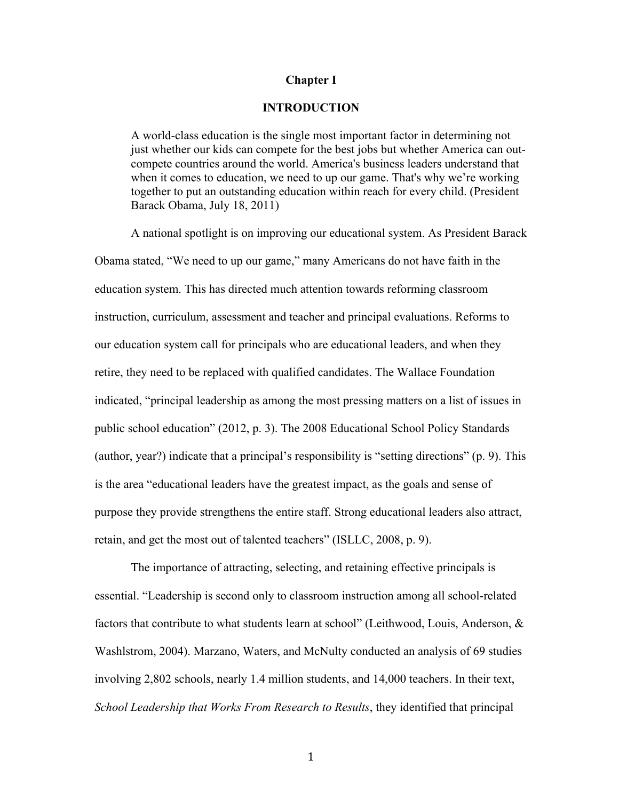## **Chapter I**

# **INTRODUCTION**

A world-class education is the single most important factor in determining not just whether our kids can compete for the best jobs but whether America can outcompete countries around the world. America's business leaders understand that when it comes to education, we need to up our game. That's why we're working together to put an outstanding education within reach for every child. (President Barack Obama, July 18, 2011)

A national spotlight is on improving our educational system. As President Barack Obama stated, "We need to up our game," many Americans do not have faith in the education system. This has directed much attention towards reforming classroom instruction, curriculum, assessment and teacher and principal evaluations. Reforms to our education system call for principals who are educational leaders, and when they retire, they need to be replaced with qualified candidates. The Wallace Foundation indicated, "principal leadership as among the most pressing matters on a list of issues in public school education" (2012, p. 3). The 2008 Educational School Policy Standards (author, year?) indicate that a principal's responsibility is "setting directions" (p. 9). This is the area "educational leaders have the greatest impact, as the goals and sense of purpose they provide strengthens the entire staff. Strong educational leaders also attract, retain, and get the most out of talented teachers" (ISLLC, 2008, p. 9).

The importance of attracting, selecting, and retaining effective principals is essential. "Leadership is second only to classroom instruction among all school-related factors that contribute to what students learn at school" (Leithwood, Louis, Anderson, & Washlstrom, 2004). Marzano, Waters, and McNulty conducted an analysis of 69 studies involving 2,802 schools, nearly 1.4 million students, and 14,000 teachers. In their text, *School Leadership that Works From Research to Results*, they identified that principal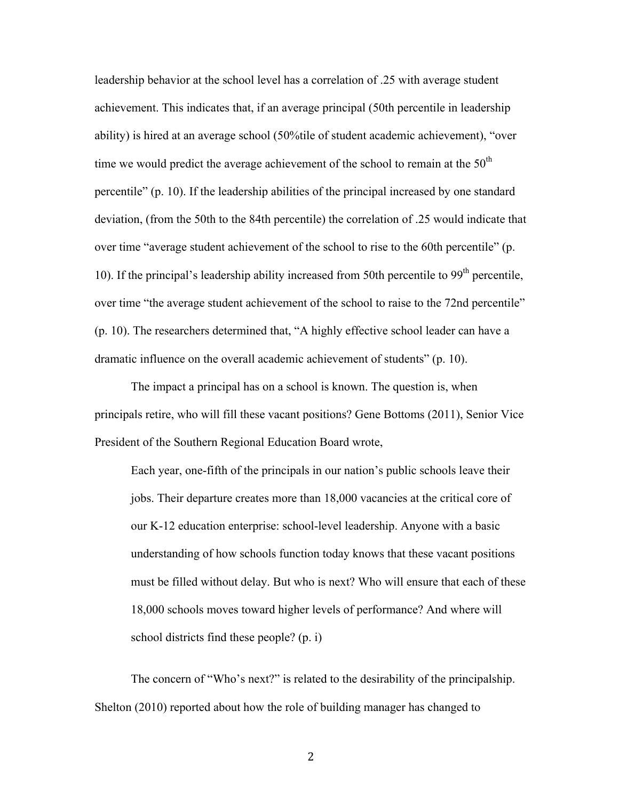leadership behavior at the school level has a correlation of .25 with average student achievement. This indicates that, if an average principal (50th percentile in leadership ability) is hired at an average school (50%tile of student academic achievement), "over time we would predict the average achievement of the school to remain at the  $50<sup>th</sup>$ percentile" (p. 10). If the leadership abilities of the principal increased by one standard deviation, (from the 50th to the 84th percentile) the correlation of .25 would indicate that over time "average student achievement of the school to rise to the 60th percentile" (p. 10). If the principal's leadership ability increased from 50th percentile to  $99<sup>th</sup>$  percentile, over time "the average student achievement of the school to raise to the 72nd percentile" (p. 10). The researchers determined that, "A highly effective school leader can have a dramatic influence on the overall academic achievement of students" (p. 10).

The impact a principal has on a school is known. The question is, when principals retire, who will fill these vacant positions? Gene Bottoms (2011), Senior Vice President of the Southern Regional Education Board wrote,

Each year, one-fifth of the principals in our nation's public schools leave their jobs. Their departure creates more than 18,000 vacancies at the critical core of our K-12 education enterprise: school-level leadership. Anyone with a basic understanding of how schools function today knows that these vacant positions must be filled without delay. But who is next? Who will ensure that each of these 18,000 schools moves toward higher levels of performance? And where will school districts find these people? (p. i)

The concern of "Who's next?" is related to the desirability of the principalship. Shelton (2010) reported about how the role of building manager has changed to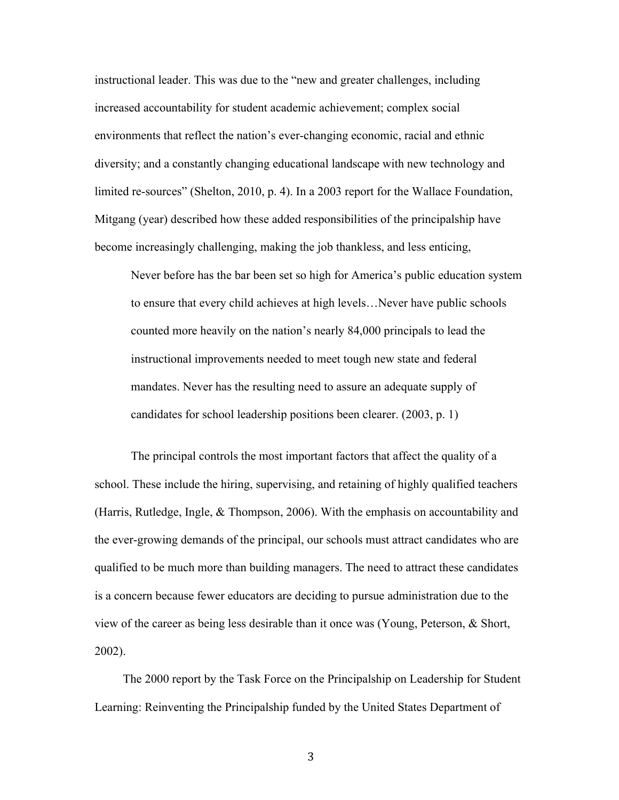instructional leader. This was due to the "new and greater challenges, including increased accountability for student academic achievement; complex social environments that reflect the nation's ever-changing economic, racial and ethnic diversity; and a constantly changing educational landscape with new technology and limited re-sources" (Shelton, 2010, p. 4). In a 2003 report for the Wallace Foundation, Mitgang (year) described how these added responsibilities of the principalship have become increasingly challenging, making the job thankless, and less enticing,

Never before has the bar been set so high for America's public education system to ensure that every child achieves at high levels…Never have public schools counted more heavily on the nation's nearly 84,000 principals to lead the instructional improvements needed to meet tough new state and federal mandates. Never has the resulting need to assure an adequate supply of candidates for school leadership positions been clearer. (2003, p. 1)

The principal controls the most important factors that affect the quality of a school. These include the hiring, supervising, and retaining of highly qualified teachers (Harris, Rutledge, Ingle, & Thompson, 2006). With the emphasis on accountability and the ever-growing demands of the principal, our schools must attract candidates who are qualified to be much more than building managers. The need to attract these candidates is a concern because fewer educators are deciding to pursue administration due to the view of the career as being less desirable than it once was (Young, Peterson, & Short, 2002).

The 2000 report by the Task Force on the Principalship on Leadership for Student Learning: Reinventing the Principalship funded by the United States Department of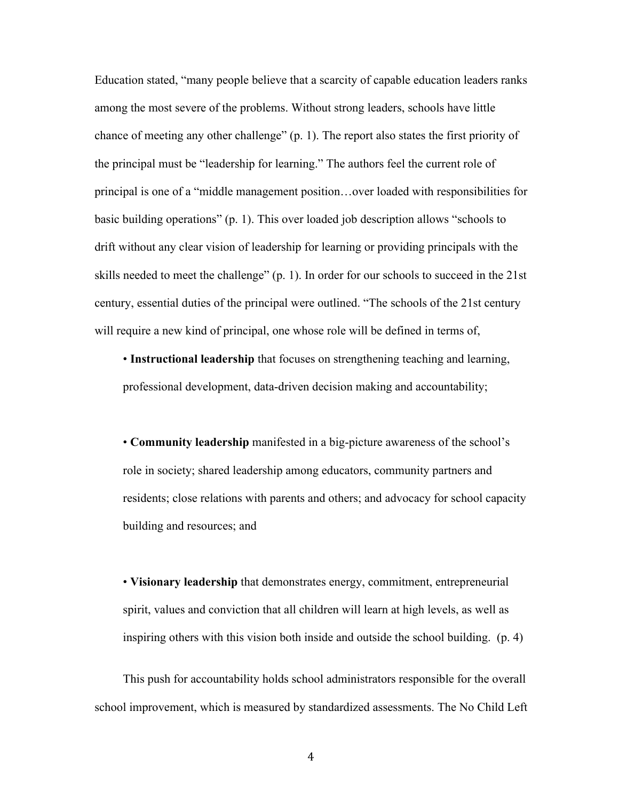Education stated, "many people believe that a scarcity of capable education leaders ranks among the most severe of the problems. Without strong leaders, schools have little chance of meeting any other challenge" (p. 1). The report also states the first priority of the principal must be "leadership for learning." The authors feel the current role of principal is one of a "middle management position…over loaded with responsibilities for basic building operations" (p. 1). This over loaded job description allows "schools to drift without any clear vision of leadership for learning or providing principals with the skills needed to meet the challenge" (p. 1). In order for our schools to succeed in the 21st century, essential duties of the principal were outlined. "The schools of the 21st century will require a new kind of principal, one whose role will be defined in terms of,

• **Instructional leadership** that focuses on strengthening teaching and learning, professional development, data-driven decision making and accountability;

• **Community leadership** manifested in a big-picture awareness of the school's role in society; shared leadership among educators, community partners and residents; close relations with parents and others; and advocacy for school capacity building and resources; and

• **Visionary leadership** that demonstrates energy, commitment, entrepreneurial spirit, values and conviction that all children will learn at high levels, as well as inspiring others with this vision both inside and outside the school building. (p. 4)

This push for accountability holds school administrators responsible for the overall school improvement, which is measured by standardized assessments. The No Child Left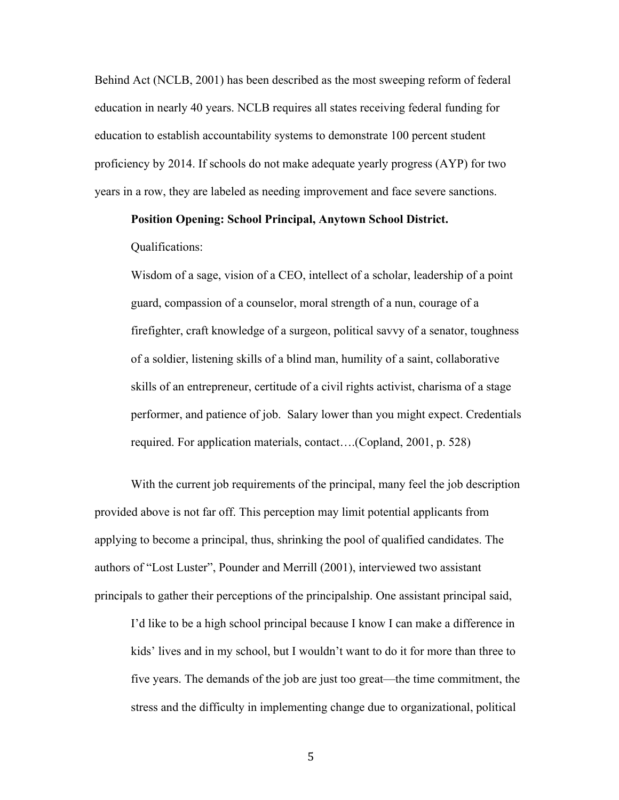Behind Act (NCLB, 2001) has been described as the most sweeping reform of federal education in nearly 40 years. NCLB requires all states receiving federal funding for education to establish accountability systems to demonstrate 100 percent student proficiency by 2014. If schools do not make adequate yearly progress (AYP) for two years in a row, they are labeled as needing improvement and face severe sanctions.

## **Position Opening: School Principal, Anytown School District.**

Qualifications:

Wisdom of a sage, vision of a CEO, intellect of a scholar, leadership of a point guard, compassion of a counselor, moral strength of a nun, courage of a firefighter, craft knowledge of a surgeon, political savvy of a senator, toughness of a soldier, listening skills of a blind man, humility of a saint, collaborative skills of an entrepreneur, certitude of a civil rights activist, charisma of a stage performer, and patience of job. Salary lower than you might expect. Credentials required. For application materials, contact….(Copland, 2001, p. 528)

With the current job requirements of the principal, many feel the job description provided above is not far off. This perception may limit potential applicants from applying to become a principal, thus, shrinking the pool of qualified candidates. The authors of "Lost Luster", Pounder and Merrill (2001), interviewed two assistant principals to gather their perceptions of the principalship. One assistant principal said,

I'd like to be a high school principal because I know I can make a difference in kids' lives and in my school, but I wouldn't want to do it for more than three to five years. The demands of the job are just too great—the time commitment, the stress and the difficulty in implementing change due to organizational, political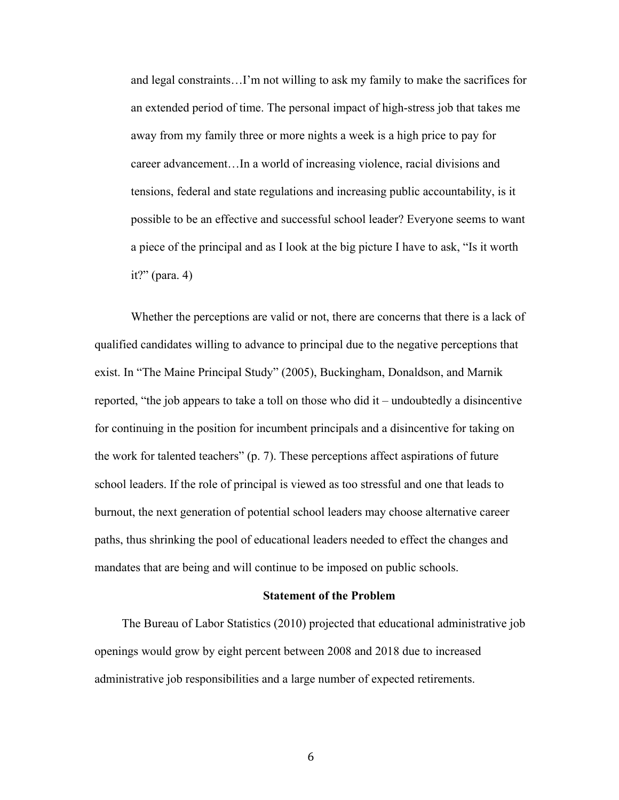and legal constraints…I'm not willing to ask my family to make the sacrifices for an extended period of time. The personal impact of high-stress job that takes me away from my family three or more nights a week is a high price to pay for career advancement…In a world of increasing violence, racial divisions and tensions, federal and state regulations and increasing public accountability, is it possible to be an effective and successful school leader? Everyone seems to want a piece of the principal and as I look at the big picture I have to ask, "Is it worth it?" (para. 4)

Whether the perceptions are valid or not, there are concerns that there is a lack of qualified candidates willing to advance to principal due to the negative perceptions that exist. In "The Maine Principal Study" (2005), Buckingham, Donaldson, and Marnik reported, "the job appears to take a toll on those who did it – undoubtedly a disincentive for continuing in the position for incumbent principals and a disincentive for taking on the work for talented teachers" (p. 7). These perceptions affect aspirations of future school leaders. If the role of principal is viewed as too stressful and one that leads to burnout, the next generation of potential school leaders may choose alternative career paths, thus shrinking the pool of educational leaders needed to effect the changes and mandates that are being and will continue to be imposed on public schools.

#### **Statement of the Problem**

The Bureau of Labor Statistics (2010) projected that educational administrative job openings would grow by eight percent between 2008 and 2018 due to increased administrative job responsibilities and a large number of expected retirements.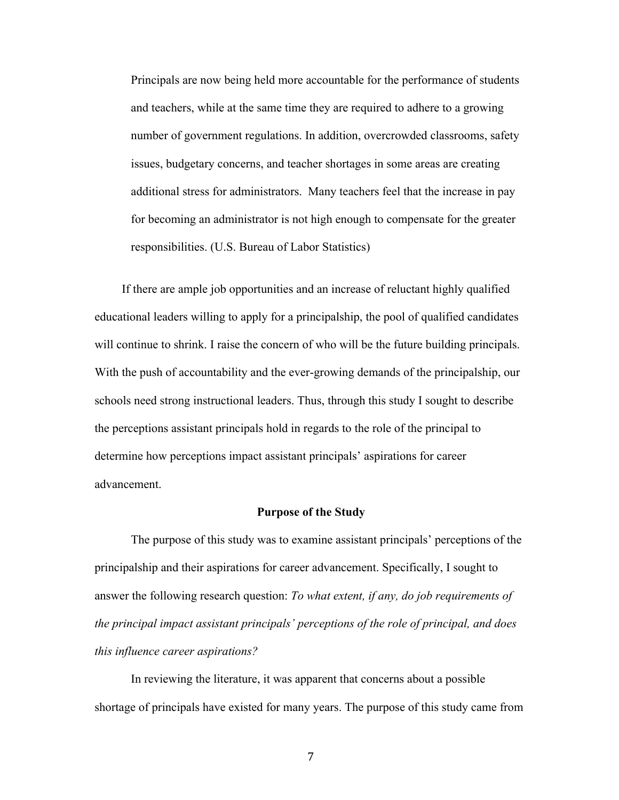Principals are now being held more accountable for the performance of students and teachers, while at the same time they are required to adhere to a growing number of government regulations. In addition, overcrowded classrooms, safety issues, budgetary concerns, and teacher shortages in some areas are creating additional stress for administrators. Many teachers feel that the increase in pay for becoming an administrator is not high enough to compensate for the greater responsibilities. (U.S. Bureau of Labor Statistics)

If there are ample job opportunities and an increase of reluctant highly qualified educational leaders willing to apply for a principalship, the pool of qualified candidates will continue to shrink. I raise the concern of who will be the future building principals. With the push of accountability and the ever-growing demands of the principalship, our schools need strong instructional leaders. Thus, through this study I sought to describe the perceptions assistant principals hold in regards to the role of the principal to determine how perceptions impact assistant principals' aspirations for career advancement.

# **Purpose of the Study**

The purpose of this study was to examine assistant principals' perceptions of the principalship and their aspirations for career advancement. Specifically, I sought to answer the following research question: *To what extent, if any, do job requirements of the principal impact assistant principals' perceptions of the role of principal, and does this influence career aspirations?*

In reviewing the literature, it was apparent that concerns about a possible shortage of principals have existed for many years. The purpose of this study came from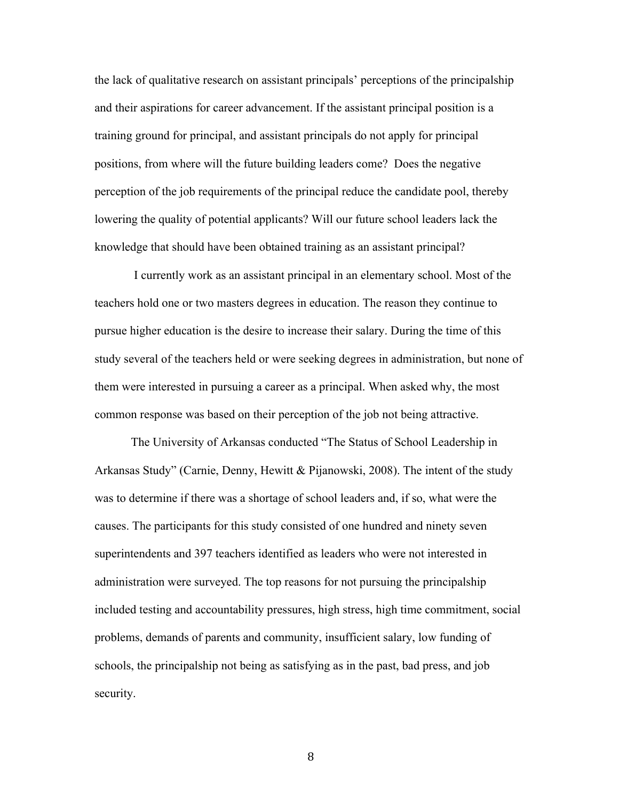the lack of qualitative research on assistant principals' perceptions of the principalship and their aspirations for career advancement. If the assistant principal position is a training ground for principal, and assistant principals do not apply for principal positions, from where will the future building leaders come? Does the negative perception of the job requirements of the principal reduce the candidate pool, thereby lowering the quality of potential applicants? Will our future school leaders lack the knowledge that should have been obtained training as an assistant principal?

I currently work as an assistant principal in an elementary school. Most of the teachers hold one or two masters degrees in education. The reason they continue to pursue higher education is the desire to increase their salary. During the time of this study several of the teachers held or were seeking degrees in administration, but none of them were interested in pursuing a career as a principal. When asked why, the most common response was based on their perception of the job not being attractive.

The University of Arkansas conducted "The Status of School Leadership in Arkansas Study" (Carnie, Denny, Hewitt & Pijanowski, 2008). The intent of the study was to determine if there was a shortage of school leaders and, if so, what were the causes. The participants for this study consisted of one hundred and ninety seven superintendents and 397 teachers identified as leaders who were not interested in administration were surveyed. The top reasons for not pursuing the principalship included testing and accountability pressures, high stress, high time commitment, social problems, demands of parents and community, insufficient salary, low funding of schools, the principalship not being as satisfying as in the past, bad press, and job security.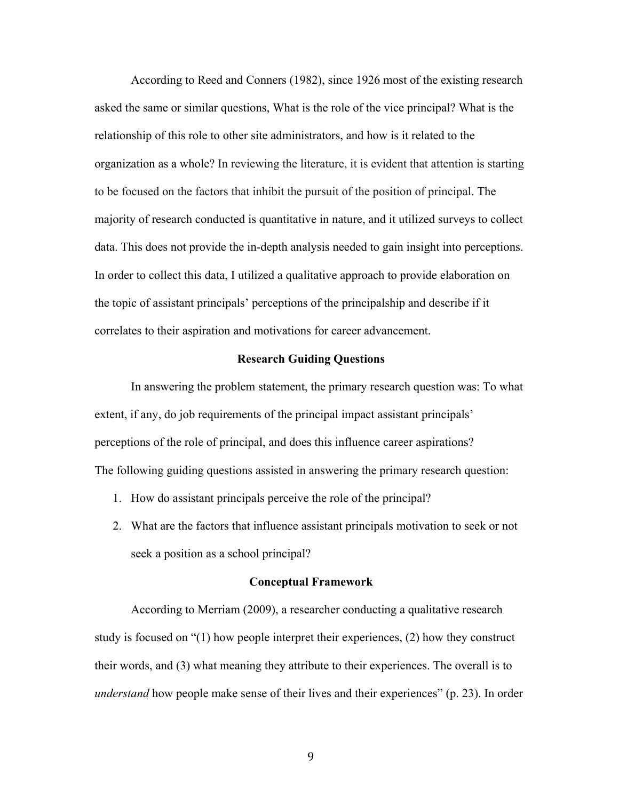According to Reed and Conners (1982), since 1926 most of the existing research asked the same or similar questions, What is the role of the vice principal? What is the relationship of this role to other site administrators, and how is it related to the organization as a whole? In reviewing the literature, it is evident that attention is starting to be focused on the factors that inhibit the pursuit of the position of principal. The majority of research conducted is quantitative in nature, and it utilized surveys to collect data. This does not provide the in-depth analysis needed to gain insight into perceptions. In order to collect this data, I utilized a qualitative approach to provide elaboration on the topic of assistant principals' perceptions of the principalship and describe if it correlates to their aspiration and motivations for career advancement.

## **Research Guiding Questions**

In answering the problem statement, the primary research question was: To what extent, if any, do job requirements of the principal impact assistant principals' perceptions of the role of principal, and does this influence career aspirations? The following guiding questions assisted in answering the primary research question:

- 1. How do assistant principals perceive the role of the principal?
- 2. What are the factors that influence assistant principals motivation to seek or not seek a position as a school principal?

#### **Conceptual Framework**

According to Merriam (2009), a researcher conducting a qualitative research study is focused on "(1) how people interpret their experiences, (2) how they construct their words, and (3) what meaning they attribute to their experiences. The overall is to *understand* how people make sense of their lives and their experiences" (p. 23). In order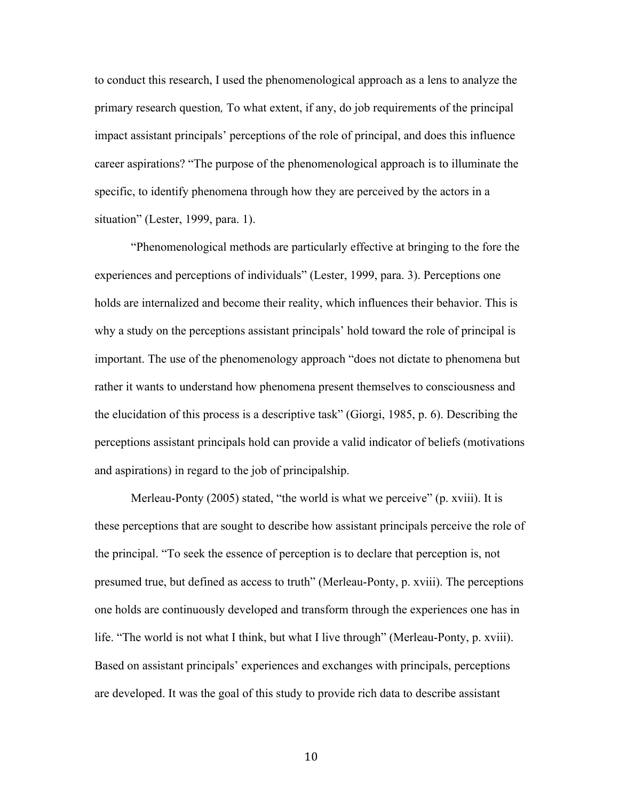to conduct this research, I used the phenomenological approach as a lens to analyze the primary research question*,* To what extent, if any, do job requirements of the principal impact assistant principals' perceptions of the role of principal, and does this influence career aspirations? "The purpose of the phenomenological approach is to illuminate the specific, to identify phenomena through how they are perceived by the actors in a situation" (Lester, 1999, para. 1).

"Phenomenological methods are particularly effective at bringing to the fore the experiences and perceptions of individuals" (Lester, 1999, para. 3). Perceptions one holds are internalized and become their reality, which influences their behavior. This is why a study on the perceptions assistant principals' hold toward the role of principal is important. The use of the phenomenology approach "does not dictate to phenomena but rather it wants to understand how phenomena present themselves to consciousness and the elucidation of this process is a descriptive task" (Giorgi, 1985, p. 6). Describing the perceptions assistant principals hold can provide a valid indicator of beliefs (motivations and aspirations) in regard to the job of principalship.

Merleau-Ponty (2005) stated, "the world is what we perceive" (p. xviii). It is these perceptions that are sought to describe how assistant principals perceive the role of the principal. "To seek the essence of perception is to declare that perception is, not presumed true, but defined as access to truth" (Merleau-Ponty, p. xviii). The perceptions one holds are continuously developed and transform through the experiences one has in life. "The world is not what I think, but what I live through" (Merleau-Ponty, p. xviii). Based on assistant principals' experiences and exchanges with principals, perceptions are developed. It was the goal of this study to provide rich data to describe assistant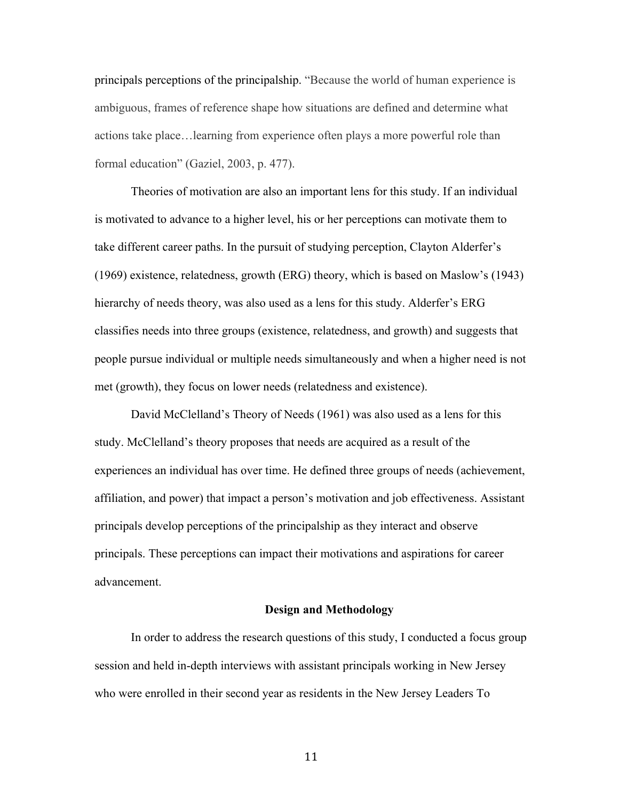principals perceptions of the principalship. "Because the world of human experience is ambiguous, frames of reference shape how situations are defined and determine what actions take place…learning from experience often plays a more powerful role than formal education" (Gaziel, 2003, p. 477).

Theories of motivation are also an important lens for this study. If an individual is motivated to advance to a higher level, his or her perceptions can motivate them to take different career paths. In the pursuit of studying perception, Clayton Alderfer's (1969) existence, relatedness, growth (ERG) theory, which is based on Maslow's (1943) hierarchy of needs theory, was also used as a lens for this study. Alderfer's ERG classifies needs into three groups (existence, relatedness, and growth) and suggests that people pursue individual or multiple needs simultaneously and when a higher need is not met (growth), they focus on lower needs (relatedness and existence).

David McClelland's Theory of Needs (1961) was also used as a lens for this study. McClelland's theory proposes that needs are acquired as a result of the experiences an individual has over time. He defined three groups of needs (achievement, affiliation, and power) that impact a person's motivation and job effectiveness. Assistant principals develop perceptions of the principalship as they interact and observe principals. These perceptions can impact their motivations and aspirations for career advancement.

#### **Design and Methodology**

In order to address the research questions of this study, I conducted a focus group session and held in-depth interviews with assistant principals working in New Jersey who were enrolled in their second year as residents in the New Jersey Leaders To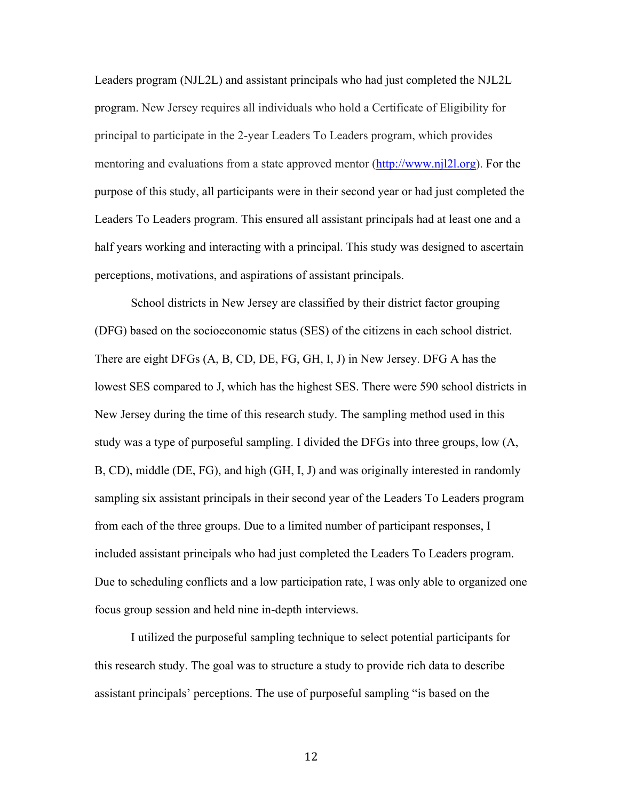Leaders program (NJL2L) and assistant principals who had just completed the NJL2L program. New Jersey requires all individuals who hold a Certificate of Eligibility for principal to participate in the 2-year Leaders To Leaders program, which provides mentoring and evaluations from a state approved mentor (http://www.njl2l.org). For the purpose of this study, all participants were in their second year or had just completed the Leaders To Leaders program. This ensured all assistant principals had at least one and a half years working and interacting with a principal. This study was designed to ascertain perceptions, motivations, and aspirations of assistant principals.

School districts in New Jersey are classified by their district factor grouping (DFG) based on the socioeconomic status (SES) of the citizens in each school district. There are eight DFGs (A, B, CD, DE, FG, GH, I, J) in New Jersey. DFG A has the lowest SES compared to J, which has the highest SES. There were 590 school districts in New Jersey during the time of this research study. The sampling method used in this study was a type of purposeful sampling. I divided the DFGs into three groups, low (A, B, CD), middle (DE, FG), and high (GH, I, J) and was originally interested in randomly sampling six assistant principals in their second year of the Leaders To Leaders program from each of the three groups. Due to a limited number of participant responses, I included assistant principals who had just completed the Leaders To Leaders program. Due to scheduling conflicts and a low participation rate, I was only able to organized one focus group session and held nine in-depth interviews.

I utilized the purposeful sampling technique to select potential participants for this research study. The goal was to structure a study to provide rich data to describe assistant principals' perceptions. The use of purposeful sampling "is based on the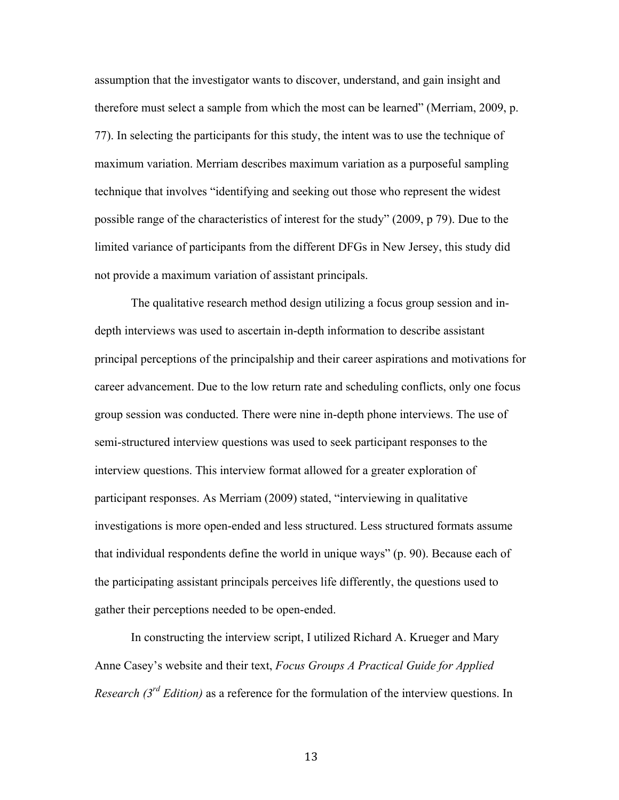assumption that the investigator wants to discover, understand, and gain insight and therefore must select a sample from which the most can be learned" (Merriam, 2009, p. 77). In selecting the participants for this study, the intent was to use the technique of maximum variation. Merriam describes maximum variation as a purposeful sampling technique that involves "identifying and seeking out those who represent the widest possible range of the characteristics of interest for the study" (2009, p 79). Due to the limited variance of participants from the different DFGs in New Jersey, this study did not provide a maximum variation of assistant principals.

The qualitative research method design utilizing a focus group session and indepth interviews was used to ascertain in-depth information to describe assistant principal perceptions of the principalship and their career aspirations and motivations for career advancement. Due to the low return rate and scheduling conflicts, only one focus group session was conducted. There were nine in-depth phone interviews. The use of semi-structured interview questions was used to seek participant responses to the interview questions. This interview format allowed for a greater exploration of participant responses. As Merriam (2009) stated, "interviewing in qualitative investigations is more open-ended and less structured. Less structured formats assume that individual respondents define the world in unique ways" (p. 90). Because each of the participating assistant principals perceives life differently, the questions used to gather their perceptions needed to be open-ended.

In constructing the interview script, I utilized Richard A. Krueger and Mary Anne Casey's website and their text, *Focus Groups A Practical Guide for Applied Research (3rd Edition)* as a reference for the formulation of the interview questions. In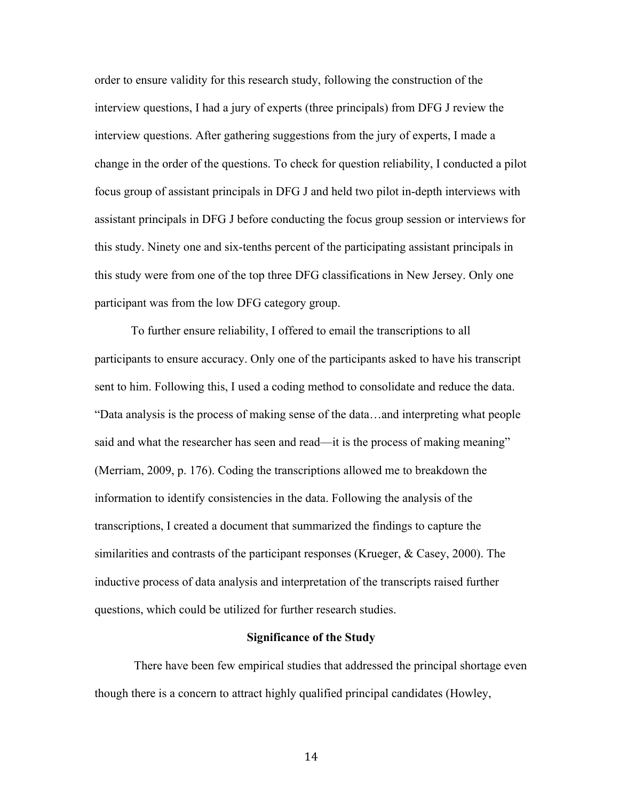order to ensure validity for this research study, following the construction of the interview questions, I had a jury of experts (three principals) from DFG J review the interview questions. After gathering suggestions from the jury of experts, I made a change in the order of the questions. To check for question reliability, I conducted a pilot focus group of assistant principals in DFG J and held two pilot in-depth interviews with assistant principals in DFG J before conducting the focus group session or interviews for this study. Ninety one and six-tenths percent of the participating assistant principals in this study were from one of the top three DFG classifications in New Jersey. Only one participant was from the low DFG category group.

To further ensure reliability, I offered to email the transcriptions to all participants to ensure accuracy. Only one of the participants asked to have his transcript sent to him. Following this, I used a coding method to consolidate and reduce the data. "Data analysis is the process of making sense of the data…and interpreting what people said and what the researcher has seen and read—it is the process of making meaning" (Merriam, 2009, p. 176). Coding the transcriptions allowed me to breakdown the information to identify consistencies in the data. Following the analysis of the transcriptions, I created a document that summarized the findings to capture the similarities and contrasts of the participant responses (Krueger, & Casey, 2000). The inductive process of data analysis and interpretation of the transcripts raised further questions, which could be utilized for further research studies.

## **Significance of the Study**

There have been few empirical studies that addressed the principal shortage even though there is a concern to attract highly qualified principal candidates (Howley,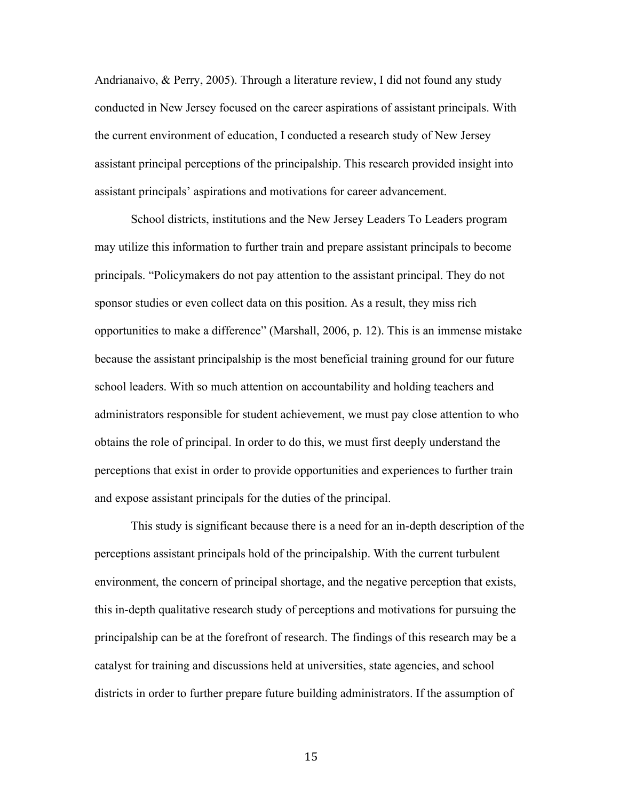Andrianaivo, & Perry, 2005). Through a literature review, I did not found any study conducted in New Jersey focused on the career aspirations of assistant principals. With the current environment of education, I conducted a research study of New Jersey assistant principal perceptions of the principalship. This research provided insight into assistant principals' aspirations and motivations for career advancement.

School districts, institutions and the New Jersey Leaders To Leaders program may utilize this information to further train and prepare assistant principals to become principals. "Policymakers do not pay attention to the assistant principal. They do not sponsor studies or even collect data on this position. As a result, they miss rich opportunities to make a difference" (Marshall, 2006, p. 12). This is an immense mistake because the assistant principalship is the most beneficial training ground for our future school leaders. With so much attention on accountability and holding teachers and administrators responsible for student achievement, we must pay close attention to who obtains the role of principal. In order to do this, we must first deeply understand the perceptions that exist in order to provide opportunities and experiences to further train and expose assistant principals for the duties of the principal.

This study is significant because there is a need for an in-depth description of the perceptions assistant principals hold of the principalship. With the current turbulent environment, the concern of principal shortage, and the negative perception that exists, this in-depth qualitative research study of perceptions and motivations for pursuing the principalship can be at the forefront of research. The findings of this research may be a catalyst for training and discussions held at universities, state agencies, and school districts in order to further prepare future building administrators. If the assumption of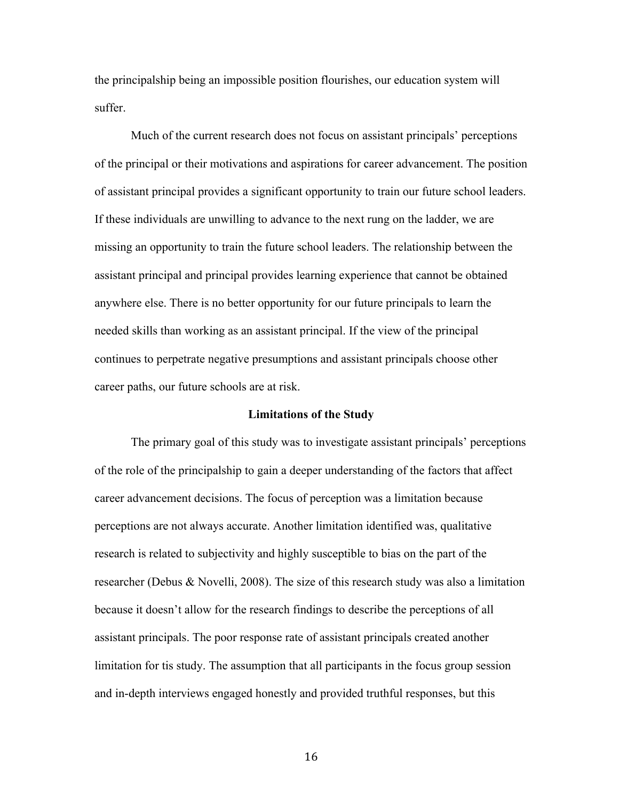the principalship being an impossible position flourishes, our education system will suffer.

Much of the current research does not focus on assistant principals' perceptions of the principal or their motivations and aspirations for career advancement. The position of assistant principal provides a significant opportunity to train our future school leaders. If these individuals are unwilling to advance to the next rung on the ladder, we are missing an opportunity to train the future school leaders. The relationship between the assistant principal and principal provides learning experience that cannot be obtained anywhere else. There is no better opportunity for our future principals to learn the needed skills than working as an assistant principal. If the view of the principal continues to perpetrate negative presumptions and assistant principals choose other career paths, our future schools are at risk.

## **Limitations of the Study**

The primary goal of this study was to investigate assistant principals' perceptions of the role of the principalship to gain a deeper understanding of the factors that affect career advancement decisions. The focus of perception was a limitation because perceptions are not always accurate. Another limitation identified was, qualitative research is related to subjectivity and highly susceptible to bias on the part of the researcher (Debus & Novelli, 2008). The size of this research study was also a limitation because it doesn't allow for the research findings to describe the perceptions of all assistant principals. The poor response rate of assistant principals created another limitation for tis study. The assumption that all participants in the focus group session and in-depth interviews engaged honestly and provided truthful responses, but this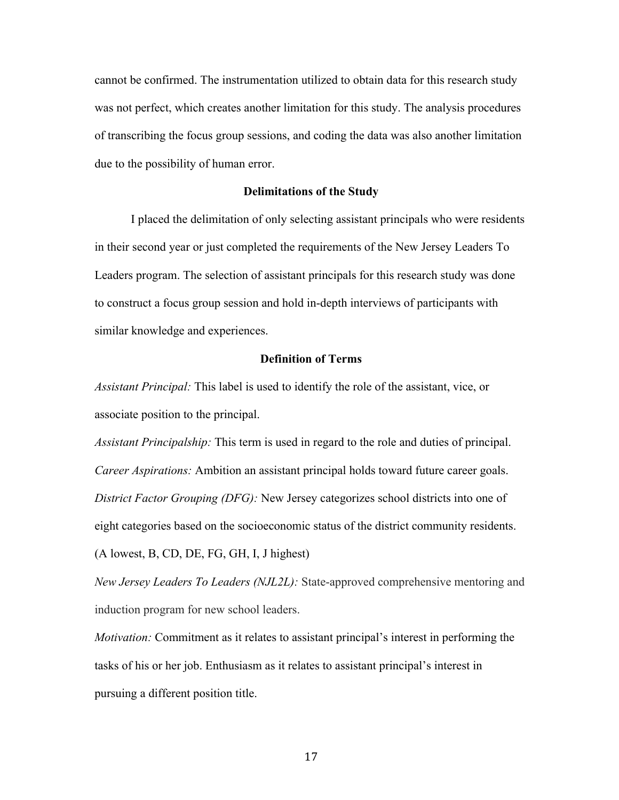cannot be confirmed. The instrumentation utilized to obtain data for this research study was not perfect, which creates another limitation for this study. The analysis procedures of transcribing the focus group sessions, and coding the data was also another limitation due to the possibility of human error.

#### **Delimitations of the Study**

I placed the delimitation of only selecting assistant principals who were residents in their second year or just completed the requirements of the New Jersey Leaders To Leaders program. The selection of assistant principals for this research study was done to construct a focus group session and hold in-depth interviews of participants with similar knowledge and experiences.

## **Definition of Terms**

*Assistant Principal:* This label is used to identify the role of the assistant, vice, or associate position to the principal.

*Assistant Principalship:* This term is used in regard to the role and duties of principal. *Career Aspirations:* Ambition an assistant principal holds toward future career goals. *District Factor Grouping (DFG):* New Jersey categorizes school districts into one of eight categories based on the socioeconomic status of the district community residents. (A lowest, B, CD, DE, FG, GH, I, J highest)

*New Jersey Leaders To Leaders (NJL2L):* State-approved comprehensive mentoring and induction program for new school leaders.

*Motivation:* Commitment as it relates to assistant principal's interest in performing the tasks of his or her job. Enthusiasm as it relates to assistant principal's interest in pursuing a different position title.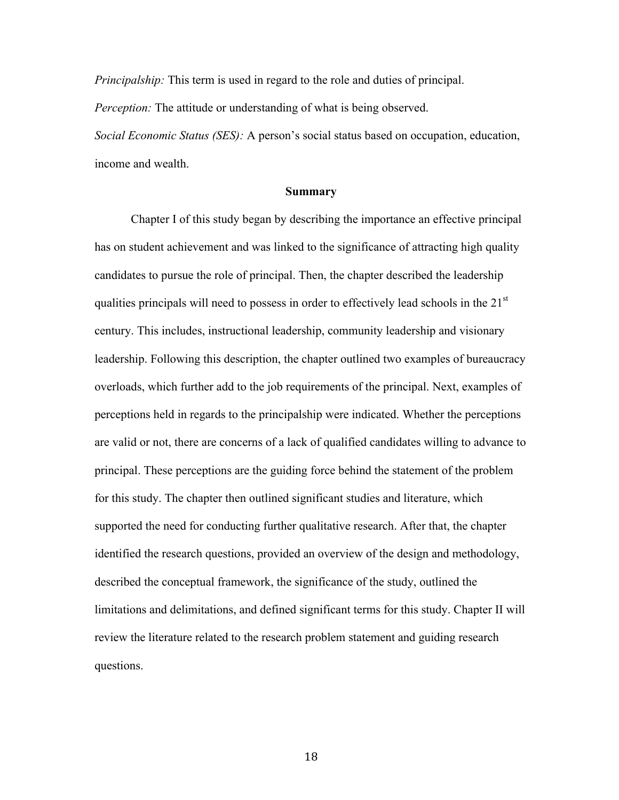*Principalship:* This term is used in regard to the role and duties of principal.

*Perception:* The attitude or understanding of what is being observed.

*Social Economic Status (SES):* A person's social status based on occupation, education, income and wealth.

#### **Summary**

Chapter I of this study began by describing the importance an effective principal has on student achievement and was linked to the significance of attracting high quality candidates to pursue the role of principal. Then, the chapter described the leadership qualities principals will need to possess in order to effectively lead schools in the  $21<sup>st</sup>$ century. This includes, instructional leadership, community leadership and visionary leadership. Following this description, the chapter outlined two examples of bureaucracy overloads, which further add to the job requirements of the principal. Next, examples of perceptions held in regards to the principalship were indicated. Whether the perceptions are valid or not, there are concerns of a lack of qualified candidates willing to advance to principal. These perceptions are the guiding force behind the statement of the problem for this study. The chapter then outlined significant studies and literature, which supported the need for conducting further qualitative research. After that, the chapter identified the research questions, provided an overview of the design and methodology, described the conceptual framework, the significance of the study, outlined the limitations and delimitations, and defined significant terms for this study. Chapter II will review the literature related to the research problem statement and guiding research questions.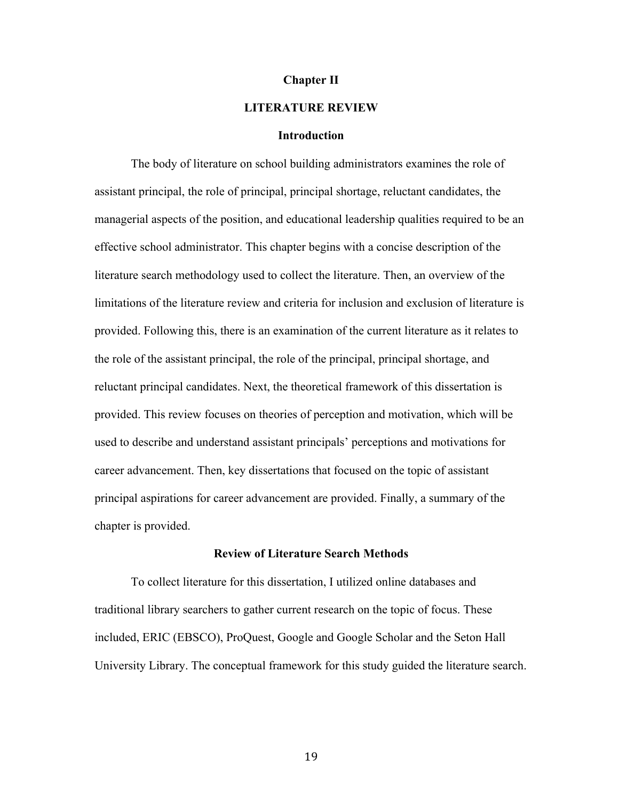#### **Chapter II**

## **LITERATURE REVIEW**

#### **Introduction**

The body of literature on school building administrators examines the role of assistant principal, the role of principal, principal shortage, reluctant candidates, the managerial aspects of the position, and educational leadership qualities required to be an effective school administrator. This chapter begins with a concise description of the literature search methodology used to collect the literature. Then, an overview of the limitations of the literature review and criteria for inclusion and exclusion of literature is provided. Following this, there is an examination of the current literature as it relates to the role of the assistant principal, the role of the principal, principal shortage, and reluctant principal candidates. Next, the theoretical framework of this dissertation is provided. This review focuses on theories of perception and motivation, which will be used to describe and understand assistant principals' perceptions and motivations for career advancement. Then, key dissertations that focused on the topic of assistant principal aspirations for career advancement are provided. Finally, a summary of the chapter is provided.

#### **Review of Literature Search Methods**

To collect literature for this dissertation, I utilized online databases and traditional library searchers to gather current research on the topic of focus. These included, ERIC (EBSCO), ProQuest, Google and Google Scholar and the Seton Hall University Library. The conceptual framework for this study guided the literature search.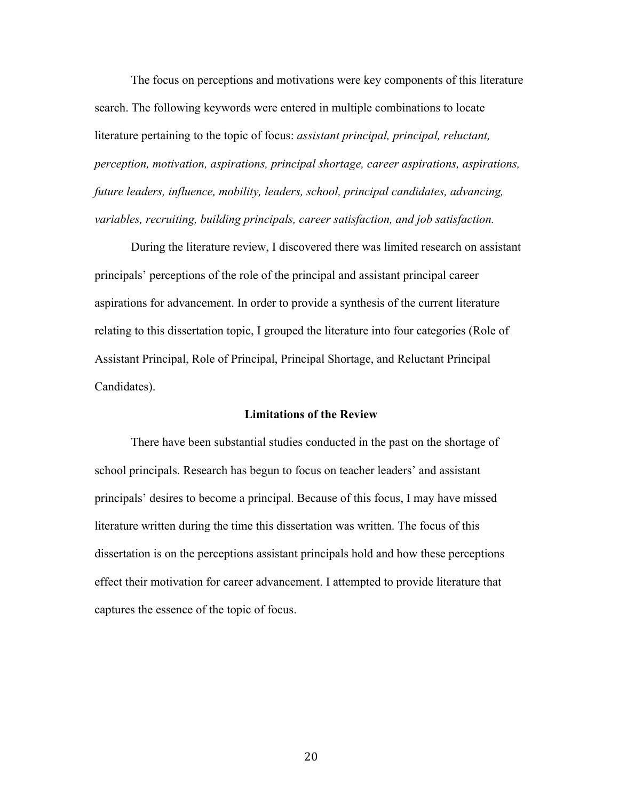The focus on perceptions and motivations were key components of this literature search. The following keywords were entered in multiple combinations to locate literature pertaining to the topic of focus: *assistant principal, principal, reluctant, perception, motivation, aspirations, principal shortage, career aspirations, aspirations, future leaders, influence, mobility, leaders, school, principal candidates, advancing, variables, recruiting, building principals, career satisfaction, and job satisfaction.*

During the literature review, I discovered there was limited research on assistant principals' perceptions of the role of the principal and assistant principal career aspirations for advancement. In order to provide a synthesis of the current literature relating to this dissertation topic, I grouped the literature into four categories (Role of Assistant Principal, Role of Principal, Principal Shortage, and Reluctant Principal Candidates).

#### **Limitations of the Review**

There have been substantial studies conducted in the past on the shortage of school principals. Research has begun to focus on teacher leaders' and assistant principals' desires to become a principal. Because of this focus, I may have missed literature written during the time this dissertation was written. The focus of this dissertation is on the perceptions assistant principals hold and how these perceptions effect their motivation for career advancement. I attempted to provide literature that captures the essence of the topic of focus.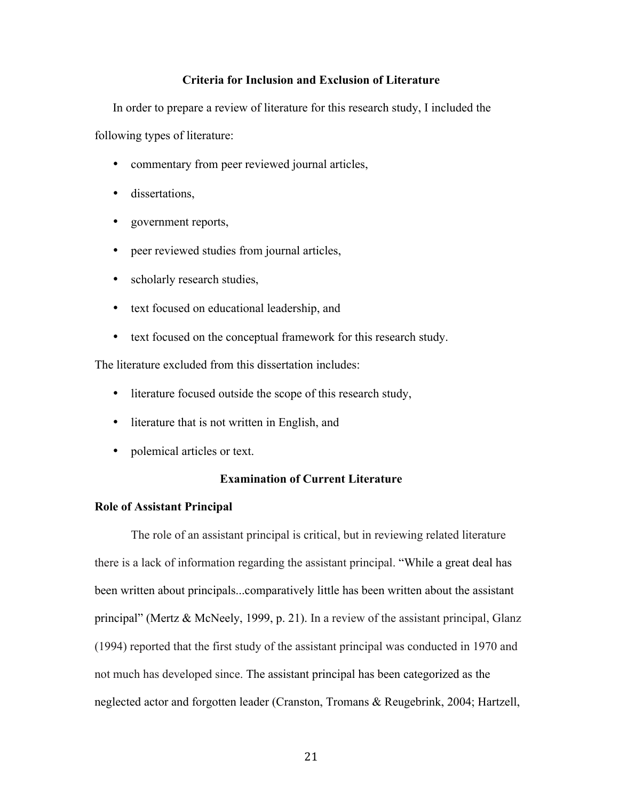# **Criteria for Inclusion and Exclusion of Literature**

In order to prepare a review of literature for this research study, I included the following types of literature:

- commentary from peer reviewed journal articles,
- dissertations,
- government reports,
- peer reviewed studies from journal articles,
- scholarly research studies,
- text focused on educational leadership, and
- text focused on the conceptual framework for this research study.

The literature excluded from this dissertation includes:

- literature focused outside the scope of this research study,
- literature that is not written in English, and
- polemical articles or text.

# **Examination of Current Literature**

#### **Role of Assistant Principal**

The role of an assistant principal is critical, but in reviewing related literature there is a lack of information regarding the assistant principal. "While a great deal has been written about principals...comparatively little has been written about the assistant principal" (Mertz & McNeely, 1999, p. 21). In a review of the assistant principal, Glanz (1994) reported that the first study of the assistant principal was conducted in 1970 and not much has developed since. The assistant principal has been categorized as the neglected actor and forgotten leader (Cranston, Tromans & Reugebrink, 2004; Hartzell,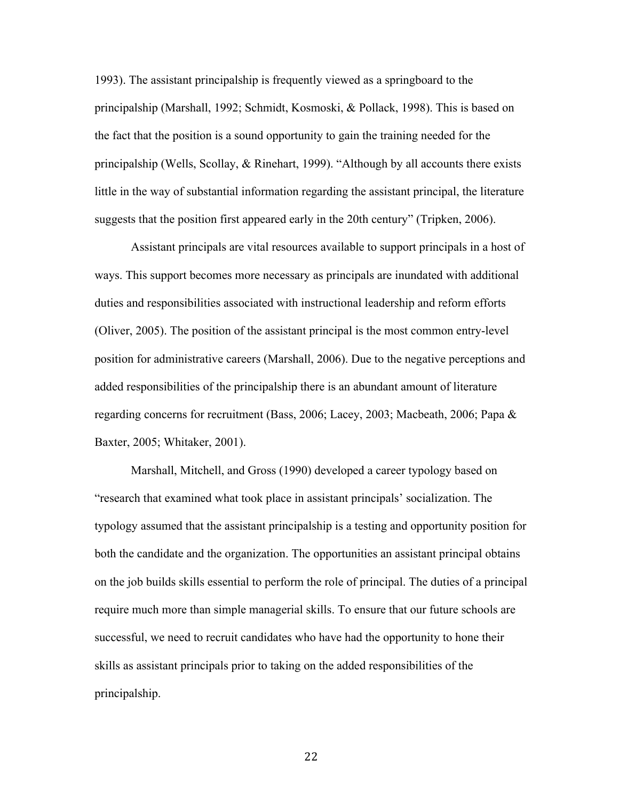1993). The assistant principalship is frequently viewed as a springboard to the principalship (Marshall, 1992; Schmidt, Kosmoski, & Pollack, 1998). This is based on the fact that the position is a sound opportunity to gain the training needed for the principalship (Wells, Scollay, & Rinehart, 1999). "Although by all accounts there exists little in the way of substantial information regarding the assistant principal, the literature suggests that the position first appeared early in the 20th century" (Tripken, 2006).

Assistant principals are vital resources available to support principals in a host of ways. This support becomes more necessary as principals are inundated with additional duties and responsibilities associated with instructional leadership and reform efforts (Oliver, 2005). The position of the assistant principal is the most common entry-level position for administrative careers (Marshall, 2006). Due to the negative perceptions and added responsibilities of the principalship there is an abundant amount of literature regarding concerns for recruitment (Bass, 2006; Lacey, 2003; Macbeath, 2006; Papa & Baxter, 2005; Whitaker, 2001).

Marshall, Mitchell, and Gross (1990) developed a career typology based on "research that examined what took place in assistant principals' socialization. The typology assumed that the assistant principalship is a testing and opportunity position for both the candidate and the organization. The opportunities an assistant principal obtains on the job builds skills essential to perform the role of principal. The duties of a principal require much more than simple managerial skills. To ensure that our future schools are successful, we need to recruit candidates who have had the opportunity to hone their skills as assistant principals prior to taking on the added responsibilities of the principalship.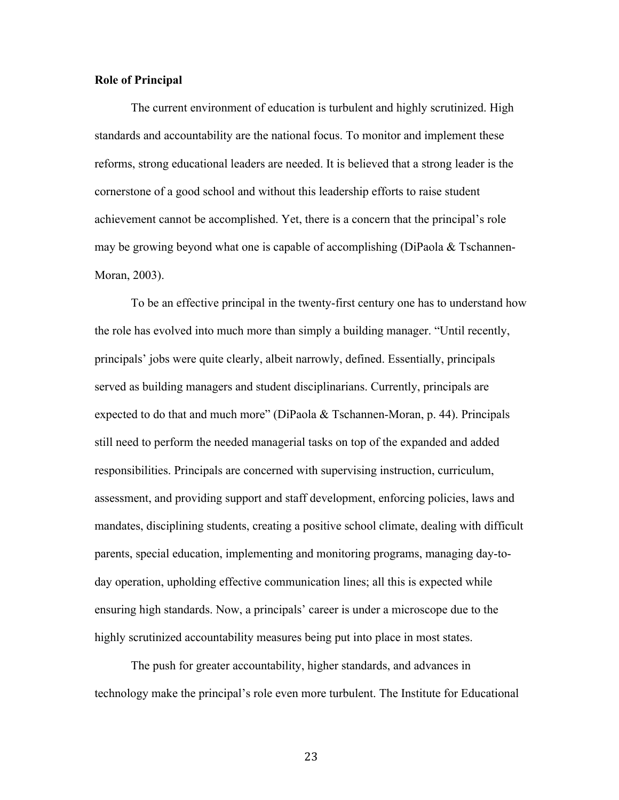## **Role of Principal**

The current environment of education is turbulent and highly scrutinized. High standards and accountability are the national focus. To monitor and implement these reforms, strong educational leaders are needed. It is believed that a strong leader is the cornerstone of a good school and without this leadership efforts to raise student achievement cannot be accomplished. Yet, there is a concern that the principal's role may be growing beyond what one is capable of accomplishing (DiPaola  $\&$  Tschannen-Moran, 2003).

To be an effective principal in the twenty-first century one has to understand how the role has evolved into much more than simply a building manager. "Until recently, principals' jobs were quite clearly, albeit narrowly, defined. Essentially, principals served as building managers and student disciplinarians. Currently, principals are expected to do that and much more" (DiPaola & Tschannen-Moran, p. 44). Principals still need to perform the needed managerial tasks on top of the expanded and added responsibilities. Principals are concerned with supervising instruction, curriculum, assessment, and providing support and staff development, enforcing policies, laws and mandates, disciplining students, creating a positive school climate, dealing with difficult parents, special education, implementing and monitoring programs, managing day-today operation, upholding effective communication lines; all this is expected while ensuring high standards. Now, a principals' career is under a microscope due to the highly scrutinized accountability measures being put into place in most states.

The push for greater accountability, higher standards, and advances in technology make the principal's role even more turbulent. The Institute for Educational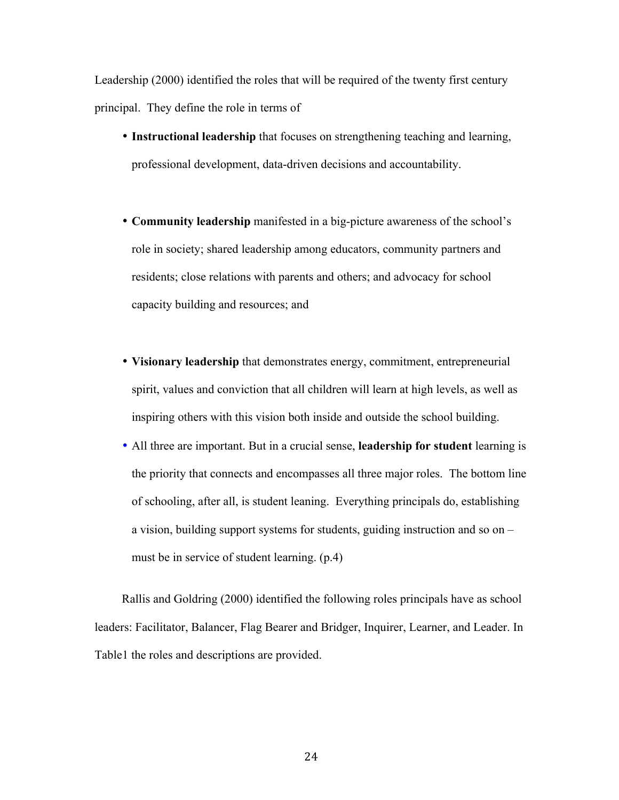Leadership (2000) identified the roles that will be required of the twenty first century principal. They define the role in terms of

- **Instructional leadership** that focuses on strengthening teaching and learning, professional development, data-driven decisions and accountability.
- **Community leadership** manifested in a big-picture awareness of the school's role in society; shared leadership among educators, community partners and residents; close relations with parents and others; and advocacy for school capacity building and resources; and
- **Visionary leadership** that demonstrates energy, commitment, entrepreneurial spirit, values and conviction that all children will learn at high levels, as well as inspiring others with this vision both inside and outside the school building.
- All three are important. But in a crucial sense, **leadership for student** learning is the priority that connects and encompasses all three major roles. The bottom line of schooling, after all, is student leaning. Everything principals do, establishing a vision, building support systems for students, guiding instruction and so on – must be in service of student learning. (p.4)

Rallis and Goldring (2000) identified the following roles principals have as school leaders: Facilitator, Balancer, Flag Bearer and Bridger, Inquirer, Learner, and Leader. In Table1 the roles and descriptions are provided.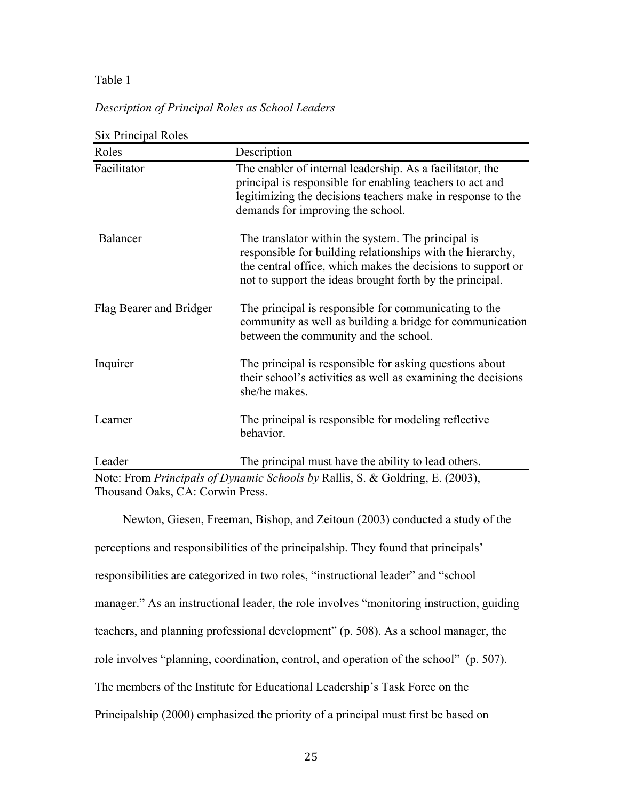# Table 1

# *Description of Principal Roles as School Leaders*

| Roles                   | Description                                                                                                                                                                                                                                 |
|-------------------------|---------------------------------------------------------------------------------------------------------------------------------------------------------------------------------------------------------------------------------------------|
| Facilitator             | The enabler of internal leadership. As a facilitator, the<br>principal is responsible for enabling teachers to act and<br>legitimizing the decisions teachers make in response to the<br>demands for improving the school.                  |
| Balancer                | The translator within the system. The principal is<br>responsible for building relationships with the hierarchy,<br>the central office, which makes the decisions to support or<br>not to support the ideas brought forth by the principal. |
| Flag Bearer and Bridger | The principal is responsible for communicating to the<br>community as well as building a bridge for communication<br>between the community and the school.                                                                                  |
| Inquirer                | The principal is responsible for asking questions about<br>their school's activities as well as examining the decisions<br>she/he makes.                                                                                                    |
| Learner                 | The principal is responsible for modeling reflective<br>behavior.                                                                                                                                                                           |
| Leader                  | The principal must have the ability to lead others.                                                                                                                                                                                         |

 $S^2$   $\mathbb{R}^2$   $\rightarrow$  1  $\mathbb{R}$  1

Note: From *Principals of Dynamic Schools by* Rallis, S. & Goldring, E. (2003), Thousand Oaks, CA: Corwin Press.

Newton, Giesen, Freeman, Bishop, and Zeitoun (2003) conducted a study of the perceptions and responsibilities of the principalship. They found that principals' responsibilities are categorized in two roles, "instructional leader" and "school manager." As an instructional leader, the role involves "monitoring instruction, guiding teachers, and planning professional development" (p. 508). As a school manager, the role involves "planning, coordination, control, and operation of the school" (p. 507). The members of the Institute for Educational Leadership's Task Force on the Principalship (2000) emphasized the priority of a principal must first be based on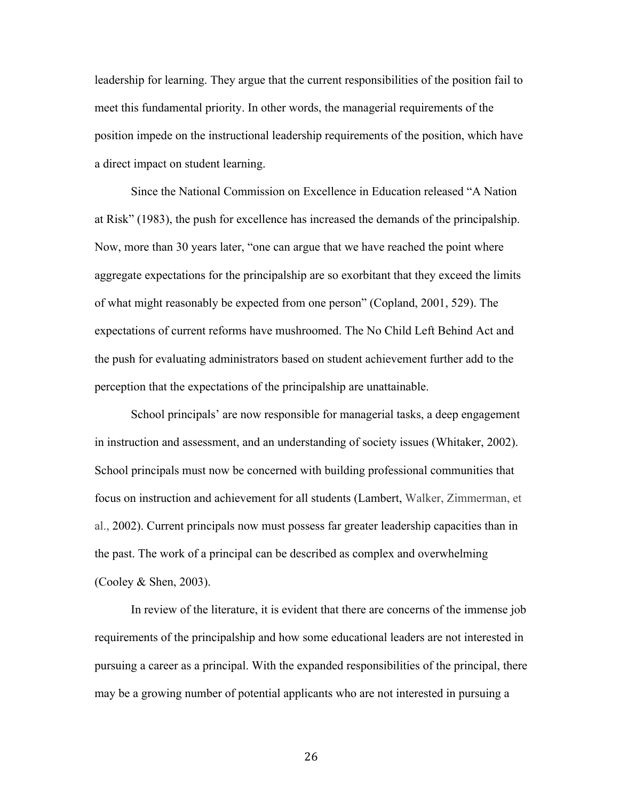leadership for learning. They argue that the current responsibilities of the position fail to meet this fundamental priority. In other words, the managerial requirements of the position impede on the instructional leadership requirements of the position, which have a direct impact on student learning.

Since the National Commission on Excellence in Education released "A Nation at Risk" (1983), the push for excellence has increased the demands of the principalship. Now, more than 30 years later, "one can argue that we have reached the point where aggregate expectations for the principalship are so exorbitant that they exceed the limits of what might reasonably be expected from one person" (Copland, 2001, 529). The expectations of current reforms have mushroomed. The No Child Left Behind Act and the push for evaluating administrators based on student achievement further add to the perception that the expectations of the principalship are unattainable.

School principals' are now responsible for managerial tasks, a deep engagement in instruction and assessment, and an understanding of society issues (Whitaker, 2002). School principals must now be concerned with building professional communities that focus on instruction and achievement for all students (Lambert, Walker, Zimmerman, et al., 2002). Current principals now must possess far greater leadership capacities than in the past. The work of a principal can be described as complex and overwhelming (Cooley & Shen, 2003).

In review of the literature, it is evident that there are concerns of the immense job requirements of the principalship and how some educational leaders are not interested in pursuing a career as a principal. With the expanded responsibilities of the principal, there may be a growing number of potential applicants who are not interested in pursuing a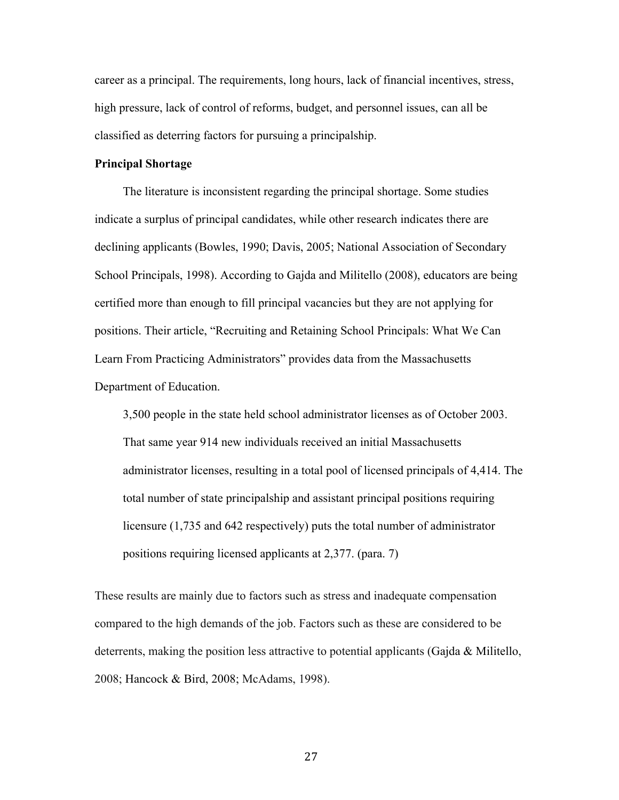career as a principal. The requirements, long hours, lack of financial incentives, stress, high pressure, lack of control of reforms, budget, and personnel issues, can all be classified as deterring factors for pursuing a principalship.

## **Principal Shortage**

The literature is inconsistent regarding the principal shortage. Some studies indicate a surplus of principal candidates, while other research indicates there are declining applicants (Bowles, 1990; Davis, 2005; National Association of Secondary School Principals, 1998). According to Gajda and Militello (2008), educators are being certified more than enough to fill principal vacancies but they are not applying for positions. Their article, "Recruiting and Retaining School Principals: What We Can Learn From Practicing Administrators" provides data from the Massachusetts Department of Education.

3,500 people in the state held school administrator licenses as of October 2003. That same year 914 new individuals received an initial Massachusetts administrator licenses, resulting in a total pool of licensed principals of 4,414. The total number of state principalship and assistant principal positions requiring licensure (1,735 and 642 respectively) puts the total number of administrator positions requiring licensed applicants at 2,377. (para. 7)

These results are mainly due to factors such as stress and inadequate compensation compared to the high demands of the job. Factors such as these are considered to be deterrents, making the position less attractive to potential applicants (Gajda  $\&$  Militello, 2008; Hancock & Bird, 2008; McAdams, 1998).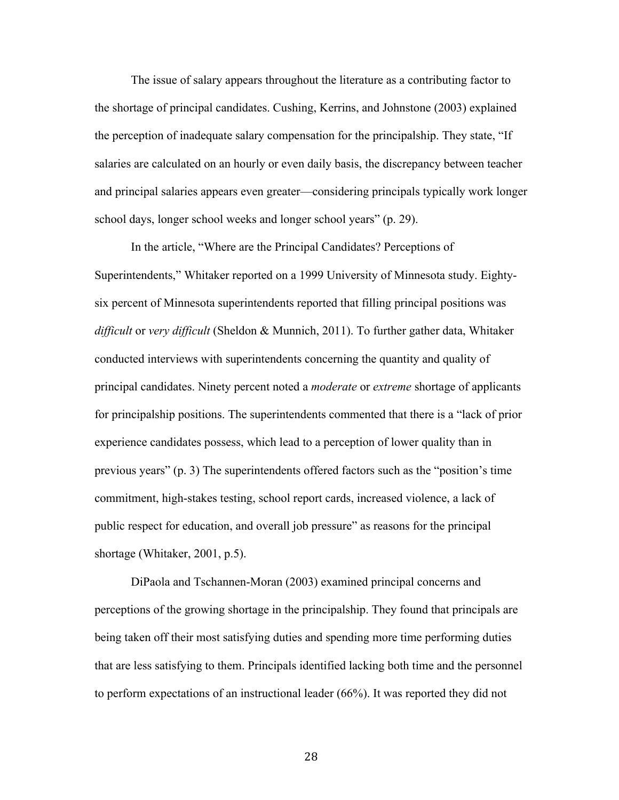The issue of salary appears throughout the literature as a contributing factor to the shortage of principal candidates. Cushing, Kerrins, and Johnstone (2003) explained the perception of inadequate salary compensation for the principalship. They state, "If salaries are calculated on an hourly or even daily basis, the discrepancy between teacher and principal salaries appears even greater—considering principals typically work longer school days, longer school weeks and longer school years" (p. 29).

In the article, "Where are the Principal Candidates? Perceptions of Superintendents," Whitaker reported on a 1999 University of Minnesota study. Eightysix percent of Minnesota superintendents reported that filling principal positions was *difficult* or *very difficult* (Sheldon & Munnich, 2011). To further gather data, Whitaker conducted interviews with superintendents concerning the quantity and quality of principal candidates. Ninety percent noted a *moderate* or *extreme* shortage of applicants for principalship positions. The superintendents commented that there is a "lack of prior experience candidates possess, which lead to a perception of lower quality than in previous years" (p. 3) The superintendents offered factors such as the "position's time commitment, high-stakes testing, school report cards, increased violence, a lack of public respect for education, and overall job pressure" as reasons for the principal shortage (Whitaker, 2001, p.5).

DiPaola and Tschannen-Moran (2003) examined principal concerns and perceptions of the growing shortage in the principalship. They found that principals are being taken off their most satisfying duties and spending more time performing duties that are less satisfying to them. Principals identified lacking both time and the personnel to perform expectations of an instructional leader (66%). It was reported they did not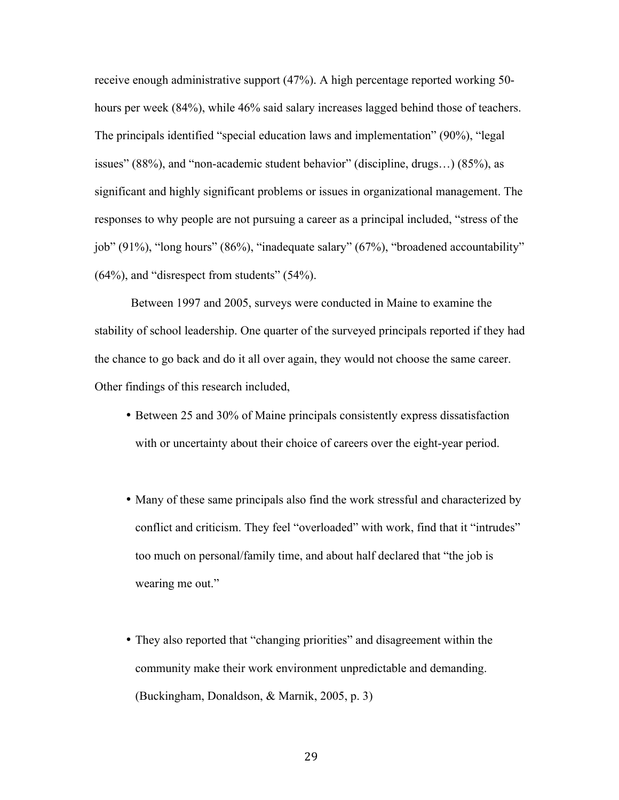receive enough administrative support (47%). A high percentage reported working 50 hours per week (84%), while 46% said salary increases lagged behind those of teachers. The principals identified "special education laws and implementation" (90%), "legal issues" (88%), and "non-academic student behavior" (discipline, drugs…) (85%), as significant and highly significant problems or issues in organizational management. The responses to why people are not pursuing a career as a principal included, "stress of the job" (91%), "long hours" (86%), "inadequate salary" (67%), "broadened accountability" (64%), and "disrespect from students" (54%).

Between 1997 and 2005, surveys were conducted in Maine to examine the stability of school leadership. One quarter of the surveyed principals reported if they had the chance to go back and do it all over again, they would not choose the same career. Other findings of this research included,

- Between 25 and 30% of Maine principals consistently express dissatisfaction with or uncertainty about their choice of careers over the eight-year period.
- Many of these same principals also find the work stressful and characterized by conflict and criticism. They feel "overloaded" with work, find that it "intrudes" too much on personal/family time, and about half declared that "the job is wearing me out."
- They also reported that "changing priorities" and disagreement within the community make their work environment unpredictable and demanding. (Buckingham, Donaldson, & Marnik, 2005, p. 3)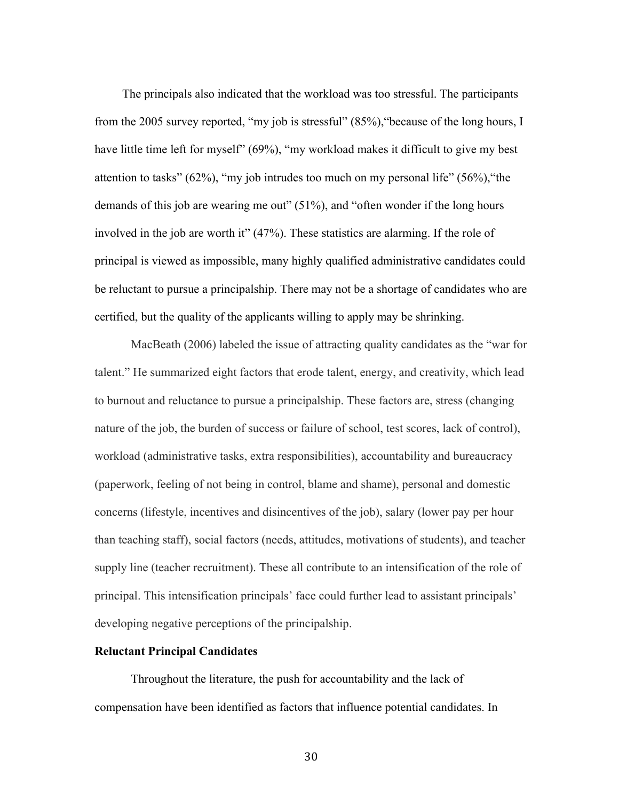The principals also indicated that the workload was too stressful. The participants from the 2005 survey reported, "my job is stressful" (85%),"because of the long hours, I have little time left for myself" (69%), "my workload makes it difficult to give my best attention to tasks" (62%), "my job intrudes too much on my personal life" (56%),"the demands of this job are wearing me out" (51%), and "often wonder if the long hours involved in the job are worth it" (47%). These statistics are alarming. If the role of principal is viewed as impossible, many highly qualified administrative candidates could be reluctant to pursue a principalship. There may not be a shortage of candidates who are certified, but the quality of the applicants willing to apply may be shrinking.

MacBeath (2006) labeled the issue of attracting quality candidates as the "war for talent." He summarized eight factors that erode talent, energy, and creativity, which lead to burnout and reluctance to pursue a principalship. These factors are, stress (changing nature of the job, the burden of success or failure of school, test scores, lack of control), workload (administrative tasks, extra responsibilities), accountability and bureaucracy (paperwork, feeling of not being in control, blame and shame), personal and domestic concerns (lifestyle, incentives and disincentives of the job), salary (lower pay per hour than teaching staff), social factors (needs, attitudes, motivations of students), and teacher supply line (teacher recruitment). These all contribute to an intensification of the role of principal. This intensification principals' face could further lead to assistant principals' developing negative perceptions of the principalship.

## **Reluctant Principal Candidates**

Throughout the literature, the push for accountability and the lack of compensation have been identified as factors that influence potential candidates. In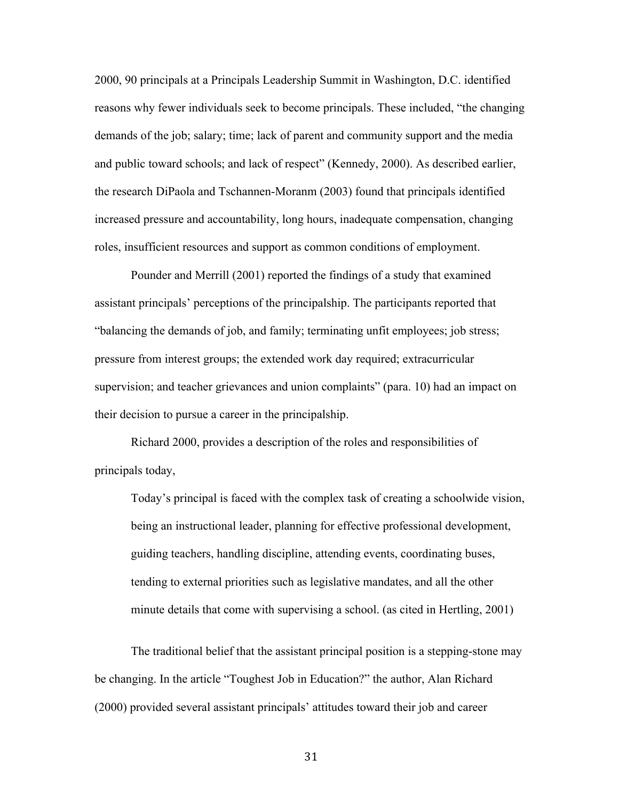2000, 90 principals at a Principals Leadership Summit in Washington, D.C. identified reasons why fewer individuals seek to become principals. These included, "the changing demands of the job; salary; time; lack of parent and community support and the media and public toward schools; and lack of respect" (Kennedy, 2000). As described earlier, the research DiPaola and Tschannen-Moranm (2003) found that principals identified increased pressure and accountability, long hours, inadequate compensation, changing roles, insufficient resources and support as common conditions of employment.

Pounder and Merrill (2001) reported the findings of a study that examined assistant principals' perceptions of the principalship. The participants reported that "balancing the demands of job, and family; terminating unfit employees; job stress; pressure from interest groups; the extended work day required; extracurricular supervision; and teacher grievances and union complaints" (para. 10) had an impact on their decision to pursue a career in the principalship.

Richard 2000, provides a description of the roles and responsibilities of principals today,

Today's principal is faced with the complex task of creating a schoolwide vision, being an instructional leader, planning for effective professional development, guiding teachers, handling discipline, attending events, coordinating buses, tending to external priorities such as legislative mandates, and all the other minute details that come with supervising a school. (as cited in Hertling, 2001)

The traditional belief that the assistant principal position is a stepping-stone may be changing. In the article "Toughest Job in Education?" the author, Alan Richard (2000) provided several assistant principals' attitudes toward their job and career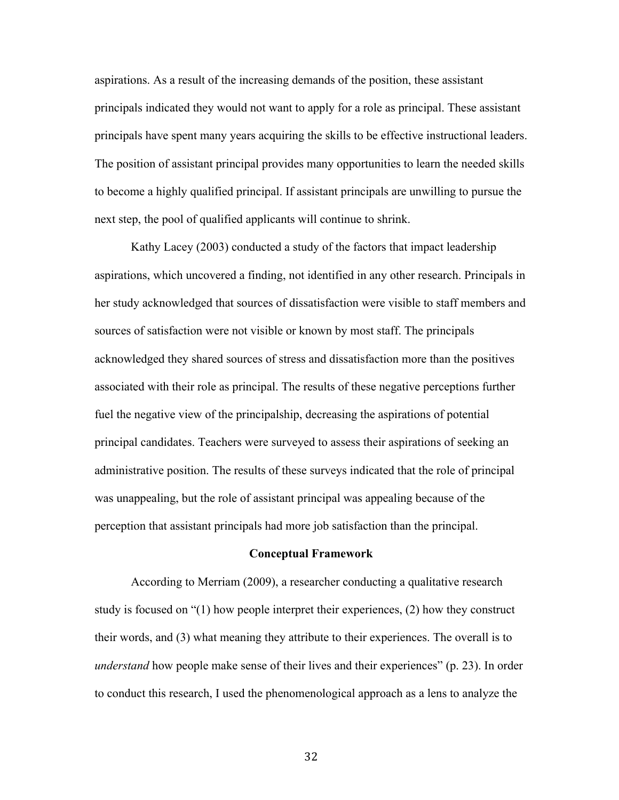aspirations. As a result of the increasing demands of the position, these assistant principals indicated they would not want to apply for a role as principal. These assistant principals have spent many years acquiring the skills to be effective instructional leaders. The position of assistant principal provides many opportunities to learn the needed skills to become a highly qualified principal. If assistant principals are unwilling to pursue the next step, the pool of qualified applicants will continue to shrink.

Kathy Lacey (2003) conducted a study of the factors that impact leadership aspirations, which uncovered a finding, not identified in any other research. Principals in her study acknowledged that sources of dissatisfaction were visible to staff members and sources of satisfaction were not visible or known by most staff. The principals acknowledged they shared sources of stress and dissatisfaction more than the positives associated with their role as principal. The results of these negative perceptions further fuel the negative view of the principalship, decreasing the aspirations of potential principal candidates. Teachers were surveyed to assess their aspirations of seeking an administrative position. The results of these surveys indicated that the role of principal was unappealing, but the role of assistant principal was appealing because of the perception that assistant principals had more job satisfaction than the principal.

#### **Conceptual Framework**

According to Merriam (2009), a researcher conducting a qualitative research study is focused on "(1) how people interpret their experiences, (2) how they construct their words, and (3) what meaning they attribute to their experiences. The overall is to *understand* how people make sense of their lives and their experiences" (p. 23). In order to conduct this research, I used the phenomenological approach as a lens to analyze the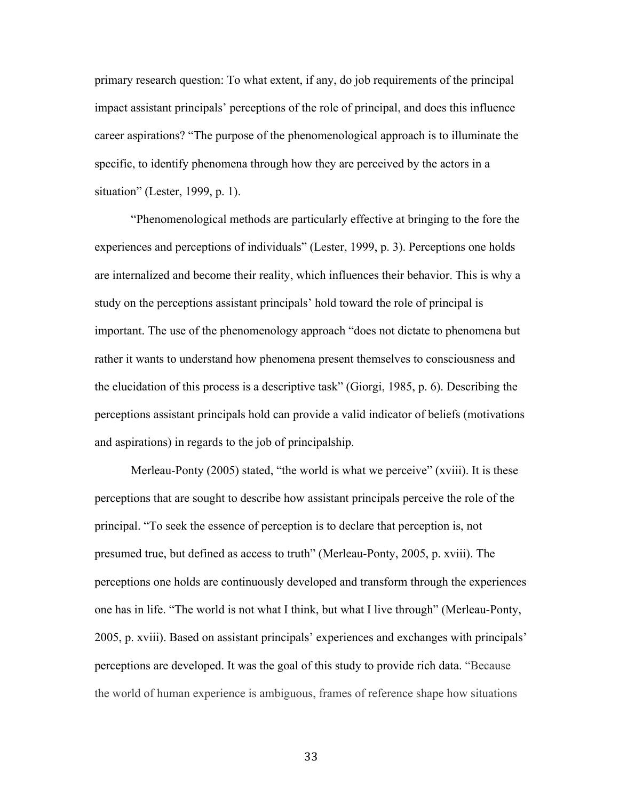primary research question: To what extent, if any, do job requirements of the principal impact assistant principals' perceptions of the role of principal, and does this influence career aspirations? "The purpose of the phenomenological approach is to illuminate the specific, to identify phenomena through how they are perceived by the actors in a situation" (Lester, 1999, p. 1).

"Phenomenological methods are particularly effective at bringing to the fore the experiences and perceptions of individuals" (Lester, 1999, p. 3). Perceptions one holds are internalized and become their reality, which influences their behavior. This is why a study on the perceptions assistant principals' hold toward the role of principal is important. The use of the phenomenology approach "does not dictate to phenomena but rather it wants to understand how phenomena present themselves to consciousness and the elucidation of this process is a descriptive task" (Giorgi, 1985, p. 6). Describing the perceptions assistant principals hold can provide a valid indicator of beliefs (motivations and aspirations) in regards to the job of principalship.

Merleau-Ponty (2005) stated, "the world is what we perceive" (xviii). It is these perceptions that are sought to describe how assistant principals perceive the role of the principal. "To seek the essence of perception is to declare that perception is, not presumed true, but defined as access to truth" (Merleau-Ponty, 2005, p. xviii). The perceptions one holds are continuously developed and transform through the experiences one has in life. "The world is not what I think, but what I live through" (Merleau-Ponty, 2005, p. xviii). Based on assistant principals' experiences and exchanges with principals' perceptions are developed. It was the goal of this study to provide rich data. "Because the world of human experience is ambiguous, frames of reference shape how situations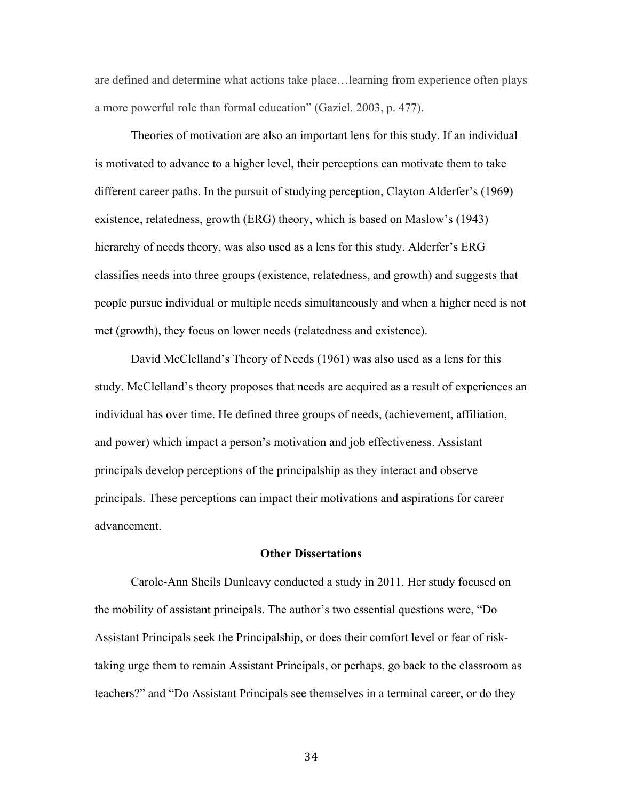are defined and determine what actions take place…learning from experience often plays a more powerful role than formal education" (Gaziel. 2003, p. 477).

Theories of motivation are also an important lens for this study. If an individual is motivated to advance to a higher level, their perceptions can motivate them to take different career paths. In the pursuit of studying perception, Clayton Alderfer's (1969) existence, relatedness, growth (ERG) theory, which is based on Maslow's (1943) hierarchy of needs theory, was also used as a lens for this study. Alderfer's ERG classifies needs into three groups (existence, relatedness, and growth) and suggests that people pursue individual or multiple needs simultaneously and when a higher need is not met (growth), they focus on lower needs (relatedness and existence).

David McClelland's Theory of Needs (1961) was also used as a lens for this study. McClelland's theory proposes that needs are acquired as a result of experiences an individual has over time. He defined three groups of needs, (achievement, affiliation, and power) which impact a person's motivation and job effectiveness. Assistant principals develop perceptions of the principalship as they interact and observe principals. These perceptions can impact their motivations and aspirations for career advancement.

#### **Other Dissertations**

Carole-Ann Sheils Dunleavy conducted a study in 2011. Her study focused on the mobility of assistant principals. The author's two essential questions were, "Do Assistant Principals seek the Principalship, or does their comfort level or fear of risktaking urge them to remain Assistant Principals, or perhaps, go back to the classroom as teachers?" and "Do Assistant Principals see themselves in a terminal career, or do they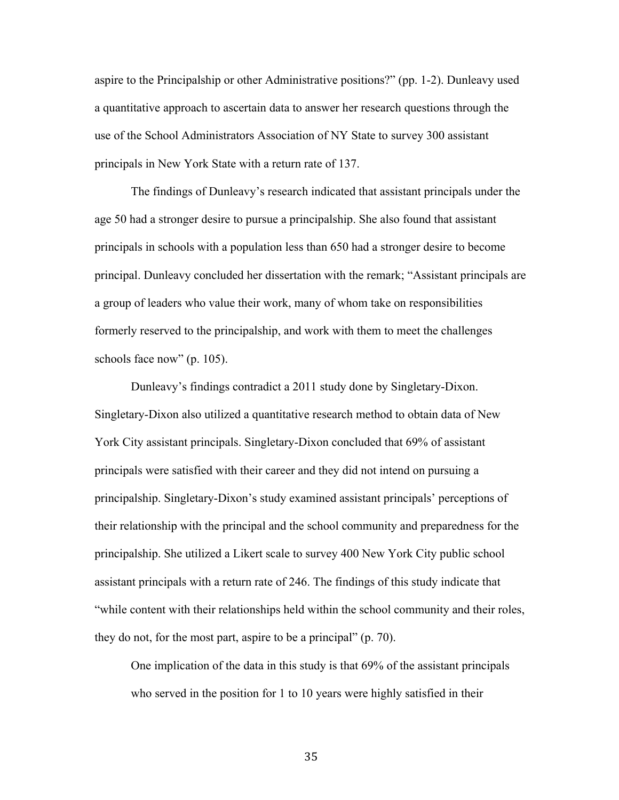aspire to the Principalship or other Administrative positions?" (pp. 1-2). Dunleavy used a quantitative approach to ascertain data to answer her research questions through the use of the School Administrators Association of NY State to survey 300 assistant principals in New York State with a return rate of 137.

The findings of Dunleavy's research indicated that assistant principals under the age 50 had a stronger desire to pursue a principalship. She also found that assistant principals in schools with a population less than 650 had a stronger desire to become principal. Dunleavy concluded her dissertation with the remark; "Assistant principals are a group of leaders who value their work, many of whom take on responsibilities formerly reserved to the principalship, and work with them to meet the challenges schools face now" (p. 105).

Dunleavy's findings contradict a 2011 study done by Singletary-Dixon. Singletary-Dixon also utilized a quantitative research method to obtain data of New York City assistant principals. Singletary-Dixon concluded that 69% of assistant principals were satisfied with their career and they did not intend on pursuing a principalship. Singletary-Dixon's study examined assistant principals' perceptions of their relationship with the principal and the school community and preparedness for the principalship. She utilized a Likert scale to survey 400 New York City public school assistant principals with a return rate of 246. The findings of this study indicate that "while content with their relationships held within the school community and their roles, they do not, for the most part, aspire to be a principal" (p. 70).

One implication of the data in this study is that 69% of the assistant principals who served in the position for 1 to 10 years were highly satisfied in their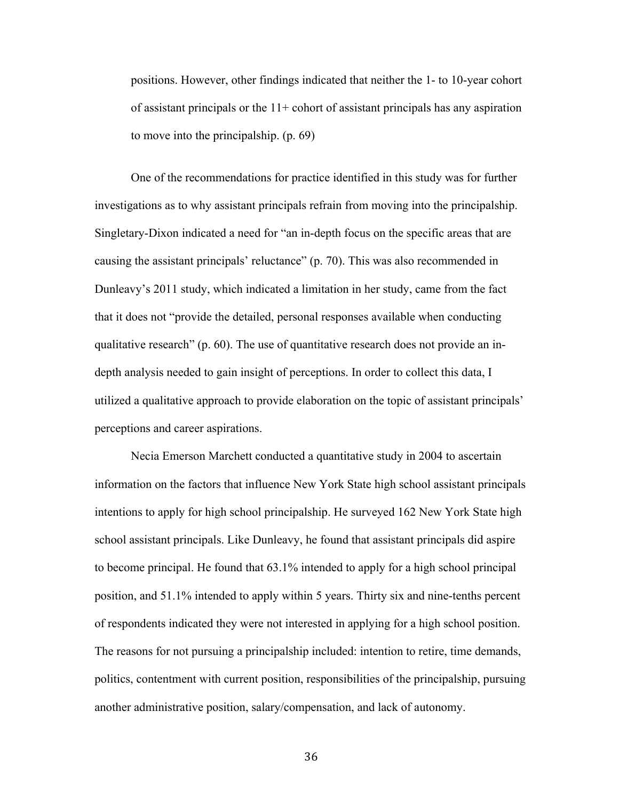positions. However, other findings indicated that neither the 1- to 10-year cohort of assistant principals or the  $11+$  cohort of assistant principals has any aspiration to move into the principalship. (p. 69)

One of the recommendations for practice identified in this study was for further investigations as to why assistant principals refrain from moving into the principalship. Singletary-Dixon indicated a need for "an in-depth focus on the specific areas that are causing the assistant principals' reluctance" (p. 70). This was also recommended in Dunleavy's 2011 study, which indicated a limitation in her study, came from the fact that it does not "provide the detailed, personal responses available when conducting qualitative research" (p. 60). The use of quantitative research does not provide an indepth analysis needed to gain insight of perceptions. In order to collect this data, I utilized a qualitative approach to provide elaboration on the topic of assistant principals' perceptions and career aspirations.

Necia Emerson Marchett conducted a quantitative study in 2004 to ascertain information on the factors that influence New York State high school assistant principals intentions to apply for high school principalship. He surveyed 162 New York State high school assistant principals. Like Dunleavy, he found that assistant principals did aspire to become principal. He found that 63.1% intended to apply for a high school principal position, and 51.1% intended to apply within 5 years. Thirty six and nine-tenths percent of respondents indicated they were not interested in applying for a high school position. The reasons for not pursuing a principalship included: intention to retire, time demands, politics, contentment with current position, responsibilities of the principalship, pursuing another administrative position, salary/compensation, and lack of autonomy.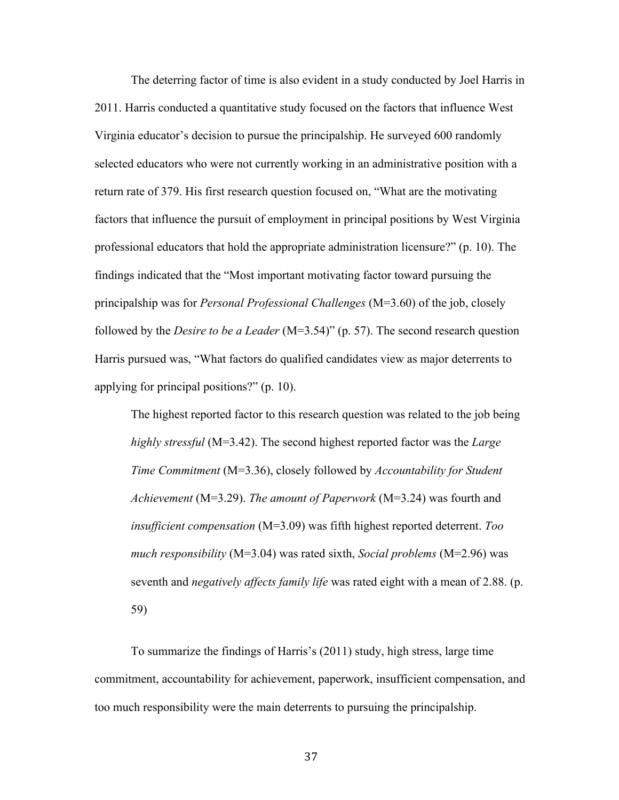The deterring factor of time is also evident in a study conducted by Joel Harris in 2011. Harris conducted a quantitative study focused on the factors that influence West Virginia educator's decision to pursue the principalship. He surveyed 600 randomly selected educators who were not currently working in an administrative position with a return rate of 379. His first research question focused on, "What are the motivating factors that influence the pursuit of employment in principal positions by West Virginia professional educators that hold the appropriate administration licensure?" (p. 10). The findings indicated that the "Most important motivating factor toward pursuing the principalship was for *Personal Professional Challenges* (M=3.60) of the job, closely followed by the *Desire to be a Leader* (M=3.54)" (p. 57). The second research question Harris pursued was, "What factors do qualified candidates view as major deterrents to applying for principal positions?" (p. 10).

The highest reported factor to this research question was related to the job being *highly stressful* (M=3.42). The second highest reported factor was the *Large Time Commitment* (M=3.36), closely followed by *Accountability for Student Achievement* (M=3.29). *The amount of Paperwork* (M=3.24) was fourth and *insufficient compensation* (M=3.09) was fifth highest reported deterrent. *Too much responsibility* (M=3.04) was rated sixth, *Social problems* (M=2.96) was seventh and *negatively affects family life* was rated eight with a mean of 2.88. (p. 59)

To summarize the findings of Harris's (2011) study, high stress, large time commitment, accountability for achievement, paperwork, insufficient compensation, and too much responsibility were the main deterrents to pursuing the principalship.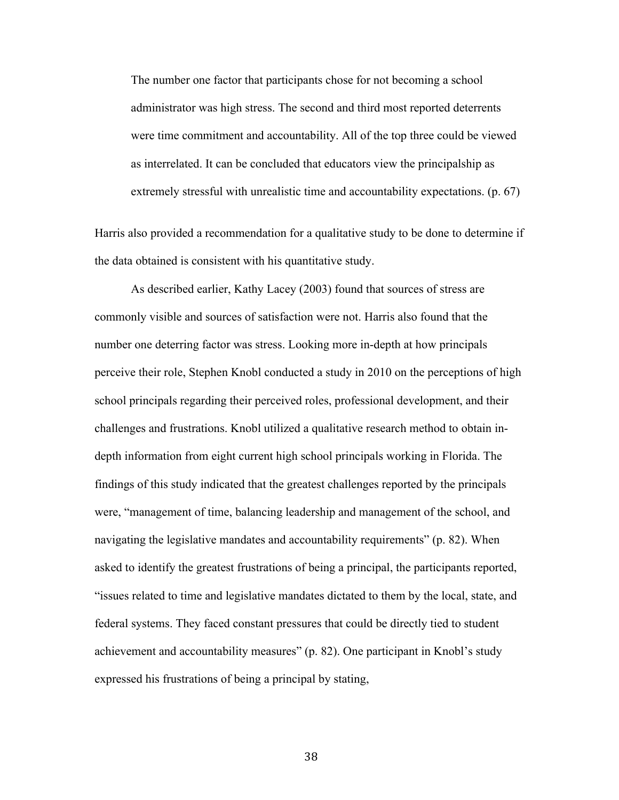The number one factor that participants chose for not becoming a school administrator was high stress. The second and third most reported deterrents were time commitment and accountability. All of the top three could be viewed as interrelated. It can be concluded that educators view the principalship as extremely stressful with unrealistic time and accountability expectations. (p. 67)

Harris also provided a recommendation for a qualitative study to be done to determine if the data obtained is consistent with his quantitative study.

As described earlier, Kathy Lacey (2003) found that sources of stress are commonly visible and sources of satisfaction were not. Harris also found that the number one deterring factor was stress. Looking more in-depth at how principals perceive their role, Stephen Knobl conducted a study in 2010 on the perceptions of high school principals regarding their perceived roles, professional development, and their challenges and frustrations. Knobl utilized a qualitative research method to obtain indepth information from eight current high school principals working in Florida. The findings of this study indicated that the greatest challenges reported by the principals were, "management of time, balancing leadership and management of the school, and navigating the legislative mandates and accountability requirements" (p. 82). When asked to identify the greatest frustrations of being a principal, the participants reported, "issues related to time and legislative mandates dictated to them by the local, state, and federal systems. They faced constant pressures that could be directly tied to student achievement and accountability measures" (p. 82). One participant in Knobl's study expressed his frustrations of being a principal by stating,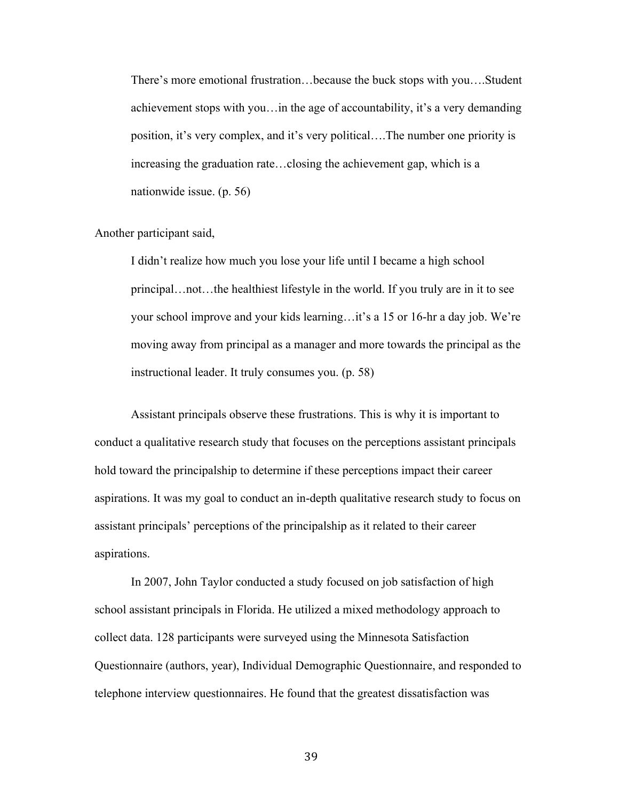There's more emotional frustration…because the buck stops with you….Student achievement stops with you…in the age of accountability, it's a very demanding position, it's very complex, and it's very political….The number one priority is increasing the graduation rate…closing the achievement gap, which is a nationwide issue. (p. 56)

Another participant said,

I didn't realize how much you lose your life until I became a high school principal…not…the healthiest lifestyle in the world. If you truly are in it to see your school improve and your kids learning…it's a 15 or 16-hr a day job. We're moving away from principal as a manager and more towards the principal as the instructional leader. It truly consumes you. (p. 58)

Assistant principals observe these frustrations. This is why it is important to conduct a qualitative research study that focuses on the perceptions assistant principals hold toward the principalship to determine if these perceptions impact their career aspirations. It was my goal to conduct an in-depth qualitative research study to focus on assistant principals' perceptions of the principalship as it related to their career aspirations.

In 2007, John Taylor conducted a study focused on job satisfaction of high school assistant principals in Florida. He utilized a mixed methodology approach to collect data. 128 participants were surveyed using the Minnesota Satisfaction Questionnaire (authors, year), Individual Demographic Questionnaire, and responded to telephone interview questionnaires. He found that the greatest dissatisfaction was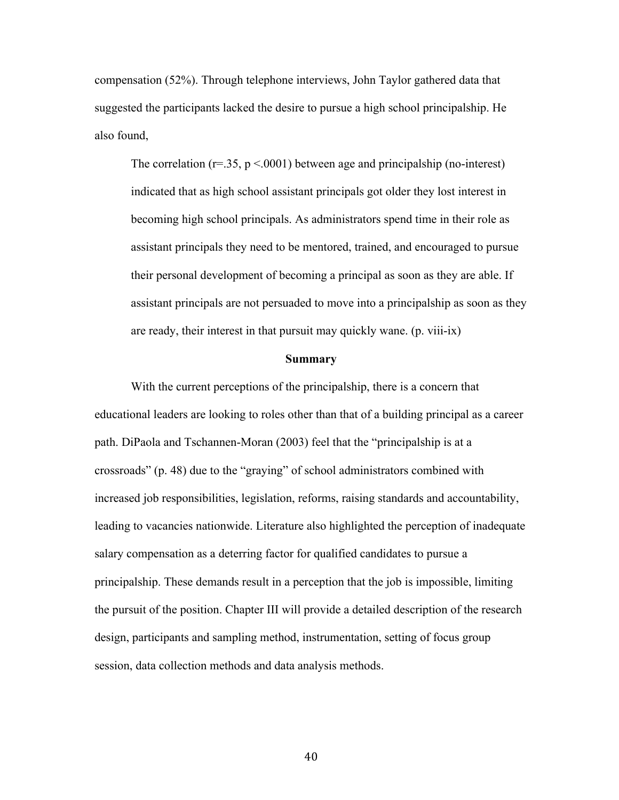compensation (52%). Through telephone interviews, John Taylor gathered data that suggested the participants lacked the desire to pursue a high school principalship. He also found,

The correlation ( $r=35$ ,  $p < 0001$ ) between age and principalship (no-interest) indicated that as high school assistant principals got older they lost interest in becoming high school principals. As administrators spend time in their role as assistant principals they need to be mentored, trained, and encouraged to pursue their personal development of becoming a principal as soon as they are able. If assistant principals are not persuaded to move into a principalship as soon as they are ready, their interest in that pursuit may quickly wane. (p. viii-ix)

#### **Summary**

With the current perceptions of the principalship, there is a concern that educational leaders are looking to roles other than that of a building principal as a career path. DiPaola and Tschannen-Moran (2003) feel that the "principalship is at a crossroads" (p. 48) due to the "graying" of school administrators combined with increased job responsibilities, legislation, reforms, raising standards and accountability, leading to vacancies nationwide. Literature also highlighted the perception of inadequate salary compensation as a deterring factor for qualified candidates to pursue a principalship. These demands result in a perception that the job is impossible, limiting the pursuit of the position. Chapter III will provide a detailed description of the research design, participants and sampling method, instrumentation, setting of focus group session, data collection methods and data analysis methods.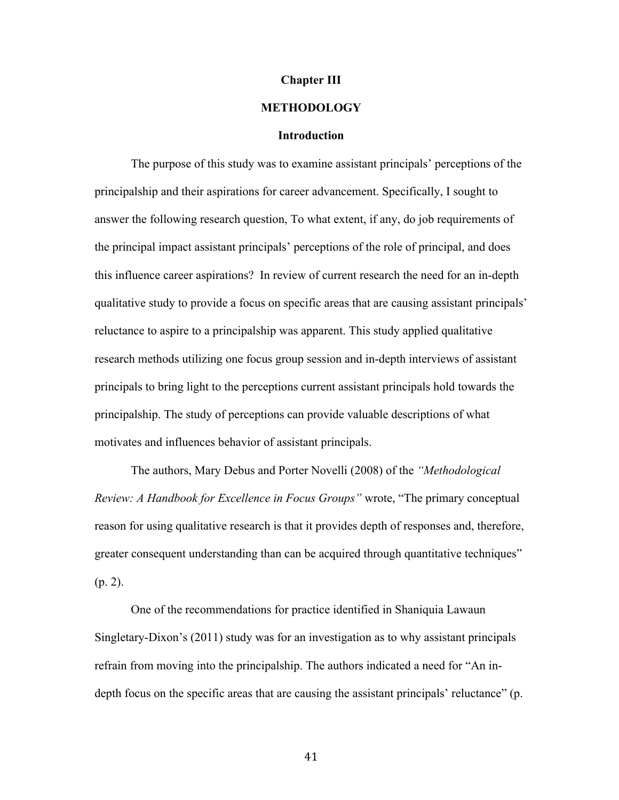#### **Chapter III**

## **METHODOLOGY**

#### **Introduction**

The purpose of this study was to examine assistant principals' perceptions of the principalship and their aspirations for career advancement. Specifically, I sought to answer the following research question, To what extent, if any, do job requirements of the principal impact assistant principals' perceptions of the role of principal, and does this influence career aspirations? In review of current research the need for an in-depth qualitative study to provide a focus on specific areas that are causing assistant principals' reluctance to aspire to a principalship was apparent. This study applied qualitative research methods utilizing one focus group session and in-depth interviews of assistant principals to bring light to the perceptions current assistant principals hold towards the principalship. The study of perceptions can provide valuable descriptions of what motivates and influences behavior of assistant principals.

The authors, Mary Debus and Porter Novelli (2008) of the *"Methodological Review: A Handbook for Excellence in Focus Groups"* wrote, "The primary conceptual reason for using qualitative research is that it provides depth of responses and, therefore, greater consequent understanding than can be acquired through quantitative techniques" (p. 2).

One of the recommendations for practice identified in Shaniquia Lawaun Singletary-Dixon's (2011) study was for an investigation as to why assistant principals refrain from moving into the principalship. The authors indicated a need for "An indepth focus on the specific areas that are causing the assistant principals' reluctance" (p.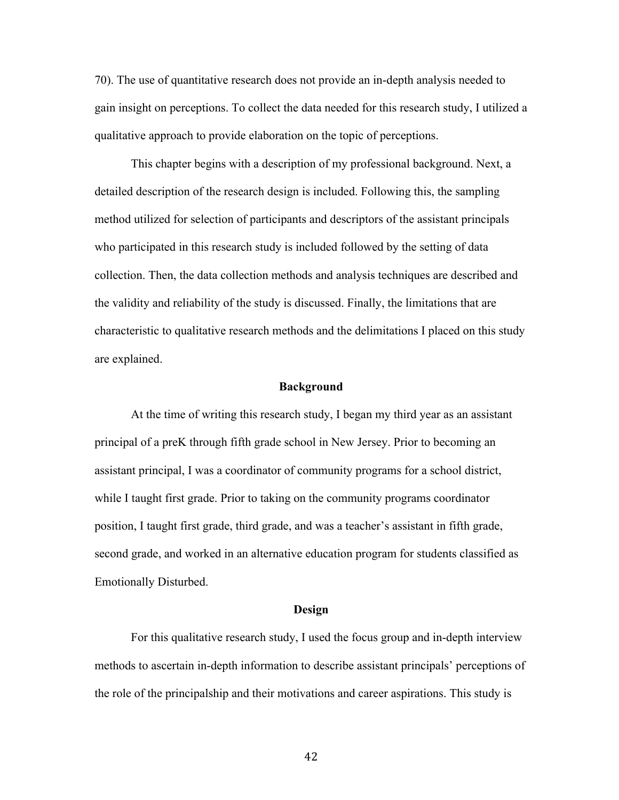70). The use of quantitative research does not provide an in-depth analysis needed to gain insight on perceptions. To collect the data needed for this research study, I utilized a qualitative approach to provide elaboration on the topic of perceptions.

This chapter begins with a description of my professional background. Next, a detailed description of the research design is included. Following this, the sampling method utilized for selection of participants and descriptors of the assistant principals who participated in this research study is included followed by the setting of data collection. Then, the data collection methods and analysis techniques are described and the validity and reliability of the study is discussed. Finally, the limitations that are characteristic to qualitative research methods and the delimitations I placed on this study are explained.

#### **Background**

At the time of writing this research study, I began my third year as an assistant principal of a preK through fifth grade school in New Jersey. Prior to becoming an assistant principal, I was a coordinator of community programs for a school district, while I taught first grade. Prior to taking on the community programs coordinator position, I taught first grade, third grade, and was a teacher's assistant in fifth grade, second grade, and worked in an alternative education program for students classified as Emotionally Disturbed.

#### **Design**

For this qualitative research study, I used the focus group and in-depth interview methods to ascertain in-depth information to describe assistant principals' perceptions of the role of the principalship and their motivations and career aspirations. This study is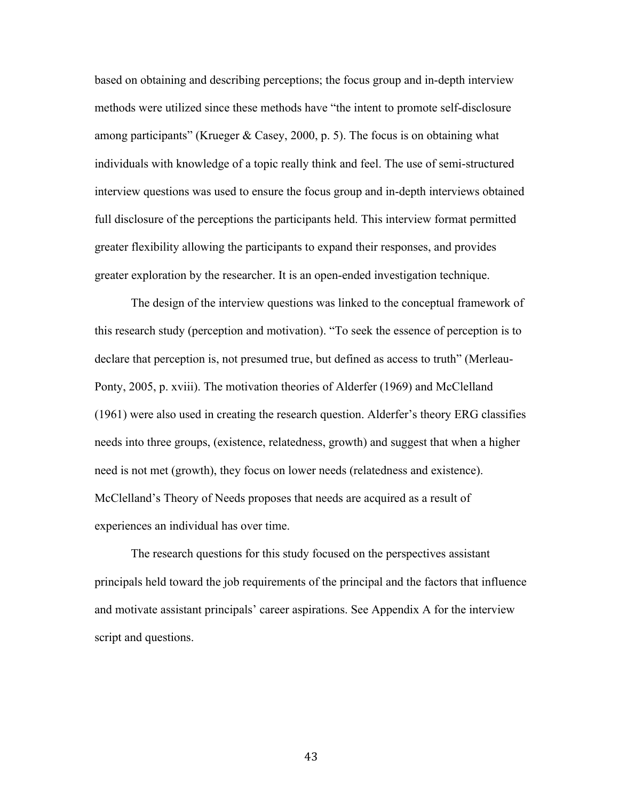based on obtaining and describing perceptions; the focus group and in-depth interview methods were utilized since these methods have "the intent to promote self-disclosure among participants" (Krueger & Casey, 2000, p. 5). The focus is on obtaining what individuals with knowledge of a topic really think and feel. The use of semi-structured interview questions was used to ensure the focus group and in-depth interviews obtained full disclosure of the perceptions the participants held. This interview format permitted greater flexibility allowing the participants to expand their responses, and provides greater exploration by the researcher. It is an open-ended investigation technique.

The design of the interview questions was linked to the conceptual framework of this research study (perception and motivation). "To seek the essence of perception is to declare that perception is, not presumed true, but defined as access to truth" (Merleau-Ponty, 2005, p. xviii). The motivation theories of Alderfer (1969) and McClelland (1961) were also used in creating the research question. Alderfer's theory ERG classifies needs into three groups, (existence, relatedness, growth) and suggest that when a higher need is not met (growth), they focus on lower needs (relatedness and existence). McClelland's Theory of Needs proposes that needs are acquired as a result of experiences an individual has over time.

The research questions for this study focused on the perspectives assistant principals held toward the job requirements of the principal and the factors that influence and motivate assistant principals' career aspirations. See Appendix A for the interview script and questions.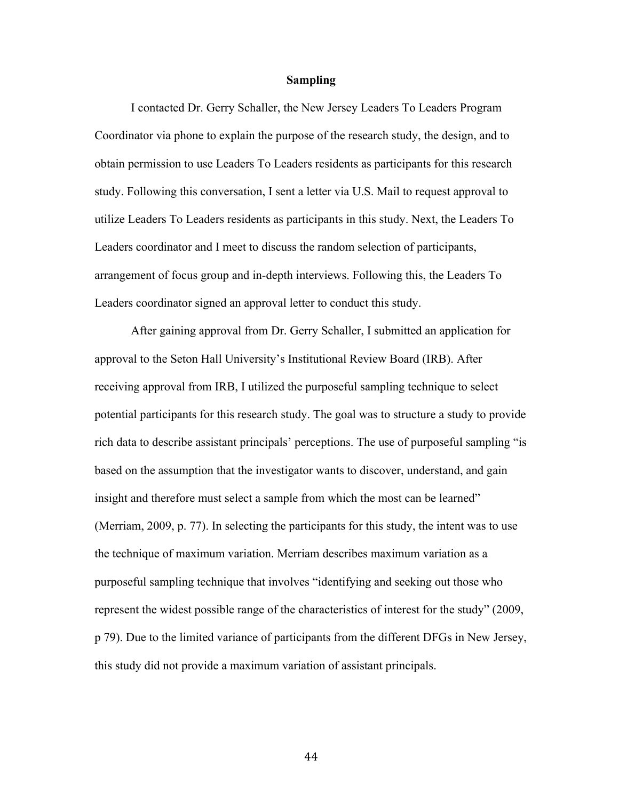## **Sampling**

I contacted Dr. Gerry Schaller, the New Jersey Leaders To Leaders Program Coordinator via phone to explain the purpose of the research study, the design, and to obtain permission to use Leaders To Leaders residents as participants for this research study. Following this conversation, I sent a letter via U.S. Mail to request approval to utilize Leaders To Leaders residents as participants in this study. Next, the Leaders To Leaders coordinator and I meet to discuss the random selection of participants, arrangement of focus group and in-depth interviews. Following this, the Leaders To Leaders coordinator signed an approval letter to conduct this study.

After gaining approval from Dr. Gerry Schaller, I submitted an application for approval to the Seton Hall University's Institutional Review Board (IRB). After receiving approval from IRB, I utilized the purposeful sampling technique to select potential participants for this research study. The goal was to structure a study to provide rich data to describe assistant principals' perceptions. The use of purposeful sampling "is based on the assumption that the investigator wants to discover, understand, and gain insight and therefore must select a sample from which the most can be learned" (Merriam, 2009, p. 77). In selecting the participants for this study, the intent was to use the technique of maximum variation. Merriam describes maximum variation as a purposeful sampling technique that involves "identifying and seeking out those who represent the widest possible range of the characteristics of interest for the study" (2009, p 79). Due to the limited variance of participants from the different DFGs in New Jersey, this study did not provide a maximum variation of assistant principals.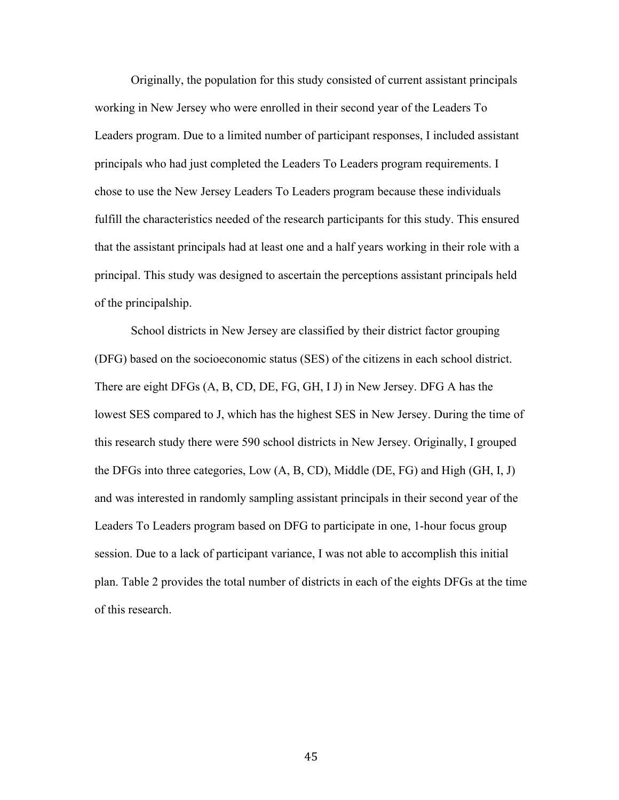Originally, the population for this study consisted of current assistant principals working in New Jersey who were enrolled in their second year of the Leaders To Leaders program. Due to a limited number of participant responses, I included assistant principals who had just completed the Leaders To Leaders program requirements. I chose to use the New Jersey Leaders To Leaders program because these individuals fulfill the characteristics needed of the research participants for this study. This ensured that the assistant principals had at least one and a half years working in their role with a principal. This study was designed to ascertain the perceptions assistant principals held of the principalship.

School districts in New Jersey are classified by their district factor grouping (DFG) based on the socioeconomic status (SES) of the citizens in each school district. There are eight DFGs (A, B, CD, DE, FG, GH, I J) in New Jersey. DFG A has the lowest SES compared to J, which has the highest SES in New Jersey. During the time of this research study there were 590 school districts in New Jersey. Originally, I grouped the DFGs into three categories, Low (A, B, CD), Middle (DE, FG) and High (GH, I, J) and was interested in randomly sampling assistant principals in their second year of the Leaders To Leaders program based on DFG to participate in one, 1-hour focus group session. Due to a lack of participant variance, I was not able to accomplish this initial plan. Table 2 provides the total number of districts in each of the eights DFGs at the time of this research.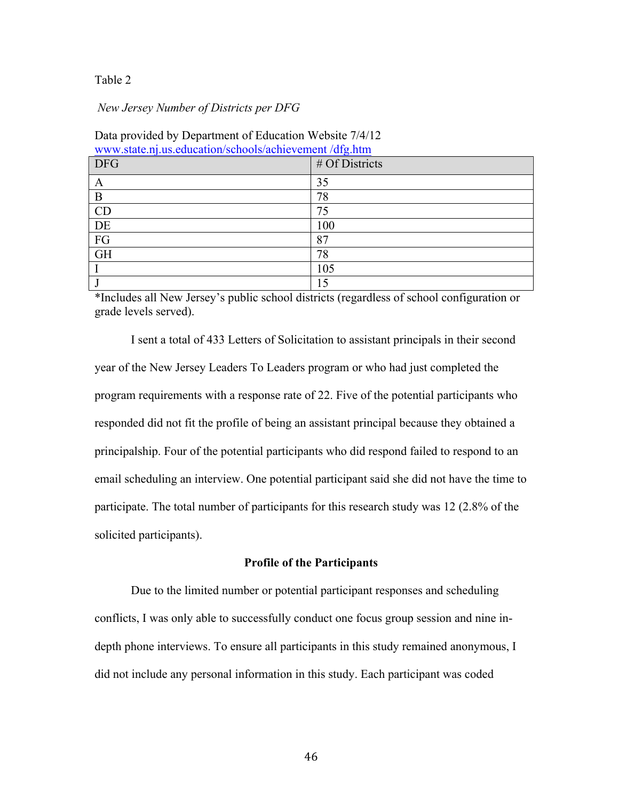## Table 2

## *New Jersey Number of Districts per DFG*

| www.state.nj.us.cuucation/schools/achievenicht/urg.ntm |                |  |
|--------------------------------------------------------|----------------|--|
| <b>DFG</b>                                             | # Of Districts |  |
| A                                                      | 35             |  |
| B                                                      | 78             |  |
| CD                                                     | 75             |  |
| DE                                                     | 100            |  |
| FG                                                     | 87             |  |
| <b>GH</b>                                              | 78             |  |
|                                                        | 105            |  |
|                                                        | 15             |  |

Data provided by Department of Education Website 7/4/12 www.state.nj.us.education/schools/achievement /dfg.htm

\*Includes all New Jersey's public school districts (regardless of school configuration or grade levels served).

I sent a total of 433 Letters of Solicitation to assistant principals in their second year of the New Jersey Leaders To Leaders program or who had just completed the program requirements with a response rate of 22. Five of the potential participants who responded did not fit the profile of being an assistant principal because they obtained a principalship. Four of the potential participants who did respond failed to respond to an email scheduling an interview. One potential participant said she did not have the time to participate. The total number of participants for this research study was 12 (2.8% of the solicited participants).

## **Profile of the Participants**

Due to the limited number or potential participant responses and scheduling conflicts, I was only able to successfully conduct one focus group session and nine indepth phone interviews. To ensure all participants in this study remained anonymous, I did not include any personal information in this study. Each participant was coded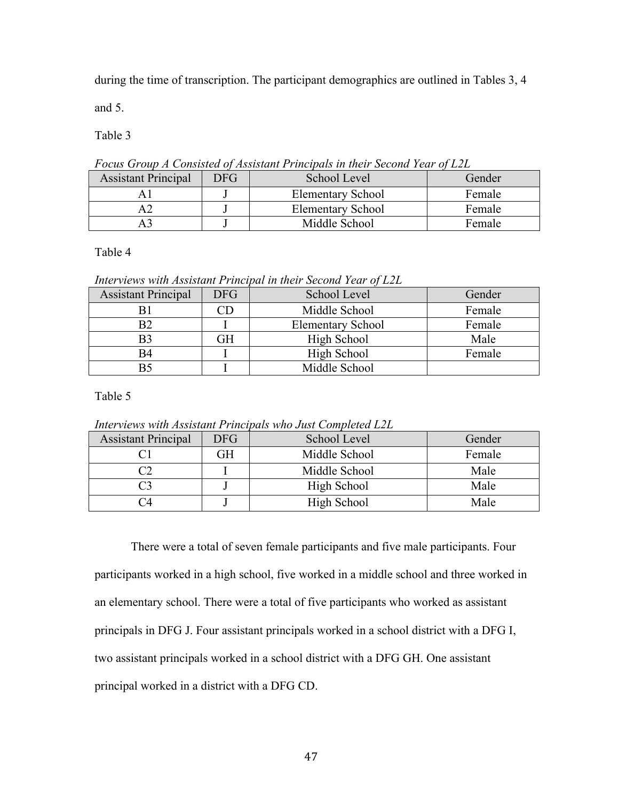during the time of transcription. The participant demographics are outlined in Tables 3, 4

and 5.

Table 3

*Focus Group A Consisted of Assistant Principals in their Second Year of L2L*

| <b>Assistant Principal</b> | DFG. | School Level             | Gender |
|----------------------------|------|--------------------------|--------|
|                            |      | <b>Elementary School</b> | Female |
|                            |      | <b>Elementary School</b> | Female |
|                            |      | Middle School            | Female |

Table 4

*Interviews with Assistant Principal in their Second Year of L2L*

| <b>Assistant Principal</b> | <b>DFG</b> | School Level             | Gender |
|----------------------------|------------|--------------------------|--------|
|                            |            | Middle School            | Female |
| Β2                         |            | <b>Elementary School</b> | Female |
| B3                         | GН         | High School              | Male   |
| B4                         |            | High School              | Female |
|                            |            | Middle School            |        |

Table 5

*Interviews with Assistant Principals who Just Completed L2L*

| <b>Assistant Principal</b> | DFG. | School Level  | Gender |
|----------------------------|------|---------------|--------|
|                            | GН   | Middle School | Female |
|                            |      | Middle School | Male   |
|                            |      | High School   | Male   |
|                            |      | High School   | Male   |

There were a total of seven female participants and five male participants. Four participants worked in a high school, five worked in a middle school and three worked in an elementary school. There were a total of five participants who worked as assistant principals in DFG J. Four assistant principals worked in a school district with a DFG I, two assistant principals worked in a school district with a DFG GH. One assistant principal worked in a district with a DFG CD.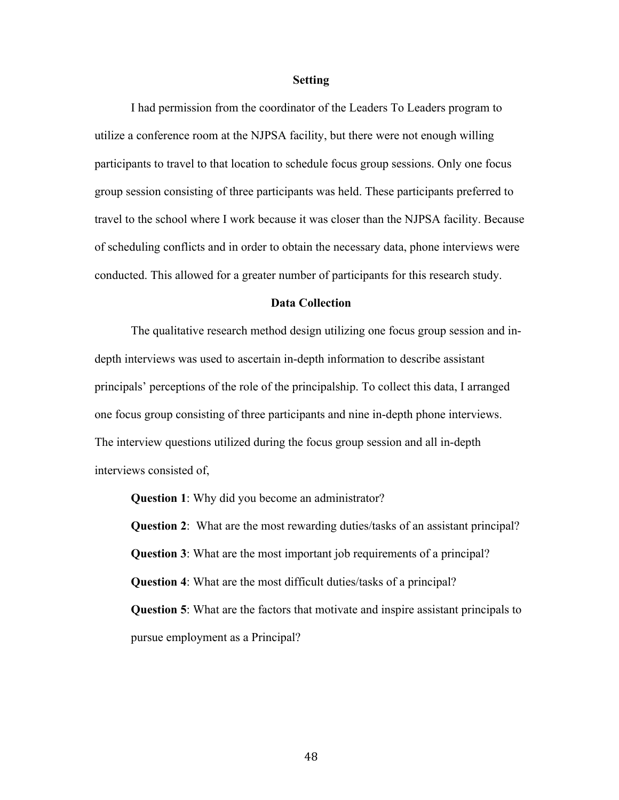#### **Setting**

I had permission from the coordinator of the Leaders To Leaders program to utilize a conference room at the NJPSA facility, but there were not enough willing participants to travel to that location to schedule focus group sessions. Only one focus group session consisting of three participants was held. These participants preferred to travel to the school where I work because it was closer than the NJPSA facility. Because of scheduling conflicts and in order to obtain the necessary data, phone interviews were conducted. This allowed for a greater number of participants for this research study.

#### **Data Collection**

The qualitative research method design utilizing one focus group session and indepth interviews was used to ascertain in-depth information to describe assistant principals' perceptions of the role of the principalship. To collect this data, I arranged one focus group consisting of three participants and nine in-depth phone interviews. The interview questions utilized during the focus group session and all in-depth interviews consisted of,

**Question 1**: Why did you become an administrator?

**Question 2**: What are the most rewarding duties/tasks of an assistant principal? **Question 3**: What are the most important job requirements of a principal? **Question 4**: What are the most difficult duties/tasks of a principal? **Question 5**: What are the factors that motivate and inspire assistant principals to pursue employment as a Principal?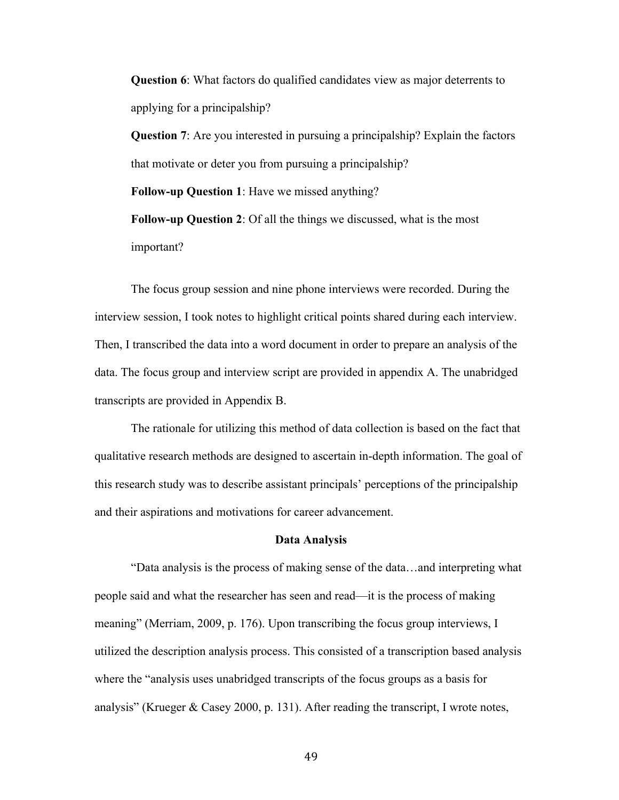**Question 6**: What factors do qualified candidates view as major deterrents to applying for a principalship?

**Question 7**: Are you interested in pursuing a principalship? Explain the factors that motivate or deter you from pursuing a principalship? **Follow-up Question 1**: Have we missed anything? **Follow-up Question 2**: Of all the things we discussed, what is the most important?

The focus group session and nine phone interviews were recorded. During the interview session, I took notes to highlight critical points shared during each interview. Then, I transcribed the data into a word document in order to prepare an analysis of the data. The focus group and interview script are provided in appendix A. The unabridged transcripts are provided in Appendix B.

The rationale for utilizing this method of data collection is based on the fact that qualitative research methods are designed to ascertain in-depth information. The goal of this research study was to describe assistant principals' perceptions of the principalship and their aspirations and motivations for career advancement.

#### **Data Analysis**

"Data analysis is the process of making sense of the data…and interpreting what people said and what the researcher has seen and read—it is the process of making meaning" (Merriam, 2009, p. 176). Upon transcribing the focus group interviews, I utilized the description analysis process. This consisted of a transcription based analysis where the "analysis uses unabridged transcripts of the focus groups as a basis for analysis" (Krueger & Casey 2000, p. 131). After reading the transcript, I wrote notes,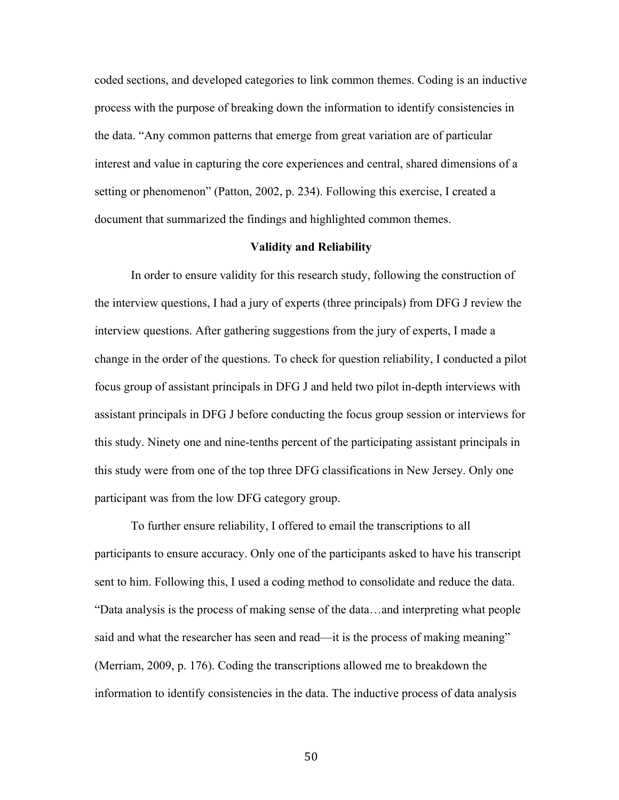coded sections, and developed categories to link common themes. Coding is an inductive process with the purpose of breaking down the information to identify consistencies in the data. "Any common patterns that emerge from great variation are of particular interest and value in capturing the core experiences and central, shared dimensions of a setting or phenomenon" (Patton, 2002, p. 234). Following this exercise, I created a document that summarized the findings and highlighted common themes.

## **Validity and Reliability**

In order to ensure validity for this research study, following the construction of the interview questions, I had a jury of experts (three principals) from DFG J review the interview questions. After gathering suggestions from the jury of experts, I made a change in the order of the questions. To check for question reliability, I conducted a pilot focus group of assistant principals in DFG J and held two pilot in-depth interviews with assistant principals in DFG J before conducting the focus group session or interviews for this study. Ninety one and nine-tenths percent of the participating assistant principals in this study were from one of the top three DFG classifications in New Jersey. Only one participant was from the low DFG category group.

To further ensure reliability, I offered to email the transcriptions to all participants to ensure accuracy. Only one of the participants asked to have his transcript sent to him. Following this, I used a coding method to consolidate and reduce the data. "Data analysis is the process of making sense of the data…and interpreting what people said and what the researcher has seen and read—it is the process of making meaning" (Merriam, 2009, p. 176). Coding the transcriptions allowed me to breakdown the information to identify consistencies in the data. The inductive process of data analysis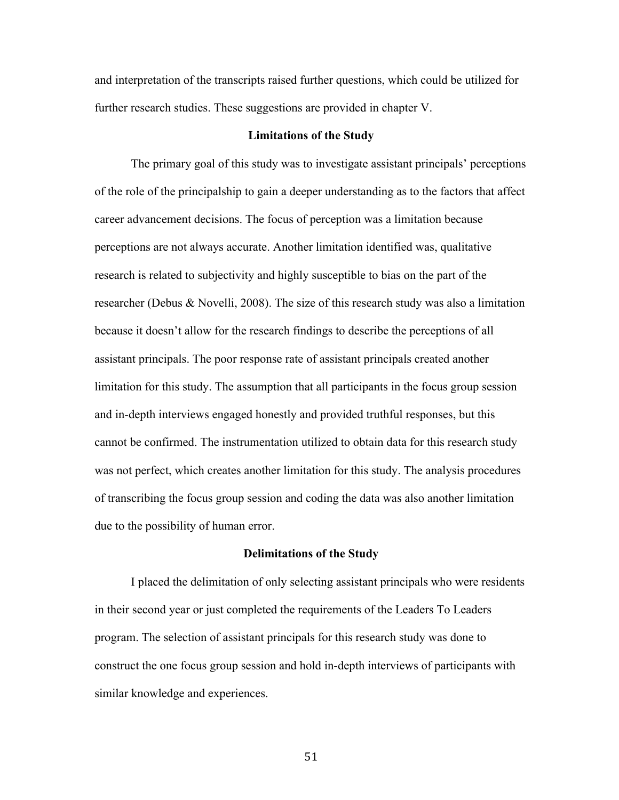and interpretation of the transcripts raised further questions, which could be utilized for further research studies. These suggestions are provided in chapter V.

## **Limitations of the Study**

The primary goal of this study was to investigate assistant principals' perceptions of the role of the principalship to gain a deeper understanding as to the factors that affect career advancement decisions. The focus of perception was a limitation because perceptions are not always accurate. Another limitation identified was, qualitative research is related to subjectivity and highly susceptible to bias on the part of the researcher (Debus & Novelli, 2008). The size of this research study was also a limitation because it doesn't allow for the research findings to describe the perceptions of all assistant principals. The poor response rate of assistant principals created another limitation for this study. The assumption that all participants in the focus group session and in-depth interviews engaged honestly and provided truthful responses, but this cannot be confirmed. The instrumentation utilized to obtain data for this research study was not perfect, which creates another limitation for this study. The analysis procedures of transcribing the focus group session and coding the data was also another limitation due to the possibility of human error.

#### **Delimitations of the Study**

I placed the delimitation of only selecting assistant principals who were residents in their second year or just completed the requirements of the Leaders To Leaders program. The selection of assistant principals for this research study was done to construct the one focus group session and hold in-depth interviews of participants with similar knowledge and experiences.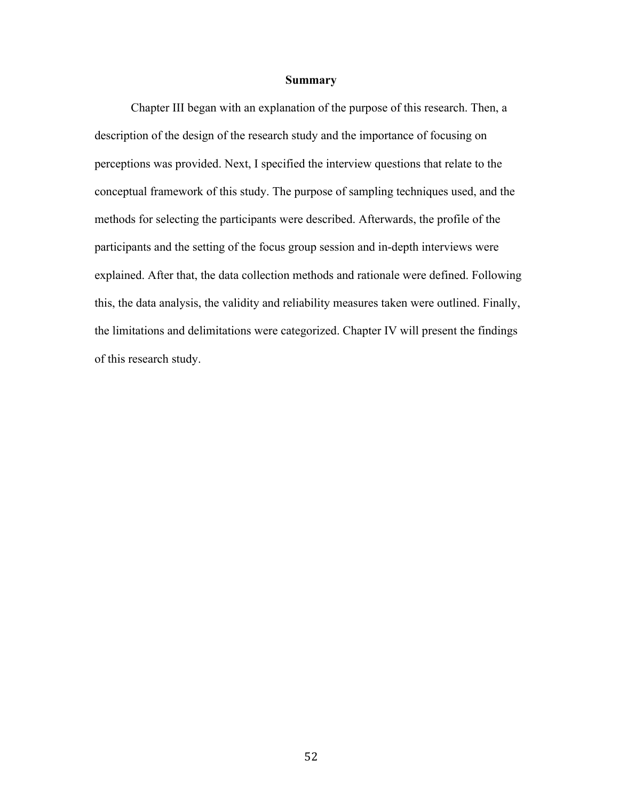## **Summary**

Chapter III began with an explanation of the purpose of this research. Then, a description of the design of the research study and the importance of focusing on perceptions was provided. Next, I specified the interview questions that relate to the conceptual framework of this study. The purpose of sampling techniques used, and the methods for selecting the participants were described. Afterwards, the profile of the participants and the setting of the focus group session and in-depth interviews were explained. After that, the data collection methods and rationale were defined. Following this, the data analysis, the validity and reliability measures taken were outlined. Finally, the limitations and delimitations were categorized. Chapter IV will present the findings of this research study.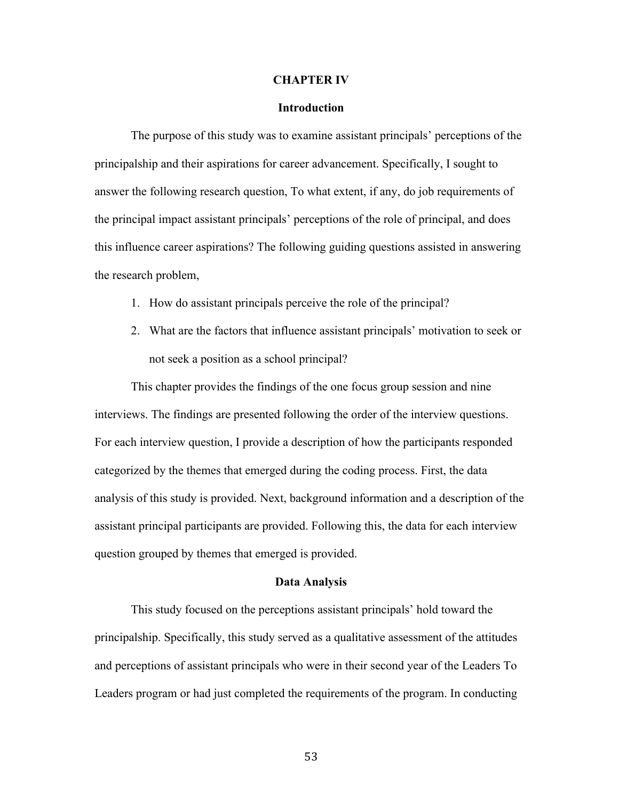#### **CHAPTER IV**

#### **Introduction**

The purpose of this study was to examine assistant principals' perceptions of the principalship and their aspirations for career advancement. Specifically, I sought to answer the following research question, To what extent, if any, do job requirements of the principal impact assistant principals' perceptions of the role of principal, and does this influence career aspirations? The following guiding questions assisted in answering the research problem,

- 1. How do assistant principals perceive the role of the principal?
- 2. What are the factors that influence assistant principals' motivation to seek or not seek a position as a school principal?

This chapter provides the findings of the one focus group session and nine interviews. The findings are presented following the order of the interview questions. For each interview question, I provide a description of how the participants responded categorized by the themes that emerged during the coding process. First, the data analysis of this study is provided. Next, background information and a description of the assistant principal participants are provided. Following this, the data for each interview question grouped by themes that emerged is provided.

#### **Data Analysis**

This study focused on the perceptions assistant principals' hold toward the principalship. Specifically, this study served as a qualitative assessment of the attitudes and perceptions of assistant principals who were in their second year of the Leaders To Leaders program or had just completed the requirements of the program. In conducting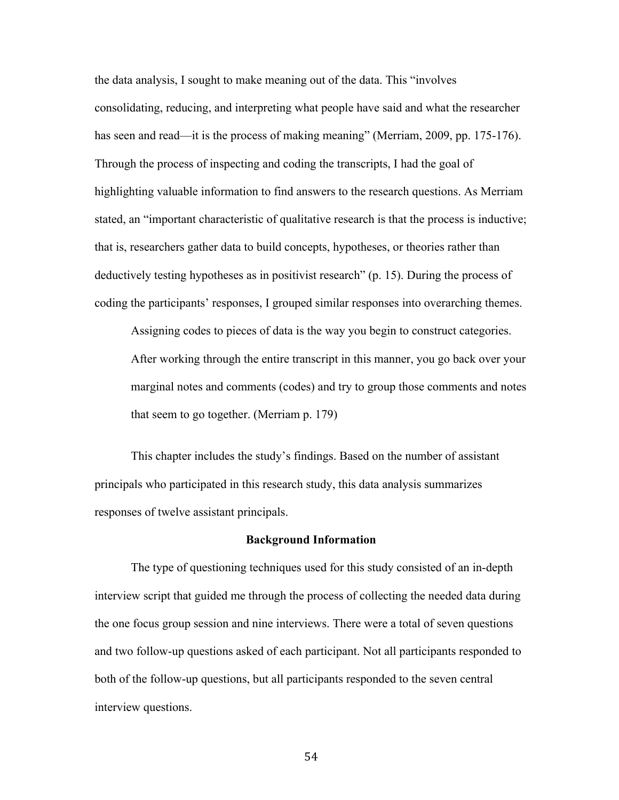the data analysis, I sought to make meaning out of the data. This "involves consolidating, reducing, and interpreting what people have said and what the researcher has seen and read—it is the process of making meaning" (Merriam, 2009, pp. 175-176). Through the process of inspecting and coding the transcripts, I had the goal of highlighting valuable information to find answers to the research questions. As Merriam stated, an "important characteristic of qualitative research is that the process is inductive; that is, researchers gather data to build concepts, hypotheses, or theories rather than deductively testing hypotheses as in positivist research" (p. 15). During the process of coding the participants' responses, I grouped similar responses into overarching themes.

Assigning codes to pieces of data is the way you begin to construct categories. After working through the entire transcript in this manner, you go back over your marginal notes and comments (codes) and try to group those comments and notes that seem to go together. (Merriam p. 179)

This chapter includes the study's findings. Based on the number of assistant principals who participated in this research study, this data analysis summarizes responses of twelve assistant principals.

## **Background Information**

The type of questioning techniques used for this study consisted of an in-depth interview script that guided me through the process of collecting the needed data during the one focus group session and nine interviews. There were a total of seven questions and two follow-up questions asked of each participant. Not all participants responded to both of the follow-up questions, but all participants responded to the seven central interview questions.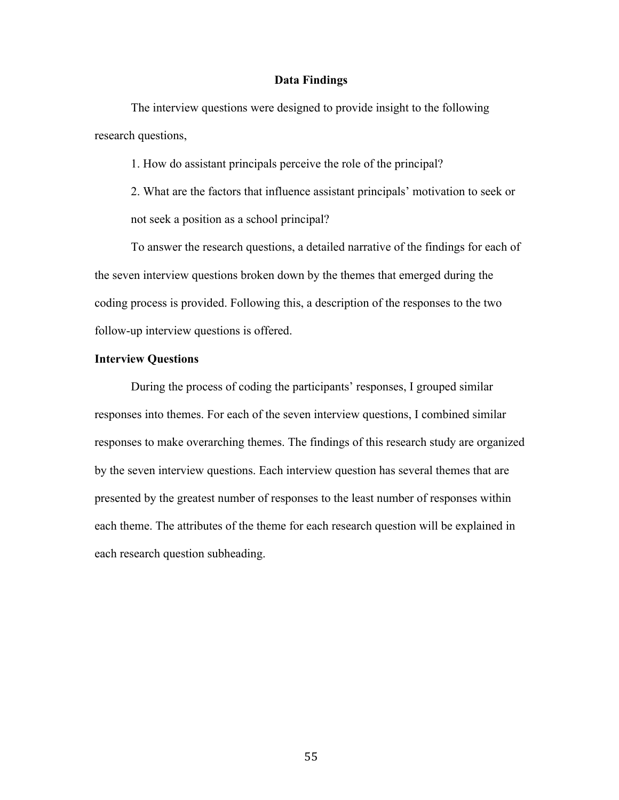## **Data Findings**

The interview questions were designed to provide insight to the following research questions,

1. How do assistant principals perceive the role of the principal?

2. What are the factors that influence assistant principals' motivation to seek or not seek a position as a school principal?

To answer the research questions, a detailed narrative of the findings for each of the seven interview questions broken down by the themes that emerged during the coding process is provided. Following this, a description of the responses to the two follow-up interview questions is offered.

## **Interview Questions**

During the process of coding the participants' responses, I grouped similar responses into themes. For each of the seven interview questions, I combined similar responses to make overarching themes. The findings of this research study are organized by the seven interview questions. Each interview question has several themes that are presented by the greatest number of responses to the least number of responses within each theme. The attributes of the theme for each research question will be explained in each research question subheading.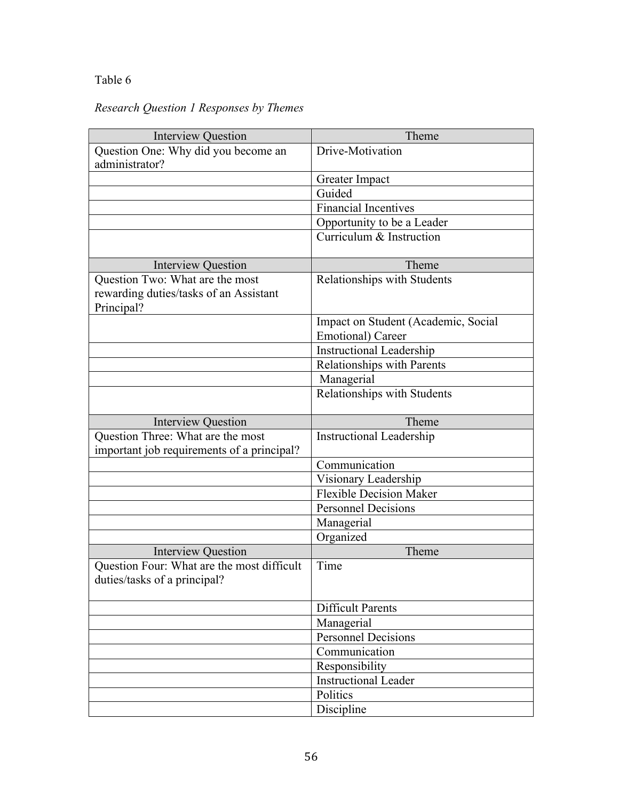## Table 6

# *Research Question 1 Responses by Themes*

| <b>Interview Question</b>                  | Theme                               |  |
|--------------------------------------------|-------------------------------------|--|
| Question One: Why did you become an        | Drive-Motivation                    |  |
| administrator?                             |                                     |  |
|                                            | Greater Impact                      |  |
|                                            | Guided                              |  |
|                                            | <b>Financial Incentives</b>         |  |
|                                            | Opportunity to be a Leader          |  |
|                                            | Curriculum & Instruction            |  |
|                                            |                                     |  |
| <b>Interview Question</b>                  | Theme                               |  |
| Question Two: What are the most            | Relationships with Students         |  |
| rewarding duties/tasks of an Assistant     |                                     |  |
| Principal?                                 |                                     |  |
|                                            | Impact on Student (Academic, Social |  |
|                                            | <b>Emotional</b> ) Career           |  |
|                                            | <b>Instructional Leadership</b>     |  |
|                                            | Relationships with Parents          |  |
|                                            | Managerial                          |  |
|                                            | Relationships with Students         |  |
|                                            |                                     |  |
| <b>Interview Question</b>                  | Theme                               |  |
| Question Three: What are the most          | <b>Instructional Leadership</b>     |  |
| important job requirements of a principal? |                                     |  |
|                                            | Communication                       |  |
|                                            | Visionary Leadership                |  |
|                                            | <b>Flexible Decision Maker</b>      |  |
|                                            | <b>Personnel Decisions</b>          |  |
|                                            | Managerial                          |  |
|                                            | Organized                           |  |
| <b>Interview Question</b>                  | Theme                               |  |
| Question Four: What are the most difficult | Time                                |  |
| duties/tasks of a principal?               |                                     |  |
|                                            |                                     |  |
|                                            | <b>Difficult Parents</b>            |  |
|                                            | Managerial                          |  |
|                                            | Personnel Decisions                 |  |
|                                            | Communication                       |  |
|                                            | Responsibility                      |  |
|                                            | <b>Instructional Leader</b>         |  |
|                                            | Politics                            |  |
|                                            | Discipline                          |  |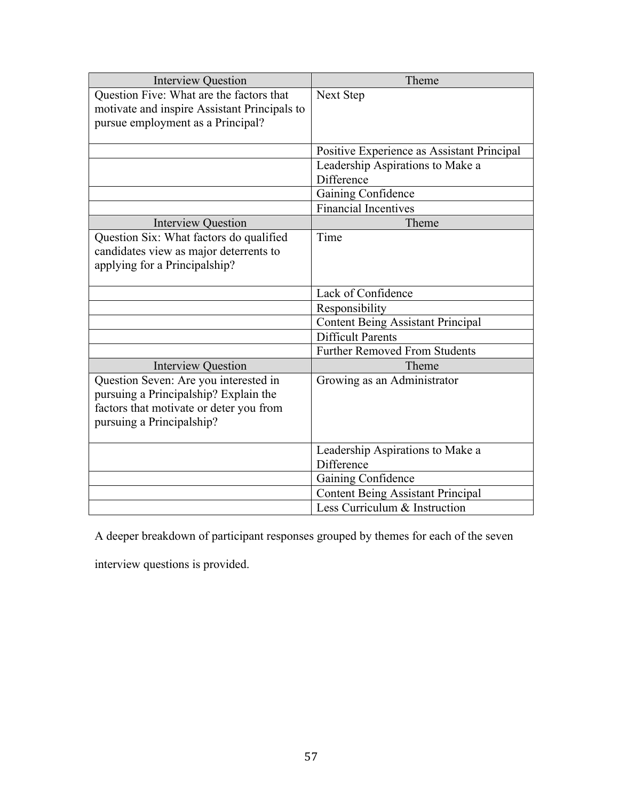| <b>Interview Question</b>                                                                                                                              | Theme                                          |
|--------------------------------------------------------------------------------------------------------------------------------------------------------|------------------------------------------------|
| Question Five: What are the factors that<br>motivate and inspire Assistant Principals to<br>pursue employment as a Principal?                          | Next Step                                      |
|                                                                                                                                                        | Positive Experience as Assistant Principal     |
|                                                                                                                                                        | Leadership Aspirations to Make a<br>Difference |
|                                                                                                                                                        | Gaining Confidence                             |
|                                                                                                                                                        | Financial Incentives                           |
| <b>Interview Question</b>                                                                                                                              | Theme                                          |
| Question Six: What factors do qualified<br>candidates view as major deterrents to<br>applying for a Principalship?                                     | Time                                           |
|                                                                                                                                                        | Lack of Confidence                             |
|                                                                                                                                                        | Responsibility                                 |
|                                                                                                                                                        | <b>Content Being Assistant Principal</b>       |
|                                                                                                                                                        | Difficult Parents                              |
|                                                                                                                                                        | <b>Further Removed From Students</b>           |
| <b>Interview Question</b>                                                                                                                              | Theme                                          |
| Question Seven: Are you interested in<br>pursuing a Principalship? Explain the<br>factors that motivate or deter you from<br>pursuing a Principalship? | Growing as an Administrator                    |
|                                                                                                                                                        | Leadership Aspirations to Make a<br>Difference |
|                                                                                                                                                        | Gaining Confidence                             |
|                                                                                                                                                        | <b>Content Being Assistant Principal</b>       |
|                                                                                                                                                        | Less Curriculum & Instruction                  |

A deeper breakdown of participant responses grouped by themes for each of the seven

interview questions is provided.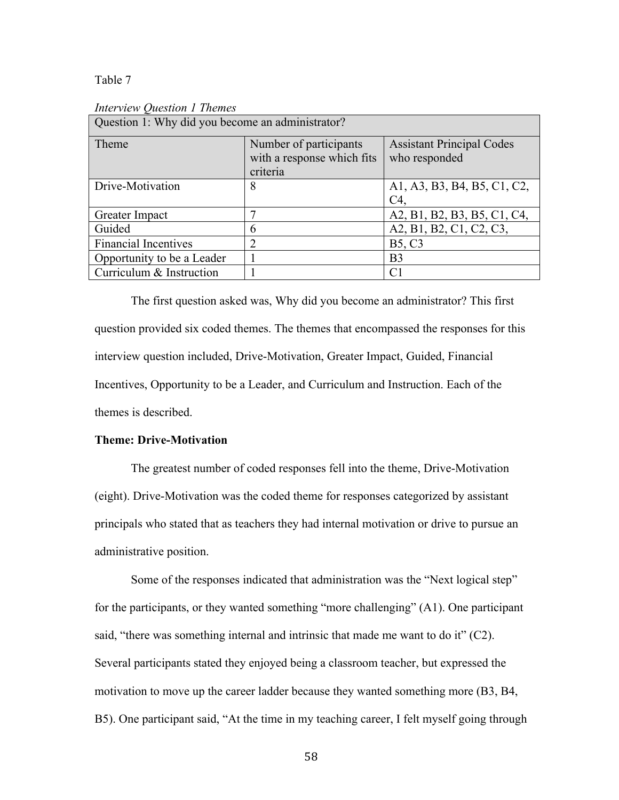#### Table 7

| Question 1: Why did you become an administrator? |                                                                  |                                                   |
|--------------------------------------------------|------------------------------------------------------------------|---------------------------------------------------|
| Theme                                            | Number of participants<br>with a response which fits<br>criteria | <b>Assistant Principal Codes</b><br>who responded |
| Drive-Motivation                                 | 8                                                                | A1, A3, B3, B4, B5, C1, C2,<br>C4                 |
| Greater Impact                                   |                                                                  | A2, B1, B2, B3, B5, C1, C4,                       |
| Guided                                           | 6                                                                | A2, B1, B2, C1, C2, C3,                           |
| <b>Financial Incentives</b>                      | 2                                                                | <b>B5, C3</b>                                     |
| Opportunity to be a Leader                       |                                                                  | B <sub>3</sub>                                    |
| Curriculum & Instruction                         |                                                                  | C <sub>1</sub>                                    |

*Interview Question 1 Themes*

The first question asked was, Why did you become an administrator? This first question provided six coded themes. The themes that encompassed the responses for this interview question included, Drive-Motivation, Greater Impact, Guided, Financial Incentives, Opportunity to be a Leader, and Curriculum and Instruction. Each of the themes is described.

## **Theme: Drive-Motivation**

The greatest number of coded responses fell into the theme, Drive-Motivation (eight). Drive-Motivation was the coded theme for responses categorized by assistant principals who stated that as teachers they had internal motivation or drive to pursue an administrative position.

Some of the responses indicated that administration was the "Next logical step" for the participants, or they wanted something "more challenging" (A1). One participant said, "there was something internal and intrinsic that made me want to do it" (C2). Several participants stated they enjoyed being a classroom teacher, but expressed the motivation to move up the career ladder because they wanted something more (B3, B4, B5). One participant said, "At the time in my teaching career, I felt myself going through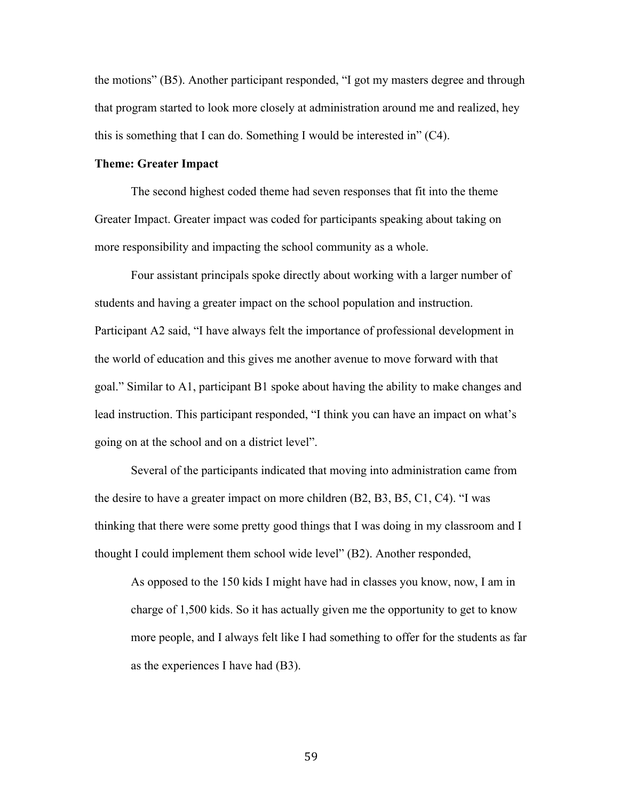the motions" (B5). Another participant responded, "I got my masters degree and through that program started to look more closely at administration around me and realized, hey this is something that I can do. Something I would be interested in" (C4).

## **Theme: Greater Impact**

The second highest coded theme had seven responses that fit into the theme Greater Impact. Greater impact was coded for participants speaking about taking on more responsibility and impacting the school community as a whole.

Four assistant principals spoke directly about working with a larger number of students and having a greater impact on the school population and instruction. Participant A2 said, "I have always felt the importance of professional development in the world of education and this gives me another avenue to move forward with that goal." Similar to A1, participant B1 spoke about having the ability to make changes and lead instruction. This participant responded, "I think you can have an impact on what's going on at the school and on a district level".

Several of the participants indicated that moving into administration came from the desire to have a greater impact on more children (B2, B3, B5, C1, C4). "I was thinking that there were some pretty good things that I was doing in my classroom and I thought I could implement them school wide level" (B2). Another responded,

As opposed to the 150 kids I might have had in classes you know, now, I am in charge of 1,500 kids. So it has actually given me the opportunity to get to know more people, and I always felt like I had something to offer for the students as far as the experiences I have had (B3).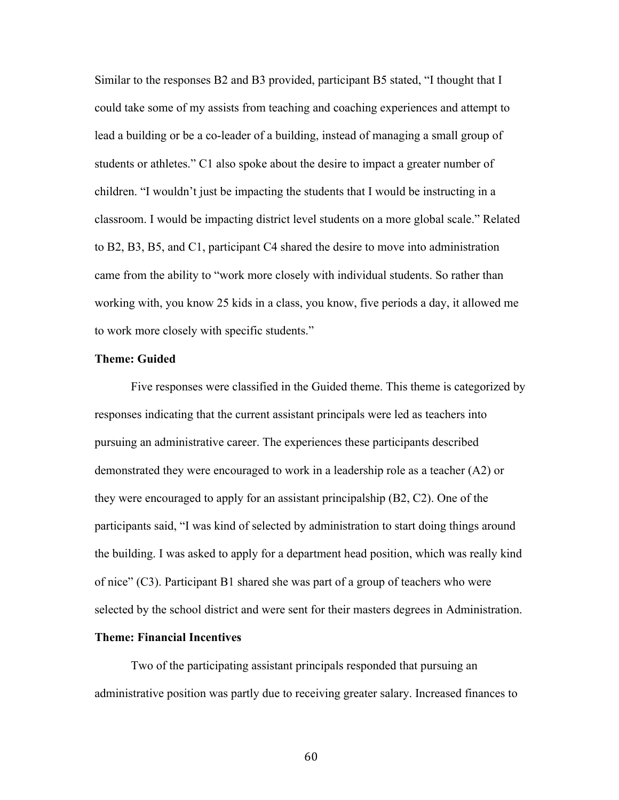Similar to the responses B2 and B3 provided, participant B5 stated, "I thought that I could take some of my assists from teaching and coaching experiences and attempt to lead a building or be a co-leader of a building, instead of managing a small group of students or athletes." C1 also spoke about the desire to impact a greater number of children. "I wouldn't just be impacting the students that I would be instructing in a classroom. I would be impacting district level students on a more global scale." Related to B2, B3, B5, and C1, participant C4 shared the desire to move into administration came from the ability to "work more closely with individual students. So rather than working with, you know 25 kids in a class, you know, five periods a day, it allowed me to work more closely with specific students."

#### **Theme: Guided**

Five responses were classified in the Guided theme. This theme is categorized by responses indicating that the current assistant principals were led as teachers into pursuing an administrative career. The experiences these participants described demonstrated they were encouraged to work in a leadership role as a teacher (A2) or they were encouraged to apply for an assistant principalship (B2, C2). One of the participants said, "I was kind of selected by administration to start doing things around the building. I was asked to apply for a department head position, which was really kind of nice" (C3). Participant B1 shared she was part of a group of teachers who were selected by the school district and were sent for their masters degrees in Administration.

## **Theme: Financial Incentives**

Two of the participating assistant principals responded that pursuing an administrative position was partly due to receiving greater salary. Increased finances to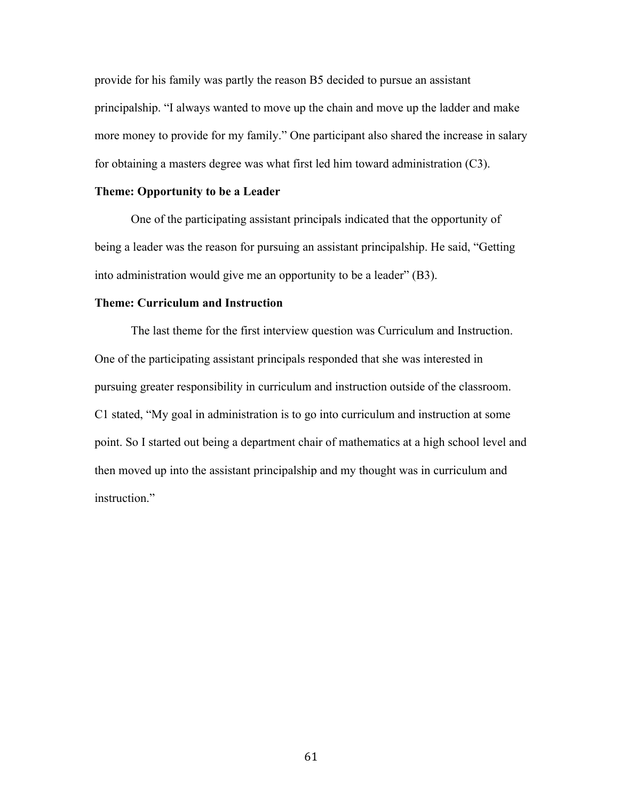provide for his family was partly the reason B5 decided to pursue an assistant principalship. "I always wanted to move up the chain and move up the ladder and make more money to provide for my family." One participant also shared the increase in salary for obtaining a masters degree was what first led him toward administration (C3).

## **Theme: Opportunity to be a Leader**

One of the participating assistant principals indicated that the opportunity of being a leader was the reason for pursuing an assistant principalship. He said, "Getting into administration would give me an opportunity to be a leader" (B3).

## **Theme: Curriculum and Instruction**

The last theme for the first interview question was Curriculum and Instruction. One of the participating assistant principals responded that she was interested in pursuing greater responsibility in curriculum and instruction outside of the classroom. C1 stated, "My goal in administration is to go into curriculum and instruction at some point. So I started out being a department chair of mathematics at a high school level and then moved up into the assistant principalship and my thought was in curriculum and instruction."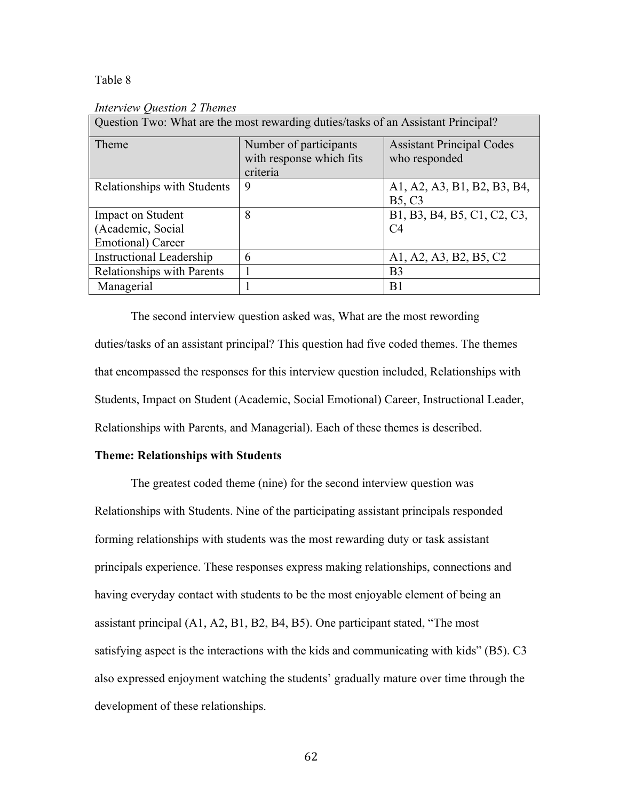## Table 8

| Question Two: What are the most rewarding duties/tasks of an Assistant Principal? |                          |                                  |
|-----------------------------------------------------------------------------------|--------------------------|----------------------------------|
| Theme                                                                             | Number of participants   | <b>Assistant Principal Codes</b> |
|                                                                                   | with response which fits | who responded                    |
|                                                                                   | criteria                 |                                  |
| Relationships with Students                                                       | 9                        | A1, A2, A3, B1, B2, B3, B4,      |
|                                                                                   |                          | <b>B5, C3</b>                    |
| <b>Impact on Student</b>                                                          | 8                        | B1, B3, B4, B5, C1, C2, C3,      |
| (Academic, Social                                                                 |                          | C <sub>4</sub>                   |
| Emotional) Career                                                                 |                          |                                  |
| <b>Instructional Leadership</b>                                                   | 6                        | A1, A2, A3, B2, B5, C2           |
| <b>Relationships with Parents</b>                                                 |                          | B <sub>3</sub>                   |
| Managerial                                                                        |                          | B <sub>1</sub>                   |

### *Interview Question 2 Themes*

The second interview question asked was, What are the most rewording duties/tasks of an assistant principal? This question had five coded themes. The themes that encompassed the responses for this interview question included, Relationships with Students, Impact on Student (Academic, Social Emotional) Career, Instructional Leader, Relationships with Parents, and Managerial). Each of these themes is described.

## **Theme: Relationships with Students**

The greatest coded theme (nine) for the second interview question was Relationships with Students. Nine of the participating assistant principals responded forming relationships with students was the most rewarding duty or task assistant principals experience. These responses express making relationships, connections and having everyday contact with students to be the most enjoyable element of being an assistant principal (A1, A2, B1, B2, B4, B5). One participant stated, "The most satisfying aspect is the interactions with the kids and communicating with kids" (B5). C3 also expressed enjoyment watching the students' gradually mature over time through the development of these relationships.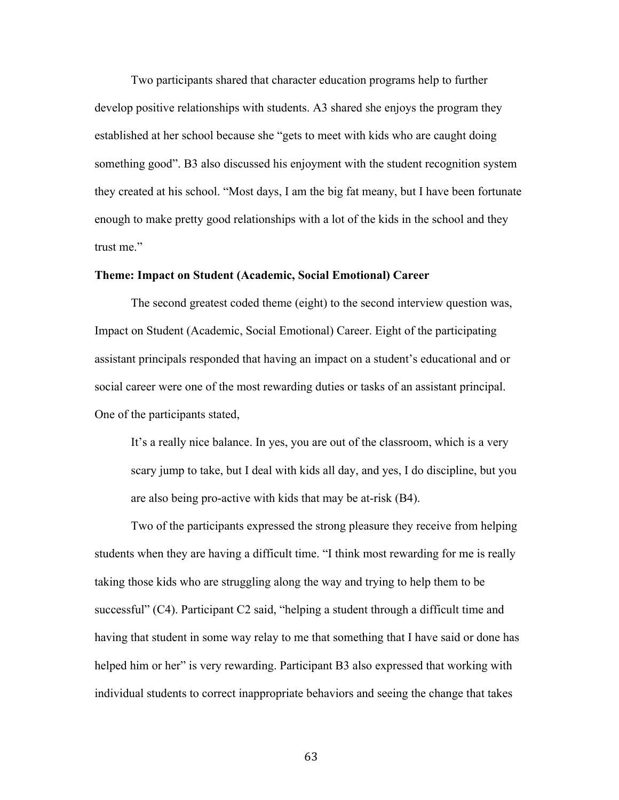Two participants shared that character education programs help to further develop positive relationships with students. A3 shared she enjoys the program they established at her school because she "gets to meet with kids who are caught doing something good". B3 also discussed his enjoyment with the student recognition system they created at his school. "Most days, I am the big fat meany, but I have been fortunate enough to make pretty good relationships with a lot of the kids in the school and they trust me."

### **Theme: Impact on Student (Academic, Social Emotional) Career**

The second greatest coded theme (eight) to the second interview question was, Impact on Student (Academic, Social Emotional) Career. Eight of the participating assistant principals responded that having an impact on a student's educational and or social career were one of the most rewarding duties or tasks of an assistant principal. One of the participants stated,

It's a really nice balance. In yes, you are out of the classroom, which is a very scary jump to take, but I deal with kids all day, and yes, I do discipline, but you are also being pro-active with kids that may be at-risk (B4).

Two of the participants expressed the strong pleasure they receive from helping students when they are having a difficult time. "I think most rewarding for me is really taking those kids who are struggling along the way and trying to help them to be successful" (C4). Participant C2 said, "helping a student through a difficult time and having that student in some way relay to me that something that I have said or done has helped him or her" is very rewarding. Participant B3 also expressed that working with individual students to correct inappropriate behaviors and seeing the change that takes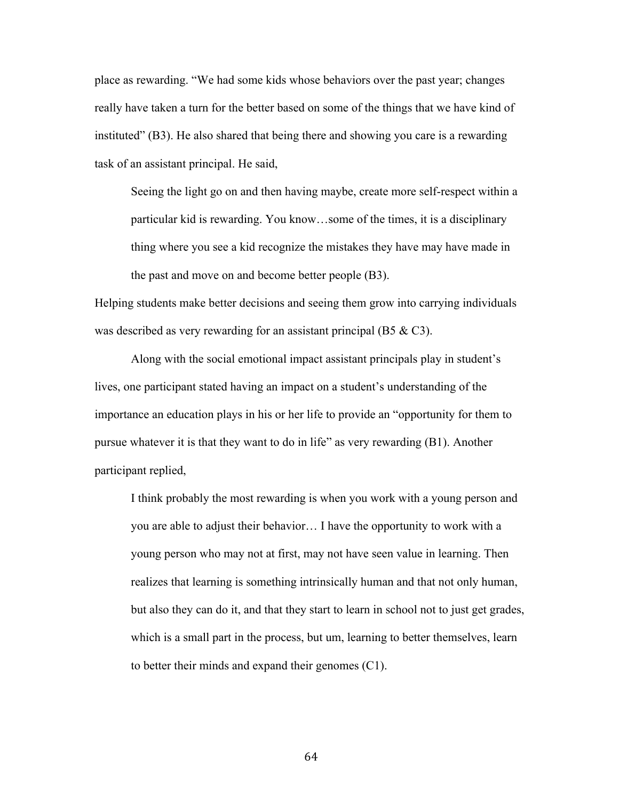place as rewarding. "We had some kids whose behaviors over the past year; changes really have taken a turn for the better based on some of the things that we have kind of instituted" (B3). He also shared that being there and showing you care is a rewarding task of an assistant principal. He said,

Seeing the light go on and then having maybe, create more self-respect within a particular kid is rewarding. You know…some of the times, it is a disciplinary thing where you see a kid recognize the mistakes they have may have made in the past and move on and become better people (B3).

Helping students make better decisions and seeing them grow into carrying individuals was described as very rewarding for an assistant principal (B5  $&$  C3).

Along with the social emotional impact assistant principals play in student's lives, one participant stated having an impact on a student's understanding of the importance an education plays in his or her life to provide an "opportunity for them to pursue whatever it is that they want to do in life" as very rewarding (B1). Another participant replied,

I think probably the most rewarding is when you work with a young person and you are able to adjust their behavior… I have the opportunity to work with a young person who may not at first, may not have seen value in learning. Then realizes that learning is something intrinsically human and that not only human, but also they can do it, and that they start to learn in school not to just get grades, which is a small part in the process, but um, learning to better themselves, learn to better their minds and expand their genomes (C1).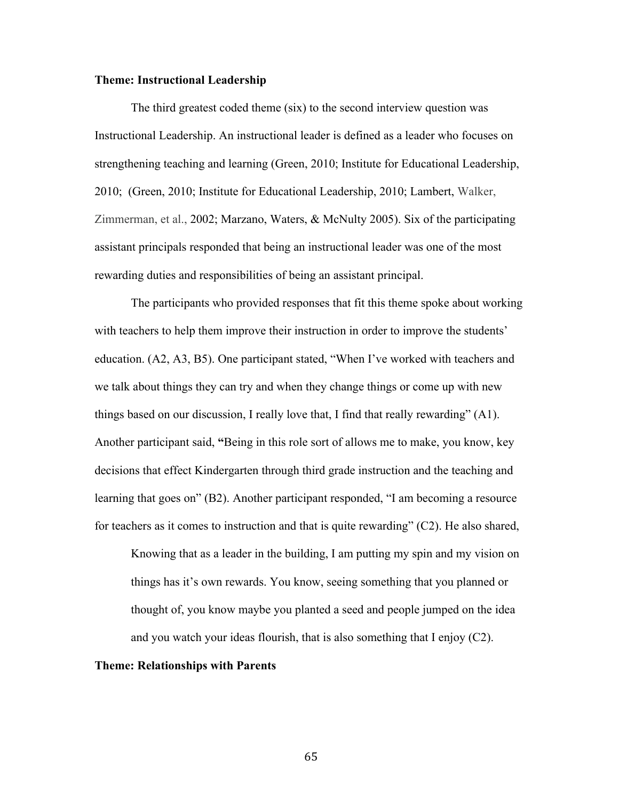### **Theme: Instructional Leadership**

The third greatest coded theme (six) to the second interview question was Instructional Leadership. An instructional leader is defined as a leader who focuses on strengthening teaching and learning (Green, 2010; Institute for Educational Leadership, 2010; (Green, 2010; Institute for Educational Leadership, 2010; Lambert, Walker, Zimmerman, et al., 2002; Marzano, Waters, & McNulty 2005). Six of the participating assistant principals responded that being an instructional leader was one of the most rewarding duties and responsibilities of being an assistant principal.

The participants who provided responses that fit this theme spoke about working with teachers to help them improve their instruction in order to improve the students' education. (A2, A3, B5). One participant stated, "When I've worked with teachers and we talk about things they can try and when they change things or come up with new things based on our discussion, I really love that, I find that really rewarding" (A1). Another participant said, **"**Being in this role sort of allows me to make, you know, key decisions that effect Kindergarten through third grade instruction and the teaching and learning that goes on" (B2). Another participant responded, "I am becoming a resource for teachers as it comes to instruction and that is quite rewarding" (C2). He also shared,

Knowing that as a leader in the building, I am putting my spin and my vision on things has it's own rewards. You know, seeing something that you planned or thought of, you know maybe you planted a seed and people jumped on the idea and you watch your ideas flourish, that is also something that I enjoy (C2).

## **Theme: Relationships with Parents**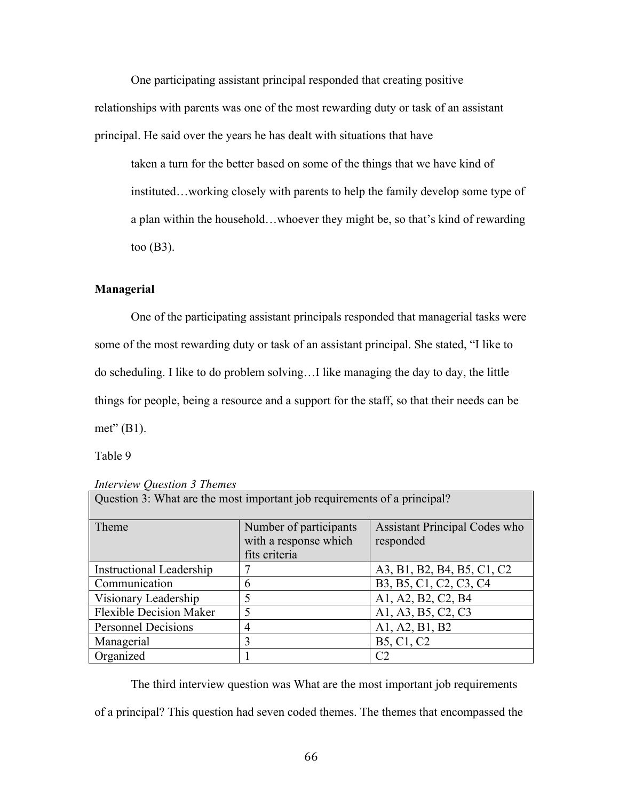One participating assistant principal responded that creating positive

relationships with parents was one of the most rewarding duty or task of an assistant principal. He said over the years he has dealt with situations that have

taken a turn for the better based on some of the things that we have kind of instituted…working closely with parents to help the family develop some type of a plan within the household…whoever they might be, so that's kind of rewarding too (B3).

# **Managerial**

One of the participating assistant principals responded that managerial tasks were some of the most rewarding duty or task of an assistant principal. She stated, "I like to do scheduling. I like to do problem solving…I like managing the day to day, the little things for people, being a resource and a support for the staff, so that their needs can be met" (B1).

Table 9

| Question 3: What are the most important job requirements of a principal? |                        |                                                  |
|--------------------------------------------------------------------------|------------------------|--------------------------------------------------|
| Theme                                                                    | Number of participants | <b>Assistant Principal Codes who</b>             |
|                                                                          | with a response which  | responded                                        |
|                                                                          | fits criteria          |                                                  |
| <b>Instructional Leadership</b>                                          |                        | A3, B1, B2, B4, B5, C1, C2                       |
| Communication                                                            | 6                      | B3, B5, C1, C2, C3, C4                           |
| Visionary Leadership                                                     | 5                      | A1, A2, B2, C2, B4                               |
| <b>Flexible Decision Maker</b>                                           | 5                      | A1, A3, B5, C2, C3                               |
| <b>Personnel Decisions</b>                                               | 4                      | A1, A2, B1, B2                                   |
| Managerial                                                               | 3                      | B <sub>5</sub> , C <sub>1</sub> , C <sub>2</sub> |
| Organized                                                                |                        | C2                                               |

The third interview question was What are the most important job requirements

of a principal? This question had seven coded themes. The themes that encompassed the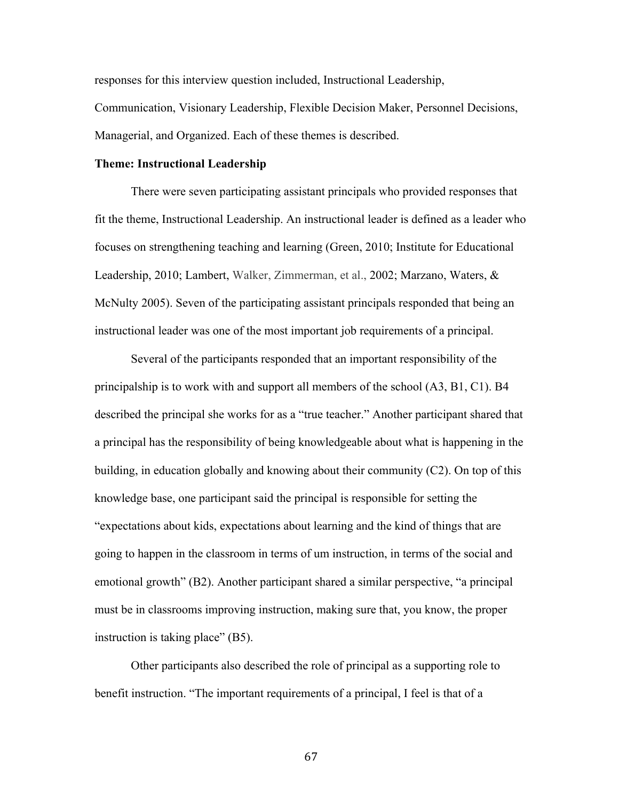responses for this interview question included, Instructional Leadership, Communication, Visionary Leadership, Flexible Decision Maker, Personnel Decisions, Managerial, and Organized. Each of these themes is described.

## **Theme: Instructional Leadership**

There were seven participating assistant principals who provided responses that fit the theme, Instructional Leadership. An instructional leader is defined as a leader who focuses on strengthening teaching and learning (Green, 2010; Institute for Educational Leadership, 2010; Lambert, Walker, Zimmerman, et al., 2002; Marzano, Waters, & McNulty 2005). Seven of the participating assistant principals responded that being an instructional leader was one of the most important job requirements of a principal.

Several of the participants responded that an important responsibility of the principalship is to work with and support all members of the school (A3, B1, C1). B4 described the principal she works for as a "true teacher." Another participant shared that a principal has the responsibility of being knowledgeable about what is happening in the building, in education globally and knowing about their community (C2). On top of this knowledge base, one participant said the principal is responsible for setting the "expectations about kids, expectations about learning and the kind of things that are going to happen in the classroom in terms of um instruction, in terms of the social and emotional growth" (B2). Another participant shared a similar perspective, "a principal must be in classrooms improving instruction, making sure that, you know, the proper instruction is taking place" (B5).

Other participants also described the role of principal as a supporting role to benefit instruction. "The important requirements of a principal, I feel is that of a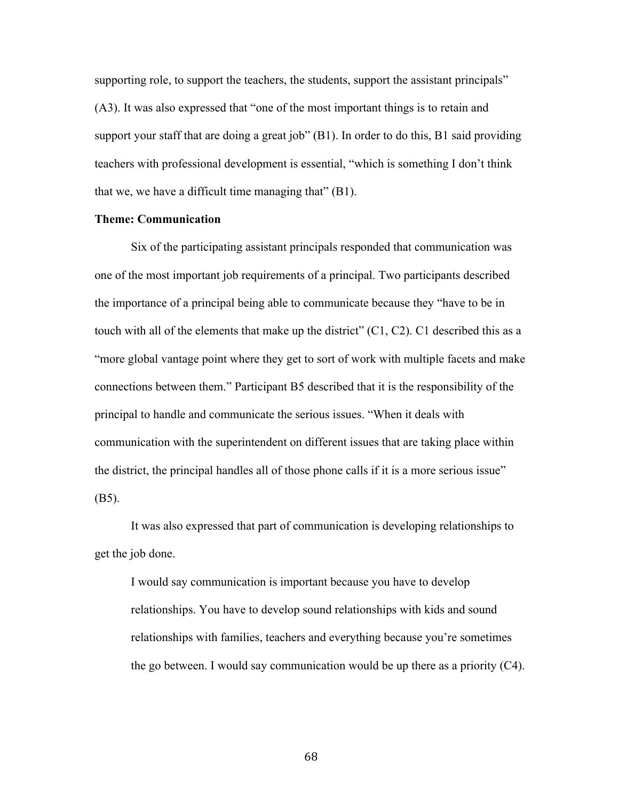supporting role, to support the teachers, the students, support the assistant principals" (A3). It was also expressed that "one of the most important things is to retain and support your staff that are doing a great job" (B1). In order to do this, B1 said providing teachers with professional development is essential, "which is something I don't think that we, we have a difficult time managing that" (B1).

### **Theme: Communication**

Six of the participating assistant principals responded that communication was one of the most important job requirements of a principal. Two participants described the importance of a principal being able to communicate because they "have to be in touch with all of the elements that make up the district" (C1, C2). C1 described this as a "more global vantage point where they get to sort of work with multiple facets and make connections between them." Participant B5 described that it is the responsibility of the principal to handle and communicate the serious issues. "When it deals with communication with the superintendent on different issues that are taking place within the district, the principal handles all of those phone calls if it is a more serious issue" (B5).

It was also expressed that part of communication is developing relationships to get the job done.

I would say communication is important because you have to develop relationships. You have to develop sound relationships with kids and sound relationships with families, teachers and everything because you're sometimes the go between. I would say communication would be up there as a priority (C4).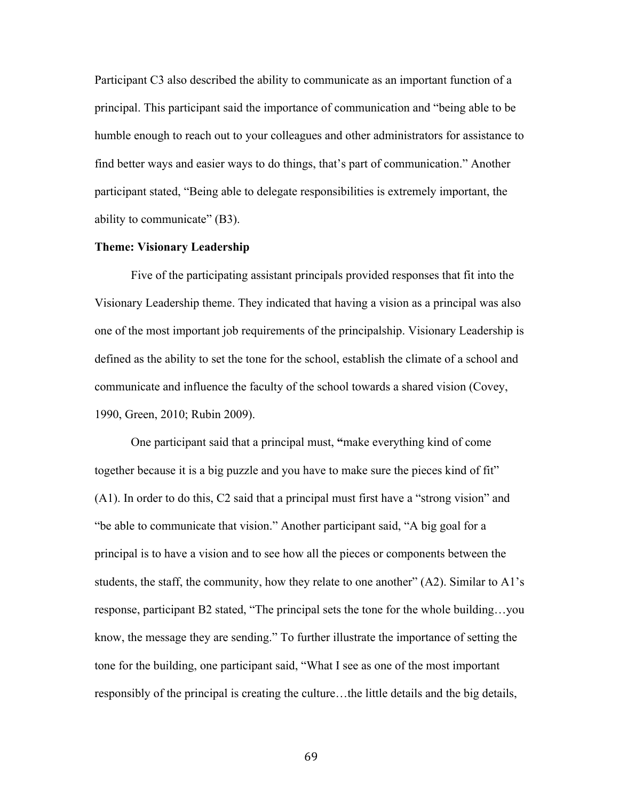Participant C3 also described the ability to communicate as an important function of a principal. This participant said the importance of communication and "being able to be humble enough to reach out to your colleagues and other administrators for assistance to find better ways and easier ways to do things, that's part of communication." Another participant stated, "Being able to delegate responsibilities is extremely important, the ability to communicate" (B3).

## **Theme: Visionary Leadership**

Five of the participating assistant principals provided responses that fit into the Visionary Leadership theme. They indicated that having a vision as a principal was also one of the most important job requirements of the principalship. Visionary Leadership is defined as the ability to set the tone for the school, establish the climate of a school and communicate and influence the faculty of the school towards a shared vision (Covey, 1990, Green, 2010; Rubin 2009).

One participant said that a principal must, **"**make everything kind of come together because it is a big puzzle and you have to make sure the pieces kind of fit" (A1). In order to do this, C2 said that a principal must first have a "strong vision" and "be able to communicate that vision." Another participant said, "A big goal for a principal is to have a vision and to see how all the pieces or components between the students, the staff, the community, how they relate to one another"  $(A2)$ . Similar to  $A1$ 's response, participant B2 stated, "The principal sets the tone for the whole building…you know, the message they are sending." To further illustrate the importance of setting the tone for the building, one participant said, "What I see as one of the most important responsibly of the principal is creating the culture…the little details and the big details,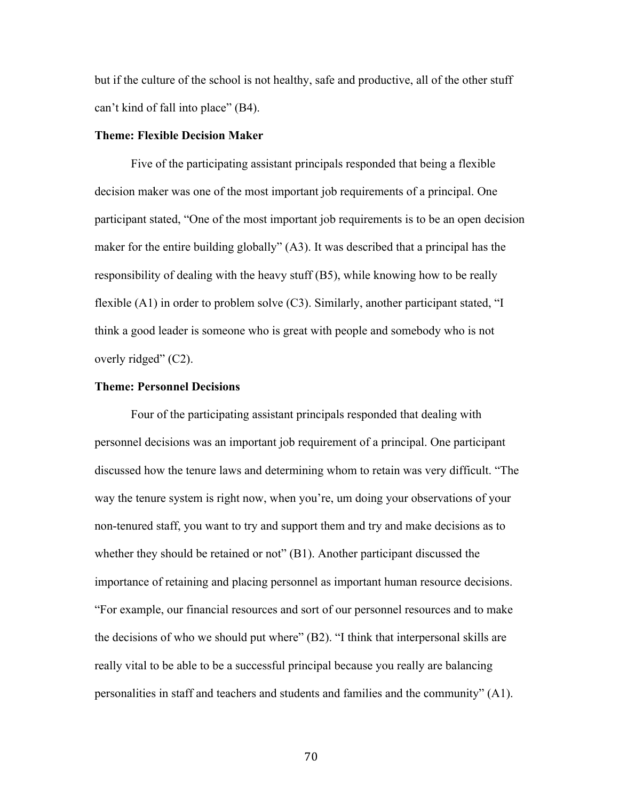but if the culture of the school is not healthy, safe and productive, all of the other stuff can't kind of fall into place" (B4).

# **Theme: Flexible Decision Maker**

Five of the participating assistant principals responded that being a flexible decision maker was one of the most important job requirements of a principal. One participant stated, "One of the most important job requirements is to be an open decision maker for the entire building globally" (A3). It was described that a principal has the responsibility of dealing with the heavy stuff (B5), while knowing how to be really flexible (A1) in order to problem solve (C3). Similarly, another participant stated, "I think a good leader is someone who is great with people and somebody who is not overly ridged" (C2).

### **Theme: Personnel Decisions**

Four of the participating assistant principals responded that dealing with personnel decisions was an important job requirement of a principal. One participant discussed how the tenure laws and determining whom to retain was very difficult. "The way the tenure system is right now, when you're, um doing your observations of your non-tenured staff, you want to try and support them and try and make decisions as to whether they should be retained or not" (B1). Another participant discussed the importance of retaining and placing personnel as important human resource decisions. "For example, our financial resources and sort of our personnel resources and to make the decisions of who we should put where" (B2). "I think that interpersonal skills are really vital to be able to be a successful principal because you really are balancing personalities in staff and teachers and students and families and the community" (A1).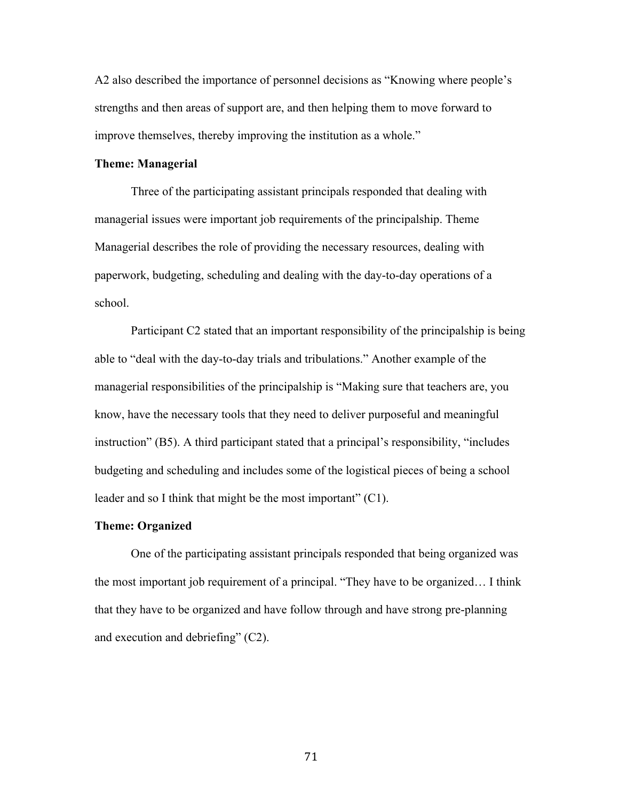A2 also described the importance of personnel decisions as "Knowing where people's strengths and then areas of support are, and then helping them to move forward to improve themselves, thereby improving the institution as a whole."

### **Theme: Managerial**

Three of the participating assistant principals responded that dealing with managerial issues were important job requirements of the principalship. Theme Managerial describes the role of providing the necessary resources, dealing with paperwork, budgeting, scheduling and dealing with the day-to-day operations of a school.

Participant C2 stated that an important responsibility of the principalship is being able to "deal with the day-to-day trials and tribulations." Another example of the managerial responsibilities of the principalship is "Making sure that teachers are, you know, have the necessary tools that they need to deliver purposeful and meaningful instruction" (B5). A third participant stated that a principal's responsibility, "includes budgeting and scheduling and includes some of the logistical pieces of being a school leader and so I think that might be the most important" (C1).

### **Theme: Organized**

One of the participating assistant principals responded that being organized was the most important job requirement of a principal. "They have to be organized… I think that they have to be organized and have follow through and have strong pre-planning and execution and debriefing" (C2).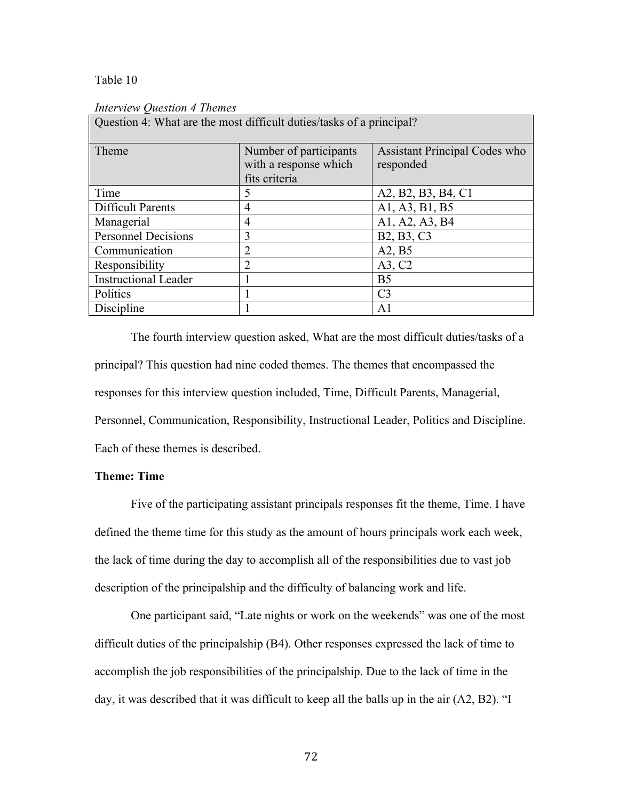### Table 10

| Question 4: What are the most difficult duties/tasks of a principal? |                                                                  |                                                   |
|----------------------------------------------------------------------|------------------------------------------------------------------|---------------------------------------------------|
| Theme                                                                | Number of participants<br>with a response which<br>fits criteria | <b>Assistant Principal Codes who</b><br>responded |
| Time                                                                 | 5                                                                | A2, B2, B3, B4, C1                                |
| <b>Difficult Parents</b>                                             | 4                                                                | A1, A3, B1, B5                                    |
| Managerial                                                           | $\overline{4}$                                                   | A1, A2, A3, B4                                    |
| <b>Personnel Decisions</b>                                           | 3                                                                | B <sub>2</sub> , B <sub>3</sub> , C <sub>3</sub>  |
| Communication                                                        | $\overline{2}$                                                   | A2, B5                                            |
| Responsibility                                                       | $\overline{2}$                                                   | A3, C2                                            |
| <b>Instructional Leader</b>                                          |                                                                  | B <sub>5</sub>                                    |
| Politics                                                             |                                                                  | C <sub>3</sub>                                    |
| Discipline                                                           |                                                                  | A1                                                |

#### *Interview Question 4 Themes*

The fourth interview question asked, What are the most difficult duties/tasks of a principal? This question had nine coded themes. The themes that encompassed the responses for this interview question included, Time, Difficult Parents, Managerial, Personnel, Communication, Responsibility, Instructional Leader, Politics and Discipline. Each of these themes is described.

## **Theme: Time**

Five of the participating assistant principals responses fit the theme, Time. I have defined the theme time for this study as the amount of hours principals work each week, the lack of time during the day to accomplish all of the responsibilities due to vast job description of the principalship and the difficulty of balancing work and life.

One participant said, "Late nights or work on the weekends" was one of the most difficult duties of the principalship (B4). Other responses expressed the lack of time to accomplish the job responsibilities of the principalship. Due to the lack of time in the day, it was described that it was difficult to keep all the balls up in the air (A2, B2). "I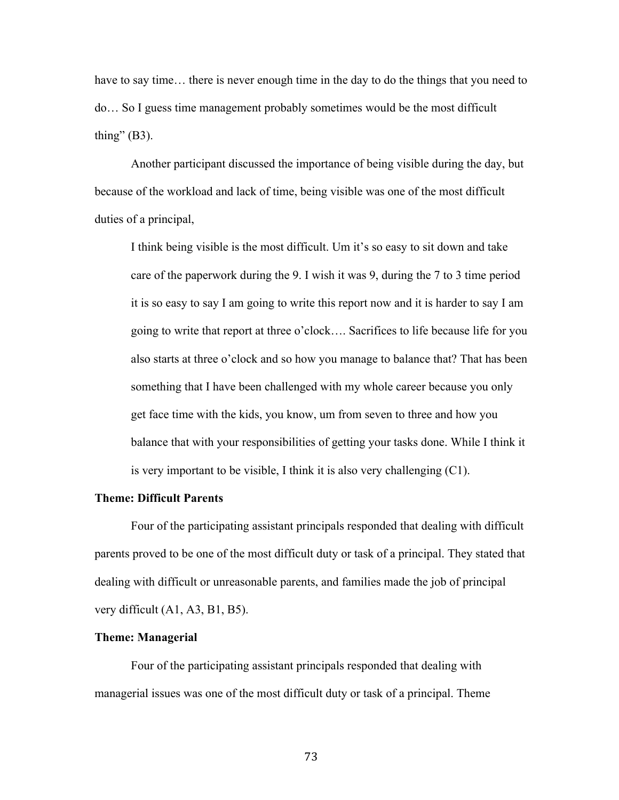have to say time... there is never enough time in the day to do the things that you need to do… So I guess time management probably sometimes would be the most difficult thing"  $(B3)$ .

Another participant discussed the importance of being visible during the day, but because of the workload and lack of time, being visible was one of the most difficult duties of a principal,

I think being visible is the most difficult. Um it's so easy to sit down and take care of the paperwork during the 9. I wish it was 9, during the 7 to 3 time period it is so easy to say I am going to write this report now and it is harder to say I am going to write that report at three o'clock…. Sacrifices to life because life for you also starts at three o'clock and so how you manage to balance that? That has been something that I have been challenged with my whole career because you only get face time with the kids, you know, um from seven to three and how you balance that with your responsibilities of getting your tasks done. While I think it is very important to be visible, I think it is also very challenging (C1).

# **Theme: Difficult Parents**

Four of the participating assistant principals responded that dealing with difficult parents proved to be one of the most difficult duty or task of a principal. They stated that dealing with difficult or unreasonable parents, and families made the job of principal very difficult (A1, A3, B1, B5).

#### **Theme: Managerial**

Four of the participating assistant principals responded that dealing with managerial issues was one of the most difficult duty or task of a principal. Theme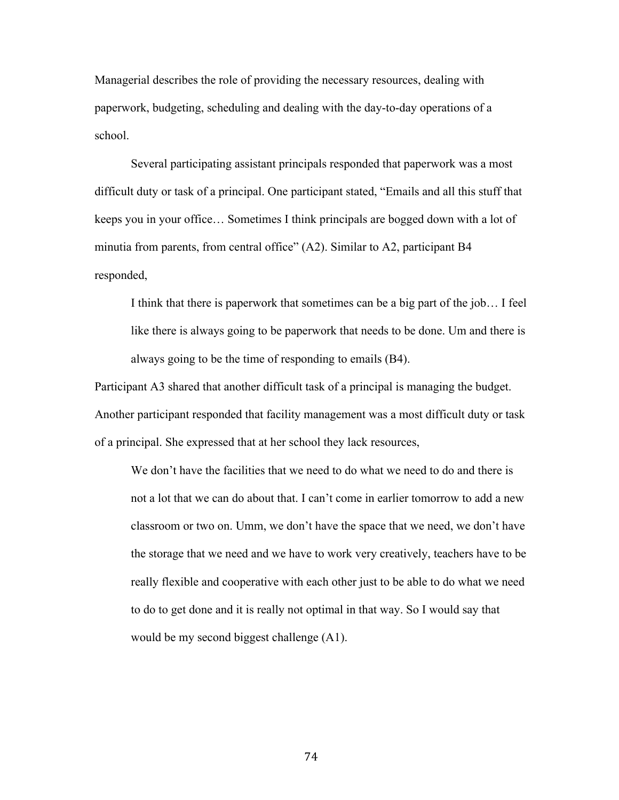Managerial describes the role of providing the necessary resources, dealing with paperwork, budgeting, scheduling and dealing with the day-to-day operations of a school.

Several participating assistant principals responded that paperwork was a most difficult duty or task of a principal. One participant stated, "Emails and all this stuff that keeps you in your office… Sometimes I think principals are bogged down with a lot of minutia from parents, from central office" (A2). Similar to A2, participant B4 responded,

I think that there is paperwork that sometimes can be a big part of the job… I feel like there is always going to be paperwork that needs to be done. Um and there is always going to be the time of responding to emails (B4).

Participant A3 shared that another difficult task of a principal is managing the budget. Another participant responded that facility management was a most difficult duty or task of a principal. She expressed that at her school they lack resources,

We don't have the facilities that we need to do what we need to do and there is not a lot that we can do about that. I can't come in earlier tomorrow to add a new classroom or two on. Umm, we don't have the space that we need, we don't have the storage that we need and we have to work very creatively, teachers have to be really flexible and cooperative with each other just to be able to do what we need to do to get done and it is really not optimal in that way. So I would say that would be my second biggest challenge (A1).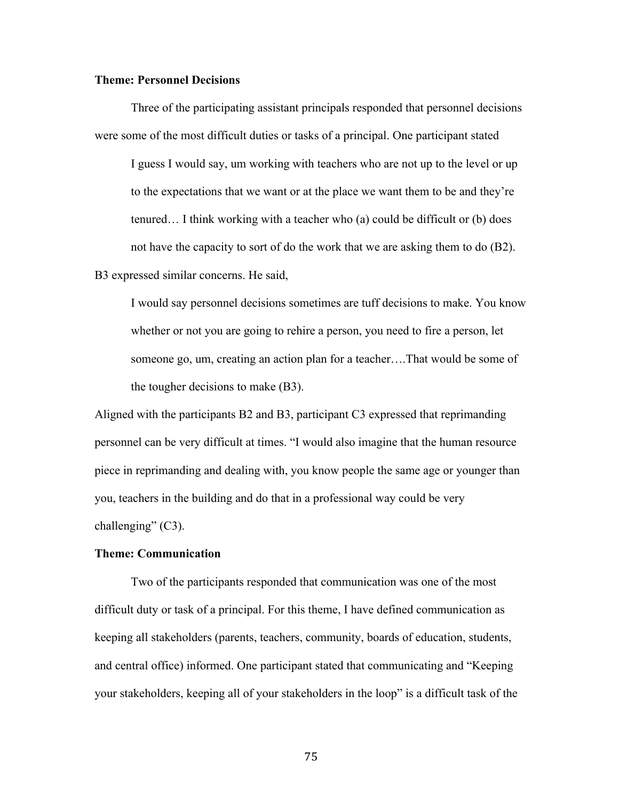## **Theme: Personnel Decisions**

Three of the participating assistant principals responded that personnel decisions were some of the most difficult duties or tasks of a principal. One participant stated I guess I would say, um working with teachers who are not up to the level or up to the expectations that we want or at the place we want them to be and they're tenured… I think working with a teacher who (a) could be difficult or (b) does not have the capacity to sort of do the work that we are asking them to do (B2). B3 expressed similar concerns. He said,

I would say personnel decisions sometimes are tuff decisions to make. You know whether or not you are going to rehire a person, you need to fire a person, let someone go, um, creating an action plan for a teacher….That would be some of the tougher decisions to make (B3).

Aligned with the participants B2 and B3, participant C3 expressed that reprimanding personnel can be very difficult at times. "I would also imagine that the human resource piece in reprimanding and dealing with, you know people the same age or younger than you, teachers in the building and do that in a professional way could be very challenging" (C3).

## **Theme: Communication**

Two of the participants responded that communication was one of the most difficult duty or task of a principal. For this theme, I have defined communication as keeping all stakeholders (parents, teachers, community, boards of education, students, and central office) informed. One participant stated that communicating and "Keeping your stakeholders, keeping all of your stakeholders in the loop" is a difficult task of the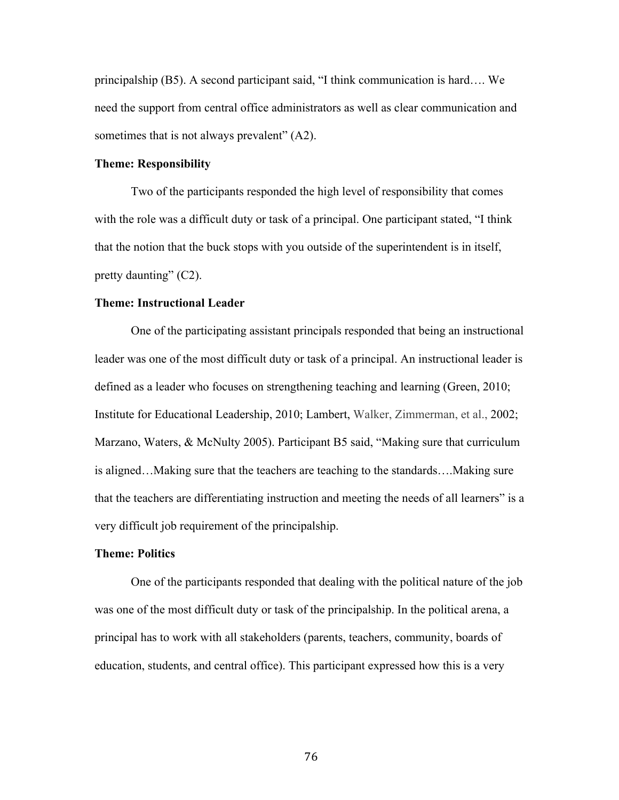principalship (B5). A second participant said, "I think communication is hard…. We need the support from central office administrators as well as clear communication and sometimes that is not always prevalent" (A2).

### **Theme: Responsibility**

Two of the participants responded the high level of responsibility that comes with the role was a difficult duty or task of a principal. One participant stated, "I think that the notion that the buck stops with you outside of the superintendent is in itself, pretty daunting" (C2).

### **Theme: Instructional Leader**

One of the participating assistant principals responded that being an instructional leader was one of the most difficult duty or task of a principal. An instructional leader is defined as a leader who focuses on strengthening teaching and learning (Green, 2010; Institute for Educational Leadership, 2010; Lambert, Walker, Zimmerman, et al., 2002; Marzano, Waters, & McNulty 2005). Participant B5 said, "Making sure that curriculum is aligned…Making sure that the teachers are teaching to the standards….Making sure that the teachers are differentiating instruction and meeting the needs of all learners" is a very difficult job requirement of the principalship.

## **Theme: Politics**

One of the participants responded that dealing with the political nature of the job was one of the most difficult duty or task of the principalship. In the political arena, a principal has to work with all stakeholders (parents, teachers, community, boards of education, students, and central office). This participant expressed how this is a very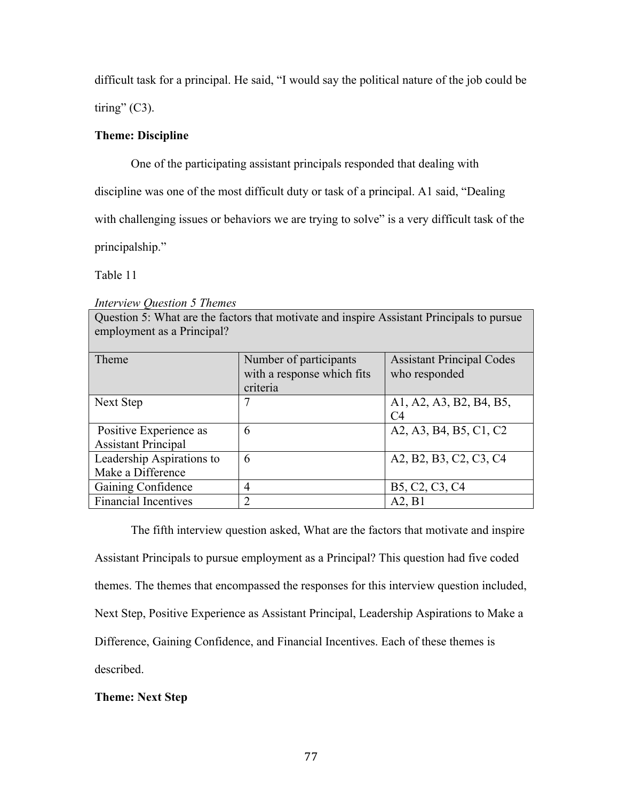difficult task for a principal. He said, "I would say the political nature of the job could be

tiring"  $(C3)$ .

# **Theme: Discipline**

One of the participating assistant principals responded that dealing with

discipline was one of the most difficult duty or task of a principal. A1 said, "Dealing

with challenging issues or behaviors we are trying to solve" is a very difficult task of the

principalship."

Table 11

*Interview Question 5 Themes*

Question 5: What are the factors that motivate and inspire Assistant Principals to pursue employment as a Principal?

| Theme                                                | Number of participants<br>with a response which fits<br>criteria | <b>Assistant Principal Codes</b><br>who responded                 |
|------------------------------------------------------|------------------------------------------------------------------|-------------------------------------------------------------------|
| Next Step                                            | 7                                                                | A1, A2, A3, B2, B4, B5,<br>C4                                     |
| Positive Experience as<br><b>Assistant Principal</b> | 6                                                                | A2, A3, B4, B5, C1, C2                                            |
| Leadership Aspirations to<br>Make a Difference       | 6                                                                | A2, B2, B3, C2, C3, C4                                            |
| Gaining Confidence                                   | 4                                                                | B <sub>5</sub> , C <sub>2</sub> , C <sub>3</sub> , C <sub>4</sub> |
| <b>Financial Incentives</b>                          | $\mathcal{D}$                                                    | A2, B1                                                            |

The fifth interview question asked, What are the factors that motivate and inspire Assistant Principals to pursue employment as a Principal? This question had five coded themes. The themes that encompassed the responses for this interview question included, Next Step, Positive Experience as Assistant Principal, Leadership Aspirations to Make a Difference, Gaining Confidence, and Financial Incentives. Each of these themes is described.

# **Theme: Next Step**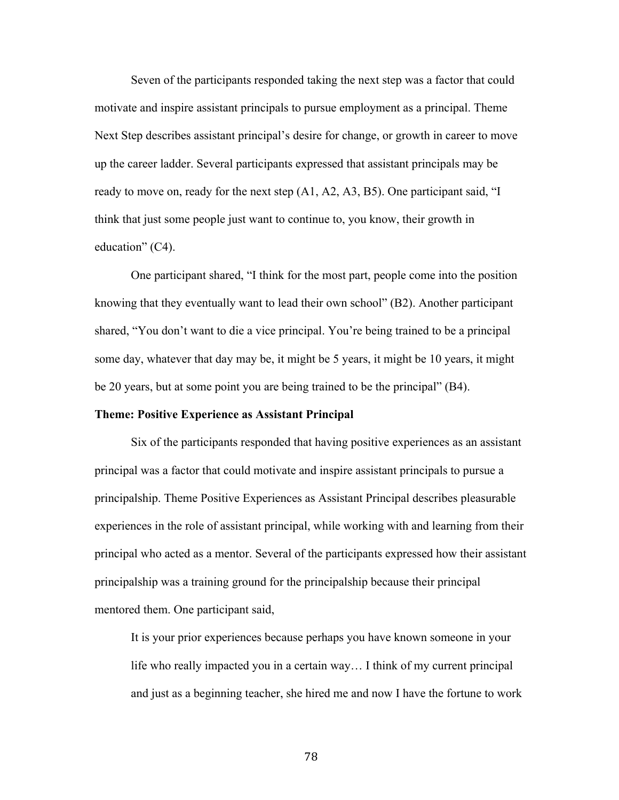Seven of the participants responded taking the next step was a factor that could motivate and inspire assistant principals to pursue employment as a principal. Theme Next Step describes assistant principal's desire for change, or growth in career to move up the career ladder. Several participants expressed that assistant principals may be ready to move on, ready for the next step  $(A1, A2, A3, B5)$ . One participant said, "I think that just some people just want to continue to, you know, their growth in education" (C4).

One participant shared, "I think for the most part, people come into the position knowing that they eventually want to lead their own school" (B2). Another participant shared, "You don't want to die a vice principal. You're being trained to be a principal some day, whatever that day may be, it might be 5 years, it might be 10 years, it might be 20 years, but at some point you are being trained to be the principal" (B4).

### **Theme: Positive Experience as Assistant Principal**

Six of the participants responded that having positive experiences as an assistant principal was a factor that could motivate and inspire assistant principals to pursue a principalship. Theme Positive Experiences as Assistant Principal describes pleasurable experiences in the role of assistant principal, while working with and learning from their principal who acted as a mentor. Several of the participants expressed how their assistant principalship was a training ground for the principalship because their principal mentored them. One participant said,

It is your prior experiences because perhaps you have known someone in your life who really impacted you in a certain way… I think of my current principal and just as a beginning teacher, she hired me and now I have the fortune to work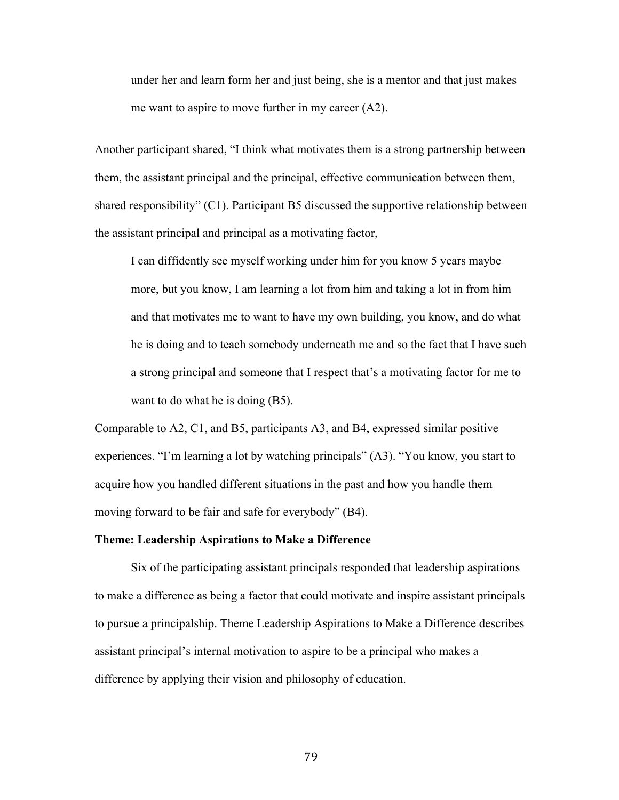under her and learn form her and just being, she is a mentor and that just makes me want to aspire to move further in my career (A2).

Another participant shared, "I think what motivates them is a strong partnership between them, the assistant principal and the principal, effective communication between them, shared responsibility" (C1). Participant B5 discussed the supportive relationship between the assistant principal and principal as a motivating factor,

I can diffidently see myself working under him for you know 5 years maybe more, but you know, I am learning a lot from him and taking a lot in from him and that motivates me to want to have my own building, you know, and do what he is doing and to teach somebody underneath me and so the fact that I have such a strong principal and someone that I respect that's a motivating factor for me to want to do what he is doing (B5).

Comparable to A2, C1, and B5, participants A3, and B4, expressed similar positive experiences. "I'm learning a lot by watching principals" (A3). "You know, you start to acquire how you handled different situations in the past and how you handle them moving forward to be fair and safe for everybody" (B4).

### **Theme: Leadership Aspirations to Make a Difference**

Six of the participating assistant principals responded that leadership aspirations to make a difference as being a factor that could motivate and inspire assistant principals to pursue a principalship. Theme Leadership Aspirations to Make a Difference describes assistant principal's internal motivation to aspire to be a principal who makes a difference by applying their vision and philosophy of education.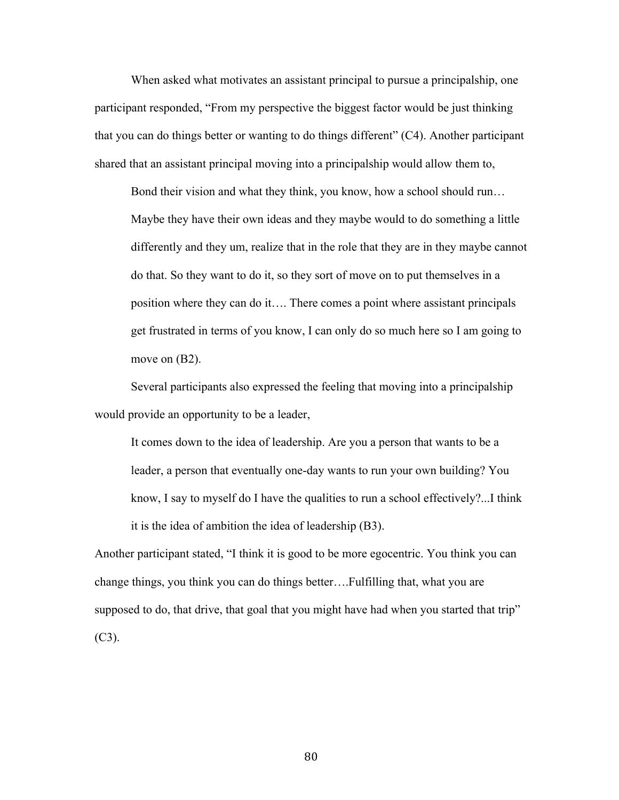When asked what motivates an assistant principal to pursue a principalship, one participant responded, "From my perspective the biggest factor would be just thinking that you can do things better or wanting to do things different" (C4). Another participant shared that an assistant principal moving into a principalship would allow them to,

Bond their vision and what they think, you know, how a school should run… Maybe they have their own ideas and they maybe would to do something a little differently and they um, realize that in the role that they are in they maybe cannot do that. So they want to do it, so they sort of move on to put themselves in a position where they can do it…. There comes a point where assistant principals get frustrated in terms of you know, I can only do so much here so I am going to move on  $(B2)$ .

Several participants also expressed the feeling that moving into a principalship would provide an opportunity to be a leader,

It comes down to the idea of leadership. Are you a person that wants to be a leader, a person that eventually one-day wants to run your own building? You know, I say to myself do I have the qualities to run a school effectively?...I think it is the idea of ambition the idea of leadership (B3).

Another participant stated, "I think it is good to be more egocentric. You think you can change things, you think you can do things better….Fulfilling that, what you are supposed to do, that drive, that goal that you might have had when you started that trip"  $(C3)$ .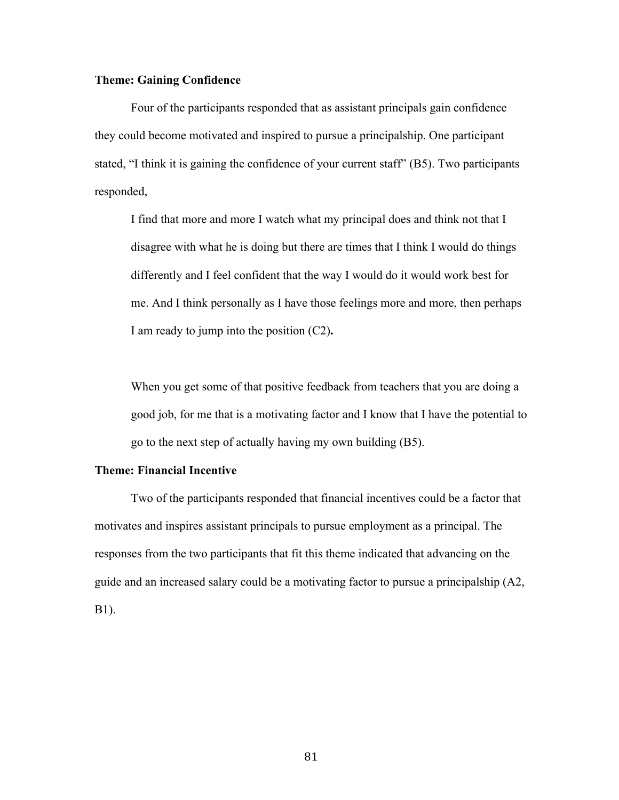## **Theme: Gaining Confidence**

Four of the participants responded that as assistant principals gain confidence they could become motivated and inspired to pursue a principalship. One participant stated, "I think it is gaining the confidence of your current staff" (B5). Two participants responded,

I find that more and more I watch what my principal does and think not that I disagree with what he is doing but there are times that I think I would do things differently and I feel confident that the way I would do it would work best for me. And I think personally as I have those feelings more and more, then perhaps I am ready to jump into the position (C2)**.**

When you get some of that positive feedback from teachers that you are doing a good job, for me that is a motivating factor and I know that I have the potential to go to the next step of actually having my own building (B5).

### **Theme: Financial Incentive**

Two of the participants responded that financial incentives could be a factor that motivates and inspires assistant principals to pursue employment as a principal. The responses from the two participants that fit this theme indicated that advancing on the guide and an increased salary could be a motivating factor to pursue a principalship (A2, B1).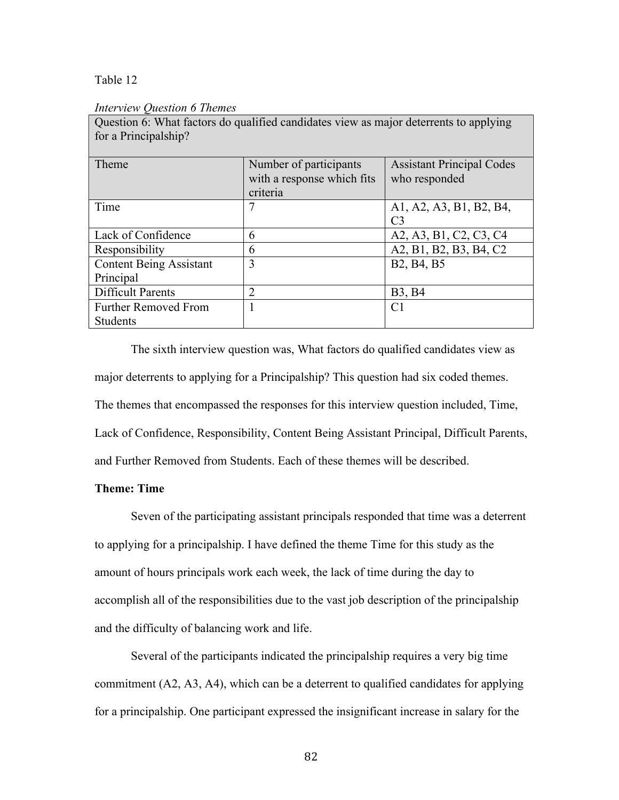Table 12

### *Interview Question 6 Themes*

| $\gamma$ about $\alpha$ , $\beta$ may necess as quantitied emigrances $\beta$ for as major determine to applying<br>for a Principalship? |                                                                  |                                                   |
|------------------------------------------------------------------------------------------------------------------------------------------|------------------------------------------------------------------|---------------------------------------------------|
| Theme                                                                                                                                    | Number of participants<br>with a response which fits<br>criteria | <b>Assistant Principal Codes</b><br>who responded |
| Time                                                                                                                                     | 7                                                                | A1, A2, A3, B1, B2, B4,<br>C <sub>3</sub>         |
| Lack of Confidence                                                                                                                       | 6                                                                | A2, A3, B1, C2, C3, C4                            |
| Responsibility                                                                                                                           | 6                                                                | A2, B1, B2, B3, B4, C2                            |
| <b>Content Being Assistant</b>                                                                                                           | 3                                                                | B <sub>2</sub> , B <sub>4</sub> , B <sub>5</sub>  |
| Principal                                                                                                                                |                                                                  |                                                   |
| <b>Difficult Parents</b>                                                                                                                 | 2                                                                | <b>B</b> 3, <b>B</b> 4                            |
| <b>Further Removed From</b>                                                                                                              |                                                                  | C <sub>1</sub>                                    |
| <b>Students</b>                                                                                                                          |                                                                  |                                                   |

Question 6: What factors do qualified candidates view as major deterrents to applying

The sixth interview question was, What factors do qualified candidates view as major deterrents to applying for a Principalship? This question had six coded themes. The themes that encompassed the responses for this interview question included, Time, Lack of Confidence, Responsibility, Content Being Assistant Principal, Difficult Parents, and Further Removed from Students. Each of these themes will be described.

### **Theme: Time**

Seven of the participating assistant principals responded that time was a deterrent to applying for a principalship. I have defined the theme Time for this study as the amount of hours principals work each week, the lack of time during the day to accomplish all of the responsibilities due to the vast job description of the principalship and the difficulty of balancing work and life.

Several of the participants indicated the principalship requires a very big time commitment (A2, A3, A4), which can be a deterrent to qualified candidates for applying for a principalship. One participant expressed the insignificant increase in salary for the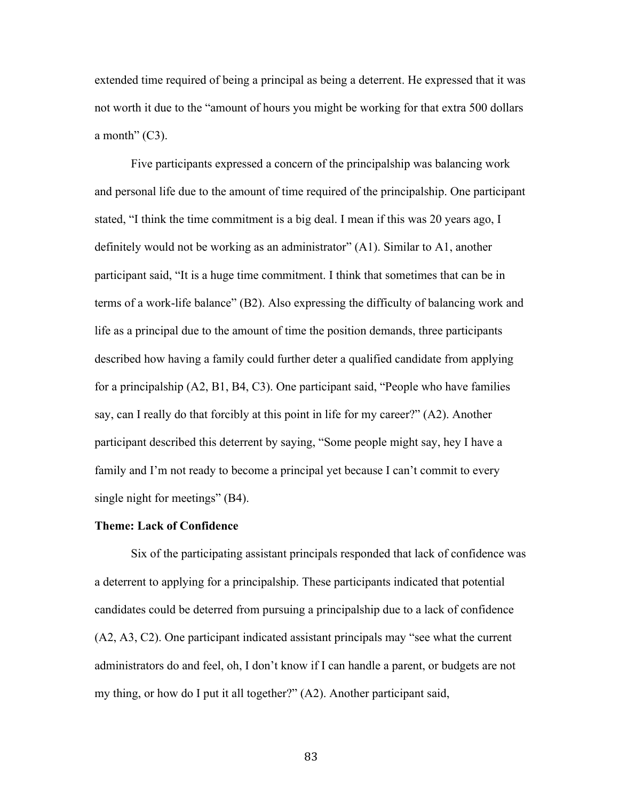extended time required of being a principal as being a deterrent. He expressed that it was not worth it due to the "amount of hours you might be working for that extra 500 dollars a month"  $(C3)$ .

Five participants expressed a concern of the principalship was balancing work and personal life due to the amount of time required of the principalship. One participant stated, "I think the time commitment is a big deal. I mean if this was 20 years ago, I definitely would not be working as an administrator" (A1). Similar to A1, another participant said, "It is a huge time commitment. I think that sometimes that can be in terms of a work-life balance" (B2). Also expressing the difficulty of balancing work and life as a principal due to the amount of time the position demands, three participants described how having a family could further deter a qualified candidate from applying for a principalship (A2, B1, B4, C3). One participant said, "People who have families say, can I really do that forcibly at this point in life for my career?" (A2). Another participant described this deterrent by saying, "Some people might say, hey I have a family and I'm not ready to become a principal yet because I can't commit to every single night for meetings" (B4).

### **Theme: Lack of Confidence**

Six of the participating assistant principals responded that lack of confidence was a deterrent to applying for a principalship. These participants indicated that potential candidates could be deterred from pursuing a principalship due to a lack of confidence (A2, A3, C2). One participant indicated assistant principals may "see what the current administrators do and feel, oh, I don't know if I can handle a parent, or budgets are not my thing, or how do I put it all together?" (A2). Another participant said,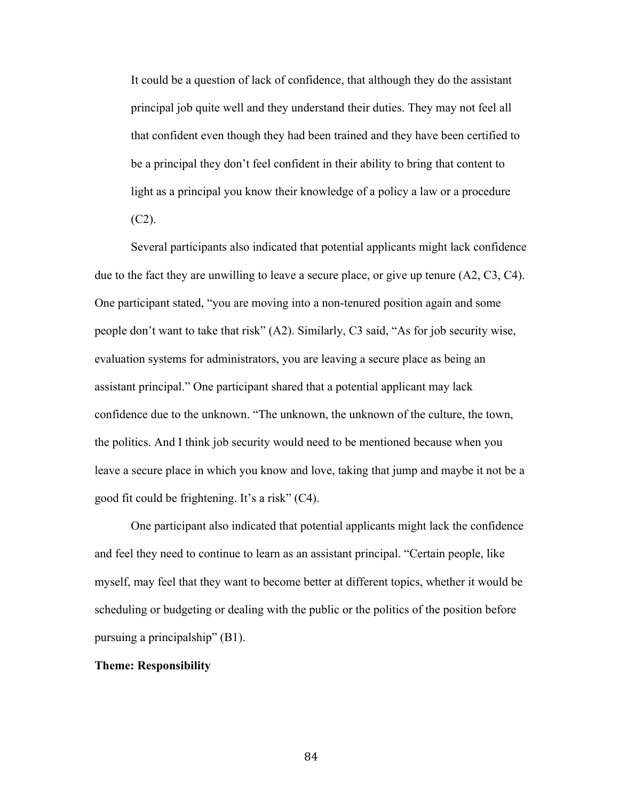It could be a question of lack of confidence, that although they do the assistant principal job quite well and they understand their duties. They may not feel all that confident even though they had been trained and they have been certified to be a principal they don't feel confident in their ability to bring that content to light as a principal you know their knowledge of a policy a law or a procedure  $(C2)$ .

Several participants also indicated that potential applicants might lack confidence due to the fact they are unwilling to leave a secure place, or give up tenure (A2, C3, C4). One participant stated, "you are moving into a non-tenured position again and some people don't want to take that risk" (A2). Similarly, C3 said, "As for job security wise, evaluation systems for administrators, you are leaving a secure place as being an assistant principal." One participant shared that a potential applicant may lack confidence due to the unknown. "The unknown, the unknown of the culture, the town, the politics. And I think job security would need to be mentioned because when you leave a secure place in which you know and love, taking that jump and maybe it not be a good fit could be frightening. It's a risk" (C4).

One participant also indicated that potential applicants might lack the confidence and feel they need to continue to learn as an assistant principal. "Certain people, like myself, may feel that they want to become better at different topics, whether it would be scheduling or budgeting or dealing with the public or the politics of the position before pursuing a principalship" (B1).

## **Theme: Responsibility**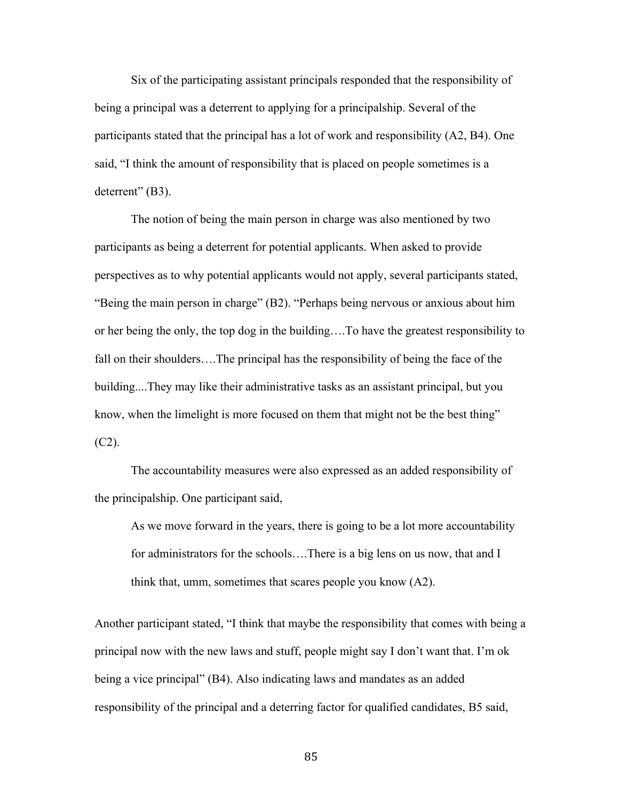Six of the participating assistant principals responded that the responsibility of being a principal was a deterrent to applying for a principalship. Several of the participants stated that the principal has a lot of work and responsibility (A2, B4). One said, "I think the amount of responsibility that is placed on people sometimes is a deterrent" (B3).

The notion of being the main person in charge was also mentioned by two participants as being a deterrent for potential applicants. When asked to provide perspectives as to why potential applicants would not apply, several participants stated, "Being the main person in charge" (B2). "Perhaps being nervous or anxious about him or her being the only, the top dog in the building….To have the greatest responsibility to fall on their shoulders….The principal has the responsibility of being the face of the building....They may like their administrative tasks as an assistant principal, but you know, when the limelight is more focused on them that might not be the best thing"  $(C2)$ .

The accountability measures were also expressed as an added responsibility of the principalship. One participant said,

As we move forward in the years, there is going to be a lot more accountability for administrators for the schools….There is a big lens on us now, that and I think that, umm, sometimes that scares people you know (A2).

Another participant stated, "I think that maybe the responsibility that comes with being a principal now with the new laws and stuff, people might say I don't want that. I'm ok being a vice principal" (B4). Also indicating laws and mandates as an added responsibility of the principal and a deterring factor for qualified candidates, B5 said,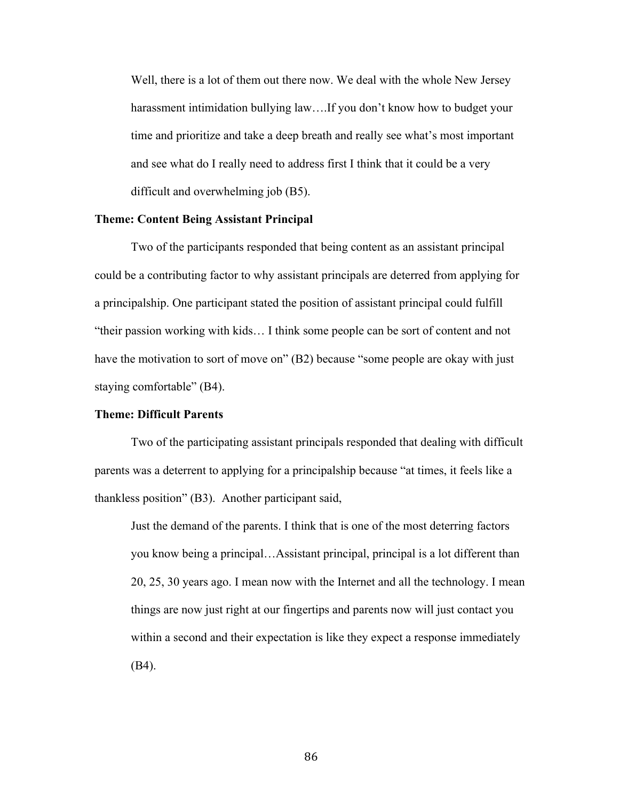Well, there is a lot of them out there now. We deal with the whole New Jersey harassment intimidation bullying law….If you don't know how to budget your time and prioritize and take a deep breath and really see what's most important and see what do I really need to address first I think that it could be a very difficult and overwhelming job (B5).

## **Theme: Content Being Assistant Principal**

Two of the participants responded that being content as an assistant principal could be a contributing factor to why assistant principals are deterred from applying for a principalship. One participant stated the position of assistant principal could fulfill "their passion working with kids… I think some people can be sort of content and not have the motivation to sort of move on" (B2) because "some people are okay with just staying comfortable" (B4).

### **Theme: Difficult Parents**

Two of the participating assistant principals responded that dealing with difficult parents was a deterrent to applying for a principalship because "at times, it feels like a thankless position" (B3). Another participant said,

Just the demand of the parents. I think that is one of the most deterring factors you know being a principal…Assistant principal, principal is a lot different than 20, 25, 30 years ago. I mean now with the Internet and all the technology. I mean things are now just right at our fingertips and parents now will just contact you within a second and their expectation is like they expect a response immediately (B4).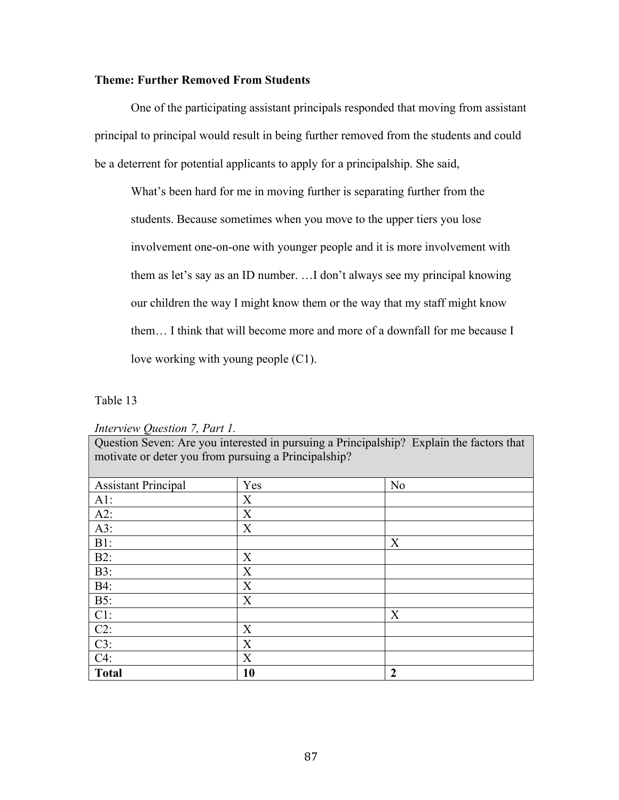# **Theme: Further Removed From Students**

One of the participating assistant principals responded that moving from assistant principal to principal would result in being further removed from the students and could be a deterrent for potential applicants to apply for a principalship. She said,

What's been hard for me in moving further is separating further from the students. Because sometimes when you move to the upper tiers you lose involvement one-on-one with younger people and it is more involvement with them as let's say as an ID number. …I don't always see my principal knowing our children the way I might know them or the way that my staff might know them… I think that will become more and more of a downfall for me because I love working with young people (C1).

Table 13

*Interview Question 7, Part 1.*

Question Seven: Are you interested in pursuing a Principalship? Explain the factors that motivate or deter you from pursuing a Principalship?

| <b>Assistant Principal</b>      | Yes | N <sub>o</sub> |
|---------------------------------|-----|----------------|
| AI:                             | X   |                |
| $A2$ :                          | X   |                |
| A3:                             | X   |                |
| $B1$ :                          |     | X              |
| $B2$ :                          | X   |                |
| $B3$ :                          | X   |                |
| <b>B4:</b>                      | X   |                |
| <b>B5:</b>                      | X   |                |
| $\frac{C1:}{C2:}$               |     | X              |
|                                 | X   |                |
| $\frac{\text{C3:}}{\text{C4:}}$ | X   |                |
|                                 | X   |                |
| <b>Total</b>                    | 10  | $\overline{2}$ |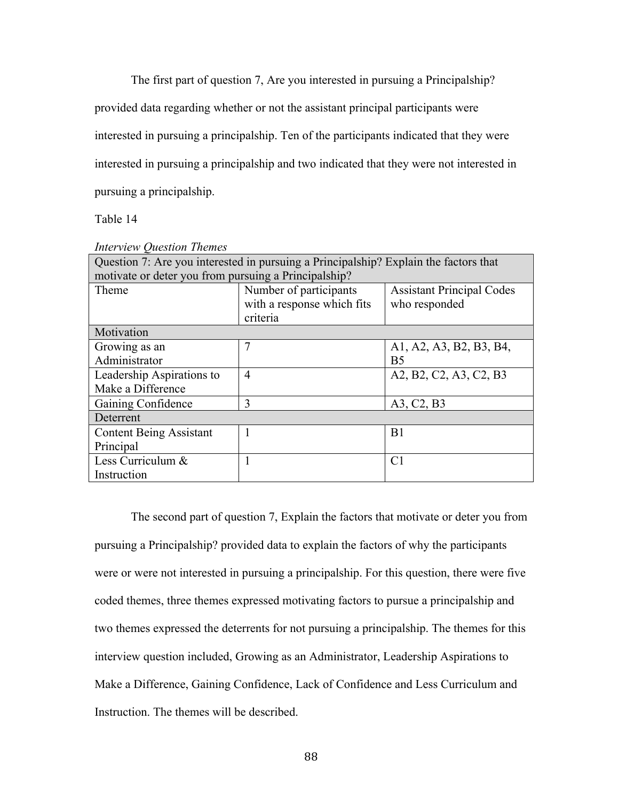The first part of question 7, Are you interested in pursuing a Principalship?

provided data regarding whether or not the assistant principal participants were

interested in pursuing a principalship. Ten of the participants indicated that they were

interested in pursuing a principalship and two indicated that they were not interested in

pursuing a principalship.

Table 14

| Question 7: Are you interested in pursuing a Principalship? Explain the factors that |                            |                                  |
|--------------------------------------------------------------------------------------|----------------------------|----------------------------------|
| motivate or deter you from pursuing a Principalship?                                 |                            |                                  |
| Theme                                                                                | Number of participants     | <b>Assistant Principal Codes</b> |
|                                                                                      | with a response which fits | who responded                    |
|                                                                                      | criteria                   |                                  |
| Motivation                                                                           |                            |                                  |
| Growing as an                                                                        | 7                          | A1, A2, A3, B2, B3, B4,          |
| Administrator                                                                        |                            | B <sub>5</sub>                   |
| Leadership Aspirations to                                                            | $\overline{4}$             | A2, B2, C2, A3, C2, B3           |
| Make a Difference                                                                    |                            |                                  |
| Gaining Confidence                                                                   | 3                          | A3, C2, B3                       |
| Deterrent                                                                            |                            |                                  |
| <b>Content Being Assistant</b>                                                       | $\mathbf{1}$               | B1                               |
| Principal                                                                            |                            |                                  |
| Less Curriculum &                                                                    | 1                          | C <sub>1</sub>                   |
| Instruction                                                                          |                            |                                  |

*Interview Question Themes*

The second part of question 7, Explain the factors that motivate or deter you from pursuing a Principalship? provided data to explain the factors of why the participants were or were not interested in pursuing a principalship. For this question, there were five coded themes, three themes expressed motivating factors to pursue a principalship and two themes expressed the deterrents for not pursuing a principalship. The themes for this interview question included, Growing as an Administrator, Leadership Aspirations to Make a Difference, Gaining Confidence, Lack of Confidence and Less Curriculum and Instruction. The themes will be described.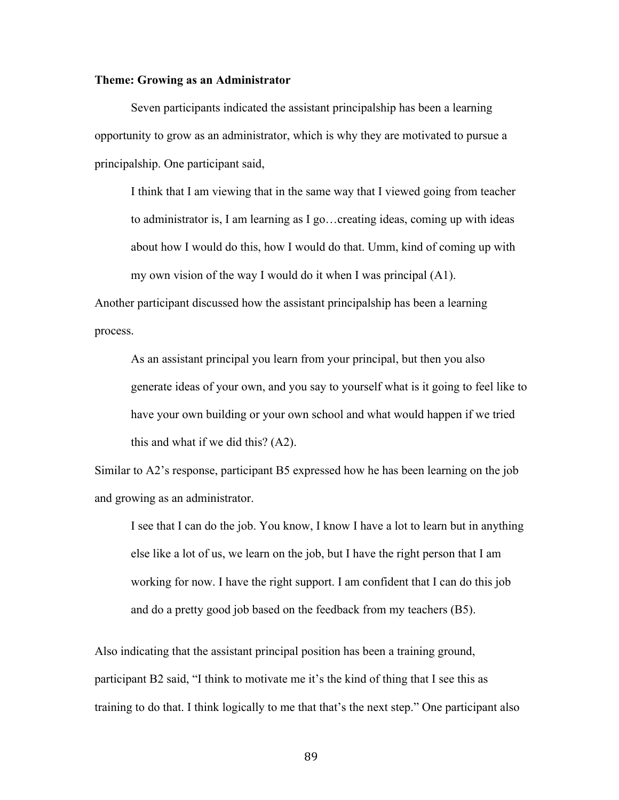# **Theme: Growing as an Administrator**

Seven participants indicated the assistant principalship has been a learning opportunity to grow as an administrator, which is why they are motivated to pursue a principalship. One participant said,

I think that I am viewing that in the same way that I viewed going from teacher to administrator is, I am learning as I go…creating ideas, coming up with ideas about how I would do this, how I would do that. Umm, kind of coming up with my own vision of the way I would do it when I was principal (A1).

Another participant discussed how the assistant principalship has been a learning process.

As an assistant principal you learn from your principal, but then you also generate ideas of your own, and you say to yourself what is it going to feel like to have your own building or your own school and what would happen if we tried this and what if we did this? (A2).

Similar to A2's response, participant B5 expressed how he has been learning on the job and growing as an administrator.

I see that I can do the job. You know, I know I have a lot to learn but in anything else like a lot of us, we learn on the job, but I have the right person that I am working for now. I have the right support. I am confident that I can do this job and do a pretty good job based on the feedback from my teachers (B5).

Also indicating that the assistant principal position has been a training ground, participant B2 said, "I think to motivate me it's the kind of thing that I see this as training to do that. I think logically to me that that's the next step." One participant also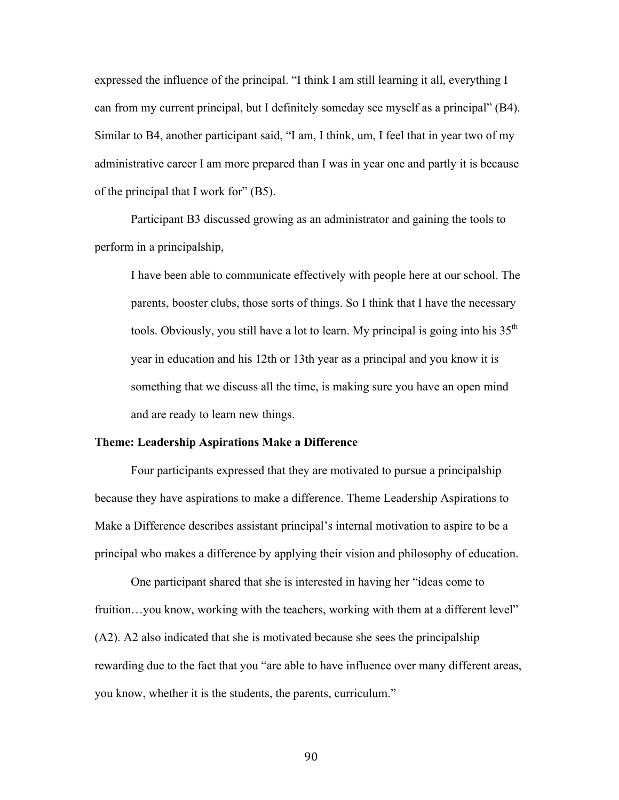expressed the influence of the principal. "I think I am still learning it all, everything I can from my current principal, but I definitely someday see myself as a principal" (B4). Similar to B4, another participant said, "I am, I think, um, I feel that in year two of my administrative career I am more prepared than I was in year one and partly it is because of the principal that I work for" (B5).

Participant B3 discussed growing as an administrator and gaining the tools to perform in a principalship,

I have been able to communicate effectively with people here at our school. The parents, booster clubs, those sorts of things. So I think that I have the necessary tools. Obviously, you still have a lot to learn. My principal is going into his  $35<sup>th</sup>$ year in education and his 12th or 13th year as a principal and you know it is something that we discuss all the time, is making sure you have an open mind and are ready to learn new things.

### **Theme: Leadership Aspirations Make a Difference**

Four participants expressed that they are motivated to pursue a principalship because they have aspirations to make a difference. Theme Leadership Aspirations to Make a Difference describes assistant principal's internal motivation to aspire to be a principal who makes a difference by applying their vision and philosophy of education.

One participant shared that she is interested in having her "ideas come to fruition...you know, working with the teachers, working with them at a different level" (A2). A2 also indicated that she is motivated because she sees the principalship rewarding due to the fact that you "are able to have influence over many different areas, you know, whether it is the students, the parents, curriculum."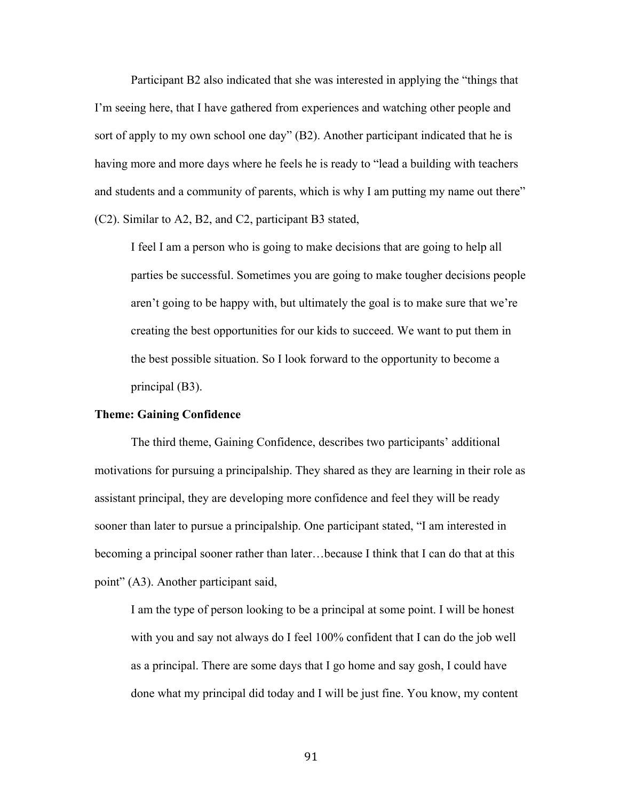Participant B2 also indicated that she was interested in applying the "things that I'm seeing here, that I have gathered from experiences and watching other people and sort of apply to my own school one day" (B2). Another participant indicated that he is having more and more days where he feels he is ready to "lead a building with teachers and students and a community of parents, which is why I am putting my name out there" (C2). Similar to A2, B2, and C2, participant B3 stated,

I feel I am a person who is going to make decisions that are going to help all parties be successful. Sometimes you are going to make tougher decisions people aren't going to be happy with, but ultimately the goal is to make sure that we're creating the best opportunities for our kids to succeed. We want to put them in the best possible situation. So I look forward to the opportunity to become a principal (B3).

### **Theme: Gaining Confidence**

The third theme, Gaining Confidence, describes two participants' additional motivations for pursuing a principalship. They shared as they are learning in their role as assistant principal, they are developing more confidence and feel they will be ready sooner than later to pursue a principalship. One participant stated, "I am interested in becoming a principal sooner rather than later…because I think that I can do that at this point" (A3). Another participant said,

I am the type of person looking to be a principal at some point. I will be honest with you and say not always do I feel 100% confident that I can do the job well as a principal. There are some days that I go home and say gosh, I could have done what my principal did today and I will be just fine. You know, my content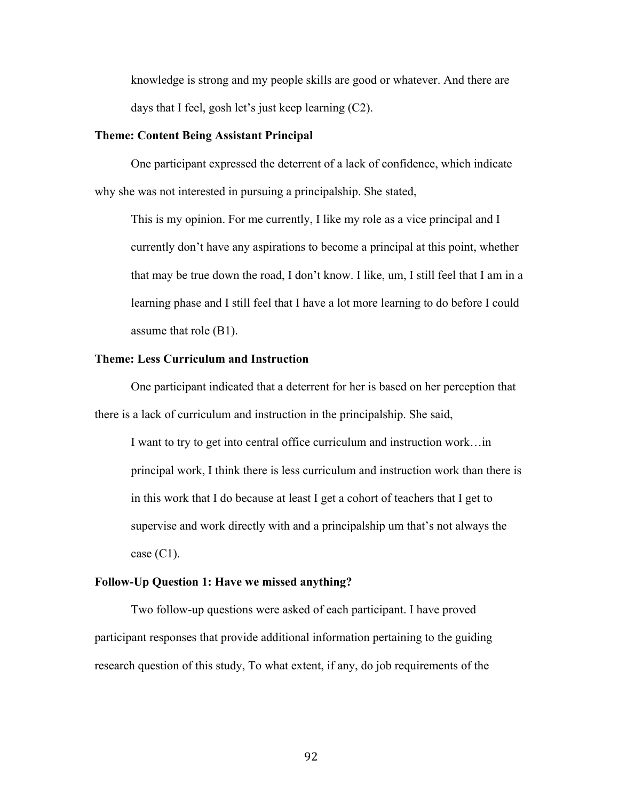knowledge is strong and my people skills are good or whatever. And there are days that I feel, gosh let's just keep learning (C2).

## **Theme: Content Being Assistant Principal**

One participant expressed the deterrent of a lack of confidence, which indicate why she was not interested in pursuing a principalship. She stated,

This is my opinion. For me currently, I like my role as a vice principal and I currently don't have any aspirations to become a principal at this point, whether that may be true down the road, I don't know. I like, um, I still feel that I am in a learning phase and I still feel that I have a lot more learning to do before I could assume that role (B1).

### **Theme: Less Curriculum and Instruction**

One participant indicated that a deterrent for her is based on her perception that there is a lack of curriculum and instruction in the principalship. She said,

I want to try to get into central office curriculum and instruction work…in principal work, I think there is less curriculum and instruction work than there is in this work that I do because at least I get a cohort of teachers that I get to supervise and work directly with and a principalship um that's not always the case  $(C1)$ .

### **Follow-Up Question 1: Have we missed anything?**

Two follow-up questions were asked of each participant. I have proved participant responses that provide additional information pertaining to the guiding research question of this study, To what extent, if any, do job requirements of the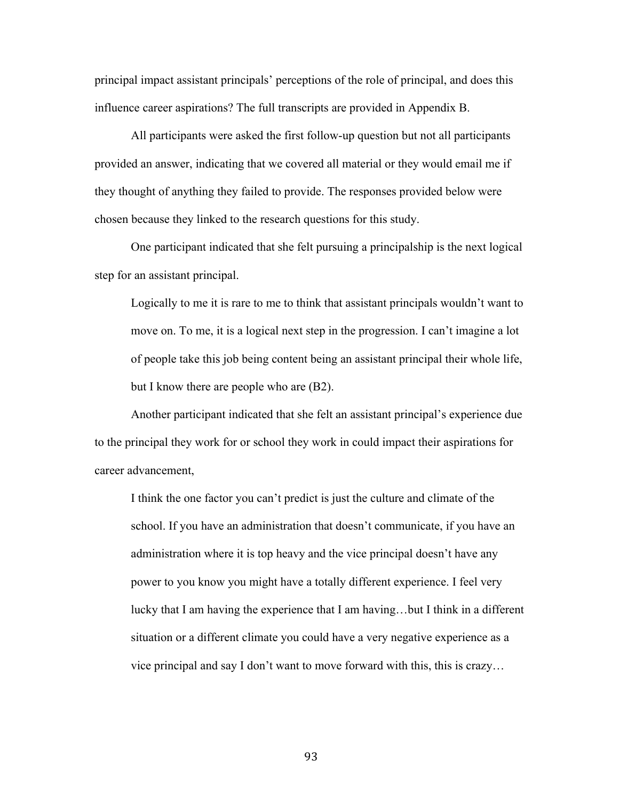principal impact assistant principals' perceptions of the role of principal, and does this influence career aspirations? The full transcripts are provided in Appendix B.

All participants were asked the first follow-up question but not all participants provided an answer, indicating that we covered all material or they would email me if they thought of anything they failed to provide. The responses provided below were chosen because they linked to the research questions for this study.

One participant indicated that she felt pursuing a principalship is the next logical step for an assistant principal.

Logically to me it is rare to me to think that assistant principals wouldn't want to move on. To me, it is a logical next step in the progression. I can't imagine a lot of people take this job being content being an assistant principal their whole life, but I know there are people who are (B2).

Another participant indicated that she felt an assistant principal's experience due to the principal they work for or school they work in could impact their aspirations for career advancement,

I think the one factor you can't predict is just the culture and climate of the school. If you have an administration that doesn't communicate, if you have an administration where it is top heavy and the vice principal doesn't have any power to you know you might have a totally different experience. I feel very lucky that I am having the experience that I am having…but I think in a different situation or a different climate you could have a very negative experience as a vice principal and say I don't want to move forward with this, this is crazy…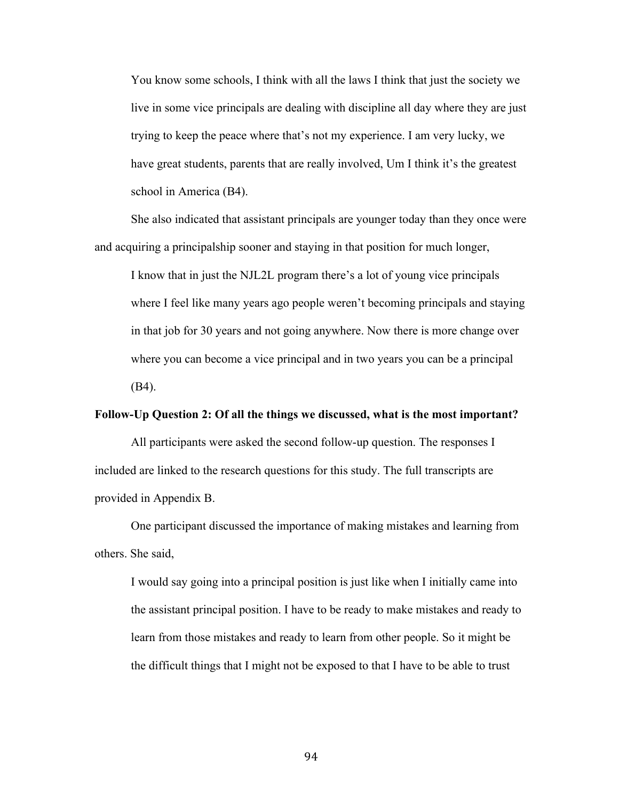You know some schools, I think with all the laws I think that just the society we live in some vice principals are dealing with discipline all day where they are just trying to keep the peace where that's not my experience. I am very lucky, we have great students, parents that are really involved, Um I think it's the greatest school in America (B4).

She also indicated that assistant principals are younger today than they once were and acquiring a principalship sooner and staying in that position for much longer,

I know that in just the NJL2L program there's a lot of young vice principals where I feel like many years ago people weren't becoming principals and staying in that job for 30 years and not going anywhere. Now there is more change over where you can become a vice principal and in two years you can be a principal (B4).

### **Follow-Up Question 2: Of all the things we discussed, what is the most important?**

All participants were asked the second follow-up question. The responses I included are linked to the research questions for this study. The full transcripts are provided in Appendix B.

One participant discussed the importance of making mistakes and learning from others. She said,

I would say going into a principal position is just like when I initially came into the assistant principal position. I have to be ready to make mistakes and ready to learn from those mistakes and ready to learn from other people. So it might be the difficult things that I might not be exposed to that I have to be able to trust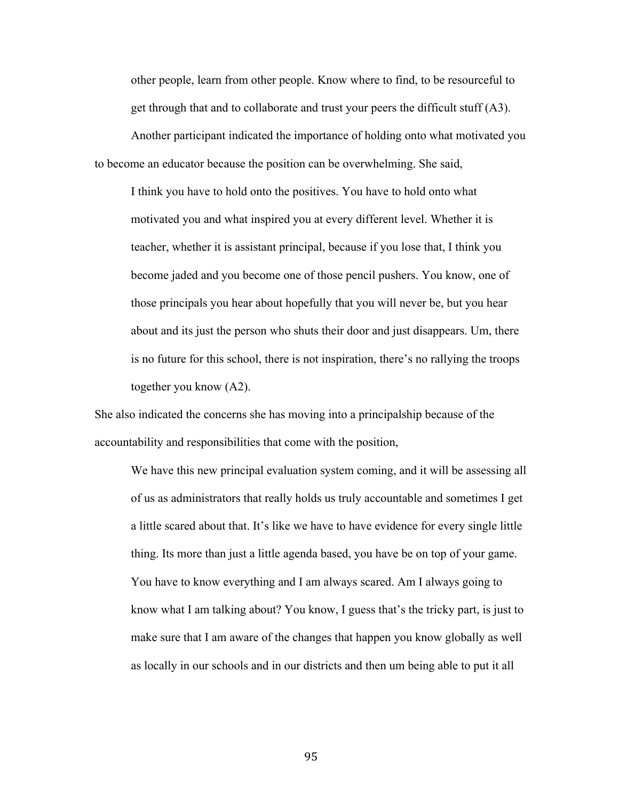other people, learn from other people. Know where to find, to be resourceful to get through that and to collaborate and trust your peers the difficult stuff (A3).

Another participant indicated the importance of holding onto what motivated you to become an educator because the position can be overwhelming. She said,

I think you have to hold onto the positives. You have to hold onto what motivated you and what inspired you at every different level. Whether it is teacher, whether it is assistant principal, because if you lose that, I think you become jaded and you become one of those pencil pushers. You know, one of those principals you hear about hopefully that you will never be, but you hear about and its just the person who shuts their door and just disappears. Um, there is no future for this school, there is not inspiration, there's no rallying the troops together you know (A2).

She also indicated the concerns she has moving into a principalship because of the accountability and responsibilities that come with the position,

We have this new principal evaluation system coming, and it will be assessing all of us as administrators that really holds us truly accountable and sometimes I get a little scared about that. It's like we have to have evidence for every single little thing. Its more than just a little agenda based, you have be on top of your game. You have to know everything and I am always scared. Am I always going to know what I am talking about? You know, I guess that's the tricky part, is just to make sure that I am aware of the changes that happen you know globally as well as locally in our schools and in our districts and then um being able to put it all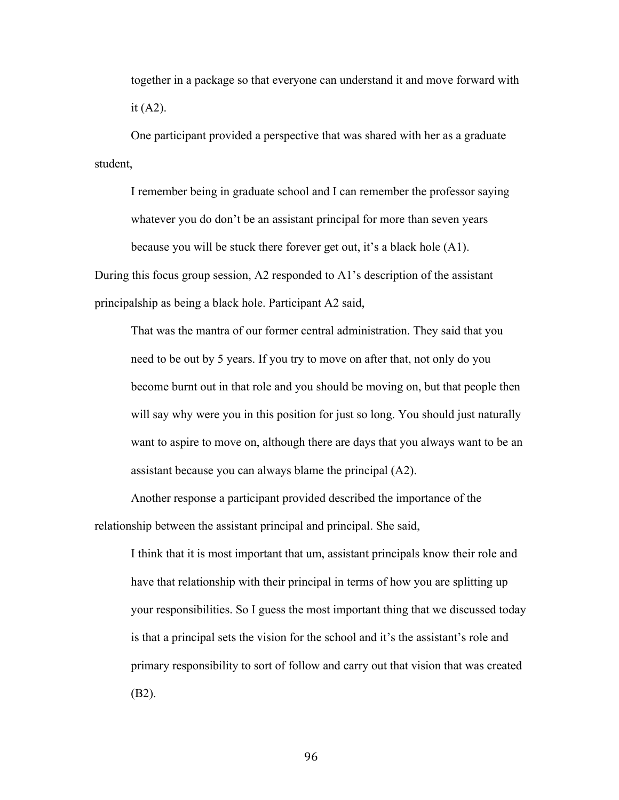together in a package so that everyone can understand it and move forward with it  $(A2)$ .

One participant provided a perspective that was shared with her as a graduate student,

I remember being in graduate school and I can remember the professor saying whatever you do don't be an assistant principal for more than seven years because you will be stuck there forever get out, it's a black hole (A1).

During this focus group session, A2 responded to A1's description of the assistant principalship as being a black hole. Participant A2 said,

That was the mantra of our former central administration. They said that you need to be out by 5 years. If you try to move on after that, not only do you become burnt out in that role and you should be moving on, but that people then will say why were you in this position for just so long. You should just naturally want to aspire to move on, although there are days that you always want to be an assistant because you can always blame the principal (A2).

Another response a participant provided described the importance of the relationship between the assistant principal and principal. She said,

I think that it is most important that um, assistant principals know their role and have that relationship with their principal in terms of how you are splitting up your responsibilities. So I guess the most important thing that we discussed today is that a principal sets the vision for the school and it's the assistant's role and primary responsibility to sort of follow and carry out that vision that was created (B2).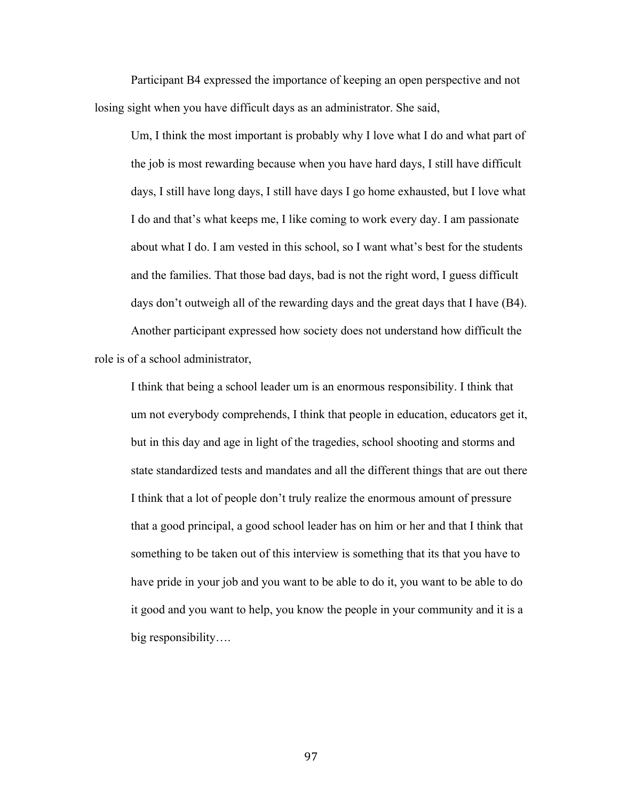Participant B4 expressed the importance of keeping an open perspective and not losing sight when you have difficult days as an administrator. She said,

Um, I think the most important is probably why I love what I do and what part of the job is most rewarding because when you have hard days, I still have difficult days, I still have long days, I still have days I go home exhausted, but I love what I do and that's what keeps me, I like coming to work every day. I am passionate about what I do. I am vested in this school, so I want what's best for the students and the families. That those bad days, bad is not the right word, I guess difficult days don't outweigh all of the rewarding days and the great days that I have (B4).

Another participant expressed how society does not understand how difficult the role is of a school administrator,

I think that being a school leader um is an enormous responsibility. I think that um not everybody comprehends, I think that people in education, educators get it, but in this day and age in light of the tragedies, school shooting and storms and state standardized tests and mandates and all the different things that are out there I think that a lot of people don't truly realize the enormous amount of pressure that a good principal, a good school leader has on him or her and that I think that something to be taken out of this interview is something that its that you have to have pride in your job and you want to be able to do it, you want to be able to do it good and you want to help, you know the people in your community and it is a big responsibility….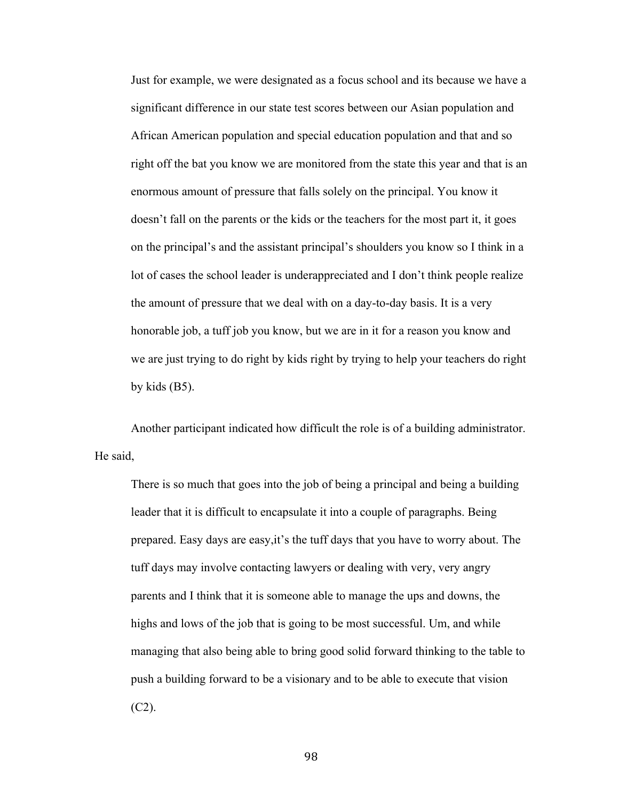Just for example, we were designated as a focus school and its because we have a significant difference in our state test scores between our Asian population and African American population and special education population and that and so right off the bat you know we are monitored from the state this year and that is an enormous amount of pressure that falls solely on the principal. You know it doesn't fall on the parents or the kids or the teachers for the most part it, it goes on the principal's and the assistant principal's shoulders you know so I think in a lot of cases the school leader is underappreciated and I don't think people realize the amount of pressure that we deal with on a day-to-day basis. It is a very honorable job, a tuff job you know, but we are in it for a reason you know and we are just trying to do right by kids right by trying to help your teachers do right by kids (B5).

Another participant indicated how difficult the role is of a building administrator. He said,

There is so much that goes into the job of being a principal and being a building leader that it is difficult to encapsulate it into a couple of paragraphs. Being prepared. Easy days are easy,it's the tuff days that you have to worry about. The tuff days may involve contacting lawyers or dealing with very, very angry parents and I think that it is someone able to manage the ups and downs, the highs and lows of the job that is going to be most successful. Um, and while managing that also being able to bring good solid forward thinking to the table to push a building forward to be a visionary and to be able to execute that vision  $(C2)$ .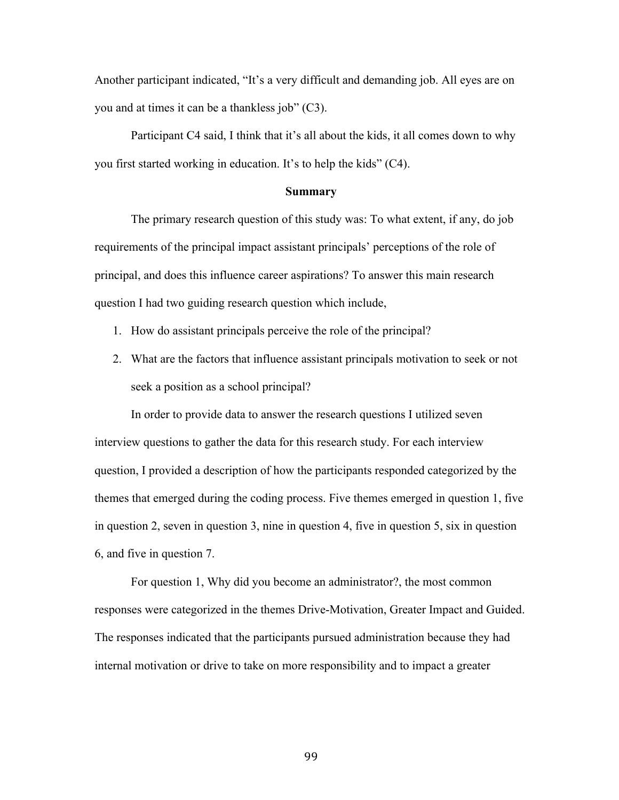Another participant indicated, "It's a very difficult and demanding job. All eyes are on you and at times it can be a thankless job" (C3).

Participant C4 said, I think that it's all about the kids, it all comes down to why you first started working in education. It's to help the kids" (C4).

#### **Summary**

The primary research question of this study was: To what extent, if any, do job requirements of the principal impact assistant principals' perceptions of the role of principal, and does this influence career aspirations? To answer this main research question I had two guiding research question which include,

- 1. How do assistant principals perceive the role of the principal?
- 2. What are the factors that influence assistant principals motivation to seek or not seek a position as a school principal?

In order to provide data to answer the research questions I utilized seven interview questions to gather the data for this research study. For each interview question, I provided a description of how the participants responded categorized by the themes that emerged during the coding process. Five themes emerged in question 1, five in question 2, seven in question 3, nine in question 4, five in question 5, six in question 6, and five in question 7.

For question 1, Why did you become an administrator?, the most common responses were categorized in the themes Drive-Motivation, Greater Impact and Guided. The responses indicated that the participants pursued administration because they had internal motivation or drive to take on more responsibility and to impact a greater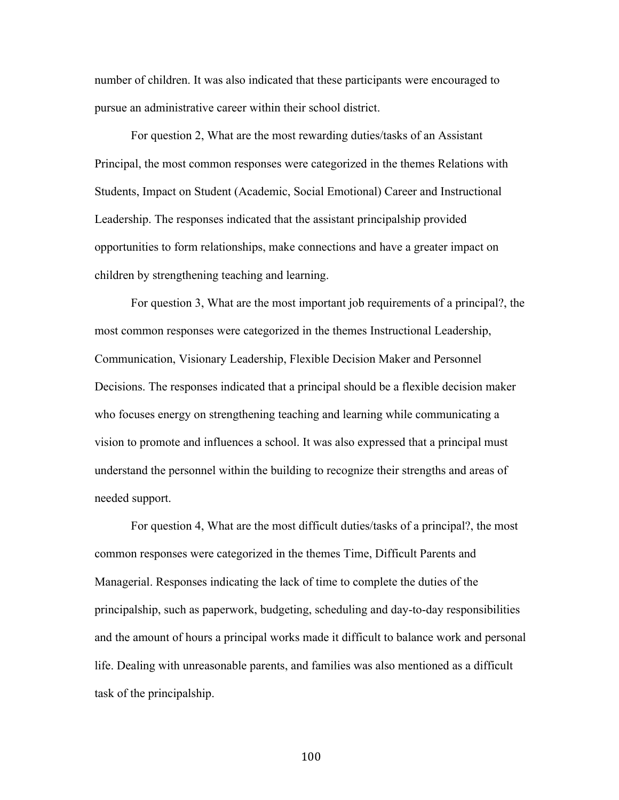number of children. It was also indicated that these participants were encouraged to pursue an administrative career within their school district.

For question 2, What are the most rewarding duties/tasks of an Assistant Principal, the most common responses were categorized in the themes Relations with Students, Impact on Student (Academic, Social Emotional) Career and Instructional Leadership. The responses indicated that the assistant principalship provided opportunities to form relationships, make connections and have a greater impact on children by strengthening teaching and learning.

For question 3, What are the most important job requirements of a principal?, the most common responses were categorized in the themes Instructional Leadership, Communication, Visionary Leadership, Flexible Decision Maker and Personnel Decisions. The responses indicated that a principal should be a flexible decision maker who focuses energy on strengthening teaching and learning while communicating a vision to promote and influences a school. It was also expressed that a principal must understand the personnel within the building to recognize their strengths and areas of needed support.

For question 4, What are the most difficult duties/tasks of a principal?, the most common responses were categorized in the themes Time, Difficult Parents and Managerial. Responses indicating the lack of time to complete the duties of the principalship, such as paperwork, budgeting, scheduling and day-to-day responsibilities and the amount of hours a principal works made it difficult to balance work and personal life. Dealing with unreasonable parents, and families was also mentioned as a difficult task of the principalship.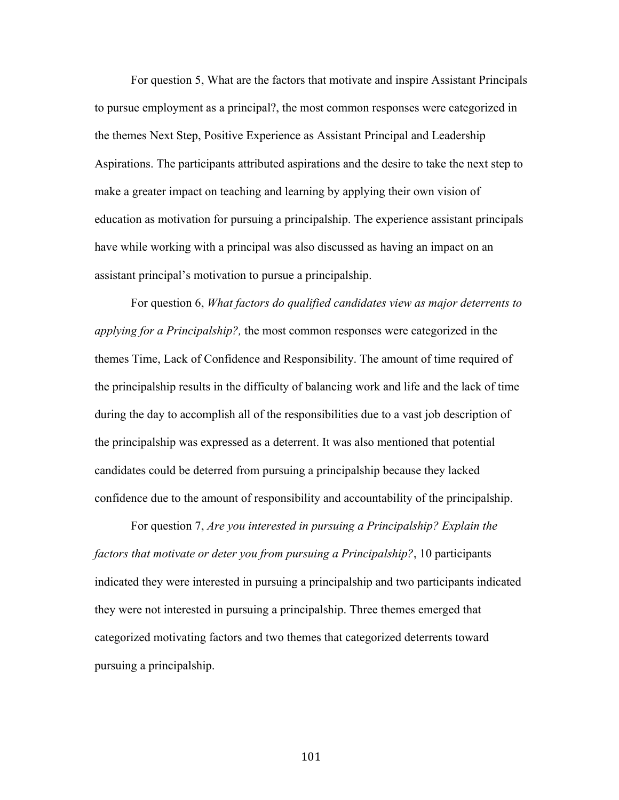For question 5, What are the factors that motivate and inspire Assistant Principals to pursue employment as a principal?, the most common responses were categorized in the themes Next Step, Positive Experience as Assistant Principal and Leadership Aspirations. The participants attributed aspirations and the desire to take the next step to make a greater impact on teaching and learning by applying their own vision of education as motivation for pursuing a principalship. The experience assistant principals have while working with a principal was also discussed as having an impact on an assistant principal's motivation to pursue a principalship.

For question 6, *What factors do qualified candidates view as major deterrents to applying for a Principalship?,* the most common responses were categorized in the themes Time, Lack of Confidence and Responsibility. The amount of time required of the principalship results in the difficulty of balancing work and life and the lack of time during the day to accomplish all of the responsibilities due to a vast job description of the principalship was expressed as a deterrent. It was also mentioned that potential candidates could be deterred from pursuing a principalship because they lacked confidence due to the amount of responsibility and accountability of the principalship.

For question 7, *Are you interested in pursuing a Principalship? Explain the factors that motivate or deter you from pursuing a Principalship?*, 10 participants indicated they were interested in pursuing a principalship and two participants indicated they were not interested in pursuing a principalship. Three themes emerged that categorized motivating factors and two themes that categorized deterrents toward pursuing a principalship.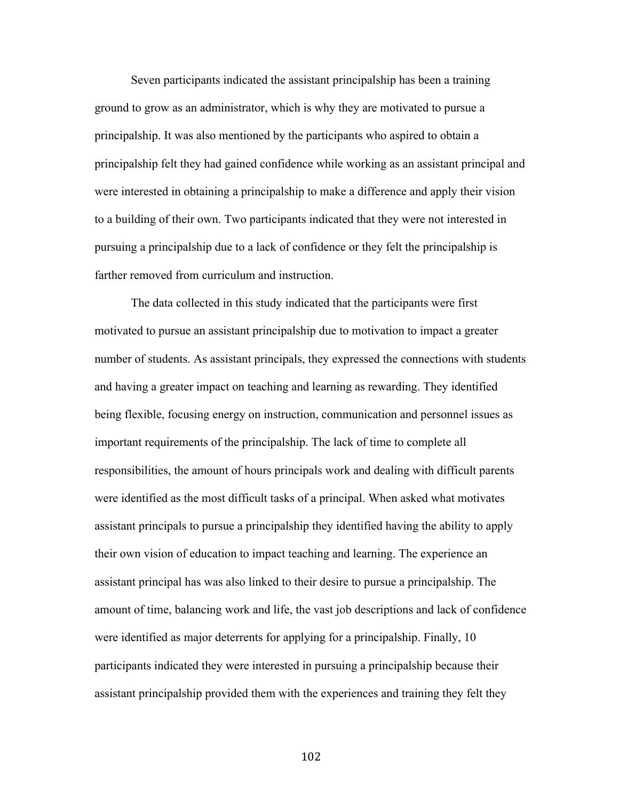Seven participants indicated the assistant principalship has been a training ground to grow as an administrator, which is why they are motivated to pursue a principalship. It was also mentioned by the participants who aspired to obtain a principalship felt they had gained confidence while working as an assistant principal and were interested in obtaining a principalship to make a difference and apply their vision to a building of their own. Two participants indicated that they were not interested in pursuing a principalship due to a lack of confidence or they felt the principalship is farther removed from curriculum and instruction.

The data collected in this study indicated that the participants were first motivated to pursue an assistant principalship due to motivation to impact a greater number of students. As assistant principals, they expressed the connections with students and having a greater impact on teaching and learning as rewarding. They identified being flexible, focusing energy on instruction, communication and personnel issues as important requirements of the principalship. The lack of time to complete all responsibilities, the amount of hours principals work and dealing with difficult parents were identified as the most difficult tasks of a principal. When asked what motivates assistant principals to pursue a principalship they identified having the ability to apply their own vision of education to impact teaching and learning. The experience an assistant principal has was also linked to their desire to pursue a principalship. The amount of time, balancing work and life, the vast job descriptions and lack of confidence were identified as major deterrents for applying for a principalship. Finally, 10 participants indicated they were interested in pursuing a principalship because their assistant principalship provided them with the experiences and training they felt they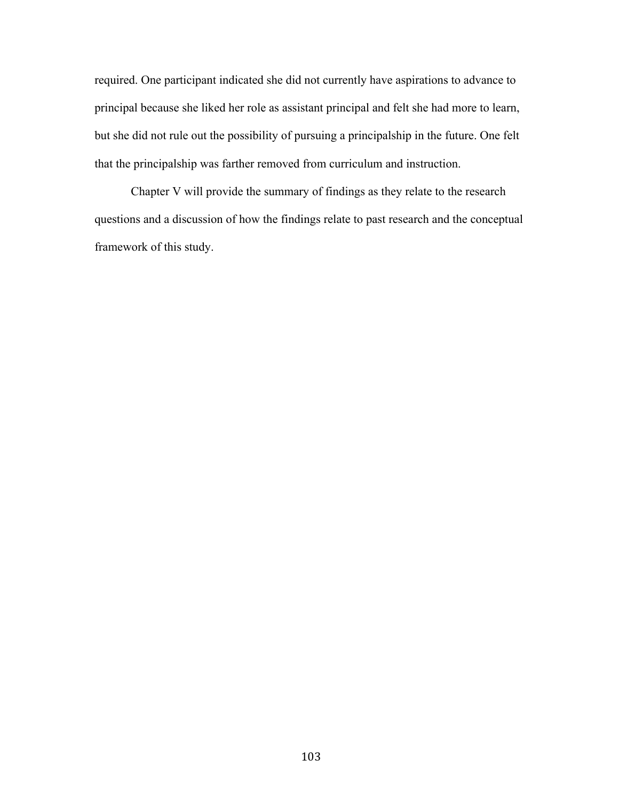required. One participant indicated she did not currently have aspirations to advance to principal because she liked her role as assistant principal and felt she had more to learn, but she did not rule out the possibility of pursuing a principalship in the future. One felt that the principalship was farther removed from curriculum and instruction.

Chapter V will provide the summary of findings as they relate to the research questions and a discussion of how the findings relate to past research and the conceptual framework of this study.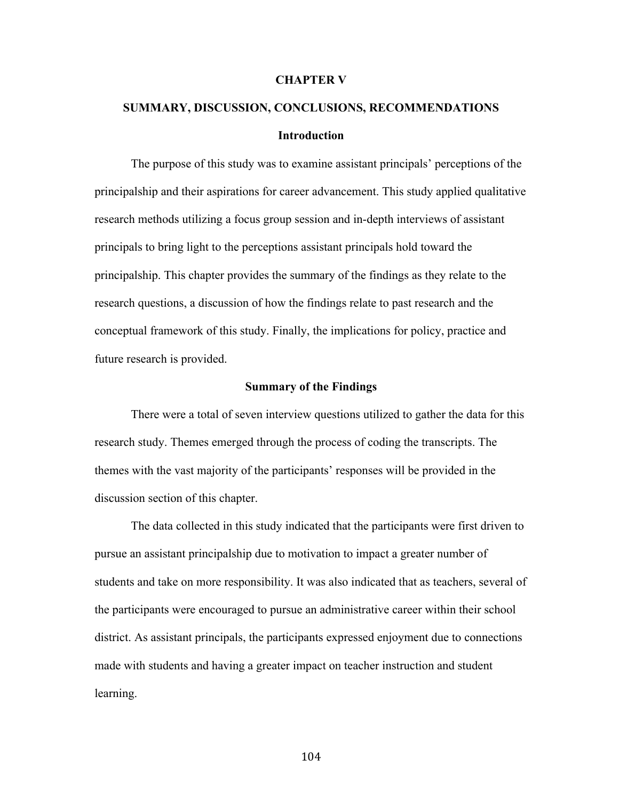#### **CHAPTER V**

# **SUMMARY, DISCUSSION, CONCLUSIONS, RECOMMENDATIONS Introduction**

The purpose of this study was to examine assistant principals' perceptions of the principalship and their aspirations for career advancement. This study applied qualitative research methods utilizing a focus group session and in-depth interviews of assistant principals to bring light to the perceptions assistant principals hold toward the principalship. This chapter provides the summary of the findings as they relate to the research questions, a discussion of how the findings relate to past research and the conceptual framework of this study. Finally, the implications for policy, practice and future research is provided.

#### **Summary of the Findings**

There were a total of seven interview questions utilized to gather the data for this research study. Themes emerged through the process of coding the transcripts. The themes with the vast majority of the participants' responses will be provided in the discussion section of this chapter.

The data collected in this study indicated that the participants were first driven to pursue an assistant principalship due to motivation to impact a greater number of students and take on more responsibility. It was also indicated that as teachers, several of the participants were encouraged to pursue an administrative career within their school district. As assistant principals, the participants expressed enjoyment due to connections made with students and having a greater impact on teacher instruction and student learning.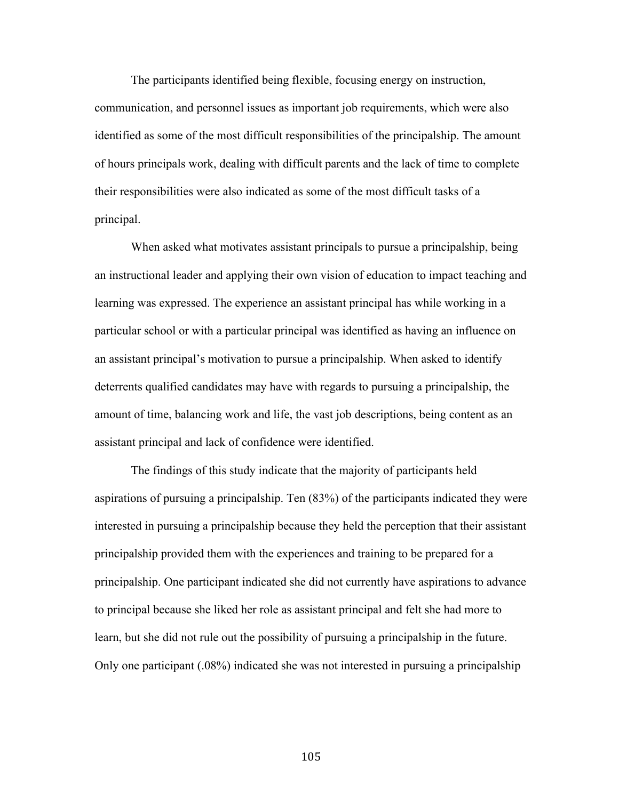The participants identified being flexible, focusing energy on instruction, communication, and personnel issues as important job requirements, which were also identified as some of the most difficult responsibilities of the principalship. The amount of hours principals work, dealing with difficult parents and the lack of time to complete their responsibilities were also indicated as some of the most difficult tasks of a principal.

When asked what motivates assistant principals to pursue a principalship, being an instructional leader and applying their own vision of education to impact teaching and learning was expressed. The experience an assistant principal has while working in a particular school or with a particular principal was identified as having an influence on an assistant principal's motivation to pursue a principalship. When asked to identify deterrents qualified candidates may have with regards to pursuing a principalship, the amount of time, balancing work and life, the vast job descriptions, being content as an assistant principal and lack of confidence were identified.

The findings of this study indicate that the majority of participants held aspirations of pursuing a principalship. Ten (83%) of the participants indicated they were interested in pursuing a principalship because they held the perception that their assistant principalship provided them with the experiences and training to be prepared for a principalship. One participant indicated she did not currently have aspirations to advance to principal because she liked her role as assistant principal and felt she had more to learn, but she did not rule out the possibility of pursuing a principalship in the future. Only one participant (.08%) indicated she was not interested in pursuing a principalship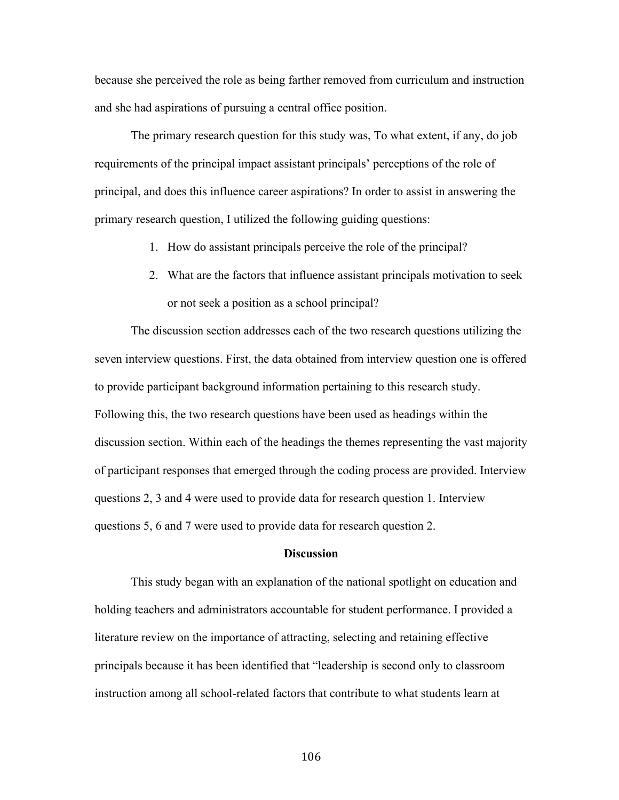because she perceived the role as being farther removed from curriculum and instruction and she had aspirations of pursuing a central office position.

The primary research question for this study was, To what extent, if any, do job requirements of the principal impact assistant principals' perceptions of the role of principal, and does this influence career aspirations? In order to assist in answering the primary research question, I utilized the following guiding questions:

- 1. How do assistant principals perceive the role of the principal?
- 2. What are the factors that influence assistant principals motivation to seek or not seek a position as a school principal?

The discussion section addresses each of the two research questions utilizing the seven interview questions. First, the data obtained from interview question one is offered to provide participant background information pertaining to this research study. Following this, the two research questions have been used as headings within the discussion section. Within each of the headings the themes representing the vast majority of participant responses that emerged through the coding process are provided. Interview questions 2, 3 and 4 were used to provide data for research question 1. Interview questions 5, 6 and 7 were used to provide data for research question 2.

#### **Discussion**

This study began with an explanation of the national spotlight on education and holding teachers and administrators accountable for student performance. I provided a literature review on the importance of attracting, selecting and retaining effective principals because it has been identified that "leadership is second only to classroom instruction among all school-related factors that contribute to what students learn at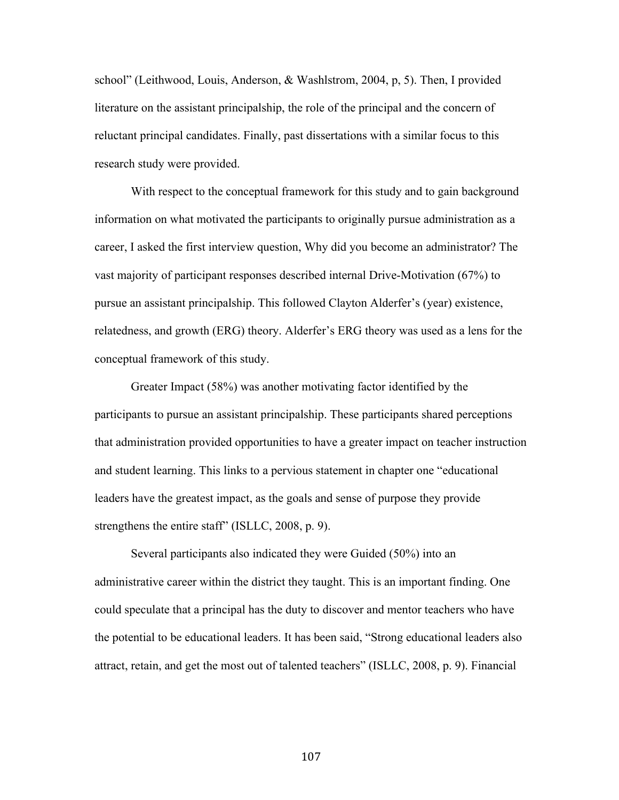school" (Leithwood, Louis, Anderson, & Washlstrom, 2004, p, 5). Then, I provided literature on the assistant principalship, the role of the principal and the concern of reluctant principal candidates. Finally, past dissertations with a similar focus to this research study were provided.

With respect to the conceptual framework for this study and to gain background information on what motivated the participants to originally pursue administration as a career, I asked the first interview question, Why did you become an administrator? The vast majority of participant responses described internal Drive-Motivation (67%) to pursue an assistant principalship. This followed Clayton Alderfer's (year) existence, relatedness, and growth (ERG) theory. Alderfer's ERG theory was used as a lens for the conceptual framework of this study.

Greater Impact (58%) was another motivating factor identified by the participants to pursue an assistant principalship. These participants shared perceptions that administration provided opportunities to have a greater impact on teacher instruction and student learning. This links to a pervious statement in chapter one "educational leaders have the greatest impact, as the goals and sense of purpose they provide strengthens the entire staff" (ISLLC, 2008, p. 9).

Several participants also indicated they were Guided (50%) into an administrative career within the district they taught. This is an important finding. One could speculate that a principal has the duty to discover and mentor teachers who have the potential to be educational leaders. It has been said, "Strong educational leaders also attract, retain, and get the most out of talented teachers" (ISLLC, 2008, p. 9). Financial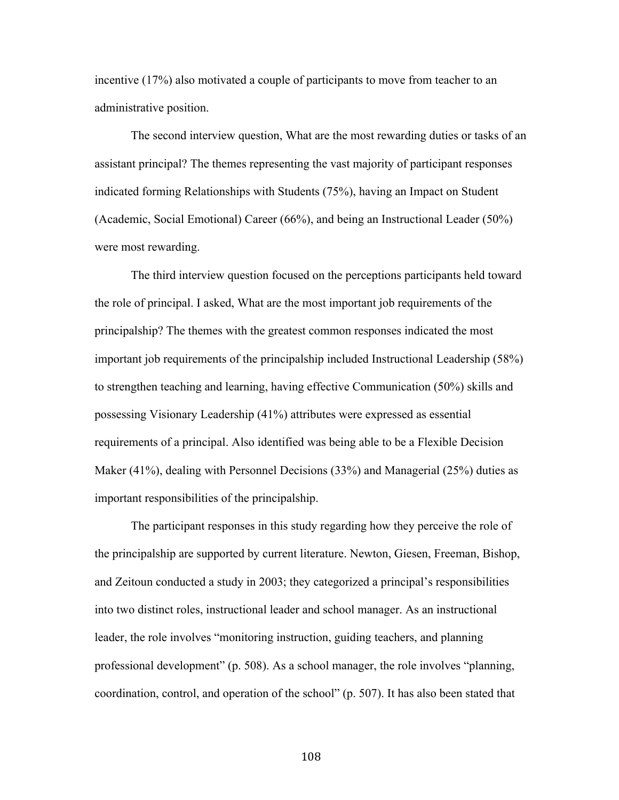incentive (17%) also motivated a couple of participants to move from teacher to an administrative position.

The second interview question, What are the most rewarding duties or tasks of an assistant principal? The themes representing the vast majority of participant responses indicated forming Relationships with Students (75%), having an Impact on Student (Academic, Social Emotional) Career (66%), and being an Instructional Leader (50%) were most rewarding.

The third interview question focused on the perceptions participants held toward the role of principal. I asked, What are the most important job requirements of the principalship? The themes with the greatest common responses indicated the most important job requirements of the principalship included Instructional Leadership (58%) to strengthen teaching and learning, having effective Communication (50%) skills and possessing Visionary Leadership (41%) attributes were expressed as essential requirements of a principal. Also identified was being able to be a Flexible Decision Maker (41%), dealing with Personnel Decisions (33%) and Managerial (25%) duties as important responsibilities of the principalship.

The participant responses in this study regarding how they perceive the role of the principalship are supported by current literature. Newton, Giesen, Freeman, Bishop, and Zeitoun conducted a study in 2003; they categorized a principal's responsibilities into two distinct roles, instructional leader and school manager. As an instructional leader, the role involves "monitoring instruction, guiding teachers, and planning professional development" (p. 508). As a school manager, the role involves "planning, coordination, control, and operation of the school" (p. 507). It has also been stated that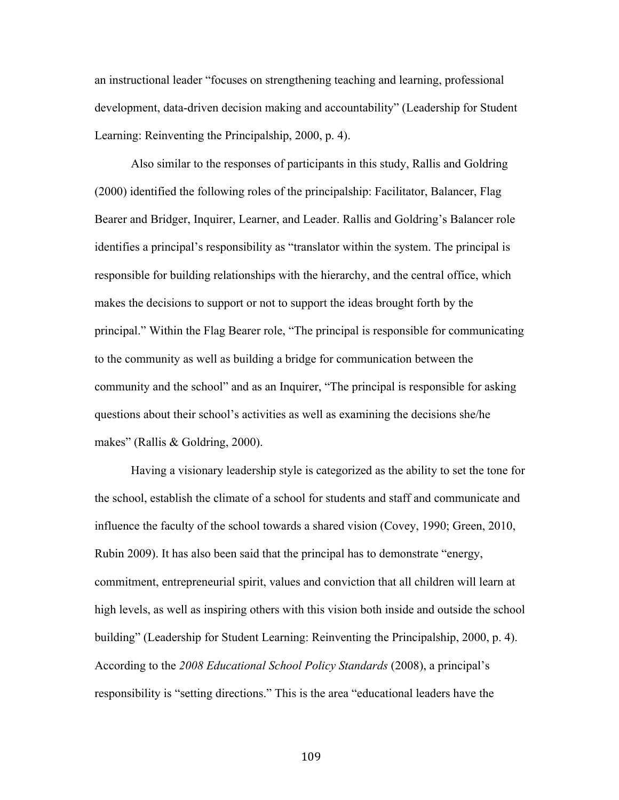an instructional leader "focuses on strengthening teaching and learning, professional development, data-driven decision making and accountability" (Leadership for Student Learning: Reinventing the Principalship, 2000, p. 4).

Also similar to the responses of participants in this study, Rallis and Goldring (2000) identified the following roles of the principalship: Facilitator, Balancer, Flag Bearer and Bridger, Inquirer, Learner, and Leader. Rallis and Goldring's Balancer role identifies a principal's responsibility as "translator within the system. The principal is responsible for building relationships with the hierarchy, and the central office, which makes the decisions to support or not to support the ideas brought forth by the principal." Within the Flag Bearer role, "The principal is responsible for communicating to the community as well as building a bridge for communication between the community and the school" and as an Inquirer, "The principal is responsible for asking questions about their school's activities as well as examining the decisions she/he makes" (Rallis & Goldring, 2000).

Having a visionary leadership style is categorized as the ability to set the tone for the school, establish the climate of a school for students and staff and communicate and influence the faculty of the school towards a shared vision (Covey, 1990; Green, 2010, Rubin 2009). It has also been said that the principal has to demonstrate "energy, commitment, entrepreneurial spirit, values and conviction that all children will learn at high levels, as well as inspiring others with this vision both inside and outside the school building" (Leadership for Student Learning: Reinventing the Principalship, 2000, p. 4). According to the *2008 Educational School Policy Standards* (2008), a principal's responsibility is "setting directions." This is the area "educational leaders have the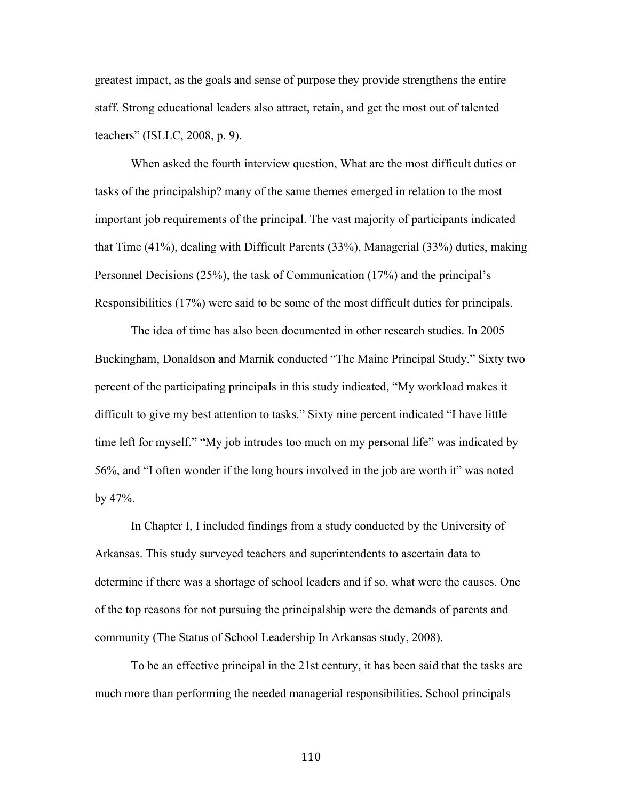greatest impact, as the goals and sense of purpose they provide strengthens the entire staff. Strong educational leaders also attract, retain, and get the most out of talented teachers" (ISLLC, 2008, p. 9).

When asked the fourth interview question, What are the most difficult duties or tasks of the principalship? many of the same themes emerged in relation to the most important job requirements of the principal. The vast majority of participants indicated that Time (41%), dealing with Difficult Parents (33%), Managerial (33%) duties, making Personnel Decisions (25%), the task of Communication (17%) and the principal's Responsibilities (17%) were said to be some of the most difficult duties for principals.

The idea of time has also been documented in other research studies. In 2005 Buckingham, Donaldson and Marnik conducted "The Maine Principal Study." Sixty two percent of the participating principals in this study indicated, "My workload makes it difficult to give my best attention to tasks." Sixty nine percent indicated "I have little time left for myself." "My job intrudes too much on my personal life" was indicated by 56%, and "I often wonder if the long hours involved in the job are worth it" was noted by 47%.

In Chapter I, I included findings from a study conducted by the University of Arkansas. This study surveyed teachers and superintendents to ascertain data to determine if there was a shortage of school leaders and if so, what were the causes. One of the top reasons for not pursuing the principalship were the demands of parents and community (The Status of School Leadership In Arkansas study, 2008).

To be an effective principal in the 21st century, it has been said that the tasks are much more than performing the needed managerial responsibilities. School principals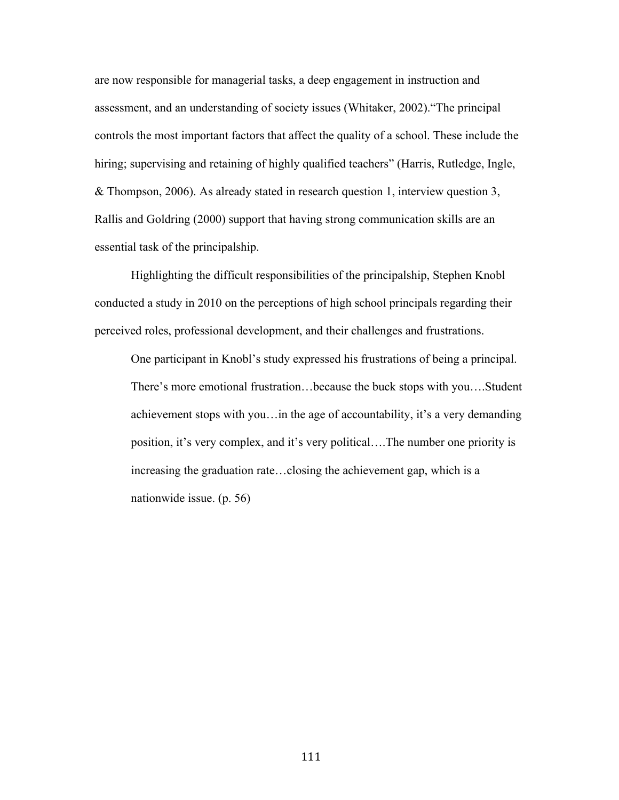are now responsible for managerial tasks, a deep engagement in instruction and assessment, and an understanding of society issues (Whitaker, 2002)."The principal controls the most important factors that affect the quality of a school. These include the hiring; supervising and retaining of highly qualified teachers" (Harris, Rutledge, Ingle, & Thompson, 2006). As already stated in research question 1, interview question 3, Rallis and Goldring (2000) support that having strong communication skills are an essential task of the principalship.

Highlighting the difficult responsibilities of the principalship, Stephen Knobl conducted a study in 2010 on the perceptions of high school principals regarding their perceived roles, professional development, and their challenges and frustrations.

One participant in Knobl's study expressed his frustrations of being a principal. There's more emotional frustration…because the buck stops with you….Student achievement stops with you…in the age of accountability, it's a very demanding position, it's very complex, and it's very political….The number one priority is increasing the graduation rate…closing the achievement gap, which is a nationwide issue. (p. 56)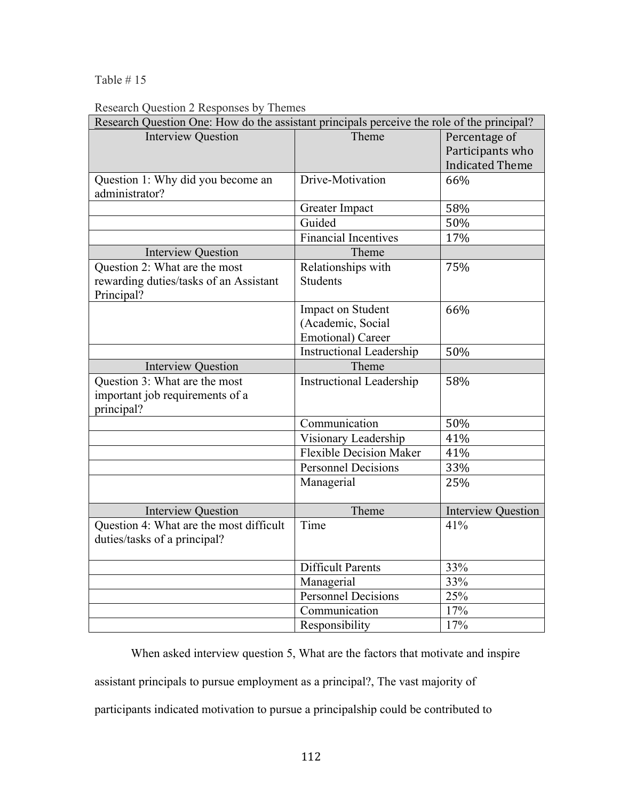### Table # 15

## Research Question 2 Responses by Themes

| Research Question One: How do the assistant principals perceive the role of the principal? |                                                                     |                                                             |
|--------------------------------------------------------------------------------------------|---------------------------------------------------------------------|-------------------------------------------------------------|
| <b>Interview Question</b>                                                                  | Theme                                                               | Percentage of<br>Participants who<br><b>Indicated Theme</b> |
| Question 1: Why did you become an<br>administrator?                                        | Drive-Motivation                                                    | 66%                                                         |
|                                                                                            | Greater Impact                                                      | 58%                                                         |
|                                                                                            | Guided                                                              | 50%                                                         |
|                                                                                            | <b>Financial Incentives</b>                                         | 17%                                                         |
| <b>Interview Question</b>                                                                  | Theme                                                               |                                                             |
| Question 2: What are the most<br>rewarding duties/tasks of an Assistant<br>Principal?      | Relationships with<br><b>Students</b>                               | 75%                                                         |
|                                                                                            | Impact on Student<br>(Academic, Social<br><b>Emotional</b> ) Career | 66%                                                         |
|                                                                                            | <b>Instructional Leadership</b>                                     | 50%                                                         |
| <b>Interview Question</b>                                                                  | Theme                                                               |                                                             |
| Question 3: What are the most<br>important job requirements of a<br>principal?             | <b>Instructional Leadership</b>                                     | 58%                                                         |
|                                                                                            | Communication                                                       | 50%                                                         |
|                                                                                            | Visionary Leadership                                                | 41%                                                         |
|                                                                                            | <b>Flexible Decision Maker</b>                                      | 41%                                                         |
|                                                                                            | <b>Personnel Decisions</b>                                          | 33%                                                         |
|                                                                                            | Managerial                                                          | 25%                                                         |
| <b>Interview Question</b>                                                                  | Theme                                                               | <b>Interview Question</b>                                   |
| Question 4: What are the most difficult<br>duties/tasks of a principal?                    | Time                                                                | 41%                                                         |
|                                                                                            | <b>Difficult Parents</b>                                            | 33%                                                         |
|                                                                                            | Managerial                                                          | 33%                                                         |
|                                                                                            | Personnel Decisions                                                 | 25%                                                         |
|                                                                                            | Communication                                                       | 17%                                                         |
|                                                                                            | Responsibility                                                      | 17%                                                         |

When asked interview question 5, What are the factors that motivate and inspire

assistant principals to pursue employment as a principal?, The vast majority of

participants indicated motivation to pursue a principalship could be contributed to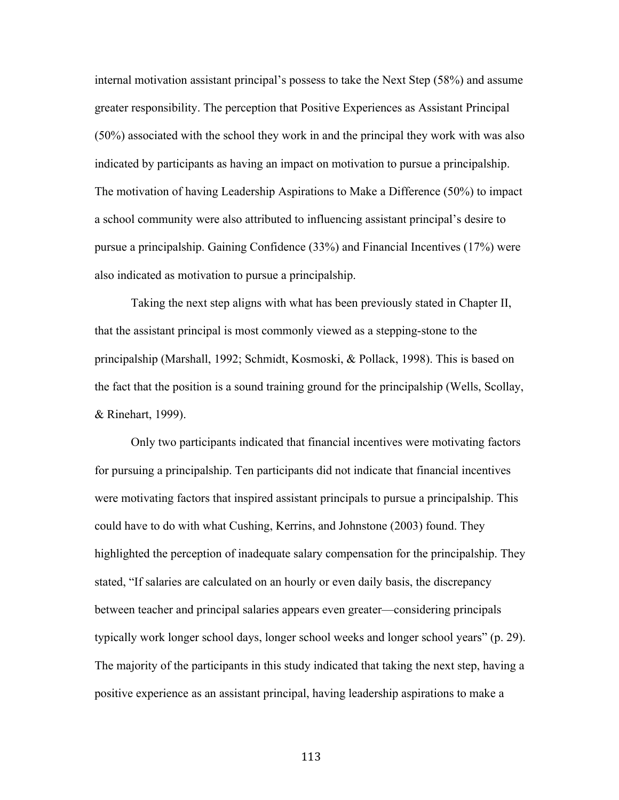internal motivation assistant principal's possess to take the Next Step (58%) and assume greater responsibility. The perception that Positive Experiences as Assistant Principal (50%) associated with the school they work in and the principal they work with was also indicated by participants as having an impact on motivation to pursue a principalship. The motivation of having Leadership Aspirations to Make a Difference (50%) to impact a school community were also attributed to influencing assistant principal's desire to pursue a principalship. Gaining Confidence (33%) and Financial Incentives (17%) were also indicated as motivation to pursue a principalship.

Taking the next step aligns with what has been previously stated in Chapter II, that the assistant principal is most commonly viewed as a stepping-stone to the principalship (Marshall, 1992; Schmidt, Kosmoski, & Pollack, 1998). This is based on the fact that the position is a sound training ground for the principalship (Wells, Scollay, & Rinehart, 1999).

Only two participants indicated that financial incentives were motivating factors for pursuing a principalship. Ten participants did not indicate that financial incentives were motivating factors that inspired assistant principals to pursue a principalship. This could have to do with what Cushing, Kerrins, and Johnstone (2003) found. They highlighted the perception of inadequate salary compensation for the principalship. They stated, "If salaries are calculated on an hourly or even daily basis, the discrepancy between teacher and principal salaries appears even greater—considering principals typically work longer school days, longer school weeks and longer school years" (p. 29). The majority of the participants in this study indicated that taking the next step, having a positive experience as an assistant principal, having leadership aspirations to make a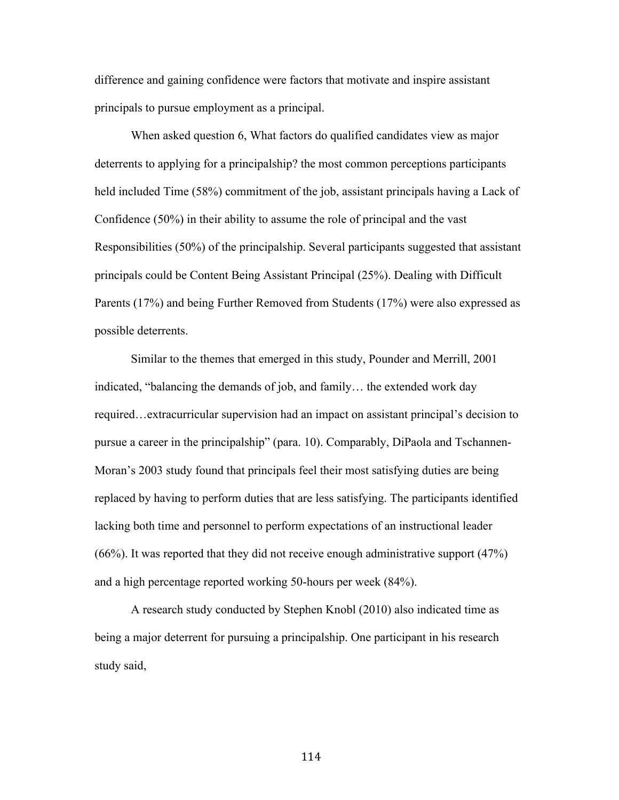difference and gaining confidence were factors that motivate and inspire assistant principals to pursue employment as a principal.

When asked question 6, What factors do qualified candidates view as major deterrents to applying for a principalship? the most common perceptions participants held included Time (58%) commitment of the job, assistant principals having a Lack of Confidence (50%) in their ability to assume the role of principal and the vast Responsibilities (50%) of the principalship. Several participants suggested that assistant principals could be Content Being Assistant Principal (25%). Dealing with Difficult Parents (17%) and being Further Removed from Students (17%) were also expressed as possible deterrents.

Similar to the themes that emerged in this study, Pounder and Merrill, 2001 indicated, "balancing the demands of job, and family… the extended work day required…extracurricular supervision had an impact on assistant principal's decision to pursue a career in the principalship" (para. 10). Comparably, DiPaola and Tschannen-Moran's 2003 study found that principals feel their most satisfying duties are being replaced by having to perform duties that are less satisfying. The participants identified lacking both time and personnel to perform expectations of an instructional leader (66%). It was reported that they did not receive enough administrative support (47%) and a high percentage reported working 50-hours per week (84%).

A research study conducted by Stephen Knobl (2010) also indicated time as being a major deterrent for pursuing a principalship. One participant in his research study said,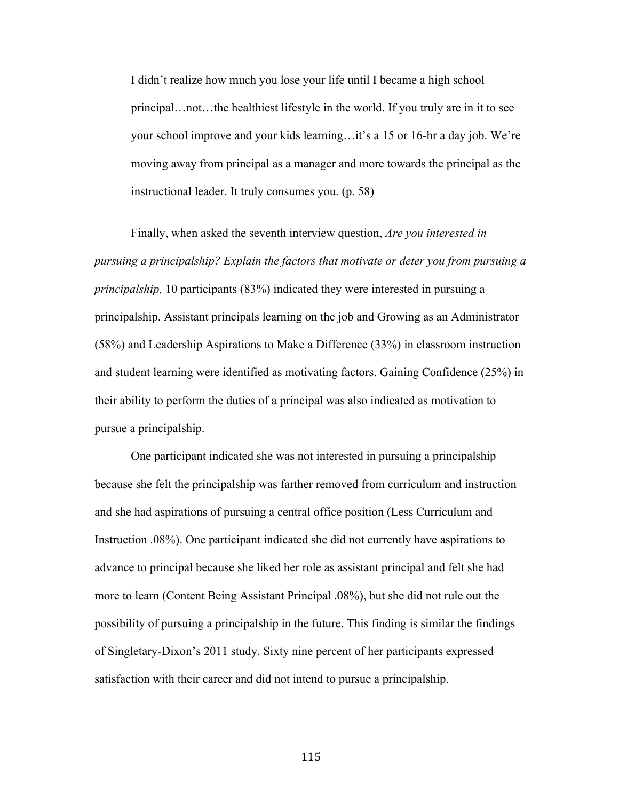I didn't realize how much you lose your life until I became a high school principal…not…the healthiest lifestyle in the world. If you truly are in it to see your school improve and your kids learning…it's a 15 or 16-hr a day job. We're moving away from principal as a manager and more towards the principal as the instructional leader. It truly consumes you. (p. 58)

Finally, when asked the seventh interview question, *Are you interested in pursuing a principalship? Explain the factors that motivate or deter you from pursuing a principalship,* 10 participants (83%) indicated they were interested in pursuing a principalship. Assistant principals learning on the job and Growing as an Administrator (58%) and Leadership Aspirations to Make a Difference (33%) in classroom instruction and student learning were identified as motivating factors. Gaining Confidence (25%) in their ability to perform the duties of a principal was also indicated as motivation to pursue a principalship.

One participant indicated she was not interested in pursuing a principalship because she felt the principalship was farther removed from curriculum and instruction and she had aspirations of pursuing a central office position (Less Curriculum and Instruction .08%). One participant indicated she did not currently have aspirations to advance to principal because she liked her role as assistant principal and felt she had more to learn (Content Being Assistant Principal .08%), but she did not rule out the possibility of pursuing a principalship in the future. This finding is similar the findings of Singletary-Dixon's 2011 study. Sixty nine percent of her participants expressed satisfaction with their career and did not intend to pursue a principalship.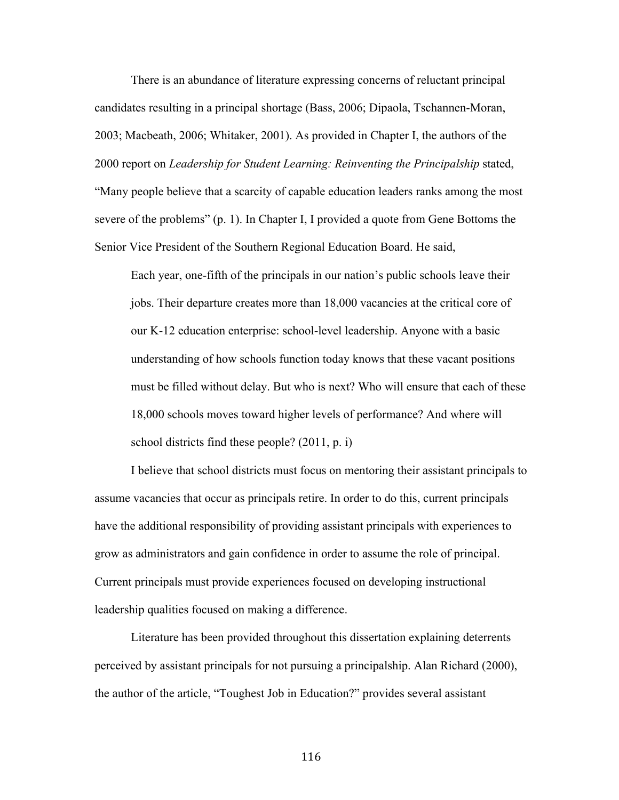There is an abundance of literature expressing concerns of reluctant principal candidates resulting in a principal shortage (Bass, 2006; Dipaola, Tschannen-Moran, 2003; Macbeath, 2006; Whitaker, 2001). As provided in Chapter I, the authors of the 2000 report on *Leadership for Student Learning: Reinventing the Principalship* stated, "Many people believe that a scarcity of capable education leaders ranks among the most severe of the problems" (p. 1). In Chapter I, I provided a quote from Gene Bottoms the Senior Vice President of the Southern Regional Education Board. He said,

Each year, one-fifth of the principals in our nation's public schools leave their jobs. Their departure creates more than 18,000 vacancies at the critical core of our K-12 education enterprise: school-level leadership. Anyone with a basic understanding of how schools function today knows that these vacant positions must be filled without delay. But who is next? Who will ensure that each of these 18,000 schools moves toward higher levels of performance? And where will school districts find these people? (2011, p. i)

I believe that school districts must focus on mentoring their assistant principals to assume vacancies that occur as principals retire. In order to do this, current principals have the additional responsibility of providing assistant principals with experiences to grow as administrators and gain confidence in order to assume the role of principal. Current principals must provide experiences focused on developing instructional leadership qualities focused on making a difference.

Literature has been provided throughout this dissertation explaining deterrents perceived by assistant principals for not pursuing a principalship. Alan Richard (2000), the author of the article, "Toughest Job in Education?" provides several assistant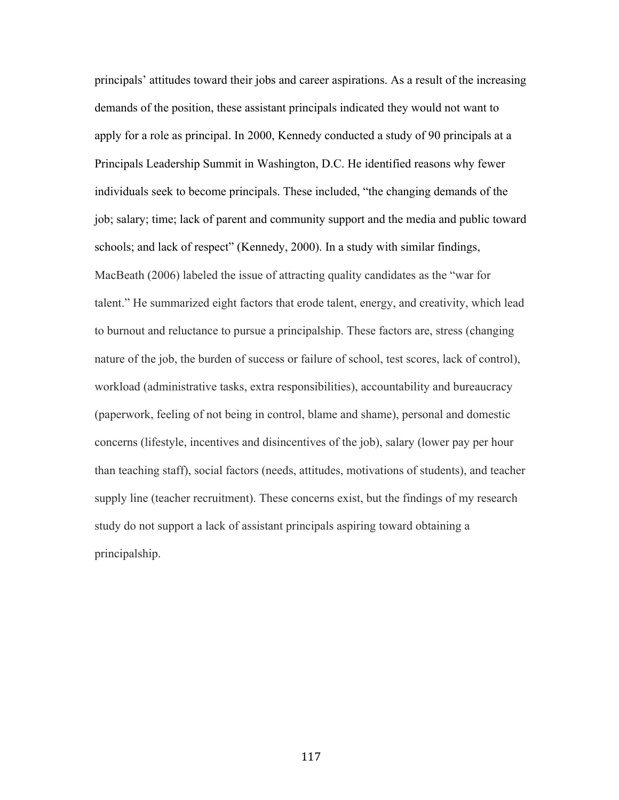principals' attitudes toward their jobs and career aspirations. As a result of the increasing demands of the position, these assistant principals indicated they would not want to apply for a role as principal. In 2000, Kennedy conducted a study of 90 principals at a Principals Leadership Summit in Washington, D.C. He identified reasons why fewer individuals seek to become principals. These included, "the changing demands of the job; salary; time; lack of parent and community support and the media and public toward schools; and lack of respect" (Kennedy, 2000). In a study with similar findings, MacBeath (2006) labeled the issue of attracting quality candidates as the "war for talent." He summarized eight factors that erode talent, energy, and creativity, which lead to burnout and reluctance to pursue a principalship. These factors are, stress (changing nature of the job, the burden of success or failure of school, test scores, lack of control), workload (administrative tasks, extra responsibilities), accountability and bureaucracy (paperwork, feeling of not being in control, blame and shame), personal and domestic concerns (lifestyle, incentives and disincentives of the job), salary (lower pay per hour than teaching staff), social factors (needs, attitudes, motivations of students), and teacher supply line (teacher recruitment). These concerns exist, but the findings of my research study do not support a lack of assistant principals aspiring toward obtaining a principalship.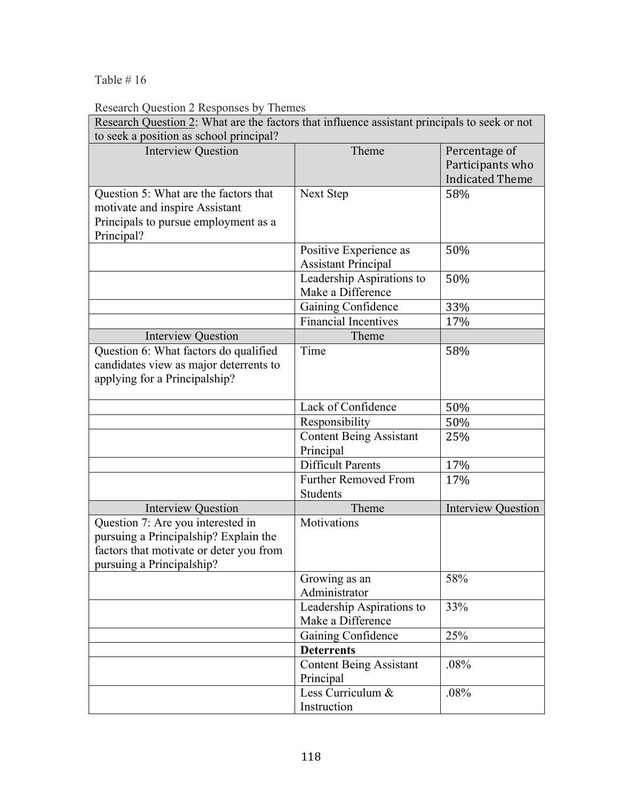Table # 16

Research Question 2 Responses by Themes

| Research Question 2: What are the factors that influence assistant principals to seek or not |                                             |                           |
|----------------------------------------------------------------------------------------------|---------------------------------------------|---------------------------|
| to seek a position as school principal?                                                      |                                             |                           |
| <b>Interview Question</b>                                                                    | Theme                                       | Percentage of             |
|                                                                                              |                                             | Participants who          |
|                                                                                              |                                             | <b>Indicated Theme</b>    |
| Question 5: What are the factors that                                                        | Next Step                                   | 58%                       |
| motivate and inspire Assistant                                                               |                                             |                           |
| Principals to pursue employment as a                                                         |                                             |                           |
| Principal?                                                                                   | Positive Experience as                      | 50%                       |
|                                                                                              | <b>Assistant Principal</b>                  |                           |
|                                                                                              | Leadership Aspirations to                   | 50%                       |
|                                                                                              | Make a Difference                           |                           |
|                                                                                              | Gaining Confidence                          | 33%                       |
|                                                                                              | <b>Financial Incentives</b>                 | 17%                       |
| <b>Interview Question</b>                                                                    | Theme                                       |                           |
| Question 6: What factors do qualified                                                        | Time                                        | 58%                       |
| candidates view as major deterrents to                                                       |                                             |                           |
| applying for a Principalship?                                                                |                                             |                           |
|                                                                                              |                                             |                           |
|                                                                                              | Lack of Confidence                          | 50%                       |
|                                                                                              | Responsibility                              | 50%                       |
|                                                                                              | <b>Content Being Assistant</b><br>Principal | 25%                       |
|                                                                                              | <b>Difficult Parents</b>                    | 17%                       |
|                                                                                              | <b>Further Removed From</b>                 | 17%                       |
|                                                                                              | Students                                    |                           |
| <b>Interview Question</b>                                                                    | Theme                                       | <b>Interview Question</b> |
| Question 7: Are you interested in                                                            | Motivations                                 |                           |
| pursuing a Principalship? Explain the                                                        |                                             |                           |
| factors that motivate or deter you from                                                      |                                             |                           |
| pursuing a Principalship?                                                                    |                                             |                           |
|                                                                                              | Growing as an                               | 58%                       |
|                                                                                              | Administrator<br>Leadership Aspirations to  | 33%                       |
|                                                                                              | Make a Difference                           |                           |
|                                                                                              | Gaining Confidence                          | 25%                       |
|                                                                                              | <b>Deterrents</b>                           |                           |
|                                                                                              | <b>Content Being Assistant</b>              | .08%                      |
|                                                                                              | Principal                                   |                           |
|                                                                                              | Less Curriculum &                           | .08%                      |
|                                                                                              | Instruction                                 |                           |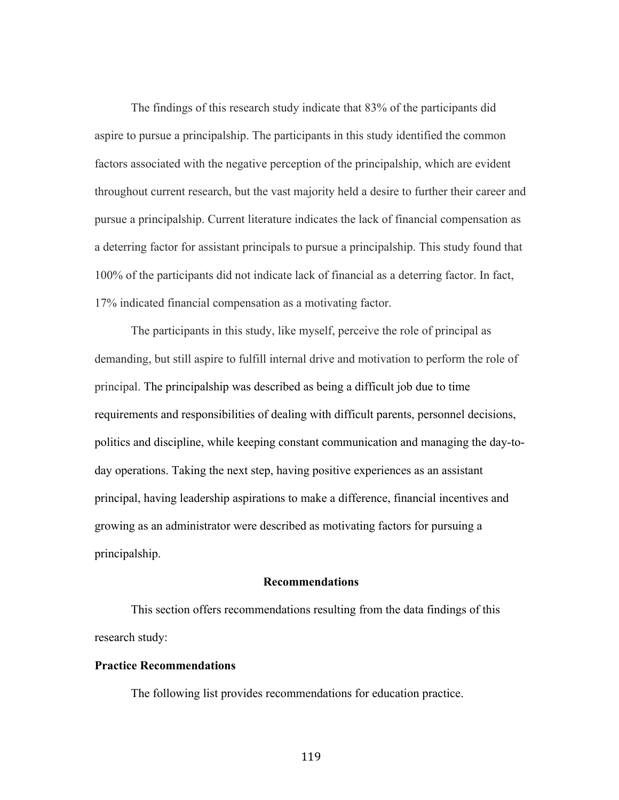The findings of this research study indicate that 83% of the participants did aspire to pursue a principalship. The participants in this study identified the common factors associated with the negative perception of the principalship, which are evident throughout current research, but the vast majority held a desire to further their career and pursue a principalship. Current literature indicates the lack of financial compensation as a deterring factor for assistant principals to pursue a principalship. This study found that 100% of the participants did not indicate lack of financial as a deterring factor. In fact, 17% indicated financial compensation as a motivating factor.

The participants in this study, like myself, perceive the role of principal as demanding, but still aspire to fulfill internal drive and motivation to perform the role of principal. The principalship was described as being a difficult job due to time requirements and responsibilities of dealing with difficult parents, personnel decisions, politics and discipline, while keeping constant communication and managing the day-today operations. Taking the next step, having positive experiences as an assistant principal, having leadership aspirations to make a difference, financial incentives and growing as an administrator were described as motivating factors for pursuing a principalship.

#### **Recommendations**

This section offers recommendations resulting from the data findings of this research study:

#### **Practice Recommendations**

The following list provides recommendations for education practice.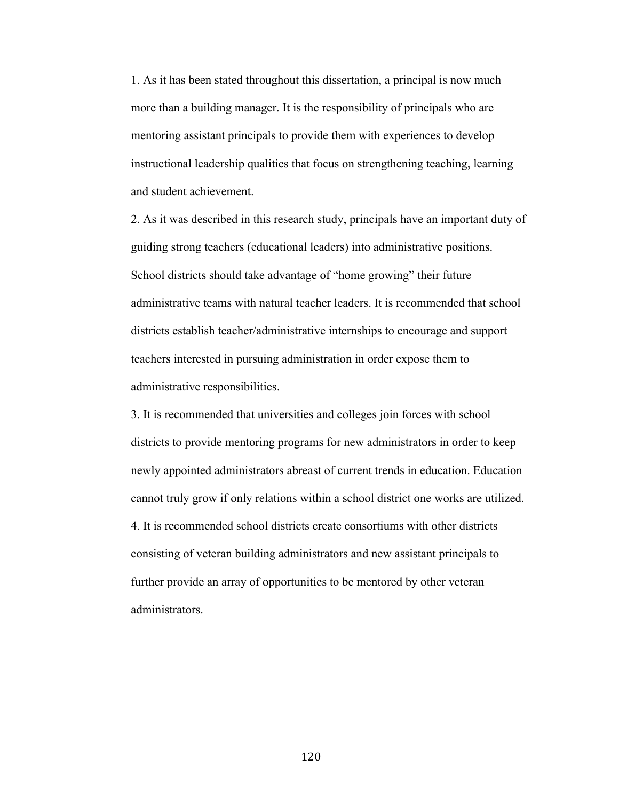1. As it has been stated throughout this dissertation, a principal is now much more than a building manager. It is the responsibility of principals who are mentoring assistant principals to provide them with experiences to develop instructional leadership qualities that focus on strengthening teaching, learning and student achievement.

2. As it was described in this research study, principals have an important duty of guiding strong teachers (educational leaders) into administrative positions. School districts should take advantage of "home growing" their future administrative teams with natural teacher leaders. It is recommended that school districts establish teacher/administrative internships to encourage and support teachers interested in pursuing administration in order expose them to administrative responsibilities.

3. It is recommended that universities and colleges join forces with school districts to provide mentoring programs for new administrators in order to keep newly appointed administrators abreast of current trends in education. Education cannot truly grow if only relations within a school district one works are utilized. 4. It is recommended school districts create consortiums with other districts consisting of veteran building administrators and new assistant principals to further provide an array of opportunities to be mentored by other veteran administrators.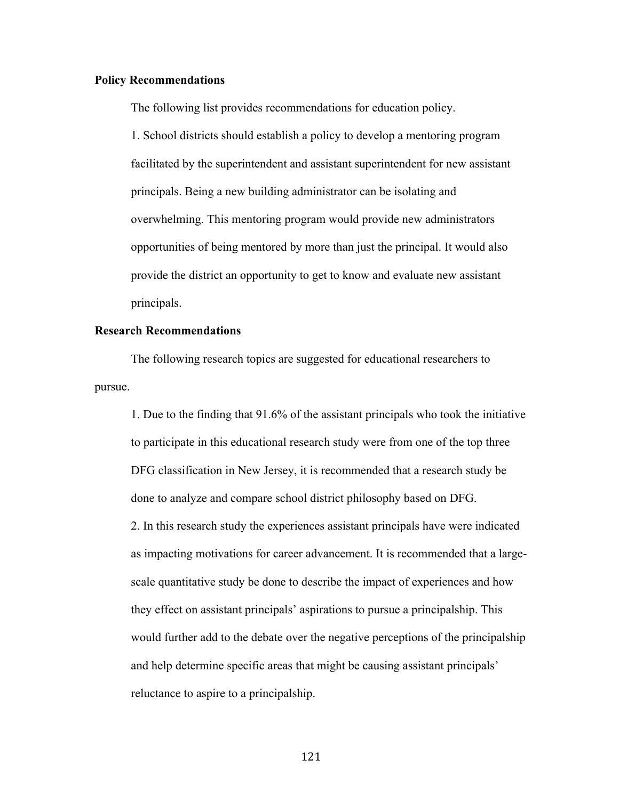#### **Policy Recommendations**

The following list provides recommendations for education policy.

1. School districts should establish a policy to develop a mentoring program facilitated by the superintendent and assistant superintendent for new assistant principals. Being a new building administrator can be isolating and overwhelming. This mentoring program would provide new administrators opportunities of being mentored by more than just the principal. It would also provide the district an opportunity to get to know and evaluate new assistant principals.

#### **Research Recommendations**

The following research topics are suggested for educational researchers to pursue.

1. Due to the finding that 91.6% of the assistant principals who took the initiative to participate in this educational research study were from one of the top three DFG classification in New Jersey, it is recommended that a research study be done to analyze and compare school district philosophy based on DFG. 2. In this research study the experiences assistant principals have were indicated as impacting motivations for career advancement. It is recommended that a largescale quantitative study be done to describe the impact of experiences and how they effect on assistant principals' aspirations to pursue a principalship. This would further add to the debate over the negative perceptions of the principalship and help determine specific areas that might be causing assistant principals' reluctance to aspire to a principalship.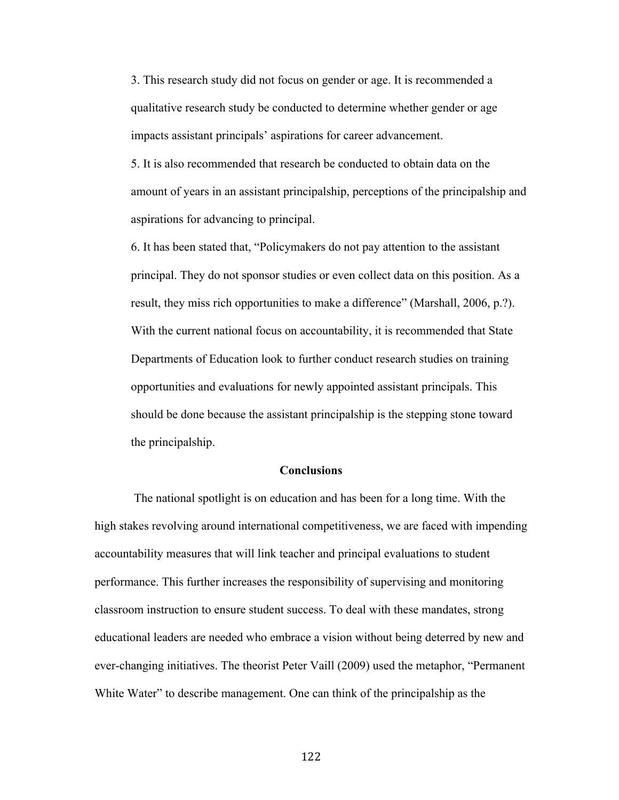3. This research study did not focus on gender or age. It is recommended a qualitative research study be conducted to determine whether gender or age impacts assistant principals' aspirations for career advancement.

5. It is also recommended that research be conducted to obtain data on the amount of years in an assistant principalship, perceptions of the principalship and aspirations for advancing to principal.

6. It has been stated that, "Policymakers do not pay attention to the assistant principal. They do not sponsor studies or even collect data on this position. As a result, they miss rich opportunities to make a difference" (Marshall, 2006, p.?). With the current national focus on accountability, it is recommended that State Departments of Education look to further conduct research studies on training opportunities and evaluations for newly appointed assistant principals. This should be done because the assistant principalship is the stepping stone toward the principalship.

#### **Conclusions**

The national spotlight is on education and has been for a long time. With the high stakes revolving around international competitiveness, we are faced with impending accountability measures that will link teacher and principal evaluations to student performance. This further increases the responsibility of supervising and monitoring classroom instruction to ensure student success. To deal with these mandates, strong educational leaders are needed who embrace a vision without being deterred by new and ever-changing initiatives. The theorist Peter Vaill (2009) used the metaphor, "Permanent White Water" to describe management. One can think of the principalship as the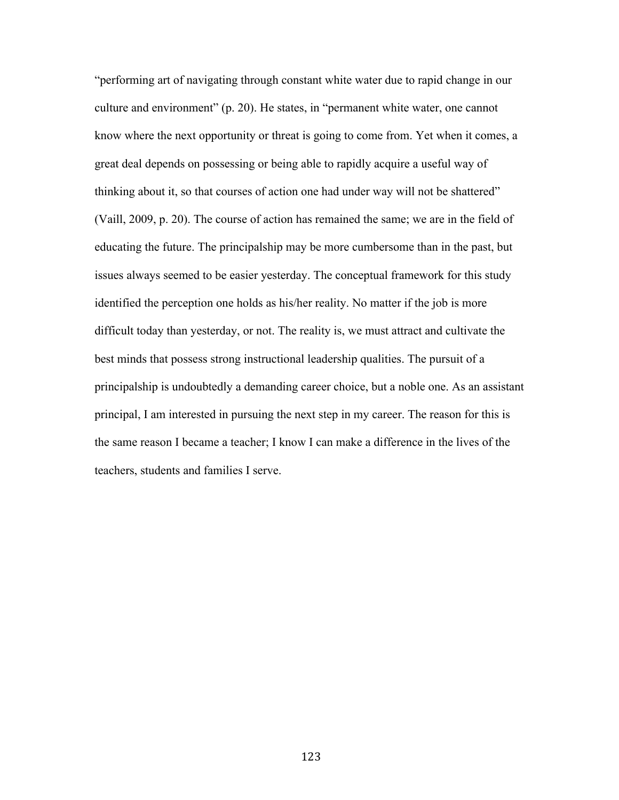"performing art of navigating through constant white water due to rapid change in our culture and environment" (p. 20). He states, in "permanent white water, one cannot know where the next opportunity or threat is going to come from. Yet when it comes, a great deal depends on possessing or being able to rapidly acquire a useful way of thinking about it, so that courses of action one had under way will not be shattered" (Vaill, 2009, p. 20). The course of action has remained the same; we are in the field of educating the future. The principalship may be more cumbersome than in the past, but issues always seemed to be easier yesterday. The conceptual framework for this study identified the perception one holds as his/her reality. No matter if the job is more difficult today than yesterday, or not. The reality is, we must attract and cultivate the best minds that possess strong instructional leadership qualities. The pursuit of a principalship is undoubtedly a demanding career choice, but a noble one. As an assistant principal, I am interested in pursuing the next step in my career. The reason for this is the same reason I became a teacher; I know I can make a difference in the lives of the teachers, students and families I serve.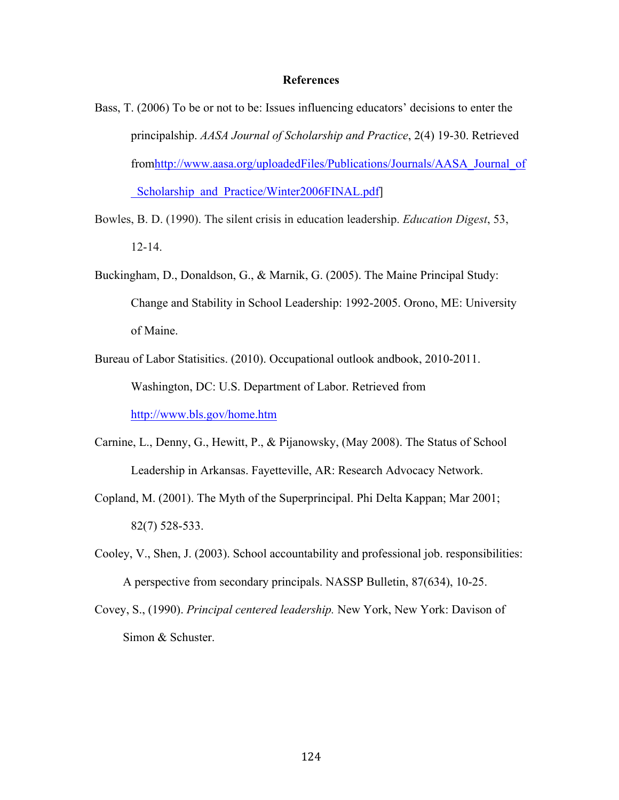#### **References**

- Bass, T. (2006) To be or not to be: Issues influencing educators' decisions to enter the principalship. *AASA Journal of Scholarship and Practice*, 2(4) 19-30. Retrieved fromhttp://www.aasa.org/uploadedFiles/Publications/Journals/AASA\_Journal\_of Scholarship\_and\_Practice/Winter2006FINAL.pdf]
- Bowles, B. D. (1990). The silent crisis in education leadership. *Education Digest*, 53, 12-14.
- Buckingham, D., Donaldson, G., & Marnik, G. (2005). The Maine Principal Study: Change and Stability in School Leadership: 1992-2005. Orono, ME: University of Maine.
- Bureau of Labor Statisitics. (2010). Occupational outlook andbook, 2010-2011. Washington, DC: U.S. Department of Labor. Retrieved from http://www.bls.gov/home.htm
- Carnine, L., Denny, G., Hewitt, P., & Pijanowsky, (May 2008). The Status of School Leadership in Arkansas. Fayetteville, AR: Research Advocacy Network.
- Copland, M. (2001). The Myth of the Superprincipal. Phi Delta Kappan; Mar 2001; 82(7) 528-533.
- Cooley, V., Shen, J. (2003). School accountability and professional job. responsibilities: A perspective from secondary principals. NASSP Bulletin, 87(634), 10-25.
- Covey, S., (1990). *Principal centered leadership.* New York, New York: Davison of Simon & Schuster.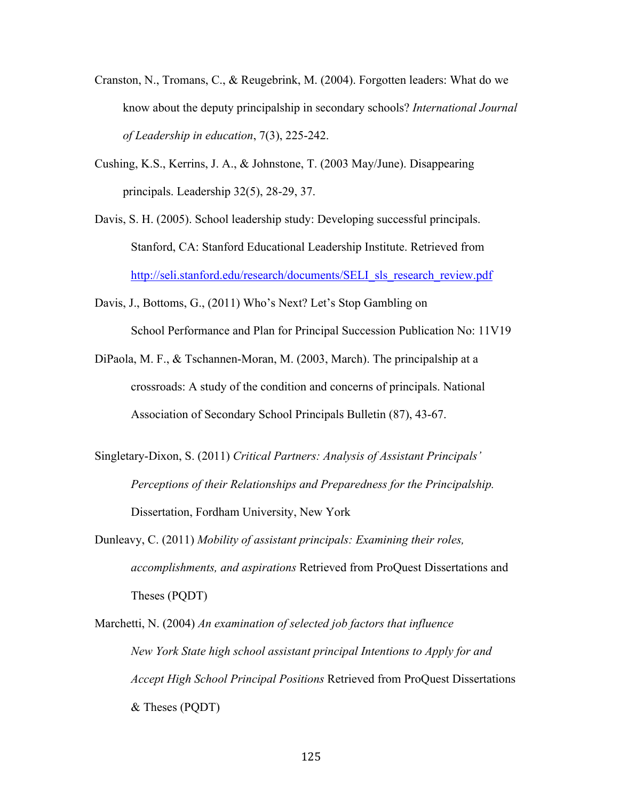- Cranston, N., Tromans, C., & Reugebrink, M. (2004). Forgotten leaders: What do we know about the deputy principalship in secondary schools? *International Journal of Leadership in education*, 7(3), 225-242.
- Cushing, K.S., Kerrins, J. A., & Johnstone, T. (2003 May/June). Disappearing principals. Leadership 32(5), 28-29, 37.
- Davis, S. H. (2005). School leadership study: Developing successful principals. Stanford, CA: Stanford Educational Leadership Institute. Retrieved from http://seli.stanford.edu/research/documents/SELI\_sls\_research\_review.pdf
- Davis, J., Bottoms, G., (2011) Who's Next? Let's Stop Gambling on School Performance and Plan for Principal Succession Publication No: 11V19
- DiPaola, M. F., & Tschannen-Moran, M. (2003, March). The principalship at a crossroads: A study of the condition and concerns of principals. National Association of Secondary School Principals Bulletin (87), 43-67.
- Singletary-Dixon, S. (2011) *Critical Partners: Analysis of Assistant Principals' Perceptions of their Relationships and Preparedness for the Principalship.* Dissertation, Fordham University, New York
- Dunleavy, C. (2011) *Mobility of assistant principals: Examining their roles, accomplishments, and aspirations* Retrieved from ProQuest Dissertations and Theses (PQDT)
- Marchetti, N. (2004) *An examination of selected job factors that influence New York State high school assistant principal Intentions to Apply for and Accept High School Principal Positions* Retrieved from ProQuest Dissertations & Theses (PQDT)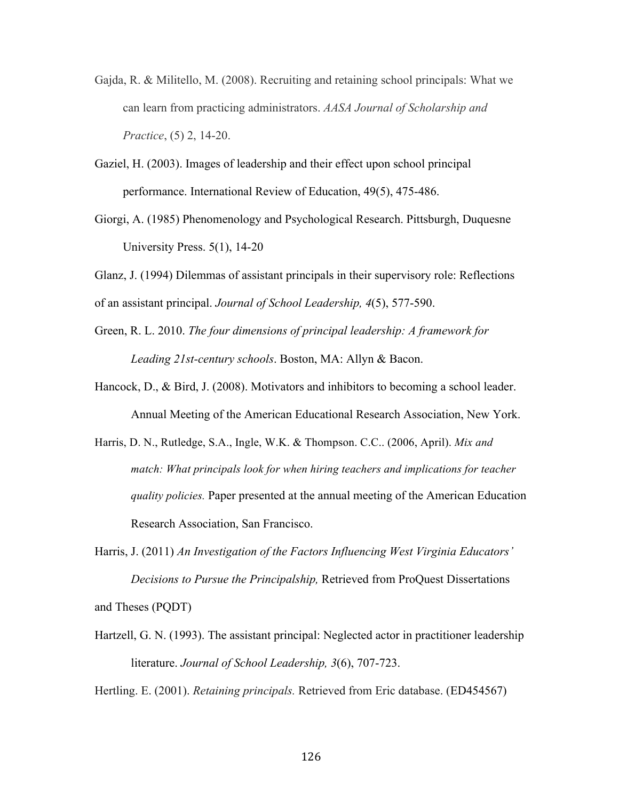- Gajda, R. & Militello, M. (2008). Recruiting and retaining school principals: What we can learn from practicing administrators. *AASA Journal of Scholarship and Practice*, (5) 2, 14-20.
- Gaziel, H. (2003). Images of leadership and their effect upon school principal performance. International Review of Education, 49(5), 475-486.
- Giorgi, A. (1985) Phenomenology and Psychological Research. Pittsburgh, Duquesne University Press. 5(1), 14-20

Glanz, J. (1994) Dilemmas of assistant principals in their supervisory role: Reflections of an assistant principal. *Journal of School Leadership, 4*(5), 577-590.

- Green, R. L. 2010. *The four dimensions of principal leadership: A framework for Leading 21st-century schools*. Boston, MA: Allyn & Bacon.
- Hancock, D., & Bird, J. (2008). Motivators and inhibitors to becoming a school leader. Annual Meeting of the American Educational Research Association, New York.
- Harris, D. N., Rutledge, S.A., Ingle, W.K. & Thompson. C.C.. (2006, April). *Mix and match: What principals look for when hiring teachers and implications for teacher quality policies.* Paper presented at the annual meeting of the American Education Research Association, San Francisco.
- Harris, J. (2011) *An Investigation of the Factors Influencing West Virginia Educators' Decisions to Pursue the Principalship,* Retrieved from ProQuest Dissertations and Theses (PQDT)
- Hartzell, G. N. (1993). The assistant principal: Neglected actor in practitioner leadership literature. *Journal of School Leadership, 3*(6), 707-723.

Hertling. E. (2001). *Retaining principals.* Retrieved from Eric database. (ED454567)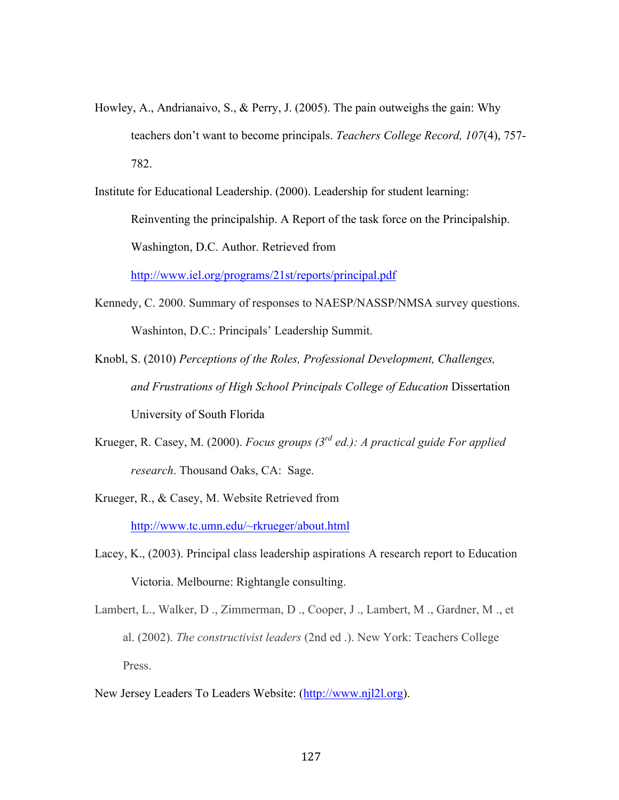- Howley, A., Andrianaivo, S., & Perry, J. (2005). The pain outweighs the gain: Why teachers don't want to become principals. *Teachers College Record, 107*(4), 757- 782.
- Institute for Educational Leadership. (2000). Leadership for student learning: Reinventing the principalship. A Report of the task force on the Principalship. Washington, D.C. Author. Retrieved from http://www.iel.org/programs/21st/reports/principal.pdf
- Kennedy, C. 2000. Summary of responses to NAESP/NASSP/NMSA survey questions. Washinton, D.C.: Principals' Leadership Summit.
- Knobl, S. (2010) *Perceptions of the Roles, Professional Development, Challenges, and Frustrations of High School Principals College of Education* Dissertation University of South Florida
- Krueger, R. Casey, M. (2000). *Focus groups (3rd ed.): A practical guide For applied research*. Thousand Oaks, CA: Sage.
- Krueger, R., & Casey, M. Website Retrieved from http://www.tc.umn.edu/~rkrueger/about.html
- Lacey, K., (2003). Principal class leadership aspirations A research report to Education Victoria. Melbourne: Rightangle consulting.
- Lambert, L., Walker, D ., Zimmerman, D ., Cooper, J ., Lambert, M ., Gardner, M ., et al. (2002). *The constructivist leaders* (2nd ed .). New York: Teachers College Press.
- New Jersey Leaders To Leaders Website: (http://www.njl2l.org).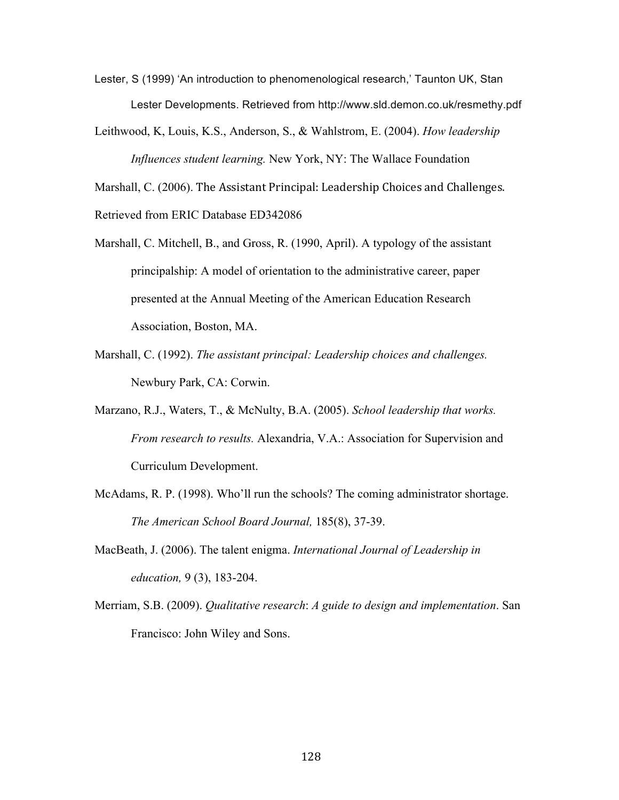- Lester, S (1999) 'An introduction to phenomenological research,' Taunton UK, Stan Lester Developments. Retrieved from http://www.sld.demon.co.uk/resmethy.pdf
- Leithwood, K, Louis, K.S., Anderson, S., & Wahlstrom, E. (2004). *How leadership Influences student learning.* New York, NY: The Wallace Foundation

Marshall, C. (2006). The Assistant Principal: Leadership Choices and Challenges.

Retrieved from ERIC Database ED342086

- Marshall, C. Mitchell, B., and Gross, R. (1990, April). A typology of the assistant principalship: A model of orientation to the administrative career, paper presented at the Annual Meeting of the American Education Research Association, Boston, MA.
- Marshall, C. (1992). *The assistant principal: Leadership choices and challenges.* Newbury Park, CA: Corwin.
- Marzano, R.J., Waters, T., & McNulty, B.A. (2005). *School leadership that works. From research to results.* Alexandria, V.A.: Association for Supervision and Curriculum Development.
- McAdams, R. P. (1998). Who'll run the schools? The coming administrator shortage. *The American School Board Journal,* 185(8), 37-39.
- MacBeath, J. (2006). The talent enigma. *International Journal of Leadership in education,* 9 (3), 183-204.
- Merriam, S.B. (2009). *Qualitative research*: *A guide to design and implementation*. San Francisco: John Wiley and Sons.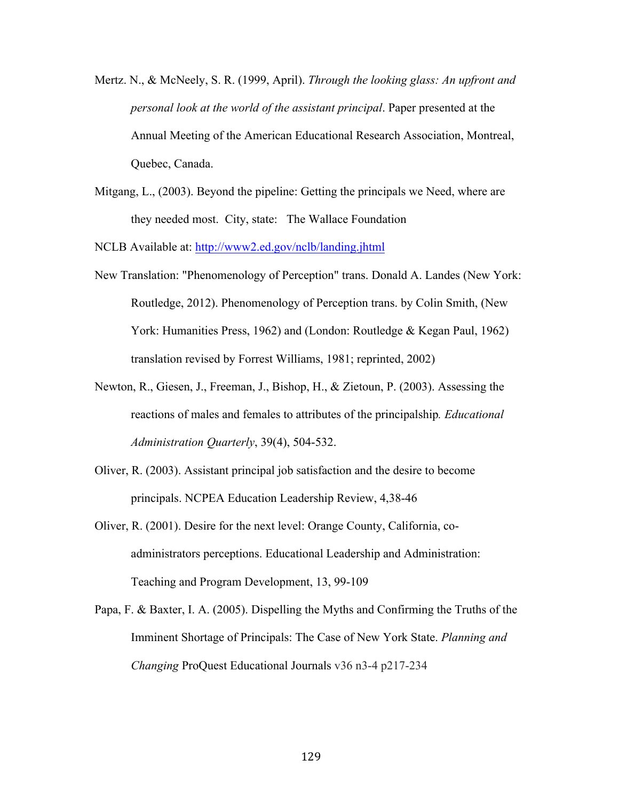- Mertz. N., & McNeely, S. R. (1999, April). *Through the looking glass: An upfront and personal look at the world of the assistant principal*. Paper presented at the Annual Meeting of the American Educational Research Association, Montreal, Quebec, Canada.
- Mitgang, L., (2003). Beyond the pipeline: Getting the principals we Need, where are they needed most. City, state: The Wallace Foundation

NCLB Available at: http://www2.ed.gov/nclb/landing.jhtml

- New Translation: "Phenomenology of Perception" trans. Donald A. Landes (New York: Routledge, 2012). Phenomenology of Perception trans. by Colin Smith, (New York: Humanities Press, 1962) and (London: Routledge & Kegan Paul, 1962) translation revised by Forrest Williams, 1981; reprinted, 2002)
- Newton, R., Giesen, J., Freeman, J., Bishop, H., & Zietoun, P. (2003). Assessing the reactions of males and females to attributes of the principalship*. Educational Administration Quarterly*, 39(4), 504-532.
- Oliver, R. (2003). Assistant principal job satisfaction and the desire to become principals. NCPEA Education Leadership Review, 4,38-46
- Oliver, R. (2001). Desire for the next level: Orange County, California, coadministrators perceptions. Educational Leadership and Administration: Teaching and Program Development, 13, 99-109
- Papa, F. & Baxter, I. A. (2005). Dispelling the Myths and Confirming the Truths of the Imminent Shortage of Principals: The Case of New York State. *Planning and Changing* ProQuest Educational Journals v36 n3-4 p217-234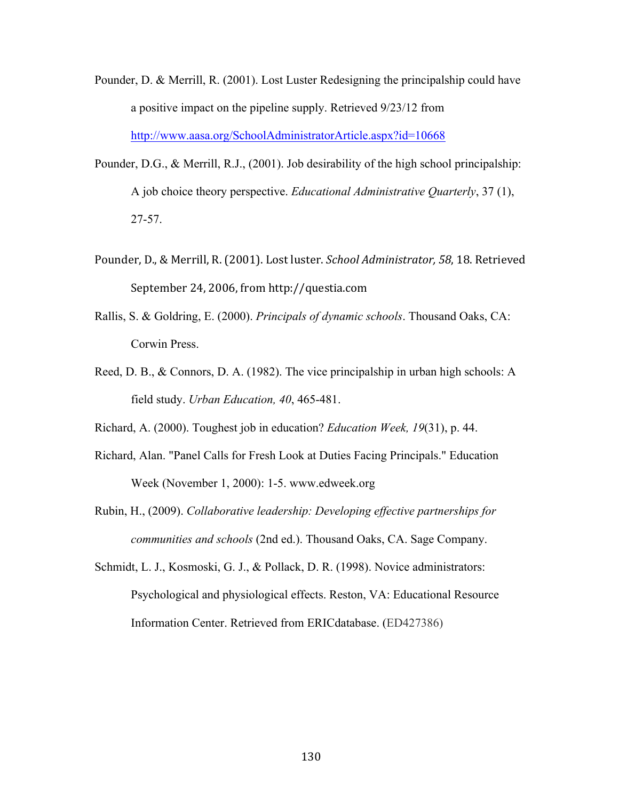- Pounder, D. & Merrill, R. (2001). Lost Luster Redesigning the principalship could have a positive impact on the pipeline supply. Retrieved 9/23/12 from http://www.aasa.org/SchoolAdministratorArticle.aspx?id=10668
- Pounder, D.G., & Merrill, R.J., (2001). Job desirability of the high school principalship: A job choice theory perspective. *Educational Administrative Quarterly*, 37 (1), 27-57.
- Pounder, D., & Merrill, R. (2001). Lost luster. *School Administrator*, 58, 18. Retrieved September 24, 2006, from http://questia.com
- Rallis, S. & Goldring, E. (2000). *Principals of dynamic schools*. Thousand Oaks, CA: Corwin Press.
- Reed, D. B., & Connors, D. A. (1982). The vice principalship in urban high schools: A field study. *Urban Education, 40*, 465-481.
- Richard, A. (2000). Toughest job in education? *Education Week, 19*(31), p. 44.
- Richard, Alan. "Panel Calls for Fresh Look at Duties Facing Principals." Education Week (November 1, 2000): 1-5. www.edweek.org
- Rubin, H., (2009). *Collaborative leadership: Developing effective partnerships for communities and schools* (2nd ed.). Thousand Oaks, CA. Sage Company.
- Schmidt, L. J., Kosmoski, G. J., & Pollack, D. R. (1998). Novice administrators: Psychological and physiological effects. Reston, VA: Educational Resource Information Center. Retrieved from ERICdatabase. (ED427386)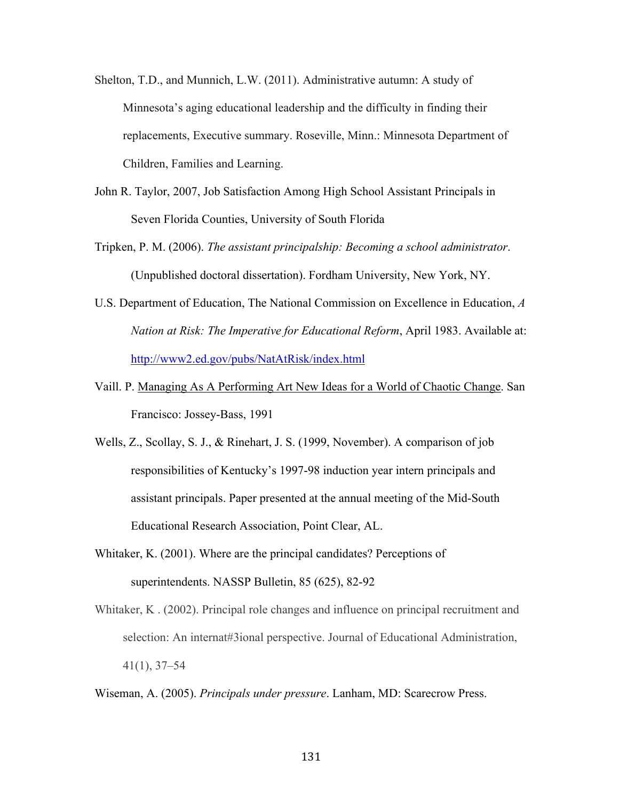- Shelton, T.D., and Munnich, L.W. (2011). Administrative autumn: A study of Minnesota's aging educational leadership and the difficulty in finding their replacements, Executive summary. Roseville, Minn.: Minnesota Department of Children, Families and Learning.
- John R. Taylor, 2007, Job Satisfaction Among High School Assistant Principals in Seven Florida Counties, University of South Florida
- Tripken, P. M. (2006). *The assistant principalship: Becoming a school administrator*. (Unpublished doctoral dissertation). Fordham University, New York, NY.
- U.S. Department of Education, The National Commission on Excellence in Education, *A Nation at Risk: The Imperative for Educational Reform*, April 1983. Available at: http://www2.ed.gov/pubs/NatAtRisk/index.html
- Vaill. P. Managing As A Performing Art New Ideas for a World of Chaotic Change. San Francisco: Jossey-Bass, 1991
- Wells, Z., Scollay, S. J., & Rinehart, J. S. (1999, November). A comparison of job responsibilities of Kentucky's 1997-98 induction year intern principals and assistant principals. Paper presented at the annual meeting of the Mid-South Educational Research Association, Point Clear, AL.
- Whitaker, K. (2001). Where are the principal candidates? Perceptions of superintendents. NASSP Bulletin, 85 (625), 82-92
- Whitaker, K . (2002). Principal role changes and influence on principal recruitment and selection: An internat#3ional perspective. Journal of Educational Administration, 41(1), 37–54

Wiseman, A. (2005). *Principals under pressure*. Lanham, MD: Scarecrow Press.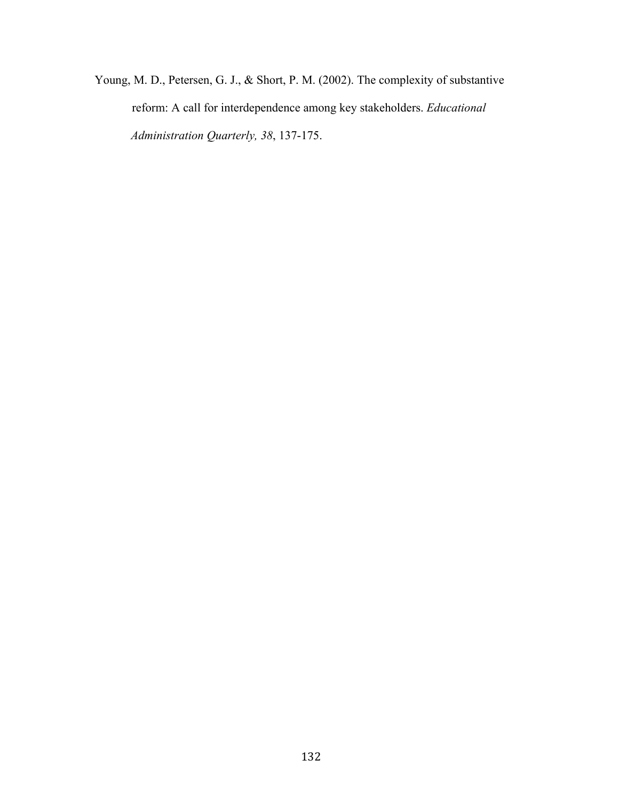Young, M. D., Petersen, G. J., & Short, P. M. (2002). The complexity of substantive reform: A call for interdependence among key stakeholders. *Educational Administration Quarterly, 38*, 137-175.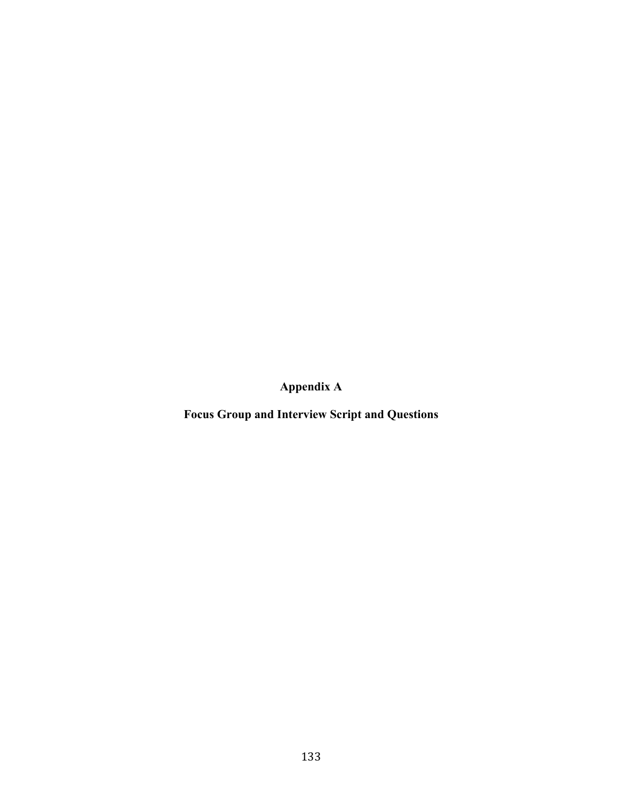**Appendix A**

**Focus Group and Interview Script and Questions**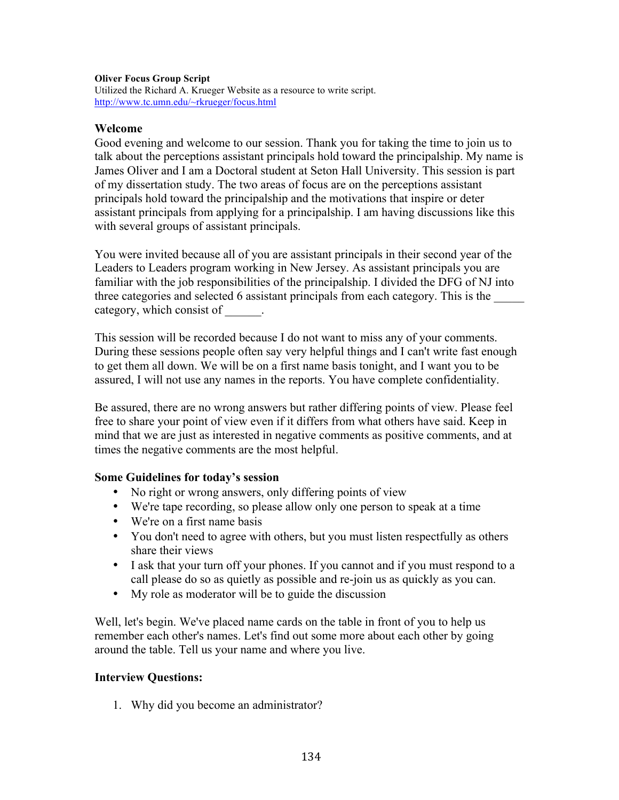# **Oliver Focus Group Script**

Utilized the Richard A. Krueger Website as a resource to write script. http://www.tc.umn.edu/~rkrueger/focus.html

# **Welcome**

Good evening and welcome to our session. Thank you for taking the time to join us to talk about the perceptions assistant principals hold toward the principalship. My name is James Oliver and I am a Doctoral student at Seton Hall University. This session is part of my dissertation study. The two areas of focus are on the perceptions assistant principals hold toward the principalship and the motivations that inspire or deter assistant principals from applying for a principalship. I am having discussions like this with several groups of assistant principals.

You were invited because all of you are assistant principals in their second year of the Leaders to Leaders program working in New Jersey. As assistant principals you are familiar with the job responsibilities of the principalship. I divided the DFG of NJ into three categories and selected 6 assistant principals from each category. This is the \_\_\_\_\_ category, which consist of  $\qquad$ .

This session will be recorded because I do not want to miss any of your comments. During these sessions people often say very helpful things and I can't write fast enough to get them all down. We will be on a first name basis tonight, and I want you to be assured, I will not use any names in the reports. You have complete confidentiality.

Be assured, there are no wrong answers but rather differing points of view. Please feel free to share your point of view even if it differs from what others have said. Keep in mind that we are just as interested in negative comments as positive comments, and at times the negative comments are the most helpful.

# **Some Guidelines for today's session**

- No right or wrong answers, only differing points of view
- We're tape recording, so please allow only one person to speak at a time
- We're on a first name basis
- You don't need to agree with others, but you must listen respectfully as others share their views
- I ask that your turn off your phones. If you cannot and if you must respond to a call please do so as quietly as possible and re-join us as quickly as you can.
- My role as moderator will be to guide the discussion

Well, let's begin. We've placed name cards on the table in front of you to help us remember each other's names. Let's find out some more about each other by going around the table. Tell us your name and where you live.

# **Interview Questions:**

1. Why did you become an administrator?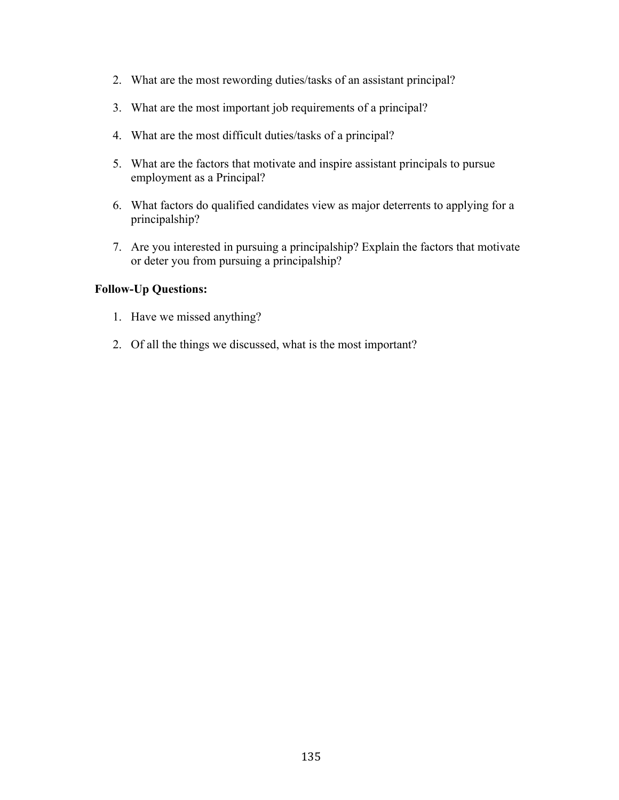- 2. What are the most rewording duties/tasks of an assistant principal?
- 3. What are the most important job requirements of a principal?
- 4. What are the most difficult duties/tasks of a principal?
- 5. What are the factors that motivate and inspire assistant principals to pursue employment as a Principal?
- 6. What factors do qualified candidates view as major deterrents to applying for a principalship?
- 7. Are you interested in pursuing a principalship? Explain the factors that motivate or deter you from pursuing a principalship?

# **Follow-Up Questions:**

- 1. Have we missed anything?
- 2. Of all the things we discussed, what is the most important?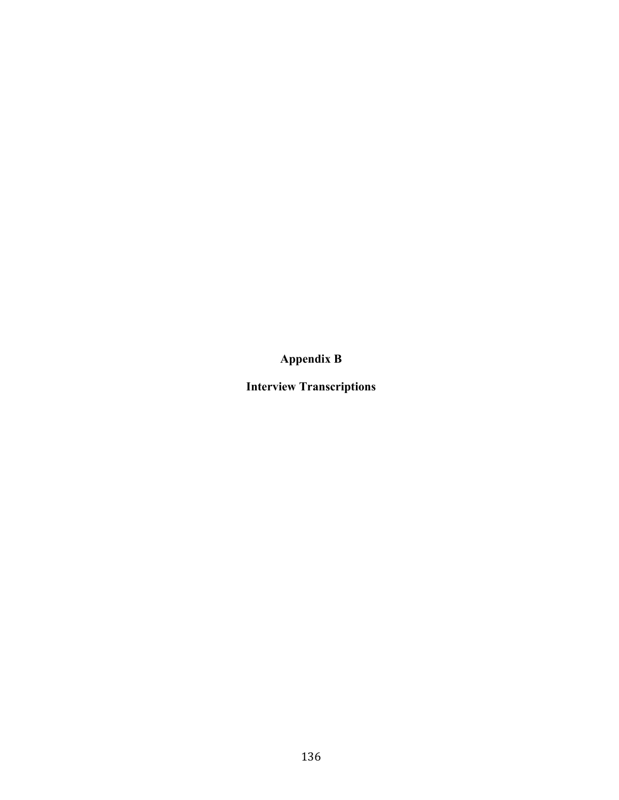**Appendix B**

**Interview Transcriptions**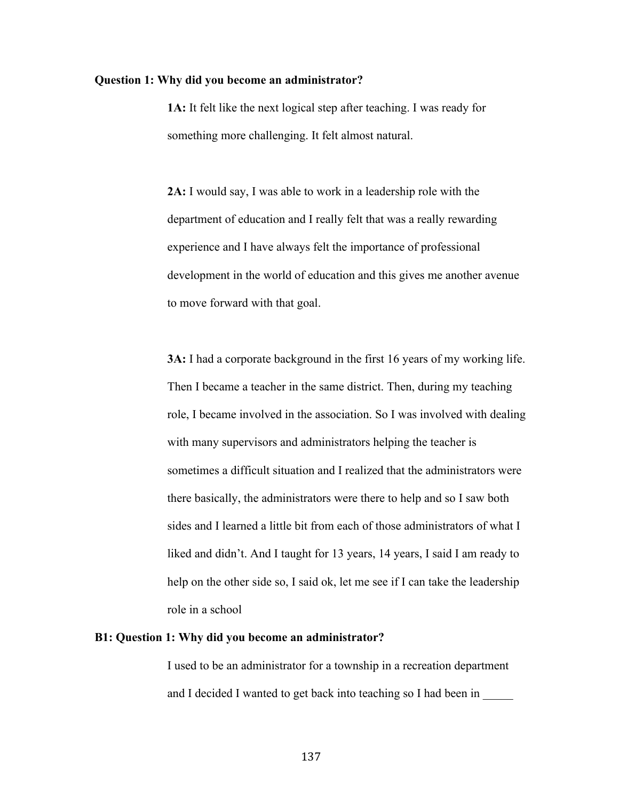# **Question 1: Why did you become an administrator?**

**1A:** It felt like the next logical step after teaching. I was ready for something more challenging. It felt almost natural.

**2A:** I would say, I was able to work in a leadership role with the department of education and I really felt that was a really rewarding experience and I have always felt the importance of professional development in the world of education and this gives me another avenue to move forward with that goal.

**3A:** I had a corporate background in the first 16 years of my working life. Then I became a teacher in the same district. Then, during my teaching role, I became involved in the association. So I was involved with dealing with many supervisors and administrators helping the teacher is sometimes a difficult situation and I realized that the administrators were there basically, the administrators were there to help and so I saw both sides and I learned a little bit from each of those administrators of what I liked and didn't. And I taught for 13 years, 14 years, I said I am ready to help on the other side so, I said ok, let me see if I can take the leadership role in a school

### **B1: Question 1: Why did you become an administrator?**

I used to be an administrator for a township in a recreation department and I decided I wanted to get back into teaching so I had been in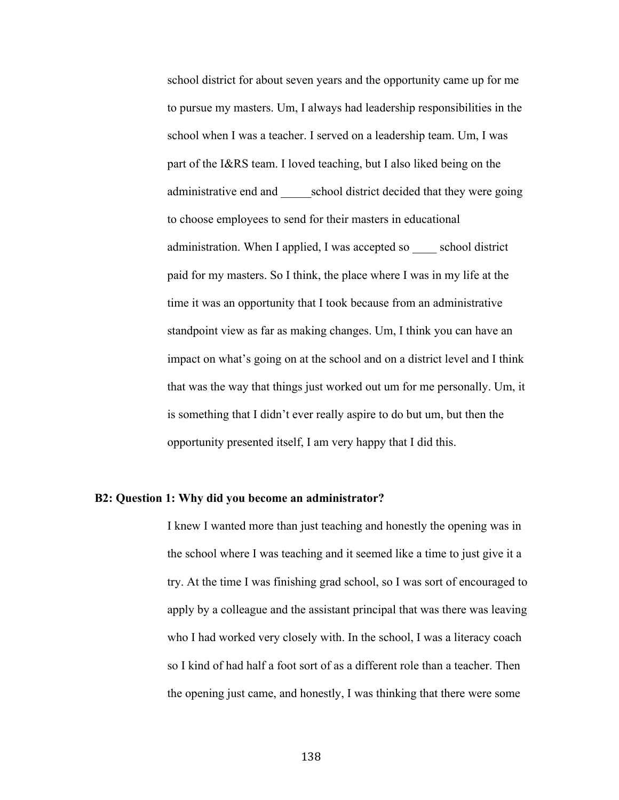school district for about seven years and the opportunity came up for me to pursue my masters. Um, I always had leadership responsibilities in the school when I was a teacher. I served on a leadership team. Um, I was part of the I&RS team. I loved teaching, but I also liked being on the administrative end and \_\_\_\_\_school district decided that they were going to choose employees to send for their masters in educational administration. When I applied, I was accepted so \_\_\_\_ school district paid for my masters. So I think, the place where I was in my life at the time it was an opportunity that I took because from an administrative standpoint view as far as making changes. Um, I think you can have an impact on what's going on at the school and on a district level and I think that was the way that things just worked out um for me personally. Um, it is something that I didn't ever really aspire to do but um, but then the opportunity presented itself, I am very happy that I did this.

# **B2: Question 1: Why did you become an administrator?**

I knew I wanted more than just teaching and honestly the opening was in the school where I was teaching and it seemed like a time to just give it a try. At the time I was finishing grad school, so I was sort of encouraged to apply by a colleague and the assistant principal that was there was leaving who I had worked very closely with. In the school, I was a literacy coach so I kind of had half a foot sort of as a different role than a teacher. Then the opening just came, and honestly, I was thinking that there were some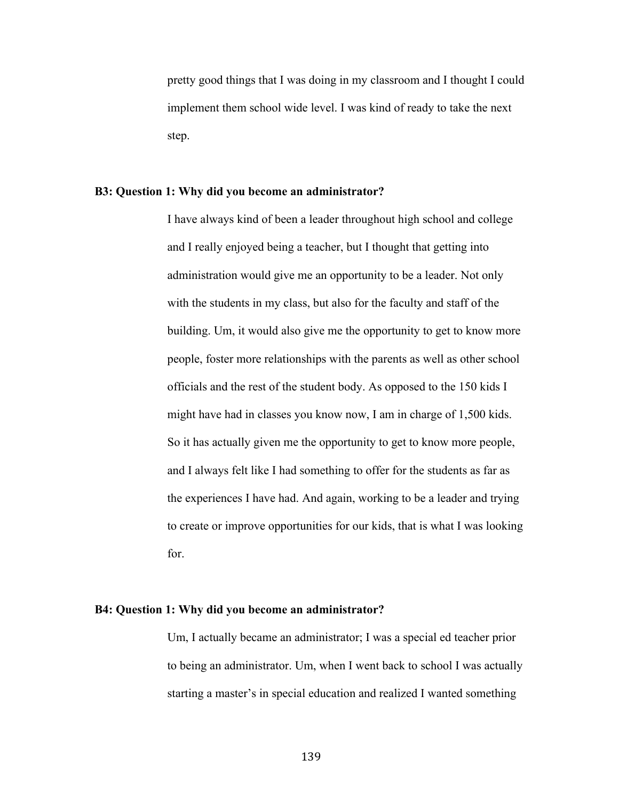pretty good things that I was doing in my classroom and I thought I could implement them school wide level. I was kind of ready to take the next step.

# **B3: Question 1: Why did you become an administrator?**

I have always kind of been a leader throughout high school and college and I really enjoyed being a teacher, but I thought that getting into administration would give me an opportunity to be a leader. Not only with the students in my class, but also for the faculty and staff of the building. Um, it would also give me the opportunity to get to know more people, foster more relationships with the parents as well as other school officials and the rest of the student body. As opposed to the 150 kids I might have had in classes you know now, I am in charge of 1,500 kids. So it has actually given me the opportunity to get to know more people, and I always felt like I had something to offer for the students as far as the experiences I have had. And again, working to be a leader and trying to create or improve opportunities for our kids, that is what I was looking for.

# **B4: Question 1: Why did you become an administrator?**

Um, I actually became an administrator; I was a special ed teacher prior to being an administrator. Um, when I went back to school I was actually starting a master's in special education and realized I wanted something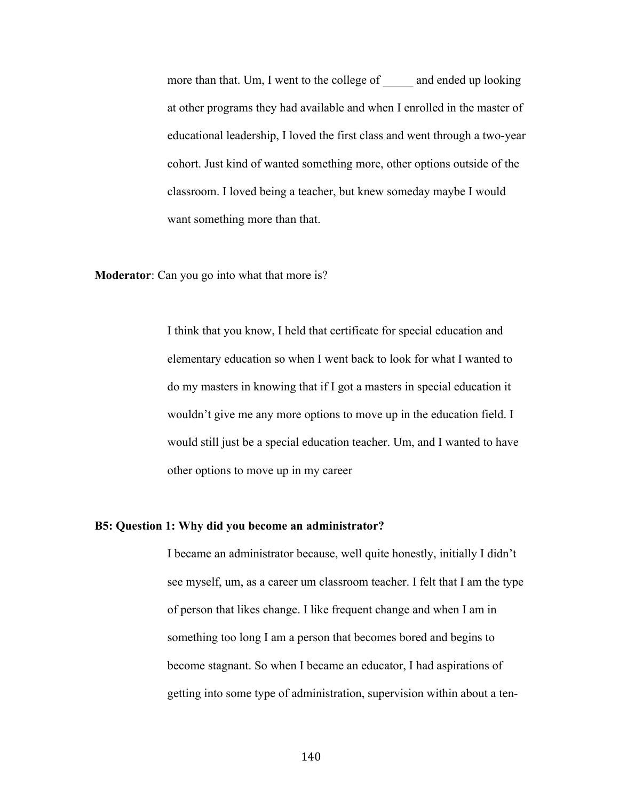more than that. Um, I went to the college of and ended up looking at other programs they had available and when I enrolled in the master of educational leadership, I loved the first class and went through a two-year cohort. Just kind of wanted something more, other options outside of the classroom. I loved being a teacher, but knew someday maybe I would want something more than that.

**Moderator**: Can you go into what that more is?

I think that you know, I held that certificate for special education and elementary education so when I went back to look for what I wanted to do my masters in knowing that if I got a masters in special education it wouldn't give me any more options to move up in the education field. I would still just be a special education teacher. Um, and I wanted to have other options to move up in my career

# **B5: Question 1: Why did you become an administrator?**

I became an administrator because, well quite honestly, initially I didn't see myself, um, as a career um classroom teacher. I felt that I am the type of person that likes change. I like frequent change and when I am in something too long I am a person that becomes bored and begins to become stagnant. So when I became an educator, I had aspirations of getting into some type of administration, supervision within about a ten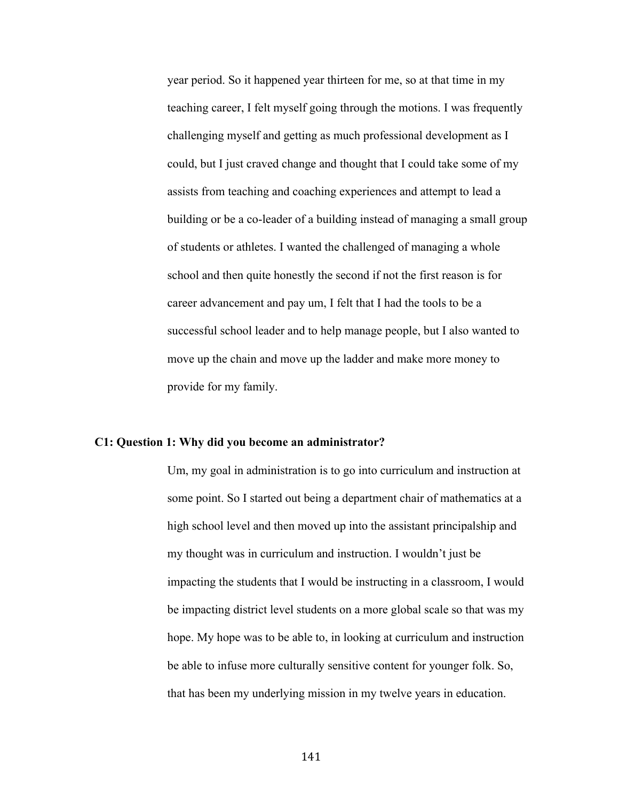year period. So it happened year thirteen for me, so at that time in my teaching career, I felt myself going through the motions. I was frequently challenging myself and getting as much professional development as I could, but I just craved change and thought that I could take some of my assists from teaching and coaching experiences and attempt to lead a building or be a co-leader of a building instead of managing a small group of students or athletes. I wanted the challenged of managing a whole school and then quite honestly the second if not the first reason is for career advancement and pay um, I felt that I had the tools to be a successful school leader and to help manage people, but I also wanted to move up the chain and move up the ladder and make more money to provide for my family.

#### **C1: Question 1: Why did you become an administrator?**

Um, my goal in administration is to go into curriculum and instruction at some point. So I started out being a department chair of mathematics at a high school level and then moved up into the assistant principalship and my thought was in curriculum and instruction. I wouldn't just be impacting the students that I would be instructing in a classroom, I would be impacting district level students on a more global scale so that was my hope. My hope was to be able to, in looking at curriculum and instruction be able to infuse more culturally sensitive content for younger folk. So, that has been my underlying mission in my twelve years in education.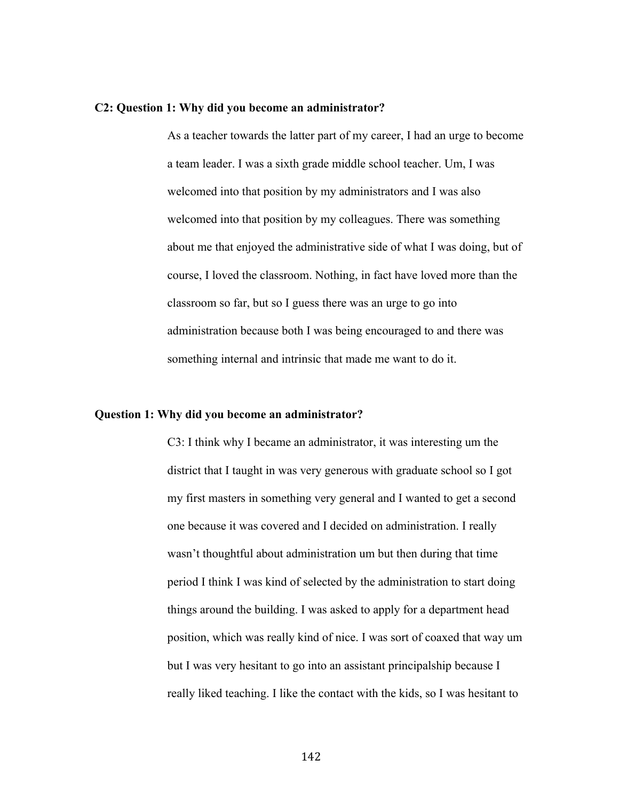### **C2: Question 1: Why did you become an administrator?**

As a teacher towards the latter part of my career, I had an urge to become a team leader. I was a sixth grade middle school teacher. Um, I was welcomed into that position by my administrators and I was also welcomed into that position by my colleagues. There was something about me that enjoyed the administrative side of what I was doing, but of course, I loved the classroom. Nothing, in fact have loved more than the classroom so far, but so I guess there was an urge to go into administration because both I was being encouraged to and there was something internal and intrinsic that made me want to do it.

# **Question 1: Why did you become an administrator?**

C3: I think why I became an administrator, it was interesting um the district that I taught in was very generous with graduate school so I got my first masters in something very general and I wanted to get a second one because it was covered and I decided on administration. I really wasn't thoughtful about administration um but then during that time period I think I was kind of selected by the administration to start doing things around the building. I was asked to apply for a department head position, which was really kind of nice. I was sort of coaxed that way um but I was very hesitant to go into an assistant principalship because I really liked teaching. I like the contact with the kids, so I was hesitant to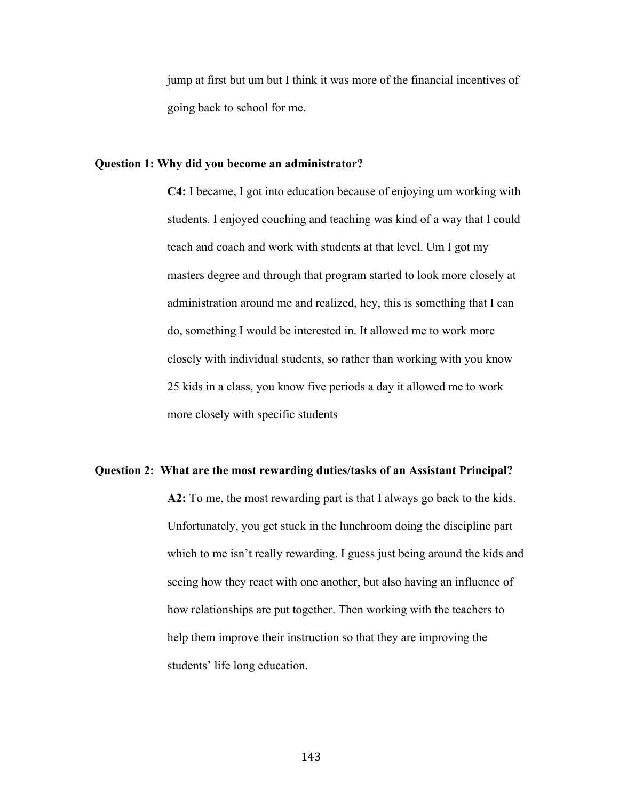jump at first but um but I think it was more of the financial incentives of going back to school for me.

## **Question 1: Why did you become an administrator?**

**C4:** I became, I got into education because of enjoying um working with students. I enjoyed couching and teaching was kind of a way that I could teach and coach and work with students at that level. Um I got my masters degree and through that program started to look more closely at administration around me and realized, hey, this is something that I can do, something I would be interested in. It allowed me to work more closely with individual students, so rather than working with you know 25 kids in a class, you know five periods a day it allowed me to work more closely with specific students

### **Question 2: What are the most rewarding duties/tasks of an Assistant Principal?**

**A2:** To me, the most rewarding part is that I always go back to the kids. Unfortunately, you get stuck in the lunchroom doing the discipline part which to me isn't really rewarding. I guess just being around the kids and seeing how they react with one another, but also having an influence of how relationships are put together. Then working with the teachers to help them improve their instruction so that they are improving the students' life long education.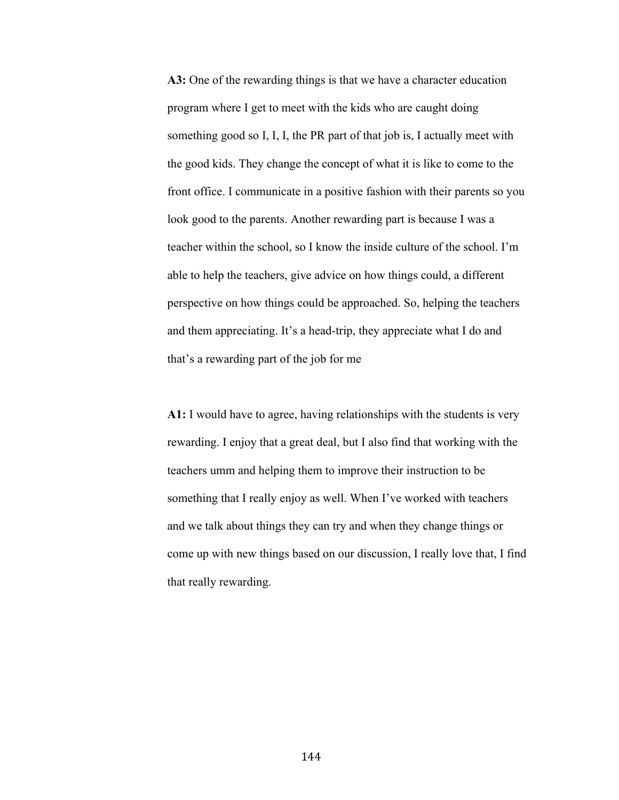**A3:** One of the rewarding things is that we have a character education program where I get to meet with the kids who are caught doing something good so I, I, I, the PR part of that job is, I actually meet with the good kids. They change the concept of what it is like to come to the front office. I communicate in a positive fashion with their parents so you look good to the parents. Another rewarding part is because I was a teacher within the school, so I know the inside culture of the school. I'm able to help the teachers, give advice on how things could, a different perspective on how things could be approached. So, helping the teachers and them appreciating. It's a head-trip, they appreciate what I do and that's a rewarding part of the job for me

**A1:** I would have to agree, having relationships with the students is very rewarding. I enjoy that a great deal, but I also find that working with the teachers umm and helping them to improve their instruction to be something that I really enjoy as well. When I've worked with teachers and we talk about things they can try and when they change things or come up with new things based on our discussion, I really love that, I find that really rewarding.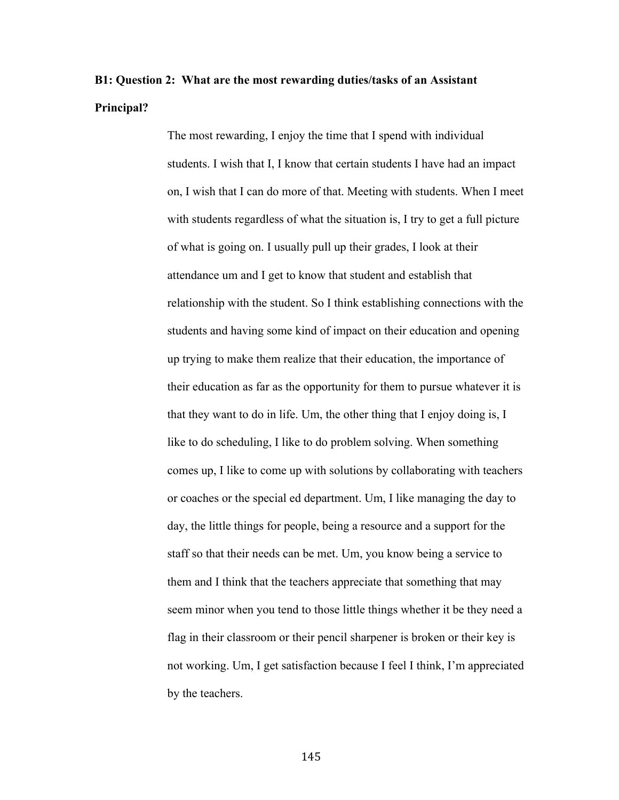# **B1: Question 2: What are the most rewarding duties/tasks of an Assistant Principal?**

The most rewarding, I enjoy the time that I spend with individual students. I wish that I, I know that certain students I have had an impact on, I wish that I can do more of that. Meeting with students. When I meet with students regardless of what the situation is, I try to get a full picture of what is going on. I usually pull up their grades, I look at their attendance um and I get to know that student and establish that relationship with the student. So I think establishing connections with the students and having some kind of impact on their education and opening up trying to make them realize that their education, the importance of their education as far as the opportunity for them to pursue whatever it is that they want to do in life. Um, the other thing that I enjoy doing is, I like to do scheduling, I like to do problem solving. When something comes up, I like to come up with solutions by collaborating with teachers or coaches or the special ed department. Um, I like managing the day to day, the little things for people, being a resource and a support for the staff so that their needs can be met. Um, you know being a service to them and I think that the teachers appreciate that something that may seem minor when you tend to those little things whether it be they need a flag in their classroom or their pencil sharpener is broken or their key is not working. Um, I get satisfaction because I feel I think, I'm appreciated by the teachers.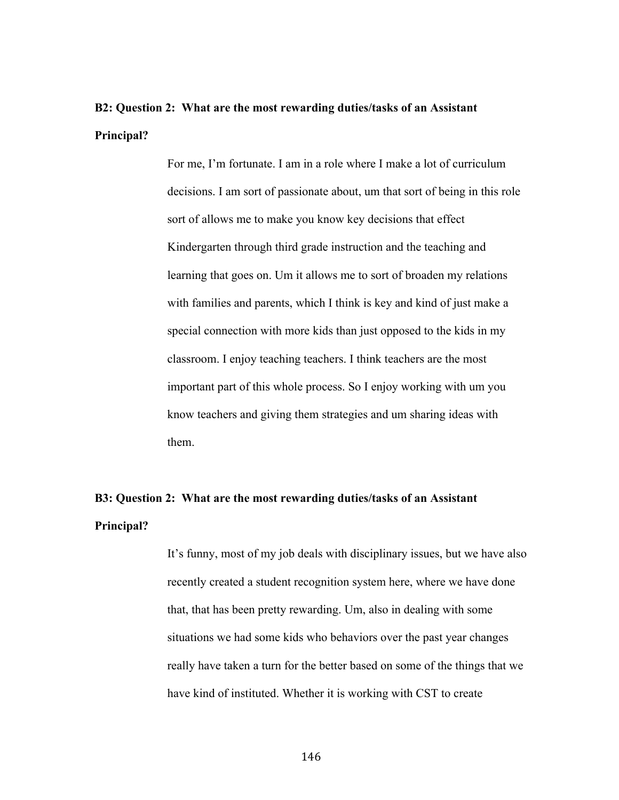# **B2: Question 2: What are the most rewarding duties/tasks of an Assistant Principal?**

For me, I'm fortunate. I am in a role where I make a lot of curriculum decisions. I am sort of passionate about, um that sort of being in this role sort of allows me to make you know key decisions that effect Kindergarten through third grade instruction and the teaching and learning that goes on. Um it allows me to sort of broaden my relations with families and parents, which I think is key and kind of just make a special connection with more kids than just opposed to the kids in my classroom. I enjoy teaching teachers. I think teachers are the most important part of this whole process. So I enjoy working with um you know teachers and giving them strategies and um sharing ideas with them.

# **B3: Question 2: What are the most rewarding duties/tasks of an Assistant Principal?**

It's funny, most of my job deals with disciplinary issues, but we have also recently created a student recognition system here, where we have done that, that has been pretty rewarding. Um, also in dealing with some situations we had some kids who behaviors over the past year changes really have taken a turn for the better based on some of the things that we have kind of instituted. Whether it is working with CST to create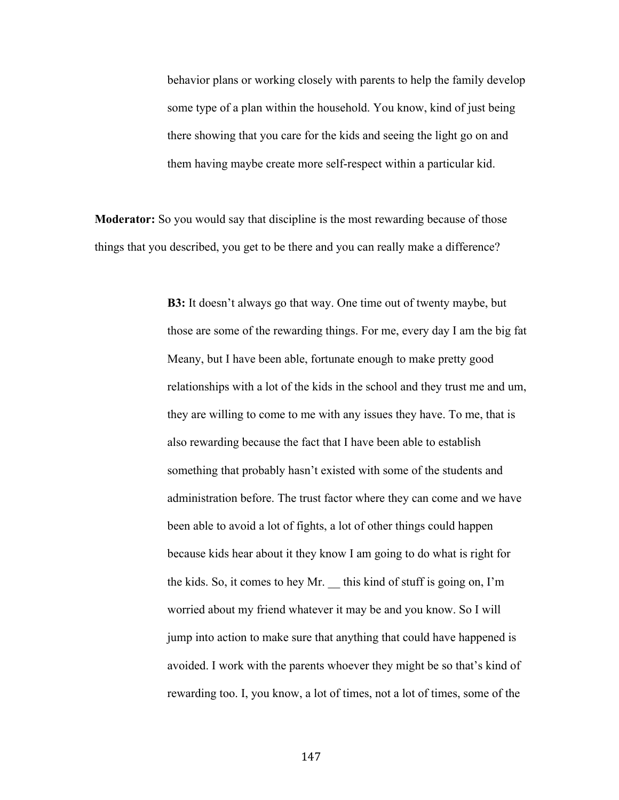behavior plans or working closely with parents to help the family develop some type of a plan within the household. You know, kind of just being there showing that you care for the kids and seeing the light go on and them having maybe create more self-respect within a particular kid.

**Moderator:** So you would say that discipline is the most rewarding because of those things that you described, you get to be there and you can really make a difference?

> **B3:** It doesn't always go that way. One time out of twenty maybe, but those are some of the rewarding things. For me, every day I am the big fat Meany, but I have been able, fortunate enough to make pretty good relationships with a lot of the kids in the school and they trust me and um, they are willing to come to me with any issues they have. To me, that is also rewarding because the fact that I have been able to establish something that probably hasn't existed with some of the students and administration before. The trust factor where they can come and we have been able to avoid a lot of fights, a lot of other things could happen because kids hear about it they know I am going to do what is right for the kids. So, it comes to hey Mr. \_\_ this kind of stuff is going on, I'm worried about my friend whatever it may be and you know. So I will jump into action to make sure that anything that could have happened is avoided. I work with the parents whoever they might be so that's kind of rewarding too. I, you know, a lot of times, not a lot of times, some of the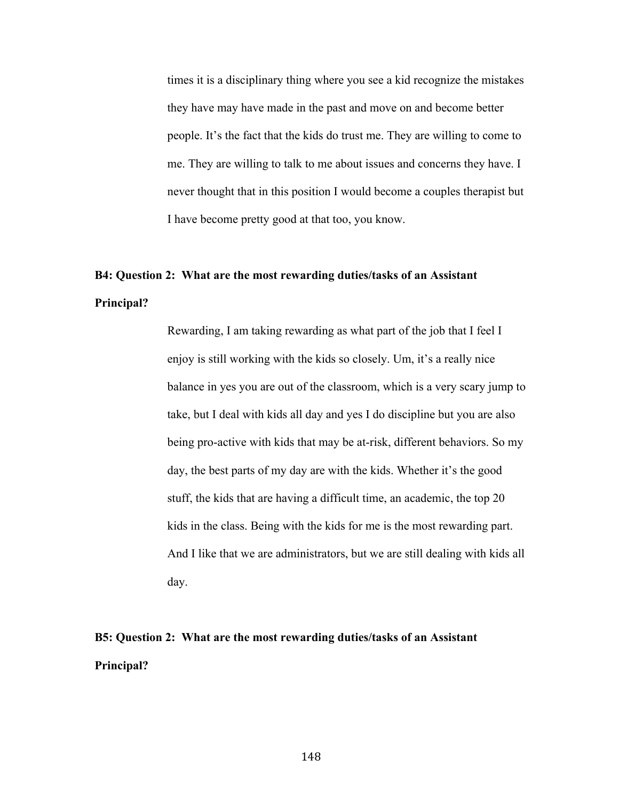times it is a disciplinary thing where you see a kid recognize the mistakes they have may have made in the past and move on and become better people. It's the fact that the kids do trust me. They are willing to come to me. They are willing to talk to me about issues and concerns they have. I never thought that in this position I would become a couples therapist but I have become pretty good at that too, you know.

# **B4: Question 2: What are the most rewarding duties/tasks of an Assistant Principal?**

Rewarding, I am taking rewarding as what part of the job that I feel I enjoy is still working with the kids so closely. Um, it's a really nice balance in yes you are out of the classroom, which is a very scary jump to take, but I deal with kids all day and yes I do discipline but you are also being pro-active with kids that may be at-risk, different behaviors. So my day, the best parts of my day are with the kids. Whether it's the good stuff, the kids that are having a difficult time, an academic, the top 20 kids in the class. Being with the kids for me is the most rewarding part. And I like that we are administrators, but we are still dealing with kids all day.

**B5: Question 2: What are the most rewarding duties/tasks of an Assistant Principal?**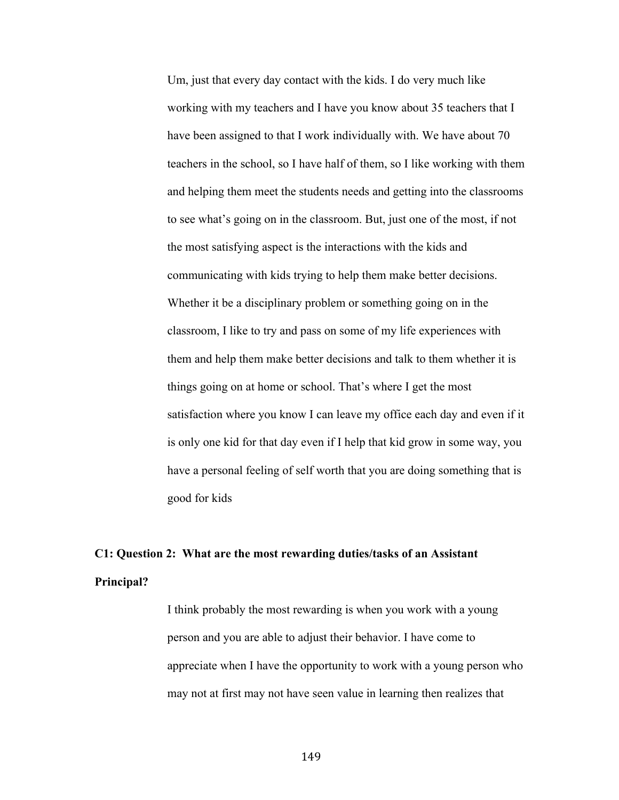Um, just that every day contact with the kids. I do very much like working with my teachers and I have you know about 35 teachers that I have been assigned to that I work individually with. We have about 70 teachers in the school, so I have half of them, so I like working with them and helping them meet the students needs and getting into the classrooms to see what's going on in the classroom. But, just one of the most, if not the most satisfying aspect is the interactions with the kids and communicating with kids trying to help them make better decisions. Whether it be a disciplinary problem or something going on in the classroom, I like to try and pass on some of my life experiences with them and help them make better decisions and talk to them whether it is things going on at home or school. That's where I get the most satisfaction where you know I can leave my office each day and even if it is only one kid for that day even if I help that kid grow in some way, you have a personal feeling of self worth that you are doing something that is good for kids

# **C1: Question 2: What are the most rewarding duties/tasks of an Assistant Principal?**

I think probably the most rewarding is when you work with a young person and you are able to adjust their behavior. I have come to appreciate when I have the opportunity to work with a young person who may not at first may not have seen value in learning then realizes that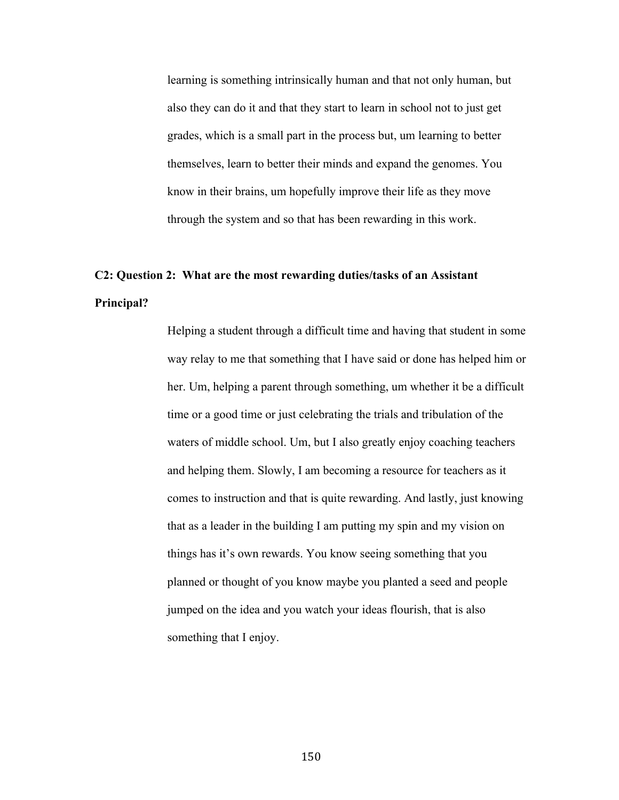learning is something intrinsically human and that not only human, but also they can do it and that they start to learn in school not to just get grades, which is a small part in the process but, um learning to better themselves, learn to better their minds and expand the genomes. You know in their brains, um hopefully improve their life as they move through the system and so that has been rewarding in this work.

# **C2: Question 2: What are the most rewarding duties/tasks of an Assistant Principal?**

Helping a student through a difficult time and having that student in some way relay to me that something that I have said or done has helped him or her. Um, helping a parent through something, um whether it be a difficult time or a good time or just celebrating the trials and tribulation of the waters of middle school. Um, but I also greatly enjoy coaching teachers and helping them. Slowly, I am becoming a resource for teachers as it comes to instruction and that is quite rewarding. And lastly, just knowing that as a leader in the building I am putting my spin and my vision on things has it's own rewards. You know seeing something that you planned or thought of you know maybe you planted a seed and people jumped on the idea and you watch your ideas flourish, that is also something that I enjoy.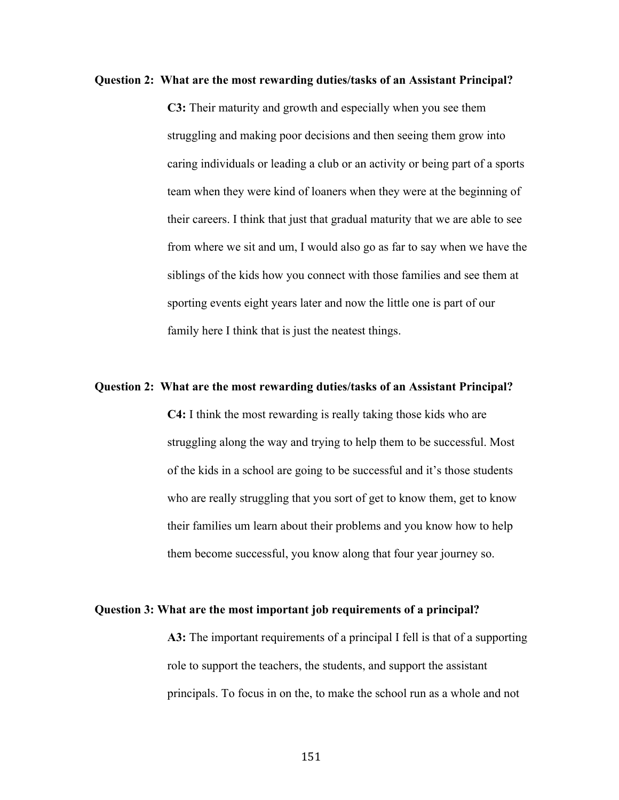# **Question 2: What are the most rewarding duties/tasks of an Assistant Principal?**

**C3:** Their maturity and growth and especially when you see them struggling and making poor decisions and then seeing them grow into caring individuals or leading a club or an activity or being part of a sports team when they were kind of loaners when they were at the beginning of their careers. I think that just that gradual maturity that we are able to see from where we sit and um, I would also go as far to say when we have the siblings of the kids how you connect with those families and see them at sporting events eight years later and now the little one is part of our family here I think that is just the neatest things.

# **Question 2: What are the most rewarding duties/tasks of an Assistant Principal?**

**C4:** I think the most rewarding is really taking those kids who are struggling along the way and trying to help them to be successful. Most of the kids in a school are going to be successful and it's those students who are really struggling that you sort of get to know them, get to know their families um learn about their problems and you know how to help them become successful, you know along that four year journey so.

#### **Question 3: What are the most important job requirements of a principal?**

**A3:** The important requirements of a principal I fell is that of a supporting role to support the teachers, the students, and support the assistant principals. To focus in on the, to make the school run as a whole and not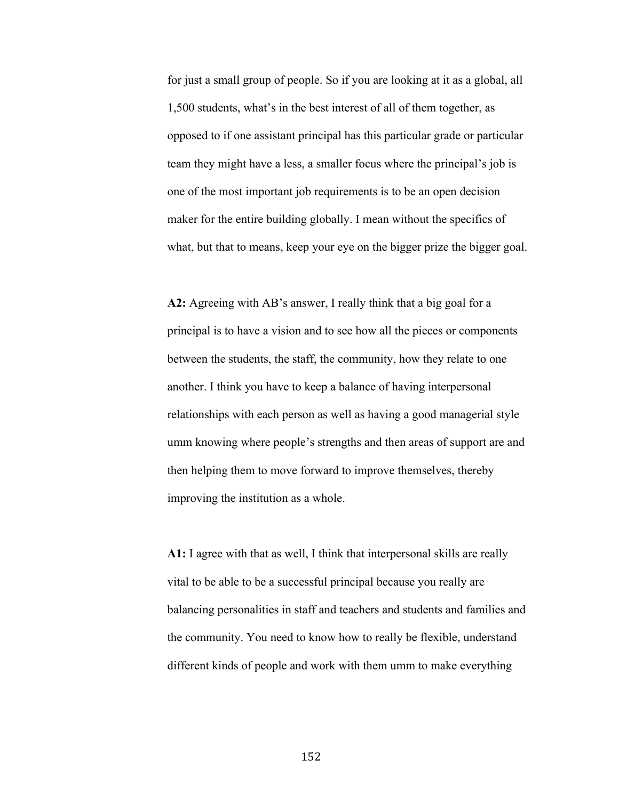for just a small group of people. So if you are looking at it as a global, all 1,500 students, what's in the best interest of all of them together, as opposed to if one assistant principal has this particular grade or particular team they might have a less, a smaller focus where the principal's job is one of the most important job requirements is to be an open decision maker for the entire building globally. I mean without the specifics of what, but that to means, keep your eye on the bigger prize the bigger goal.

**A2:** Agreeing with AB's answer, I really think that a big goal for a principal is to have a vision and to see how all the pieces or components between the students, the staff, the community, how they relate to one another. I think you have to keep a balance of having interpersonal relationships with each person as well as having a good managerial style umm knowing where people's strengths and then areas of support are and then helping them to move forward to improve themselves, thereby improving the institution as a whole.

**A1:** I agree with that as well, I think that interpersonal skills are really vital to be able to be a successful principal because you really are balancing personalities in staff and teachers and students and families and the community. You need to know how to really be flexible, understand different kinds of people and work with them umm to make everything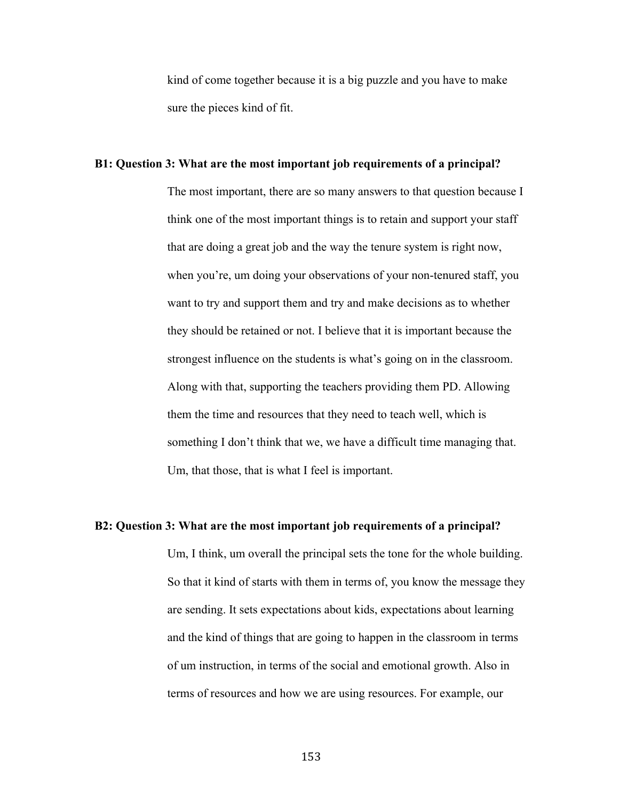kind of come together because it is a big puzzle and you have to make sure the pieces kind of fit.

# **B1: Question 3: What are the most important job requirements of a principal?**

The most important, there are so many answers to that question because I think one of the most important things is to retain and support your staff that are doing a great job and the way the tenure system is right now, when you're, um doing your observations of your non-tenured staff, you want to try and support them and try and make decisions as to whether they should be retained or not. I believe that it is important because the strongest influence on the students is what's going on in the classroom. Along with that, supporting the teachers providing them PD. Allowing them the time and resources that they need to teach well, which is something I don't think that we, we have a difficult time managing that. Um, that those, that is what I feel is important.

# **B2: Question 3: What are the most important job requirements of a principal?**

Um, I think, um overall the principal sets the tone for the whole building. So that it kind of starts with them in terms of, you know the message they are sending. It sets expectations about kids, expectations about learning and the kind of things that are going to happen in the classroom in terms of um instruction, in terms of the social and emotional growth. Also in terms of resources and how we are using resources. For example, our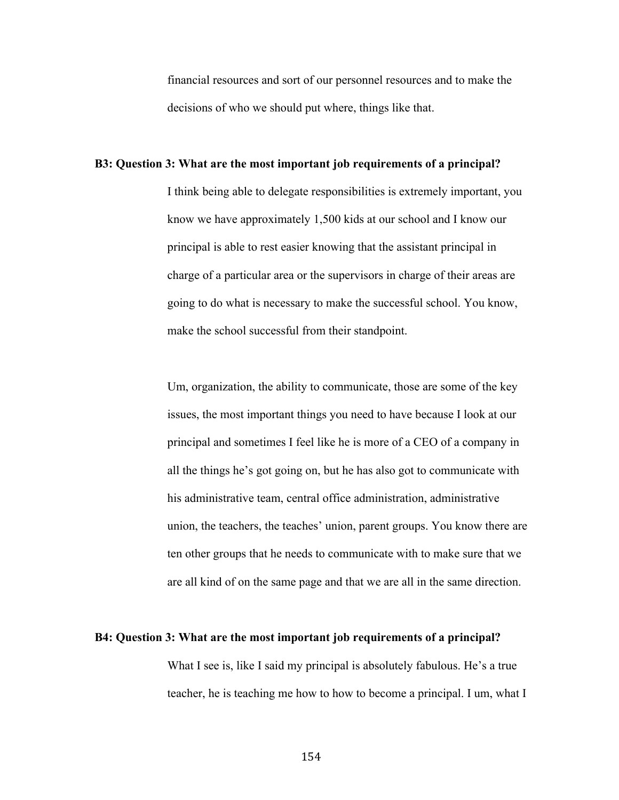financial resources and sort of our personnel resources and to make the decisions of who we should put where, things like that.

# **B3: Question 3: What are the most important job requirements of a principal?**

I think being able to delegate responsibilities is extremely important, you know we have approximately 1,500 kids at our school and I know our principal is able to rest easier knowing that the assistant principal in charge of a particular area or the supervisors in charge of their areas are going to do what is necessary to make the successful school. You know, make the school successful from their standpoint.

Um, organization, the ability to communicate, those are some of the key issues, the most important things you need to have because I look at our principal and sometimes I feel like he is more of a CEO of a company in all the things he's got going on, but he has also got to communicate with his administrative team, central office administration, administrative union, the teachers, the teaches' union, parent groups. You know there are ten other groups that he needs to communicate with to make sure that we are all kind of on the same page and that we are all in the same direction.

#### **B4: Question 3: What are the most important job requirements of a principal?**

What I see is, like I said my principal is absolutely fabulous. He's a true teacher, he is teaching me how to how to become a principal. I um, what I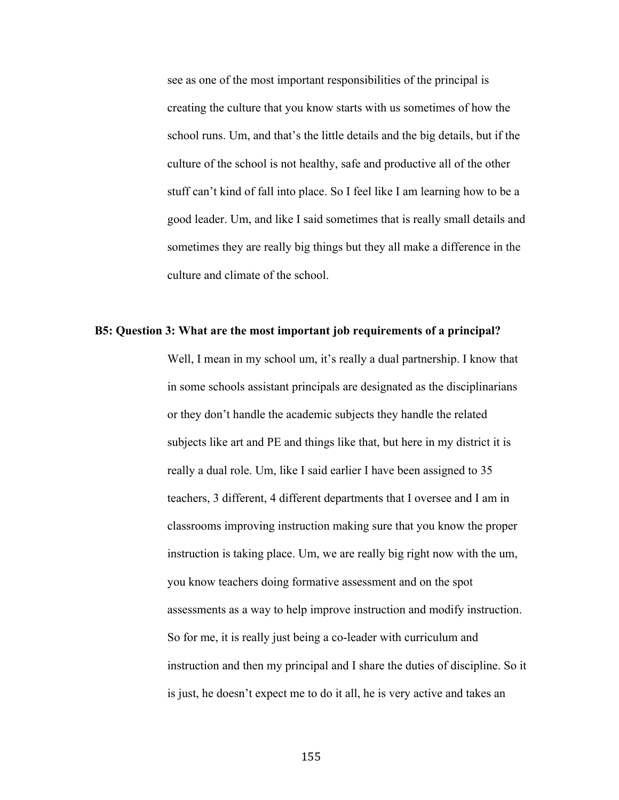see as one of the most important responsibilities of the principal is creating the culture that you know starts with us sometimes of how the school runs. Um, and that's the little details and the big details, but if the culture of the school is not healthy, safe and productive all of the other stuff can't kind of fall into place. So I feel like I am learning how to be a good leader. Um, and like I said sometimes that is really small details and sometimes they are really big things but they all make a difference in the culture and climate of the school.

#### **B5: Question 3: What are the most important job requirements of a principal?**

Well, I mean in my school um, it's really a dual partnership. I know that in some schools assistant principals are designated as the disciplinarians or they don't handle the academic subjects they handle the related subjects like art and PE and things like that, but here in my district it is really a dual role. Um, like I said earlier I have been assigned to 35 teachers, 3 different, 4 different departments that I oversee and I am in classrooms improving instruction making sure that you know the proper instruction is taking place. Um, we are really big right now with the um, you know teachers doing formative assessment and on the spot assessments as a way to help improve instruction and modify instruction. So for me, it is really just being a co-leader with curriculum and instruction and then my principal and I share the duties of discipline. So it is just, he doesn't expect me to do it all, he is very active and takes an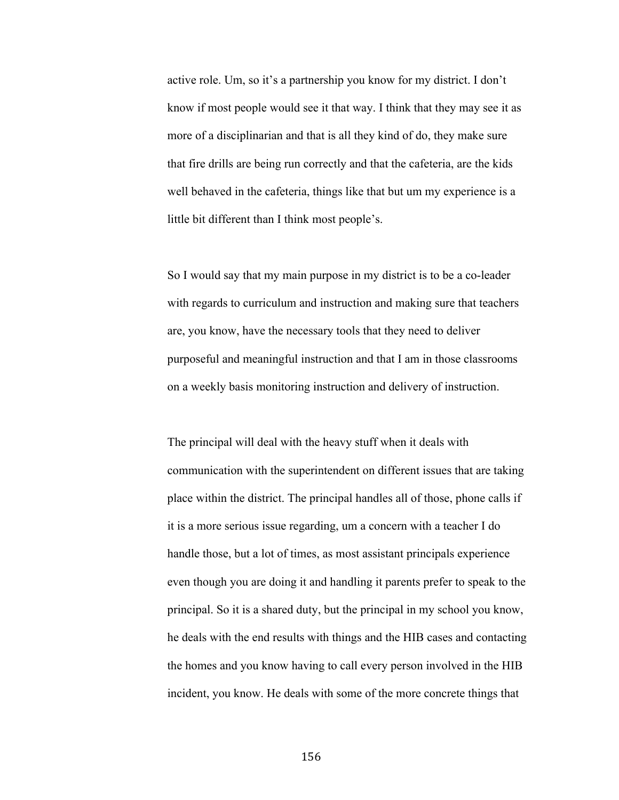active role. Um, so it's a partnership you know for my district. I don't know if most people would see it that way. I think that they may see it as more of a disciplinarian and that is all they kind of do, they make sure that fire drills are being run correctly and that the cafeteria, are the kids well behaved in the cafeteria, things like that but um my experience is a little bit different than I think most people's.

So I would say that my main purpose in my district is to be a co-leader with regards to curriculum and instruction and making sure that teachers are, you know, have the necessary tools that they need to deliver purposeful and meaningful instruction and that I am in those classrooms on a weekly basis monitoring instruction and delivery of instruction.

The principal will deal with the heavy stuff when it deals with communication with the superintendent on different issues that are taking place within the district. The principal handles all of those, phone calls if it is a more serious issue regarding, um a concern with a teacher I do handle those, but a lot of times, as most assistant principals experience even though you are doing it and handling it parents prefer to speak to the principal. So it is a shared duty, but the principal in my school you know, he deals with the end results with things and the HIB cases and contacting the homes and you know having to call every person involved in the HIB incident, you know. He deals with some of the more concrete things that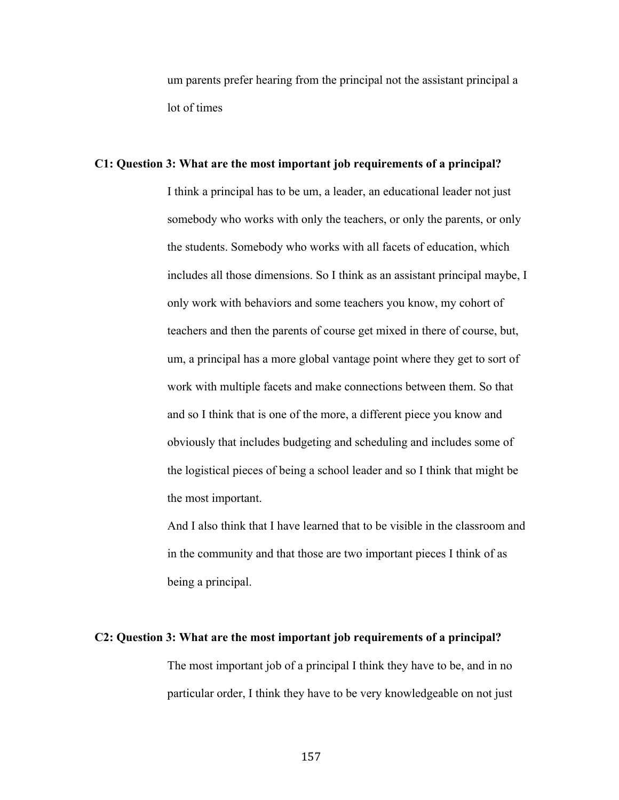um parents prefer hearing from the principal not the assistant principal a lot of times

# **C1: Question 3: What are the most important job requirements of a principal?**

I think a principal has to be um, a leader, an educational leader not just somebody who works with only the teachers, or only the parents, or only the students. Somebody who works with all facets of education, which includes all those dimensions. So I think as an assistant principal maybe, I only work with behaviors and some teachers you know, my cohort of teachers and then the parents of course get mixed in there of course, but, um, a principal has a more global vantage point where they get to sort of work with multiple facets and make connections between them. So that and so I think that is one of the more, a different piece you know and obviously that includes budgeting and scheduling and includes some of the logistical pieces of being a school leader and so I think that might be the most important.

And I also think that I have learned that to be visible in the classroom and in the community and that those are two important pieces I think of as being a principal.

### **C2: Question 3: What are the most important job requirements of a principal?**

The most important job of a principal I think they have to be, and in no particular order, I think they have to be very knowledgeable on not just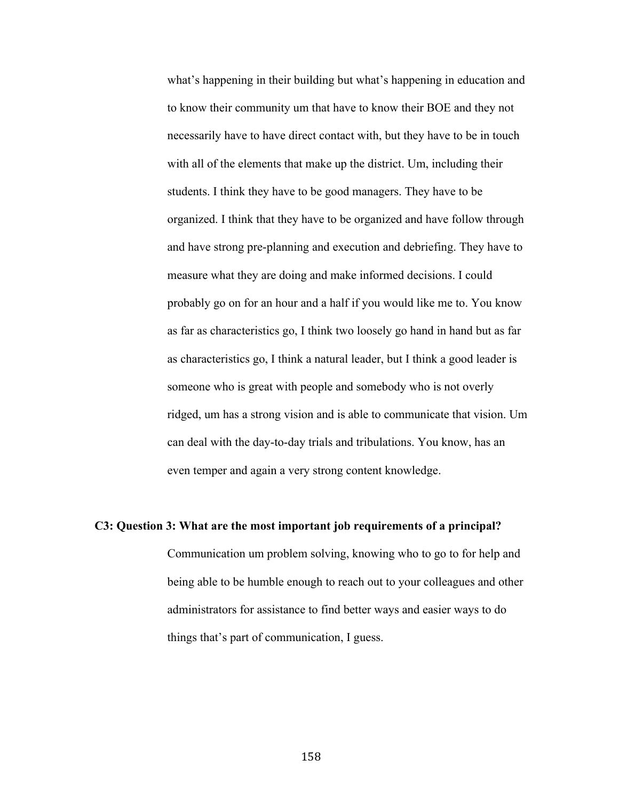what's happening in their building but what's happening in education and to know their community um that have to know their BOE and they not necessarily have to have direct contact with, but they have to be in touch with all of the elements that make up the district. Um, including their students. I think they have to be good managers. They have to be organized. I think that they have to be organized and have follow through and have strong pre-planning and execution and debriefing. They have to measure what they are doing and make informed decisions. I could probably go on for an hour and a half if you would like me to. You know as far as characteristics go, I think two loosely go hand in hand but as far as characteristics go, I think a natural leader, but I think a good leader is someone who is great with people and somebody who is not overly ridged, um has a strong vision and is able to communicate that vision. Um can deal with the day-to-day trials and tribulations. You know, has an even temper and again a very strong content knowledge.

# **C3: Question 3: What are the most important job requirements of a principal?**

Communication um problem solving, knowing who to go to for help and being able to be humble enough to reach out to your colleagues and other administrators for assistance to find better ways and easier ways to do things that's part of communication, I guess.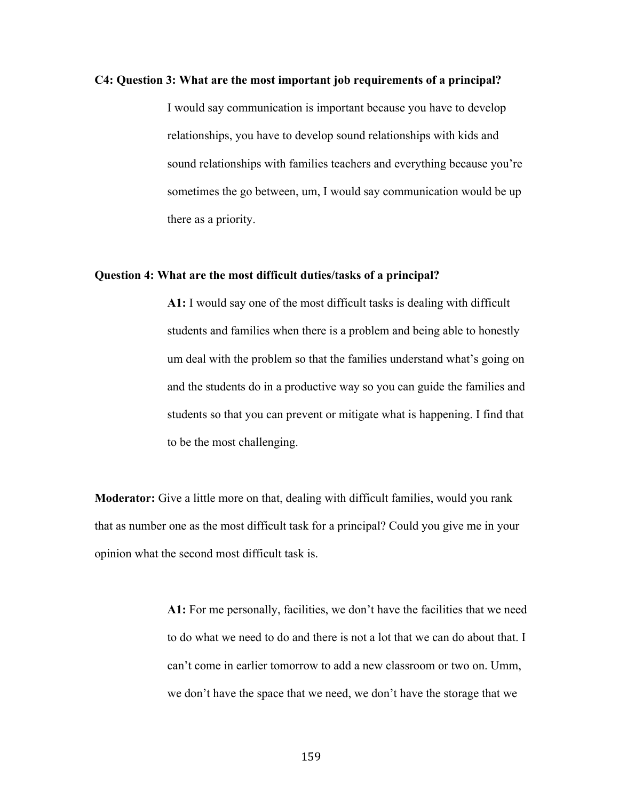### **C4: Question 3: What are the most important job requirements of a principal?**

I would say communication is important because you have to develop relationships, you have to develop sound relationships with kids and sound relationships with families teachers and everything because you're sometimes the go between, um, I would say communication would be up there as a priority.

# **Question 4: What are the most difficult duties/tasks of a principal?**

**A1:** I would say one of the most difficult tasks is dealing with difficult students and families when there is a problem and being able to honestly um deal with the problem so that the families understand what's going on and the students do in a productive way so you can guide the families and students so that you can prevent or mitigate what is happening. I find that to be the most challenging.

**Moderator:** Give a little more on that, dealing with difficult families, would you rank that as number one as the most difficult task for a principal? Could you give me in your opinion what the second most difficult task is.

> **A1:** For me personally, facilities, we don't have the facilities that we need to do what we need to do and there is not a lot that we can do about that. I can't come in earlier tomorrow to add a new classroom or two on. Umm, we don't have the space that we need, we don't have the storage that we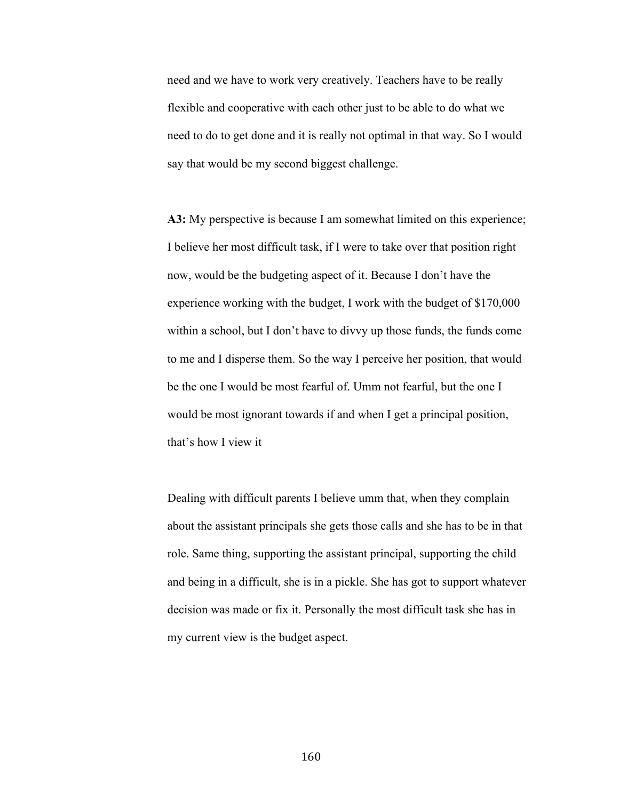need and we have to work very creatively. Teachers have to be really flexible and cooperative with each other just to be able to do what we need to do to get done and it is really not optimal in that way. So I would say that would be my second biggest challenge.

**A3:** My perspective is because I am somewhat limited on this experience; I believe her most difficult task, if I were to take over that position right now, would be the budgeting aspect of it. Because I don't have the experience working with the budget, I work with the budget of \$170,000 within a school, but I don't have to divvy up those funds, the funds come to me and I disperse them. So the way I perceive her position, that would be the one I would be most fearful of. Umm not fearful, but the one I would be most ignorant towards if and when I get a principal position, that's how I view it

Dealing with difficult parents I believe umm that, when they complain about the assistant principals she gets those calls and she has to be in that role. Same thing, supporting the assistant principal, supporting the child and being in a difficult, she is in a pickle. She has got to support whatever decision was made or fix it. Personally the most difficult task she has in my current view is the budget aspect.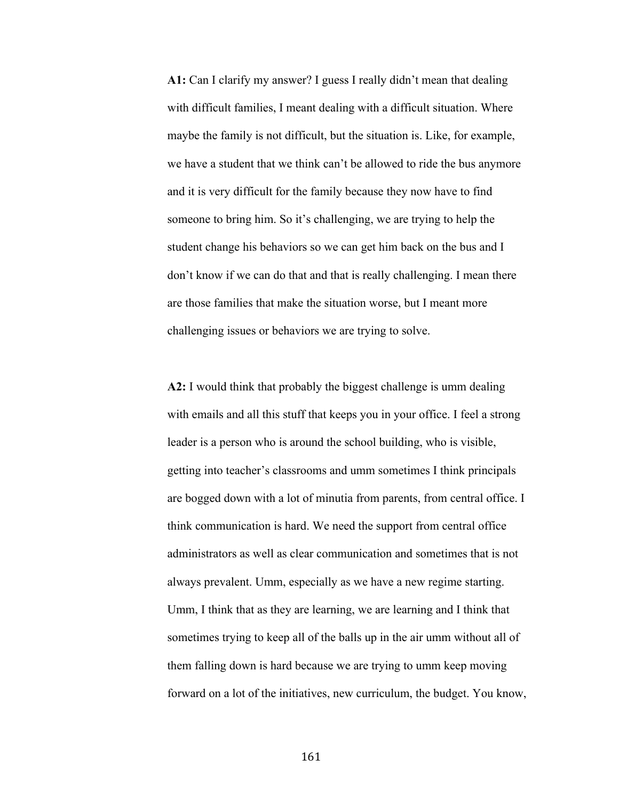**A1:** Can I clarify my answer? I guess I really didn't mean that dealing with difficult families, I meant dealing with a difficult situation. Where maybe the family is not difficult, but the situation is. Like, for example, we have a student that we think can't be allowed to ride the bus anymore and it is very difficult for the family because they now have to find someone to bring him. So it's challenging, we are trying to help the student change his behaviors so we can get him back on the bus and I don't know if we can do that and that is really challenging. I mean there are those families that make the situation worse, but I meant more challenging issues or behaviors we are trying to solve.

**A2:** I would think that probably the biggest challenge is umm dealing with emails and all this stuff that keeps you in your office. I feel a strong leader is a person who is around the school building, who is visible, getting into teacher's classrooms and umm sometimes I think principals are bogged down with a lot of minutia from parents, from central office. I think communication is hard. We need the support from central office administrators as well as clear communication and sometimes that is not always prevalent. Umm, especially as we have a new regime starting. Umm, I think that as they are learning, we are learning and I think that sometimes trying to keep all of the balls up in the air umm without all of them falling down is hard because we are trying to umm keep moving forward on a lot of the initiatives, new curriculum, the budget. You know,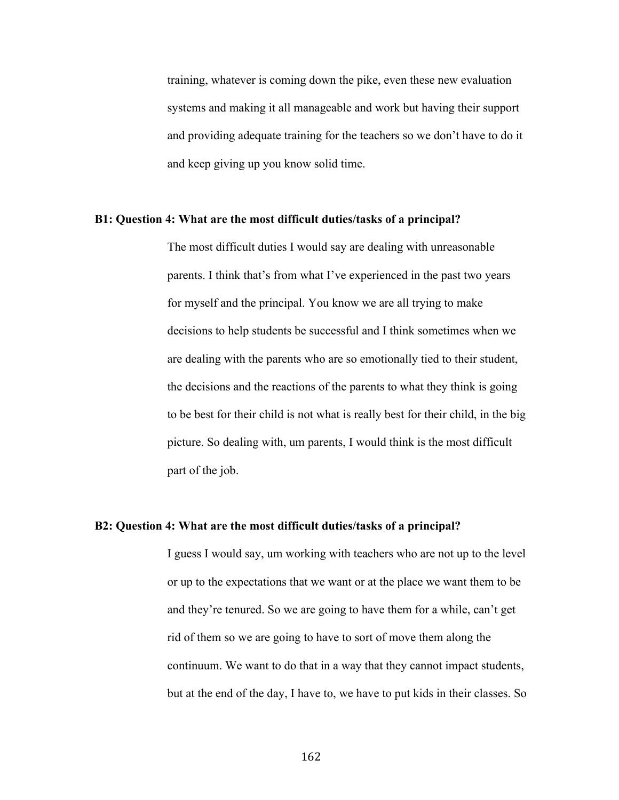training, whatever is coming down the pike, even these new evaluation systems and making it all manageable and work but having their support and providing adequate training for the teachers so we don't have to do it and keep giving up you know solid time.

# **B1: Question 4: What are the most difficult duties/tasks of a principal?**

The most difficult duties I would say are dealing with unreasonable parents. I think that's from what I've experienced in the past two years for myself and the principal. You know we are all trying to make decisions to help students be successful and I think sometimes when we are dealing with the parents who are so emotionally tied to their student, the decisions and the reactions of the parents to what they think is going to be best for their child is not what is really best for their child, in the big picture. So dealing with, um parents, I would think is the most difficult part of the job.

# **B2: Question 4: What are the most difficult duties/tasks of a principal?**

I guess I would say, um working with teachers who are not up to the level or up to the expectations that we want or at the place we want them to be and they're tenured. So we are going to have them for a while, can't get rid of them so we are going to have to sort of move them along the continuum. We want to do that in a way that they cannot impact students, but at the end of the day, I have to, we have to put kids in their classes. So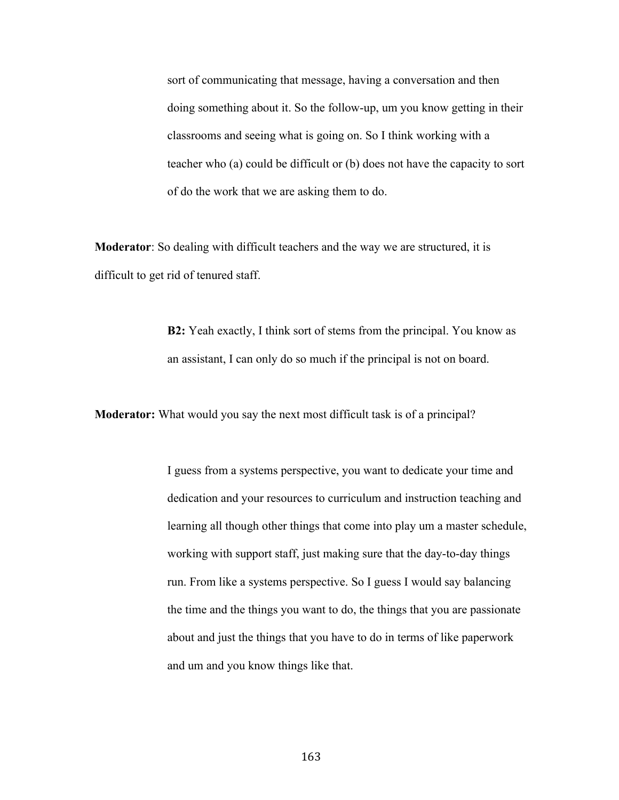sort of communicating that message, having a conversation and then doing something about it. So the follow-up, um you know getting in their classrooms and seeing what is going on. So I think working with a teacher who (a) could be difficult or (b) does not have the capacity to sort of do the work that we are asking them to do.

**Moderator**: So dealing with difficult teachers and the way we are structured, it is difficult to get rid of tenured staff.

> **B2:** Yeah exactly, I think sort of stems from the principal. You know as an assistant, I can only do so much if the principal is not on board.

**Moderator:** What would you say the next most difficult task is of a principal?

I guess from a systems perspective, you want to dedicate your time and dedication and your resources to curriculum and instruction teaching and learning all though other things that come into play um a master schedule, working with support staff, just making sure that the day-to-day things run. From like a systems perspective. So I guess I would say balancing the time and the things you want to do, the things that you are passionate about and just the things that you have to do in terms of like paperwork and um and you know things like that.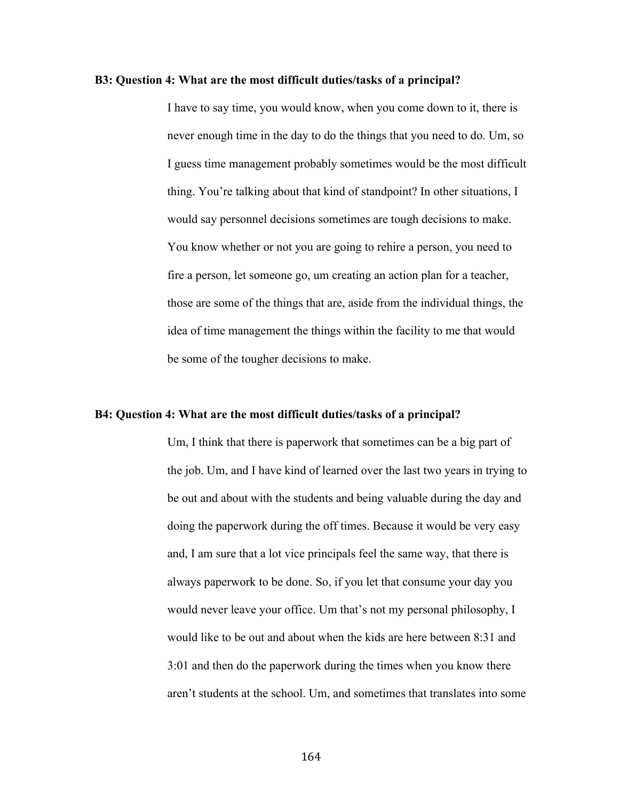## **B3: Question 4: What are the most difficult duties/tasks of a principal?**

I have to say time, you would know, when you come down to it, there is never enough time in the day to do the things that you need to do. Um, so I guess time management probably sometimes would be the most difficult thing. You're talking about that kind of standpoint? In other situations, I would say personnel decisions sometimes are tough decisions to make. You know whether or not you are going to rehire a person, you need to fire a person, let someone go, um creating an action plan for a teacher, those are some of the things that are, aside from the individual things, the idea of time management the things within the facility to me that would be some of the tougher decisions to make.

## **B4: Question 4: What are the most difficult duties/tasks of a principal?**

Um, I think that there is paperwork that sometimes can be a big part of the job. Um, and I have kind of learned over the last two years in trying to be out and about with the students and being valuable during the day and doing the paperwork during the off times. Because it would be very easy and, I am sure that a lot vice principals feel the same way, that there is always paperwork to be done. So, if you let that consume your day you would never leave your office. Um that's not my personal philosophy, I would like to be out and about when the kids are here between 8:31 and 3:01 and then do the paperwork during the times when you know there aren't students at the school. Um, and sometimes that translates into some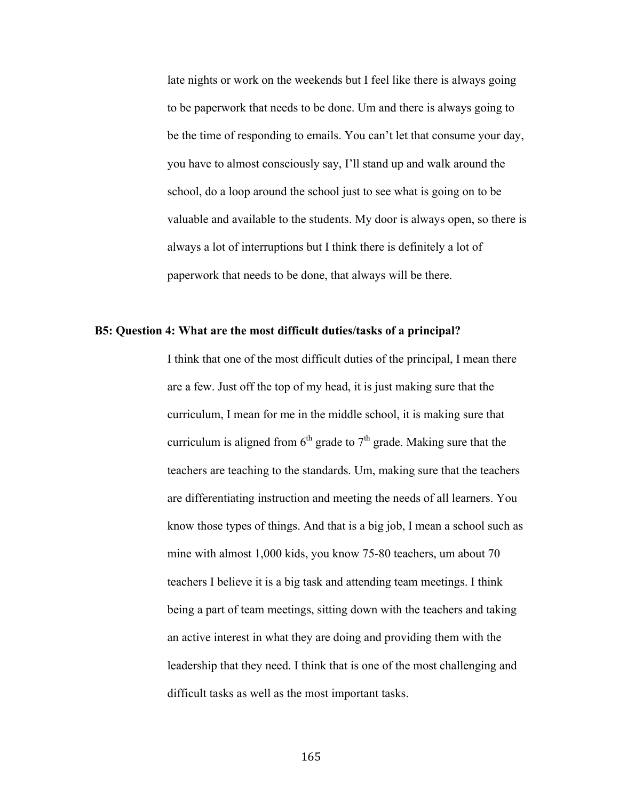late nights or work on the weekends but I feel like there is always going to be paperwork that needs to be done. Um and there is always going to be the time of responding to emails. You can't let that consume your day, you have to almost consciously say, I'll stand up and walk around the school, do a loop around the school just to see what is going on to be valuable and available to the students. My door is always open, so there is always a lot of interruptions but I think there is definitely a lot of paperwork that needs to be done, that always will be there.

## **B5: Question 4: What are the most difficult duties/tasks of a principal?**

I think that one of the most difficult duties of the principal, I mean there are a few. Just off the top of my head, it is just making sure that the curriculum, I mean for me in the middle school, it is making sure that curriculum is aligned from  $6<sup>th</sup>$  grade to  $7<sup>th</sup>$  grade. Making sure that the teachers are teaching to the standards. Um, making sure that the teachers are differentiating instruction and meeting the needs of all learners. You know those types of things. And that is a big job, I mean a school such as mine with almost 1,000 kids, you know 75-80 teachers, um about 70 teachers I believe it is a big task and attending team meetings. I think being a part of team meetings, sitting down with the teachers and taking an active interest in what they are doing and providing them with the leadership that they need. I think that is one of the most challenging and difficult tasks as well as the most important tasks.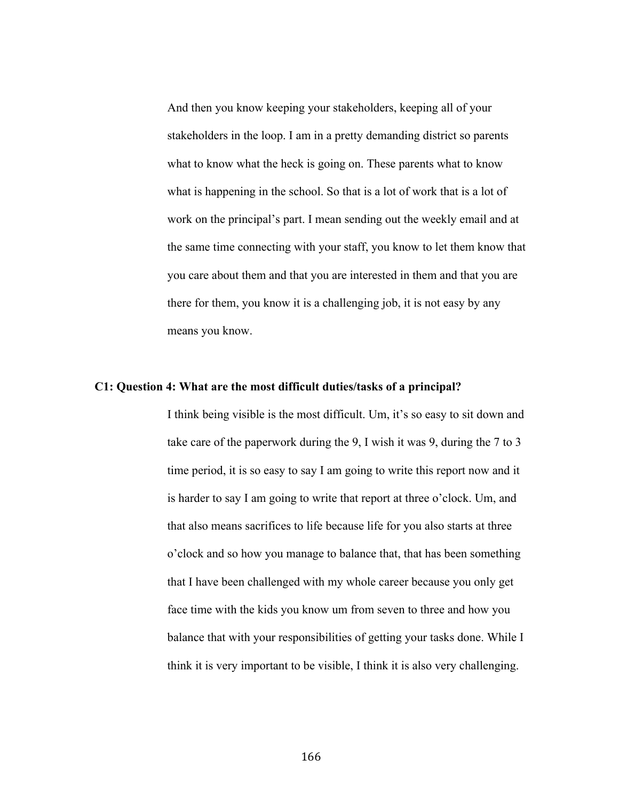And then you know keeping your stakeholders, keeping all of your stakeholders in the loop. I am in a pretty demanding district so parents what to know what the heck is going on. These parents what to know what is happening in the school. So that is a lot of work that is a lot of work on the principal's part. I mean sending out the weekly email and at the same time connecting with your staff, you know to let them know that you care about them and that you are interested in them and that you are there for them, you know it is a challenging job, it is not easy by any means you know.

## **C1: Question 4: What are the most difficult duties/tasks of a principal?**

I think being visible is the most difficult. Um, it's so easy to sit down and take care of the paperwork during the 9, I wish it was 9, during the 7 to 3 time period, it is so easy to say I am going to write this report now and it is harder to say I am going to write that report at three o'clock. Um, and that also means sacrifices to life because life for you also starts at three o'clock and so how you manage to balance that, that has been something that I have been challenged with my whole career because you only get face time with the kids you know um from seven to three and how you balance that with your responsibilities of getting your tasks done. While I think it is very important to be visible, I think it is also very challenging.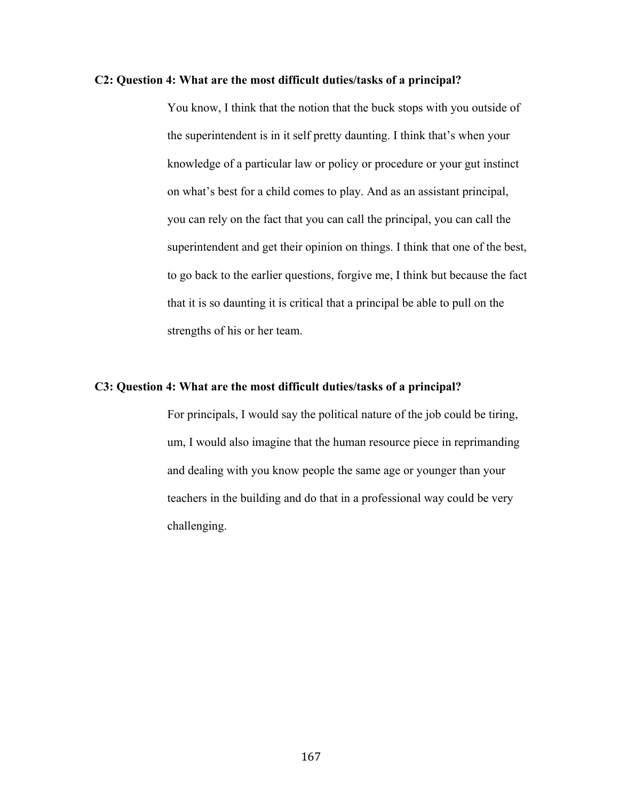## **C2: Question 4: What are the most difficult duties/tasks of a principal?**

You know, I think that the notion that the buck stops with you outside of the superintendent is in it self pretty daunting. I think that's when your knowledge of a particular law or policy or procedure or your gut instinct on what's best for a child comes to play. And as an assistant principal, you can rely on the fact that you can call the principal, you can call the superintendent and get their opinion on things. I think that one of the best, to go back to the earlier questions, forgive me, I think but because the fact that it is so daunting it is critical that a principal be able to pull on the strengths of his or her team.

# **C3: Question 4: What are the most difficult duties/tasks of a principal?**

For principals, I would say the political nature of the job could be tiring, um, I would also imagine that the human resource piece in reprimanding and dealing with you know people the same age or younger than your teachers in the building and do that in a professional way could be very challenging.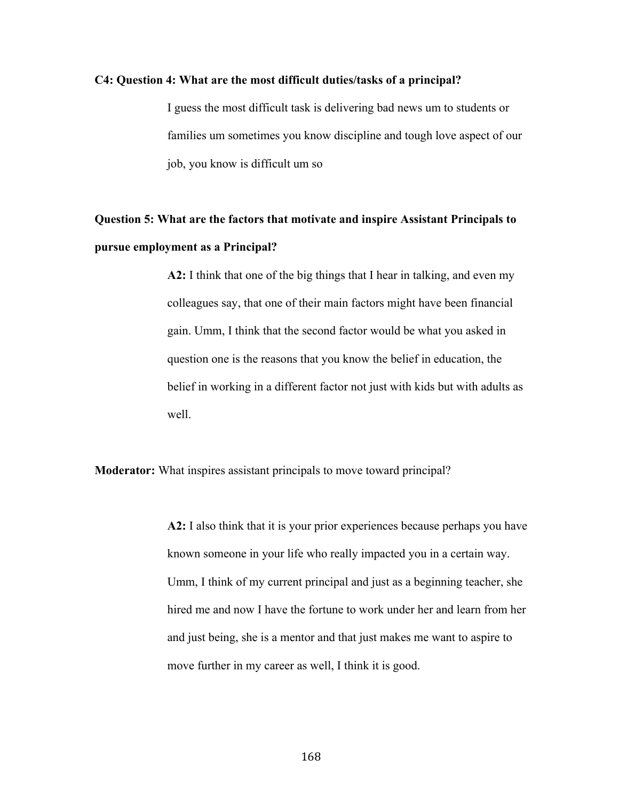# **C4: Question 4: What are the most difficult duties/tasks of a principal?**

I guess the most difficult task is delivering bad news um to students or families um sometimes you know discipline and tough love aspect of our job, you know is difficult um so

# **Question 5: What are the factors that motivate and inspire Assistant Principals to pursue employment as a Principal?**

**A2:** I think that one of the big things that I hear in talking, and even my colleagues say, that one of their main factors might have been financial gain. Umm, I think that the second factor would be what you asked in question one is the reasons that you know the belief in education, the belief in working in a different factor not just with kids but with adults as well.

**Moderator:** What inspires assistant principals to move toward principal?

**A2:** I also think that it is your prior experiences because perhaps you have known someone in your life who really impacted you in a certain way. Umm, I think of my current principal and just as a beginning teacher, she hired me and now I have the fortune to work under her and learn from her and just being, she is a mentor and that just makes me want to aspire to move further in my career as well, I think it is good.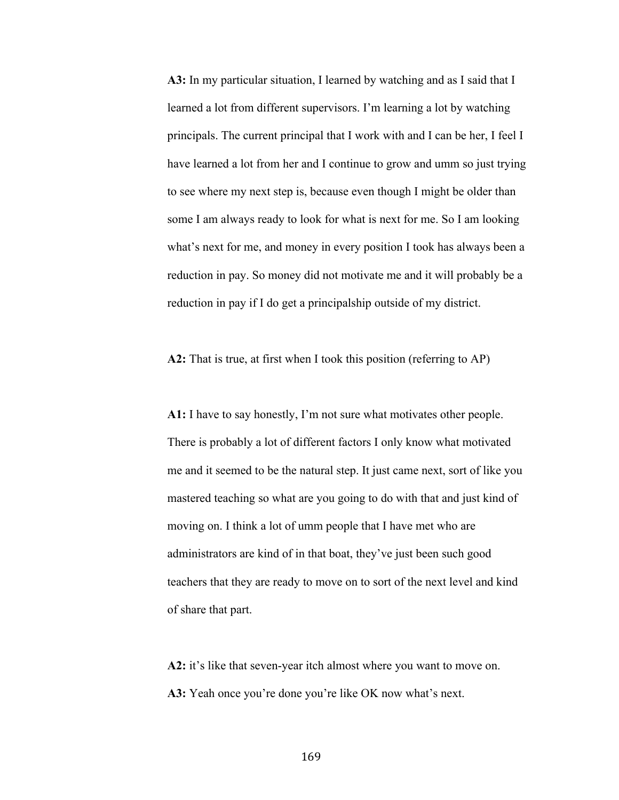**A3:** In my particular situation, I learned by watching and as I said that I learned a lot from different supervisors. I'm learning a lot by watching principals. The current principal that I work with and I can be her, I feel I have learned a lot from her and I continue to grow and umm so just trying to see where my next step is, because even though I might be older than some I am always ready to look for what is next for me. So I am looking what's next for me, and money in every position I took has always been a reduction in pay. So money did not motivate me and it will probably be a reduction in pay if I do get a principalship outside of my district.

**A2:** That is true, at first when I took this position (referring to AP)

**A1:** I have to say honestly, I'm not sure what motivates other people. There is probably a lot of different factors I only know what motivated me and it seemed to be the natural step. It just came next, sort of like you mastered teaching so what are you going to do with that and just kind of moving on. I think a lot of umm people that I have met who are administrators are kind of in that boat, they've just been such good teachers that they are ready to move on to sort of the next level and kind of share that part.

**A2:** it's like that seven-year itch almost where you want to move on. **A3:** Yeah once you're done you're like OK now what's next.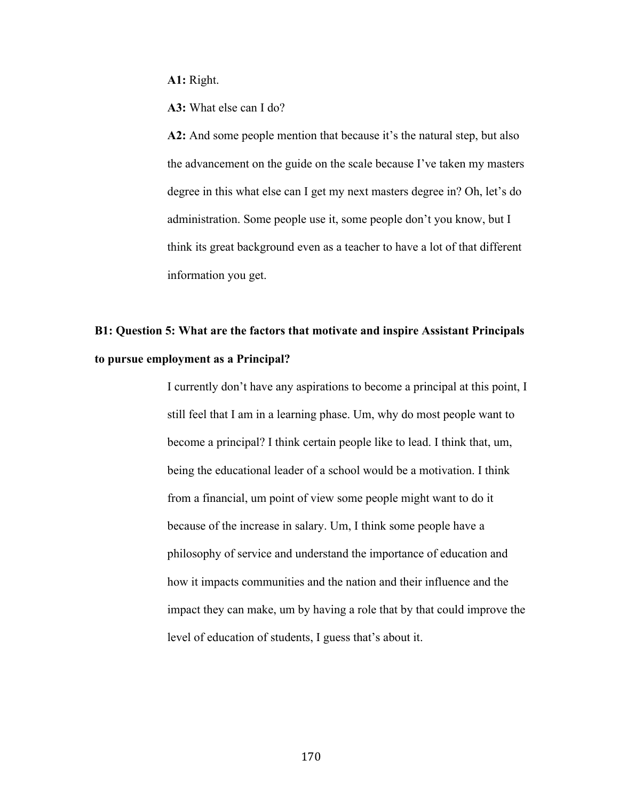**A1:** Right.

**A3:** What else can I do?

**A2:** And some people mention that because it's the natural step, but also the advancement on the guide on the scale because I've taken my masters degree in this what else can I get my next masters degree in? Oh, let's do administration. Some people use it, some people don't you know, but I think its great background even as a teacher to have a lot of that different information you get.

# **B1: Question 5: What are the factors that motivate and inspire Assistant Principals to pursue employment as a Principal?**

I currently don't have any aspirations to become a principal at this point, I still feel that I am in a learning phase. Um, why do most people want to become a principal? I think certain people like to lead. I think that, um, being the educational leader of a school would be a motivation. I think from a financial, um point of view some people might want to do it because of the increase in salary. Um, I think some people have a philosophy of service and understand the importance of education and how it impacts communities and the nation and their influence and the impact they can make, um by having a role that by that could improve the level of education of students, I guess that's about it.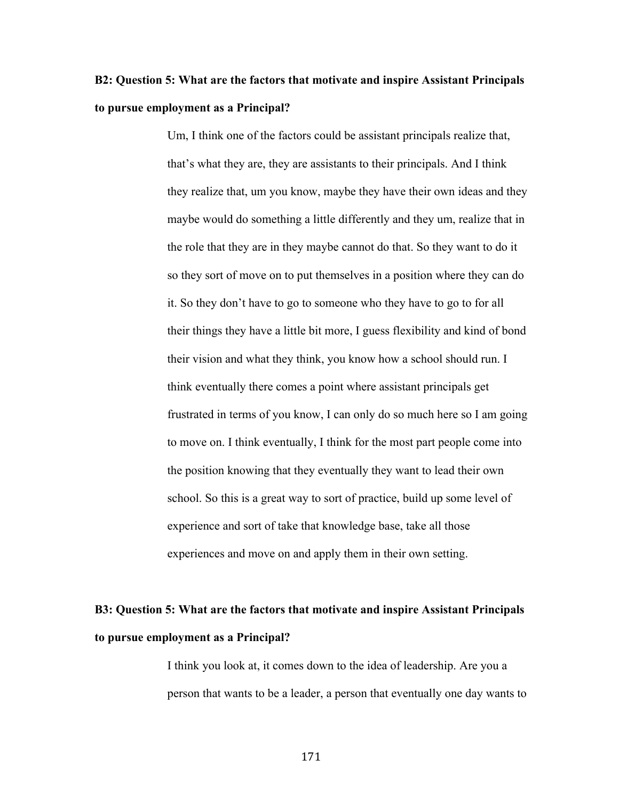# **B2: Question 5: What are the factors that motivate and inspire Assistant Principals to pursue employment as a Principal?**

Um, I think one of the factors could be assistant principals realize that, that's what they are, they are assistants to their principals. And I think they realize that, um you know, maybe they have their own ideas and they maybe would do something a little differently and they um, realize that in the role that they are in they maybe cannot do that. So they want to do it so they sort of move on to put themselves in a position where they can do it. So they don't have to go to someone who they have to go to for all their things they have a little bit more, I guess flexibility and kind of bond their vision and what they think, you know how a school should run. I think eventually there comes a point where assistant principals get frustrated in terms of you know, I can only do so much here so I am going to move on. I think eventually, I think for the most part people come into the position knowing that they eventually they want to lead their own school. So this is a great way to sort of practice, build up some level of experience and sort of take that knowledge base, take all those experiences and move on and apply them in their own setting.

### **B3: Question 5: What are the factors that motivate and inspire Assistant Principals to pursue employment as a Principal?**

I think you look at, it comes down to the idea of leadership. Are you a person that wants to be a leader, a person that eventually one day wants to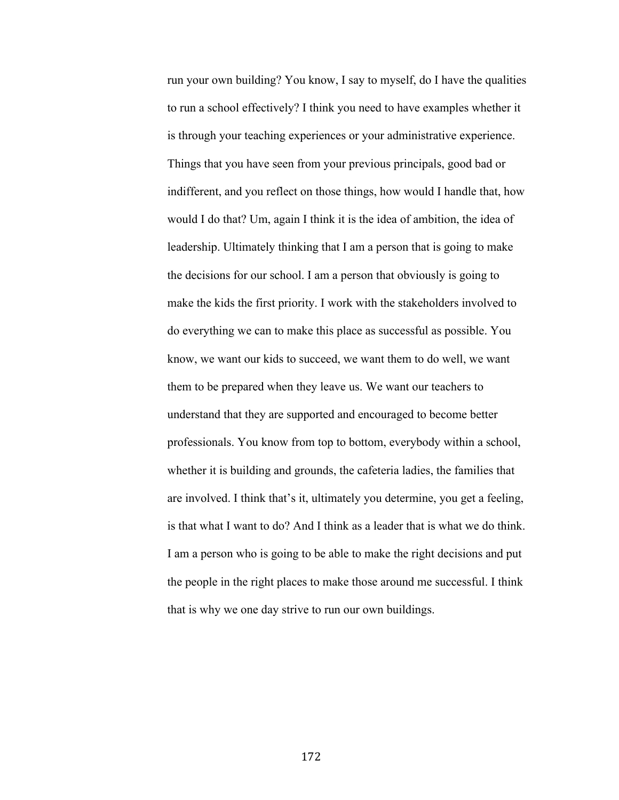run your own building? You know, I say to myself, do I have the qualities to run a school effectively? I think you need to have examples whether it is through your teaching experiences or your administrative experience. Things that you have seen from your previous principals, good bad or indifferent, and you reflect on those things, how would I handle that, how would I do that? Um, again I think it is the idea of ambition, the idea of leadership. Ultimately thinking that I am a person that is going to make the decisions for our school. I am a person that obviously is going to make the kids the first priority. I work with the stakeholders involved to do everything we can to make this place as successful as possible. You know, we want our kids to succeed, we want them to do well, we want them to be prepared when they leave us. We want our teachers to understand that they are supported and encouraged to become better professionals. You know from top to bottom, everybody within a school, whether it is building and grounds, the cafeteria ladies, the families that are involved. I think that's it, ultimately you determine, you get a feeling, is that what I want to do? And I think as a leader that is what we do think. I am a person who is going to be able to make the right decisions and put the people in the right places to make those around me successful. I think that is why we one day strive to run our own buildings.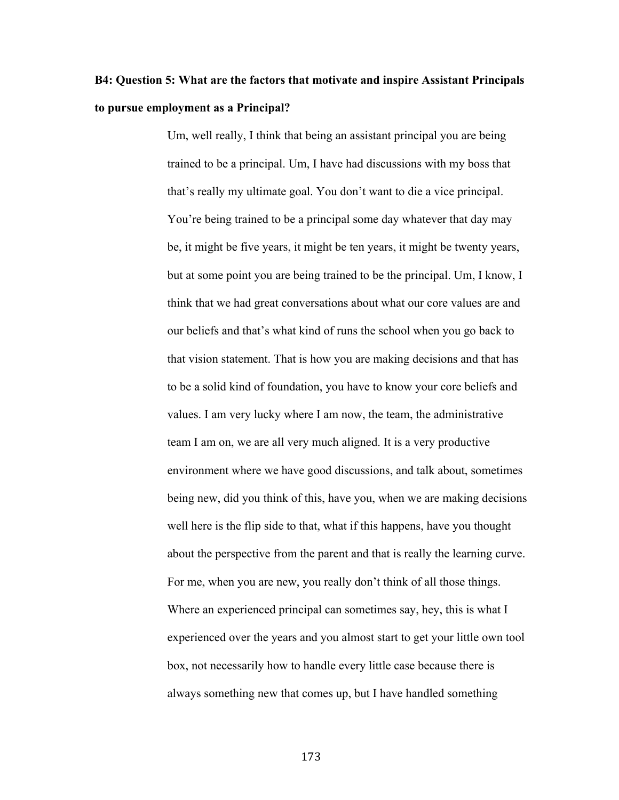### **B4: Question 5: What are the factors that motivate and inspire Assistant Principals to pursue employment as a Principal?**

Um, well really, I think that being an assistant principal you are being trained to be a principal. Um, I have had discussions with my boss that that's really my ultimate goal. You don't want to die a vice principal. You're being trained to be a principal some day whatever that day may be, it might be five years, it might be ten years, it might be twenty years, but at some point you are being trained to be the principal. Um, I know, I think that we had great conversations about what our core values are and our beliefs and that's what kind of runs the school when you go back to that vision statement. That is how you are making decisions and that has to be a solid kind of foundation, you have to know your core beliefs and values. I am very lucky where I am now, the team, the administrative team I am on, we are all very much aligned. It is a very productive environment where we have good discussions, and talk about, sometimes being new, did you think of this, have you, when we are making decisions well here is the flip side to that, what if this happens, have you thought about the perspective from the parent and that is really the learning curve. For me, when you are new, you really don't think of all those things. Where an experienced principal can sometimes say, hey, this is what I experienced over the years and you almost start to get your little own tool box, not necessarily how to handle every little case because there is always something new that comes up, but I have handled something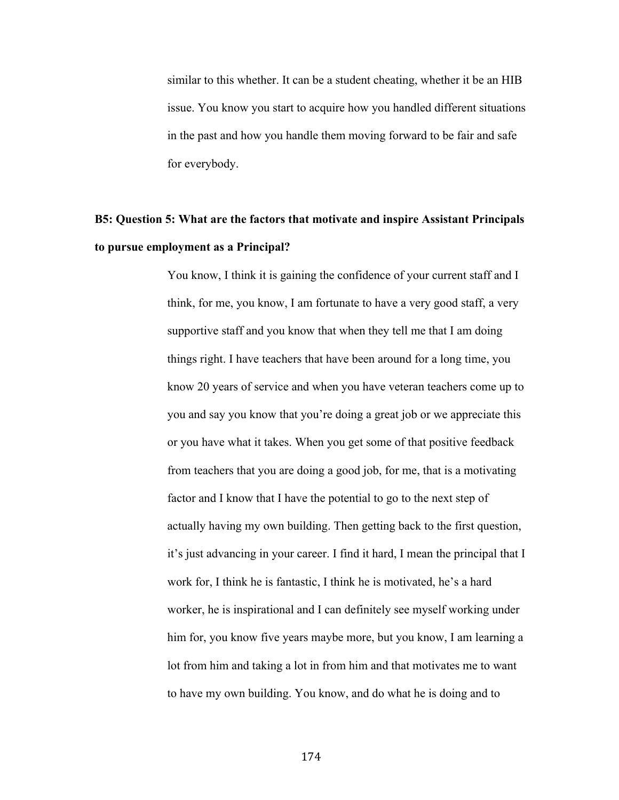similar to this whether. It can be a student cheating, whether it be an HIB issue. You know you start to acquire how you handled different situations in the past and how you handle them moving forward to be fair and safe for everybody.

### **B5: Question 5: What are the factors that motivate and inspire Assistant Principals to pursue employment as a Principal?**

You know, I think it is gaining the confidence of your current staff and I think, for me, you know, I am fortunate to have a very good staff, a very supportive staff and you know that when they tell me that I am doing things right. I have teachers that have been around for a long time, you know 20 years of service and when you have veteran teachers come up to you and say you know that you're doing a great job or we appreciate this or you have what it takes. When you get some of that positive feedback from teachers that you are doing a good job, for me, that is a motivating factor and I know that I have the potential to go to the next step of actually having my own building. Then getting back to the first question, it's just advancing in your career. I find it hard, I mean the principal that I work for, I think he is fantastic, I think he is motivated, he's a hard worker, he is inspirational and I can definitely see myself working under him for, you know five years maybe more, but you know, I am learning a lot from him and taking a lot in from him and that motivates me to want to have my own building. You know, and do what he is doing and to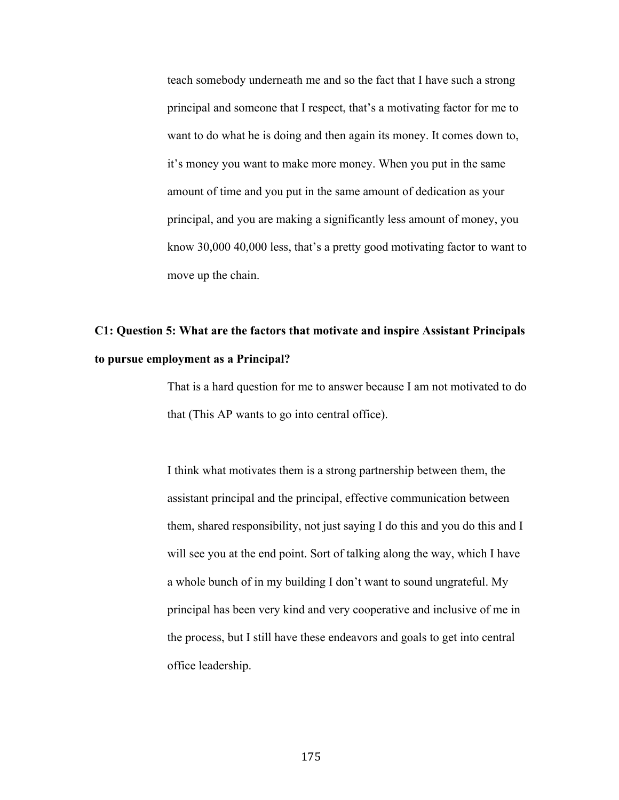teach somebody underneath me and so the fact that I have such a strong principal and someone that I respect, that's a motivating factor for me to want to do what he is doing and then again its money. It comes down to, it's money you want to make more money. When you put in the same amount of time and you put in the same amount of dedication as your principal, and you are making a significantly less amount of money, you know 30,000 40,000 less, that's a pretty good motivating factor to want to move up the chain.

# **C1: Question 5: What are the factors that motivate and inspire Assistant Principals to pursue employment as a Principal?**

That is a hard question for me to answer because I am not motivated to do that (This AP wants to go into central office).

I think what motivates them is a strong partnership between them, the assistant principal and the principal, effective communication between them, shared responsibility, not just saying I do this and you do this and I will see you at the end point. Sort of talking along the way, which I have a whole bunch of in my building I don't want to sound ungrateful. My principal has been very kind and very cooperative and inclusive of me in the process, but I still have these endeavors and goals to get into central office leadership.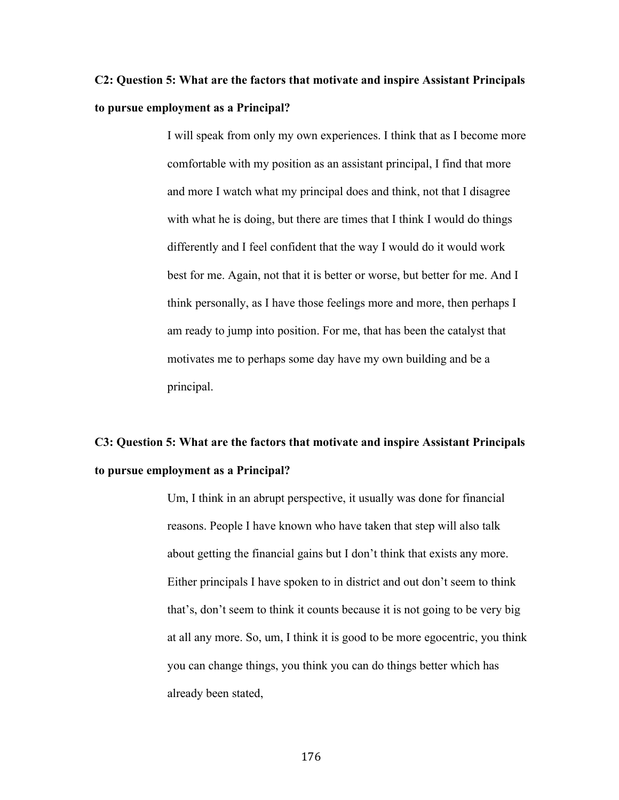# **C2: Question 5: What are the factors that motivate and inspire Assistant Principals to pursue employment as a Principal?**

I will speak from only my own experiences. I think that as I become more comfortable with my position as an assistant principal, I find that more and more I watch what my principal does and think, not that I disagree with what he is doing, but there are times that I think I would do things differently and I feel confident that the way I would do it would work best for me. Again, not that it is better or worse, but better for me. And I think personally, as I have those feelings more and more, then perhaps I am ready to jump into position. For me, that has been the catalyst that motivates me to perhaps some day have my own building and be a principal.

### **C3: Question 5: What are the factors that motivate and inspire Assistant Principals to pursue employment as a Principal?**

Um, I think in an abrupt perspective, it usually was done for financial reasons. People I have known who have taken that step will also talk about getting the financial gains but I don't think that exists any more. Either principals I have spoken to in district and out don't seem to think that's, don't seem to think it counts because it is not going to be very big at all any more. So, um, I think it is good to be more egocentric, you think you can change things, you think you can do things better which has already been stated,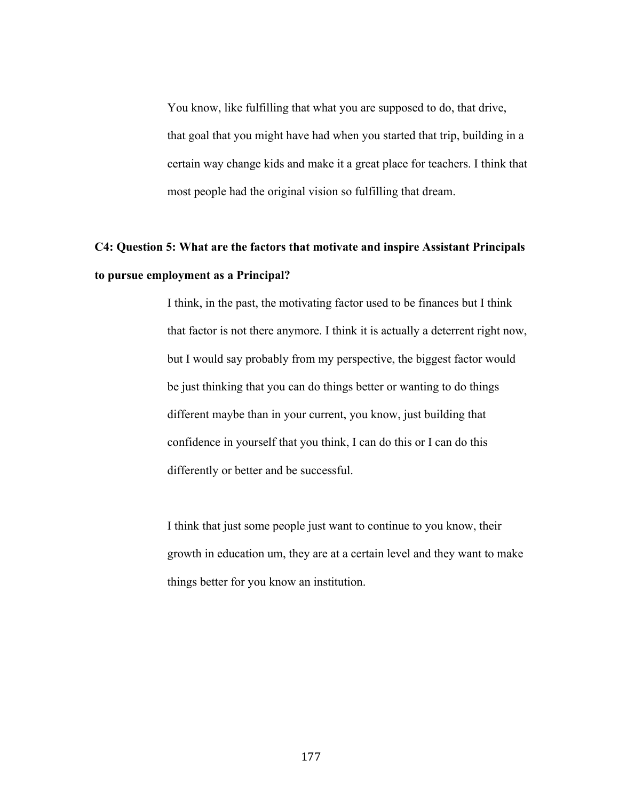You know, like fulfilling that what you are supposed to do, that drive, that goal that you might have had when you started that trip, building in a certain way change kids and make it a great place for teachers. I think that most people had the original vision so fulfilling that dream.

## **C4: Question 5: What are the factors that motivate and inspire Assistant Principals to pursue employment as a Principal?**

I think, in the past, the motivating factor used to be finances but I think that factor is not there anymore. I think it is actually a deterrent right now, but I would say probably from my perspective, the biggest factor would be just thinking that you can do things better or wanting to do things different maybe than in your current, you know, just building that confidence in yourself that you think, I can do this or I can do this differently or better and be successful.

I think that just some people just want to continue to you know, their growth in education um, they are at a certain level and they want to make things better for you know an institution.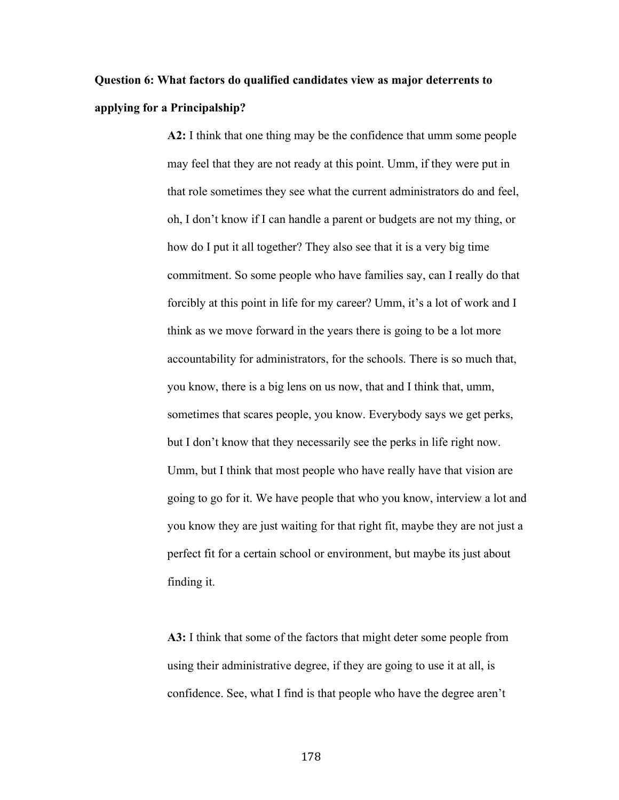# **Question 6: What factors do qualified candidates view as major deterrents to applying for a Principalship?**

**A2:** I think that one thing may be the confidence that umm some people may feel that they are not ready at this point. Umm, if they were put in that role sometimes they see what the current administrators do and feel, oh, I don't know if I can handle a parent or budgets are not my thing, or how do I put it all together? They also see that it is a very big time commitment. So some people who have families say, can I really do that forcibly at this point in life for my career? Umm, it's a lot of work and I think as we move forward in the years there is going to be a lot more accountability for administrators, for the schools. There is so much that, you know, there is a big lens on us now, that and I think that, umm, sometimes that scares people, you know. Everybody says we get perks, but I don't know that they necessarily see the perks in life right now. Umm, but I think that most people who have really have that vision are going to go for it. We have people that who you know, interview a lot and you know they are just waiting for that right fit, maybe they are not just a perfect fit for a certain school or environment, but maybe its just about finding it.

**A3:** I think that some of the factors that might deter some people from using their administrative degree, if they are going to use it at all, is confidence. See, what I find is that people who have the degree aren't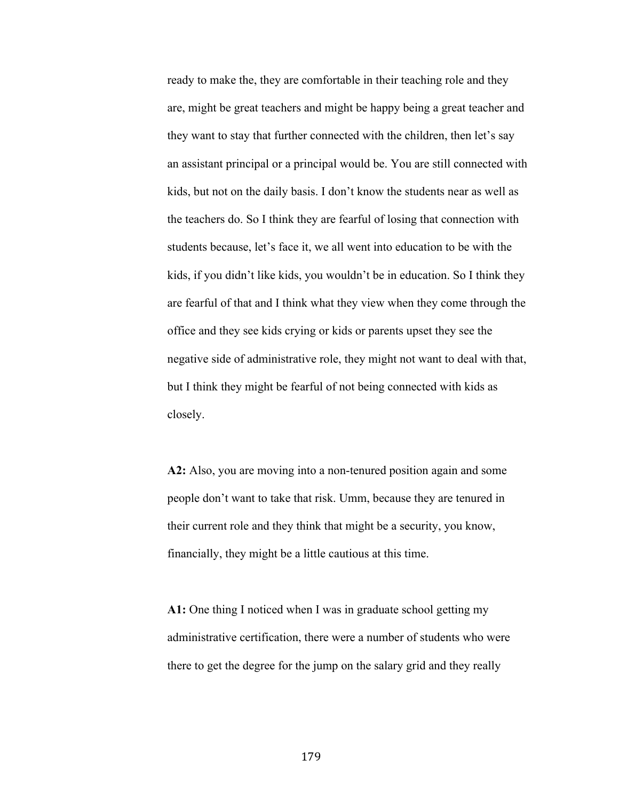ready to make the, they are comfortable in their teaching role and they are, might be great teachers and might be happy being a great teacher and they want to stay that further connected with the children, then let's say an assistant principal or a principal would be. You are still connected with kids, but not on the daily basis. I don't know the students near as well as the teachers do. So I think they are fearful of losing that connection with students because, let's face it, we all went into education to be with the kids, if you didn't like kids, you wouldn't be in education. So I think they are fearful of that and I think what they view when they come through the office and they see kids crying or kids or parents upset they see the negative side of administrative role, they might not want to deal with that, but I think they might be fearful of not being connected with kids as closely.

**A2:** Also, you are moving into a non-tenured position again and some people don't want to take that risk. Umm, because they are tenured in their current role and they think that might be a security, you know, financially, they might be a little cautious at this time.

**A1:** One thing I noticed when I was in graduate school getting my administrative certification, there were a number of students who were there to get the degree for the jump on the salary grid and they really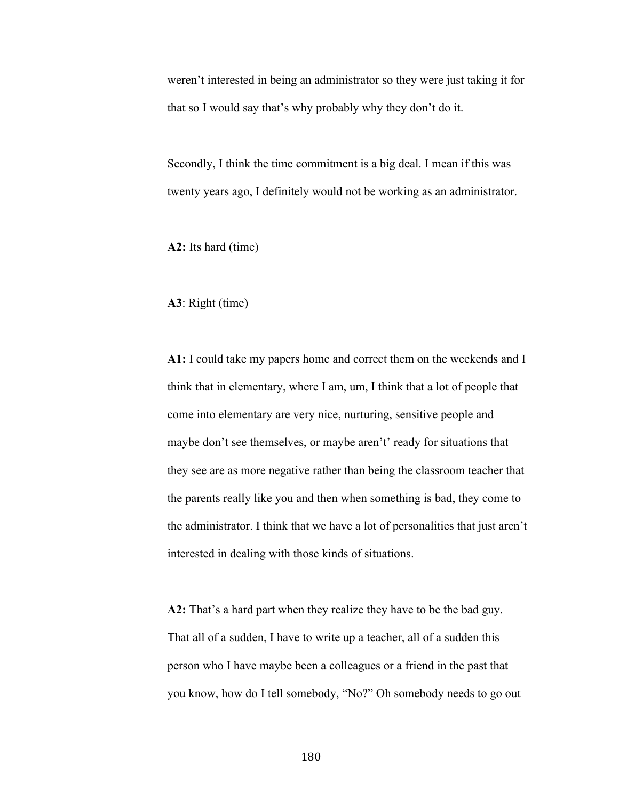weren't interested in being an administrator so they were just taking it for that so I would say that's why probably why they don't do it.

Secondly, I think the time commitment is a big deal. I mean if this was twenty years ago, I definitely would not be working as an administrator.

**A2:** Its hard (time)

### **A3**: Right (time)

**A1:** I could take my papers home and correct them on the weekends and I think that in elementary, where I am, um, I think that a lot of people that come into elementary are very nice, nurturing, sensitive people and maybe don't see themselves, or maybe aren't' ready for situations that they see are as more negative rather than being the classroom teacher that the parents really like you and then when something is bad, they come to the administrator. I think that we have a lot of personalities that just aren't interested in dealing with those kinds of situations.

**A2:** That's a hard part when they realize they have to be the bad guy. That all of a sudden, I have to write up a teacher, all of a sudden this person who I have maybe been a colleagues or a friend in the past that you know, how do I tell somebody, "No?" Oh somebody needs to go out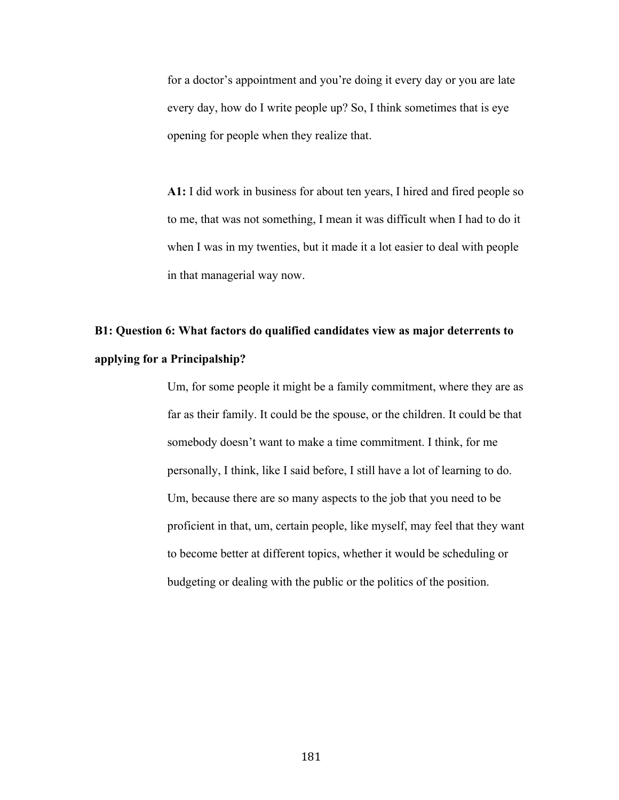for a doctor's appointment and you're doing it every day or you are late every day, how do I write people up? So, I think sometimes that is eye opening for people when they realize that.

**A1:** I did work in business for about ten years, I hired and fired people so to me, that was not something, I mean it was difficult when I had to do it when I was in my twenties, but it made it a lot easier to deal with people in that managerial way now.

# **B1: Question 6: What factors do qualified candidates view as major deterrents to applying for a Principalship?**

Um, for some people it might be a family commitment, where they are as far as their family. It could be the spouse, or the children. It could be that somebody doesn't want to make a time commitment. I think, for me personally, I think, like I said before, I still have a lot of learning to do. Um, because there are so many aspects to the job that you need to be proficient in that, um, certain people, like myself, may feel that they want to become better at different topics, whether it would be scheduling or budgeting or dealing with the public or the politics of the position.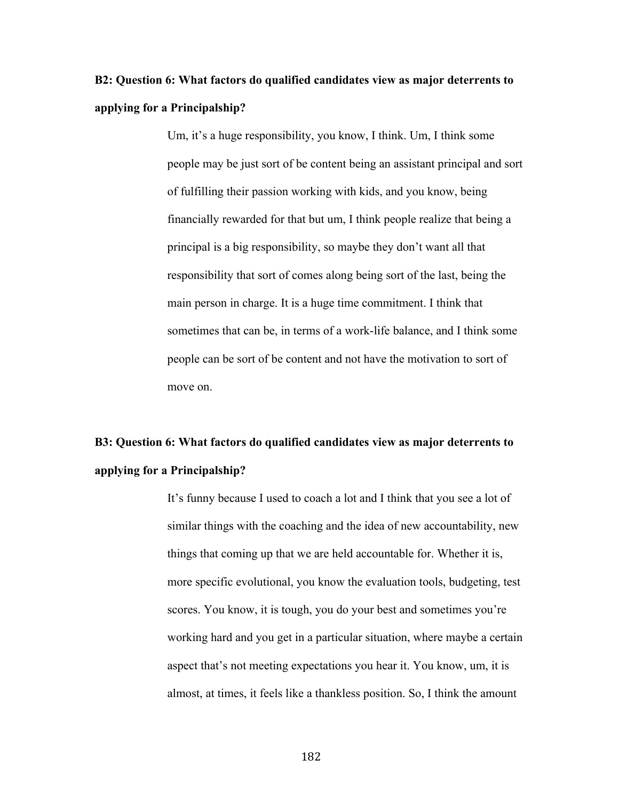# **B2: Question 6: What factors do qualified candidates view as major deterrents to applying for a Principalship?**

Um, it's a huge responsibility, you know, I think. Um, I think some people may be just sort of be content being an assistant principal and sort of fulfilling their passion working with kids, and you know, being financially rewarded for that but um, I think people realize that being a principal is a big responsibility, so maybe they don't want all that responsibility that sort of comes along being sort of the last, being the main person in charge. It is a huge time commitment. I think that sometimes that can be, in terms of a work-life balance, and I think some people can be sort of be content and not have the motivation to sort of move on.

### **B3: Question 6: What factors do qualified candidates view as major deterrents to applying for a Principalship?**

It's funny because I used to coach a lot and I think that you see a lot of similar things with the coaching and the idea of new accountability, new things that coming up that we are held accountable for. Whether it is, more specific evolutional, you know the evaluation tools, budgeting, test scores. You know, it is tough, you do your best and sometimes you're working hard and you get in a particular situation, where maybe a certain aspect that's not meeting expectations you hear it. You know, um, it is almost, at times, it feels like a thankless position. So, I think the amount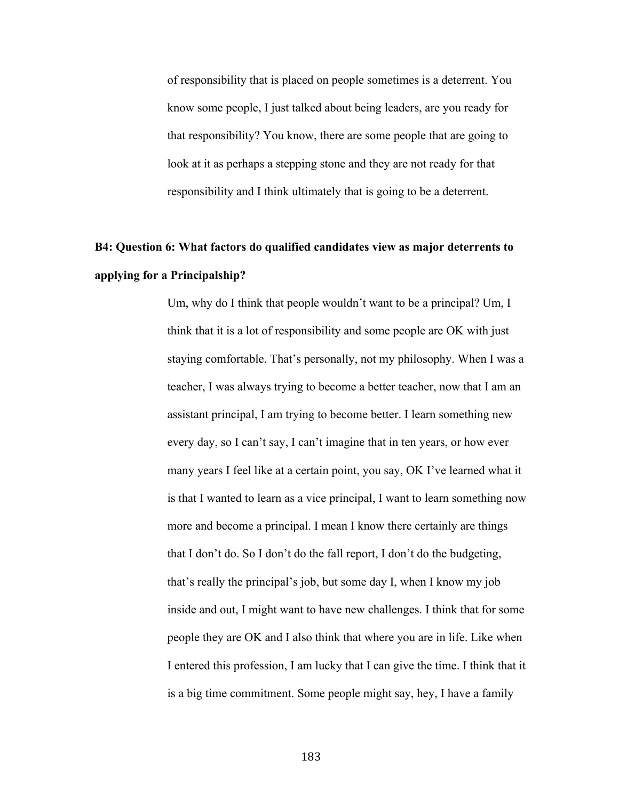of responsibility that is placed on people sometimes is a deterrent. You know some people, I just talked about being leaders, are you ready for that responsibility? You know, there are some people that are going to look at it as perhaps a stepping stone and they are not ready for that responsibility and I think ultimately that is going to be a deterrent.

### **B4: Question 6: What factors do qualified candidates view as major deterrents to applying for a Principalship?**

Um, why do I think that people wouldn't want to be a principal? Um, I think that it is a lot of responsibility and some people are OK with just staying comfortable. That's personally, not my philosophy. When I was a teacher, I was always trying to become a better teacher, now that I am an assistant principal, I am trying to become better. I learn something new every day, so I can't say, I can't imagine that in ten years, or how ever many years I feel like at a certain point, you say, OK I've learned what it is that I wanted to learn as a vice principal, I want to learn something now more and become a principal. I mean I know there certainly are things that I don't do. So I don't do the fall report, I don't do the budgeting, that's really the principal's job, but some day I, when I know my job inside and out, I might want to have new challenges. I think that for some people they are OK and I also think that where you are in life. Like when I entered this profession, I am lucky that I can give the time. I think that it is a big time commitment. Some people might say, hey, I have a family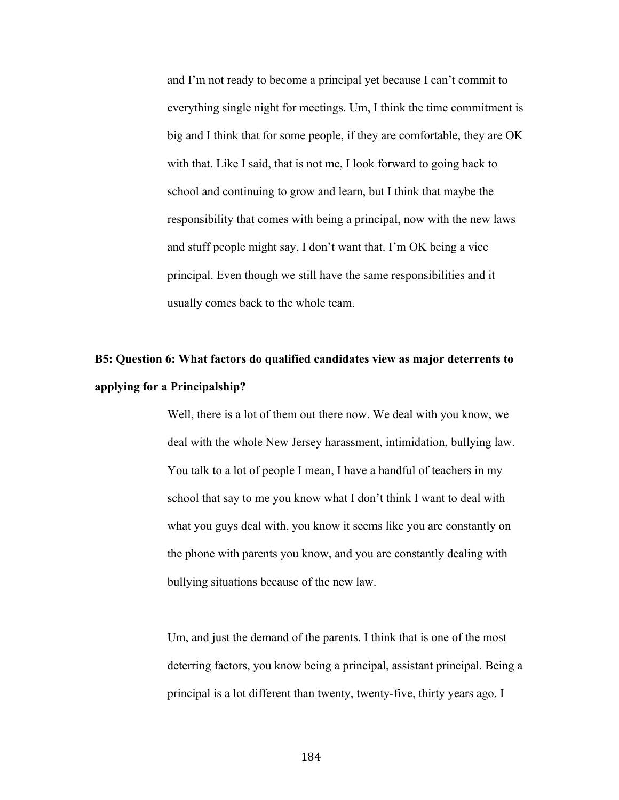and I'm not ready to become a principal yet because I can't commit to everything single night for meetings. Um, I think the time commitment is big and I think that for some people, if they are comfortable, they are OK with that. Like I said, that is not me, I look forward to going back to school and continuing to grow and learn, but I think that maybe the responsibility that comes with being a principal, now with the new laws and stuff people might say, I don't want that. I'm OK being a vice principal. Even though we still have the same responsibilities and it usually comes back to the whole team.

# **B5: Question 6: What factors do qualified candidates view as major deterrents to applying for a Principalship?**

Well, there is a lot of them out there now. We deal with you know, we deal with the whole New Jersey harassment, intimidation, bullying law. You talk to a lot of people I mean, I have a handful of teachers in my school that say to me you know what I don't think I want to deal with what you guys deal with, you know it seems like you are constantly on the phone with parents you know, and you are constantly dealing with bullying situations because of the new law.

Um, and just the demand of the parents. I think that is one of the most deterring factors, you know being a principal, assistant principal. Being a principal is a lot different than twenty, twenty-five, thirty years ago. I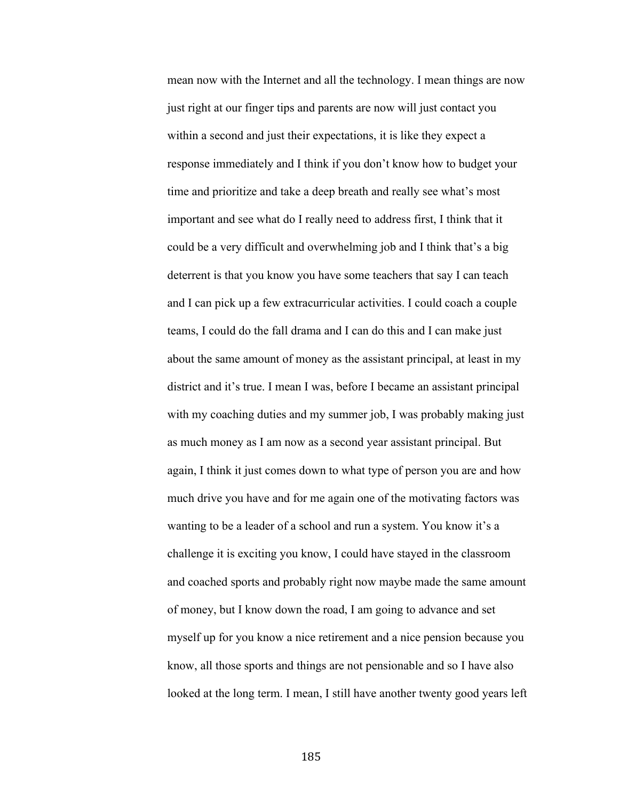mean now with the Internet and all the technology. I mean things are now just right at our finger tips and parents are now will just contact you within a second and just their expectations, it is like they expect a response immediately and I think if you don't know how to budget your time and prioritize and take a deep breath and really see what's most important and see what do I really need to address first, I think that it could be a very difficult and overwhelming job and I think that's a big deterrent is that you know you have some teachers that say I can teach and I can pick up a few extracurricular activities. I could coach a couple teams, I could do the fall drama and I can do this and I can make just about the same amount of money as the assistant principal, at least in my district and it's true. I mean I was, before I became an assistant principal with my coaching duties and my summer job, I was probably making just as much money as I am now as a second year assistant principal. But again, I think it just comes down to what type of person you are and how much drive you have and for me again one of the motivating factors was wanting to be a leader of a school and run a system. You know it's a challenge it is exciting you know, I could have stayed in the classroom and coached sports and probably right now maybe made the same amount of money, but I know down the road, I am going to advance and set myself up for you know a nice retirement and a nice pension because you know, all those sports and things are not pensionable and so I have also looked at the long term. I mean, I still have another twenty good years left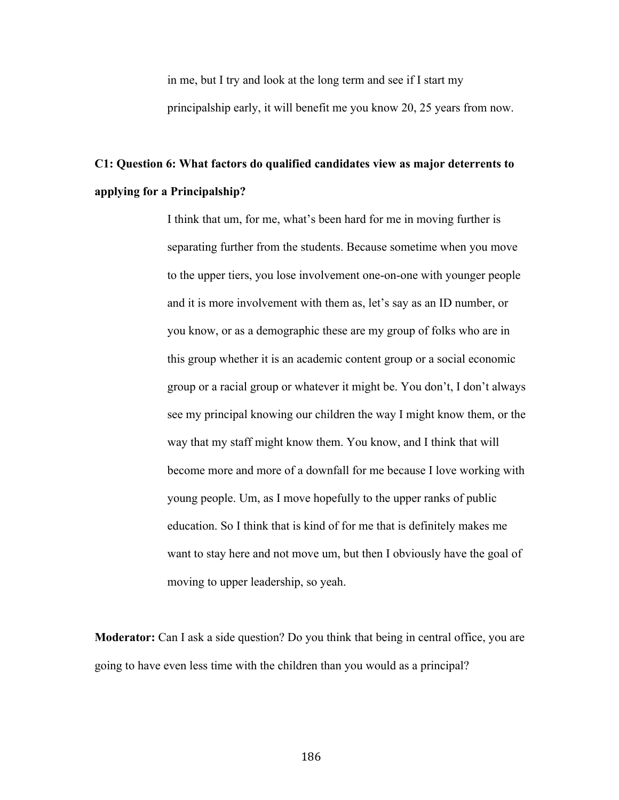in me, but I try and look at the long term and see if I start my principalship early, it will benefit me you know 20, 25 years from now.

# **C1: Question 6: What factors do qualified candidates view as major deterrents to applying for a Principalship?**

I think that um, for me, what's been hard for me in moving further is separating further from the students. Because sometime when you move to the upper tiers, you lose involvement one-on-one with younger people and it is more involvement with them as, let's say as an ID number, or you know, or as a demographic these are my group of folks who are in this group whether it is an academic content group or a social economic group or a racial group or whatever it might be. You don't, I don't always see my principal knowing our children the way I might know them, or the way that my staff might know them. You know, and I think that will become more and more of a downfall for me because I love working with young people. Um, as I move hopefully to the upper ranks of public education. So I think that is kind of for me that is definitely makes me want to stay here and not move um, but then I obviously have the goal of moving to upper leadership, so yeah.

**Moderator:** Can I ask a side question? Do you think that being in central office, you are going to have even less time with the children than you would as a principal?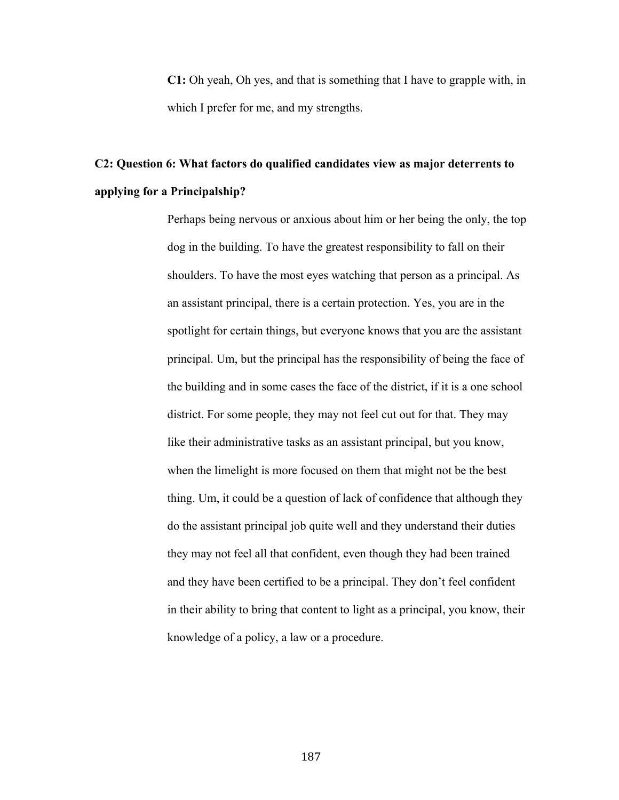**C1:** Oh yeah, Oh yes, and that is something that I have to grapple with, in which I prefer for me, and my strengths.

# **C2: Question 6: What factors do qualified candidates view as major deterrents to applying for a Principalship?**

Perhaps being nervous or anxious about him or her being the only, the top dog in the building. To have the greatest responsibility to fall on their shoulders. To have the most eyes watching that person as a principal. As an assistant principal, there is a certain protection. Yes, you are in the spotlight for certain things, but everyone knows that you are the assistant principal. Um, but the principal has the responsibility of being the face of the building and in some cases the face of the district, if it is a one school district. For some people, they may not feel cut out for that. They may like their administrative tasks as an assistant principal, but you know, when the limelight is more focused on them that might not be the best thing. Um, it could be a question of lack of confidence that although they do the assistant principal job quite well and they understand their duties they may not feel all that confident, even though they had been trained and they have been certified to be a principal. They don't feel confident in their ability to bring that content to light as a principal, you know, their knowledge of a policy, a law or a procedure.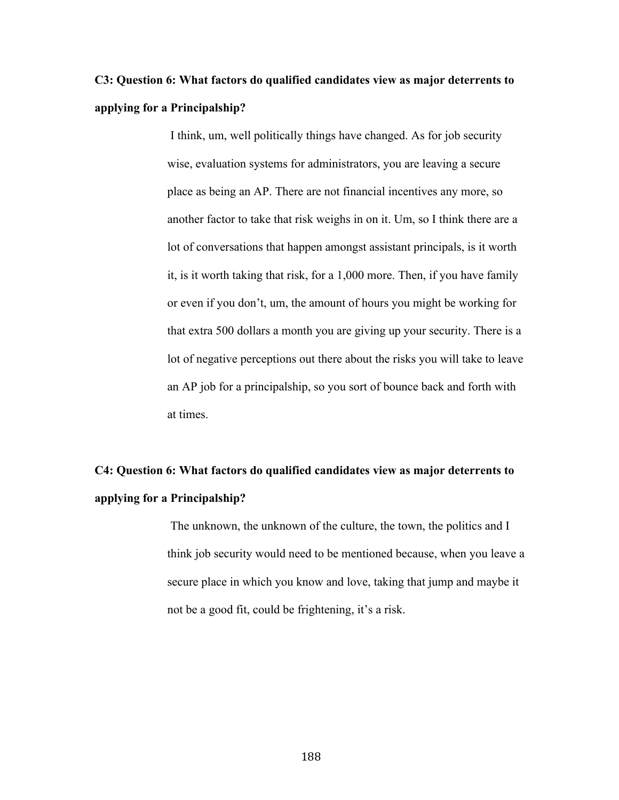# **C3: Question 6: What factors do qualified candidates view as major deterrents to applying for a Principalship?**

I think, um, well politically things have changed. As for job security wise, evaluation systems for administrators, you are leaving a secure place as being an AP. There are not financial incentives any more, so another factor to take that risk weighs in on it. Um, so I think there are a lot of conversations that happen amongst assistant principals, is it worth it, is it worth taking that risk, for a 1,000 more. Then, if you have family or even if you don't, um, the amount of hours you might be working for that extra 500 dollars a month you are giving up your security. There is a lot of negative perceptions out there about the risks you will take to leave an AP job for a principalship, so you sort of bounce back and forth with at times.

# **C4: Question 6: What factors do qualified candidates view as major deterrents to applying for a Principalship?**

The unknown, the unknown of the culture, the town, the politics and I think job security would need to be mentioned because, when you leave a secure place in which you know and love, taking that jump and maybe it not be a good fit, could be frightening, it's a risk.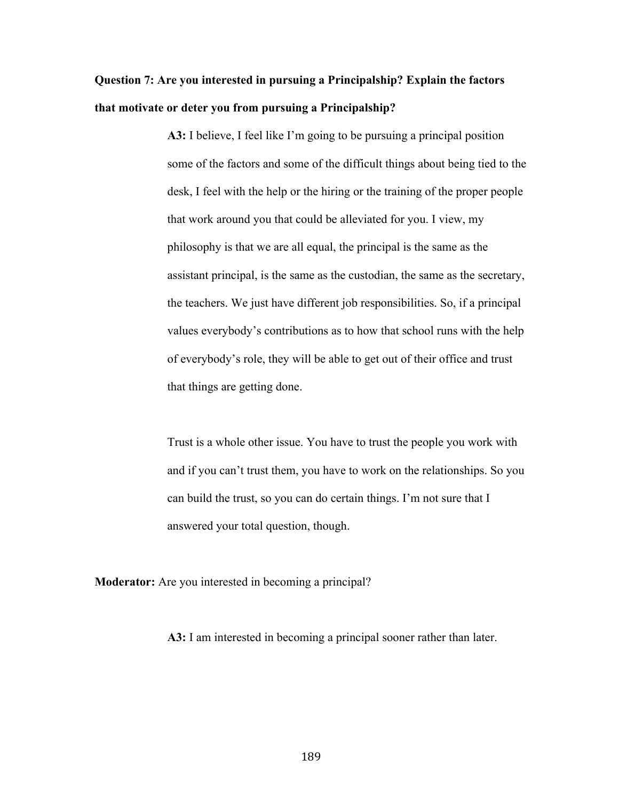# **Question 7: Are you interested in pursuing a Principalship? Explain the factors that motivate or deter you from pursuing a Principalship?**

**A3:** I believe, I feel like I'm going to be pursuing a principal position some of the factors and some of the difficult things about being tied to the desk, I feel with the help or the hiring or the training of the proper people that work around you that could be alleviated for you. I view, my philosophy is that we are all equal, the principal is the same as the assistant principal, is the same as the custodian, the same as the secretary, the teachers. We just have different job responsibilities. So, if a principal values everybody's contributions as to how that school runs with the help of everybody's role, they will be able to get out of their office and trust that things are getting done.

Trust is a whole other issue. You have to trust the people you work with and if you can't trust them, you have to work on the relationships. So you can build the trust, so you can do certain things. I'm not sure that I answered your total question, though.

**Moderator:** Are you interested in becoming a principal?

**A3:** I am interested in becoming a principal sooner rather than later.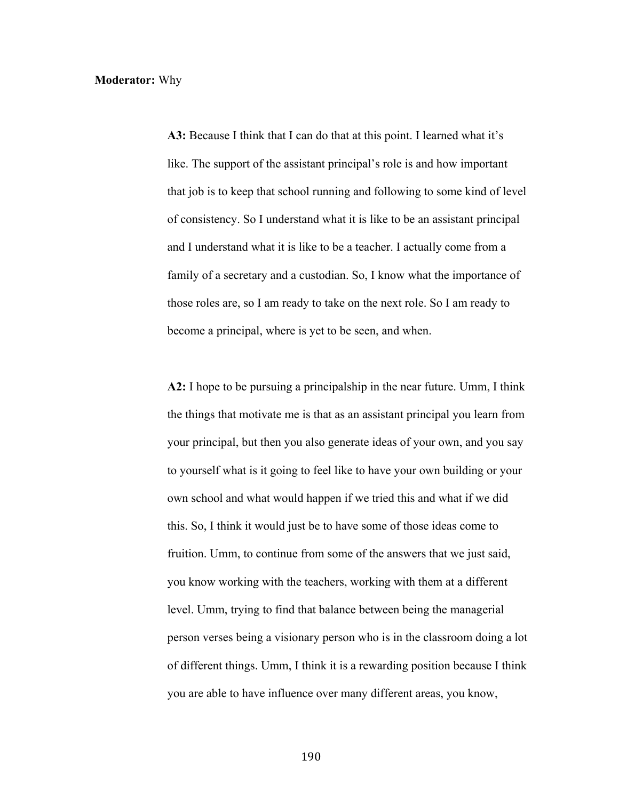### **Moderator:** Why

**A3:** Because I think that I can do that at this point. I learned what it's like. The support of the assistant principal's role is and how important that job is to keep that school running and following to some kind of level of consistency. So I understand what it is like to be an assistant principal and I understand what it is like to be a teacher. I actually come from a family of a secretary and a custodian. So, I know what the importance of those roles are, so I am ready to take on the next role. So I am ready to become a principal, where is yet to be seen, and when.

**A2:** I hope to be pursuing a principalship in the near future. Umm, I think the things that motivate me is that as an assistant principal you learn from your principal, but then you also generate ideas of your own, and you say to yourself what is it going to feel like to have your own building or your own school and what would happen if we tried this and what if we did this. So, I think it would just be to have some of those ideas come to fruition. Umm, to continue from some of the answers that we just said, you know working with the teachers, working with them at a different level. Umm, trying to find that balance between being the managerial person verses being a visionary person who is in the classroom doing a lot of different things. Umm, I think it is a rewarding position because I think you are able to have influence over many different areas, you know,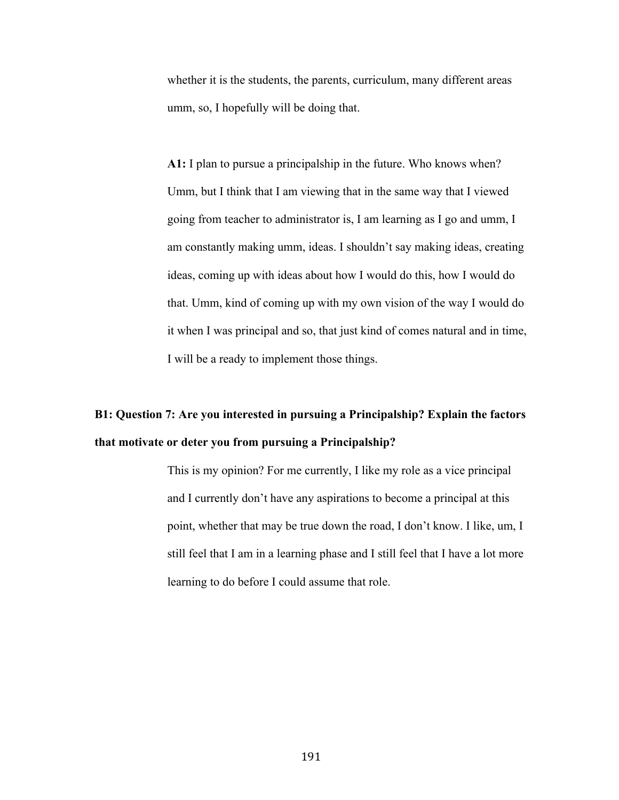whether it is the students, the parents, curriculum, many different areas umm, so, I hopefully will be doing that.

**A1:** I plan to pursue a principalship in the future. Who knows when? Umm, but I think that I am viewing that in the same way that I viewed going from teacher to administrator is, I am learning as I go and umm, I am constantly making umm, ideas. I shouldn't say making ideas, creating ideas, coming up with ideas about how I would do this, how I would do that. Umm, kind of coming up with my own vision of the way I would do it when I was principal and so, that just kind of comes natural and in time, I will be a ready to implement those things.

# **B1: Question 7: Are you interested in pursuing a Principalship? Explain the factors that motivate or deter you from pursuing a Principalship?**

This is my opinion? For me currently, I like my role as a vice principal and I currently don't have any aspirations to become a principal at this point, whether that may be true down the road, I don't know. I like, um, I still feel that I am in a learning phase and I still feel that I have a lot more learning to do before I could assume that role.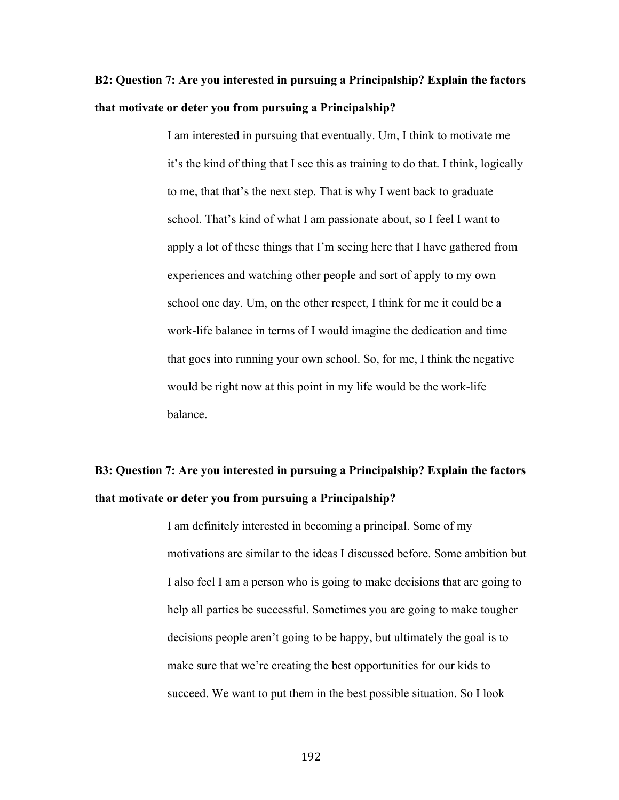# **B2: Question 7: Are you interested in pursuing a Principalship? Explain the factors that motivate or deter you from pursuing a Principalship?**

I am interested in pursuing that eventually. Um, I think to motivate me it's the kind of thing that I see this as training to do that. I think, logically to me, that that's the next step. That is why I went back to graduate school. That's kind of what I am passionate about, so I feel I want to apply a lot of these things that I'm seeing here that I have gathered from experiences and watching other people and sort of apply to my own school one day. Um, on the other respect, I think for me it could be a work-life balance in terms of I would imagine the dedication and time that goes into running your own school. So, for me, I think the negative would be right now at this point in my life would be the work-life balance.

# **B3: Question 7: Are you interested in pursuing a Principalship? Explain the factors that motivate or deter you from pursuing a Principalship?**

I am definitely interested in becoming a principal. Some of my motivations are similar to the ideas I discussed before. Some ambition but I also feel I am a person who is going to make decisions that are going to help all parties be successful. Sometimes you are going to make tougher decisions people aren't going to be happy, but ultimately the goal is to make sure that we're creating the best opportunities for our kids to succeed. We want to put them in the best possible situation. So I look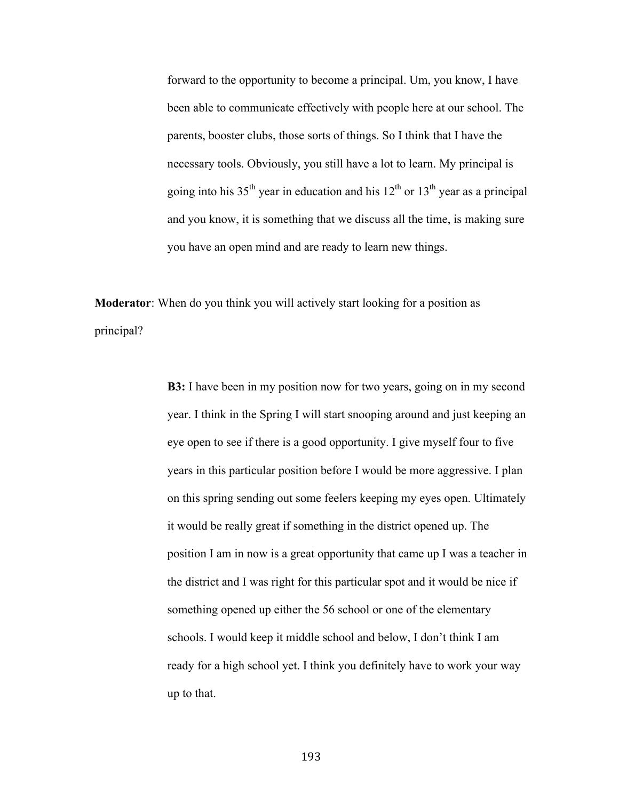forward to the opportunity to become a principal. Um, you know, I have been able to communicate effectively with people here at our school. The parents, booster clubs, those sorts of things. So I think that I have the necessary tools. Obviously, you still have a lot to learn. My principal is going into his 35<sup>th</sup> year in education and his  $12<sup>th</sup>$  or  $13<sup>th</sup>$  year as a principal and you know, it is something that we discuss all the time, is making sure you have an open mind and are ready to learn new things.

**Moderator**: When do you think you will actively start looking for a position as principal?

> **B3:** I have been in my position now for two years, going on in my second year. I think in the Spring I will start snooping around and just keeping an eye open to see if there is a good opportunity. I give myself four to five years in this particular position before I would be more aggressive. I plan on this spring sending out some feelers keeping my eyes open. Ultimately it would be really great if something in the district opened up. The position I am in now is a great opportunity that came up I was a teacher in the district and I was right for this particular spot and it would be nice if something opened up either the 56 school or one of the elementary schools. I would keep it middle school and below, I don't think I am ready for a high school yet. I think you definitely have to work your way up to that.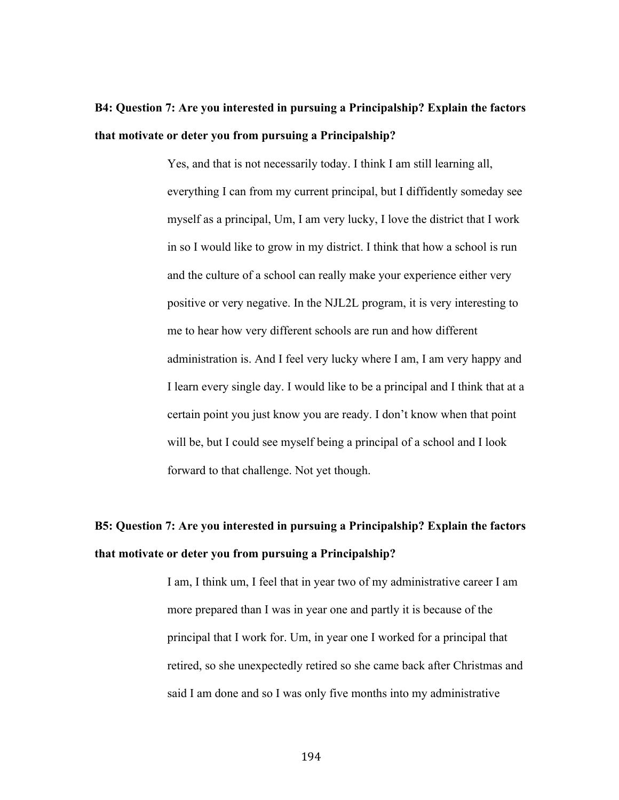### **B4: Question 7: Are you interested in pursuing a Principalship? Explain the factors that motivate or deter you from pursuing a Principalship?**

Yes, and that is not necessarily today. I think I am still learning all, everything I can from my current principal, but I diffidently someday see myself as a principal, Um, I am very lucky, I love the district that I work in so I would like to grow in my district. I think that how a school is run and the culture of a school can really make your experience either very positive or very negative. In the NJL2L program, it is very interesting to me to hear how very different schools are run and how different administration is. And I feel very lucky where I am, I am very happy and I learn every single day. I would like to be a principal and I think that at a certain point you just know you are ready. I don't know when that point will be, but I could see myself being a principal of a school and I look forward to that challenge. Not yet though.

## **B5: Question 7: Are you interested in pursuing a Principalship? Explain the factors that motivate or deter you from pursuing a Principalship?**

I am, I think um, I feel that in year two of my administrative career I am more prepared than I was in year one and partly it is because of the principal that I work for. Um, in year one I worked for a principal that retired, so she unexpectedly retired so she came back after Christmas and said I am done and so I was only five months into my administrative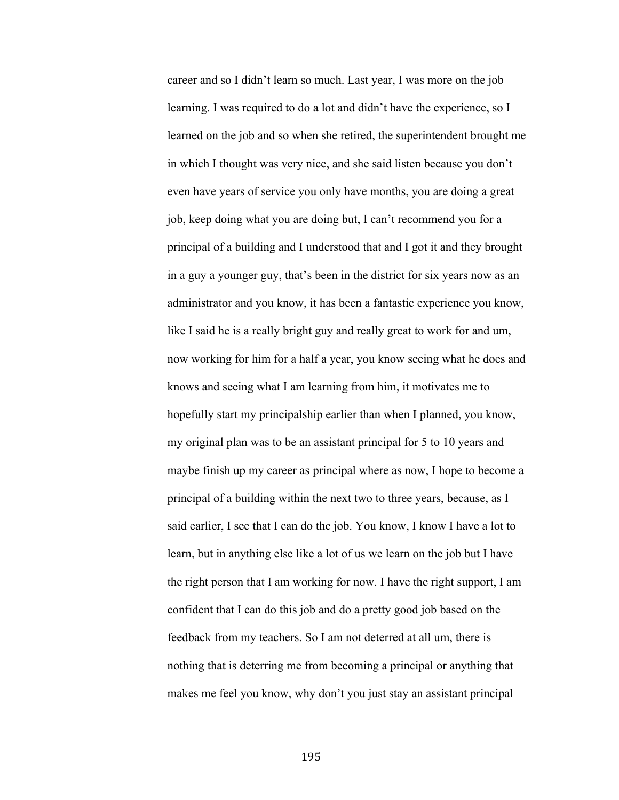career and so I didn't learn so much. Last year, I was more on the job learning. I was required to do a lot and didn't have the experience, so I learned on the job and so when she retired, the superintendent brought me in which I thought was very nice, and she said listen because you don't even have years of service you only have months, you are doing a great job, keep doing what you are doing but, I can't recommend you for a principal of a building and I understood that and I got it and they brought in a guy a younger guy, that's been in the district for six years now as an administrator and you know, it has been a fantastic experience you know, like I said he is a really bright guy and really great to work for and um, now working for him for a half a year, you know seeing what he does and knows and seeing what I am learning from him, it motivates me to hopefully start my principalship earlier than when I planned, you know, my original plan was to be an assistant principal for 5 to 10 years and maybe finish up my career as principal where as now, I hope to become a principal of a building within the next two to three years, because, as I said earlier, I see that I can do the job. You know, I know I have a lot to learn, but in anything else like a lot of us we learn on the job but I have the right person that I am working for now. I have the right support, I am confident that I can do this job and do a pretty good job based on the feedback from my teachers. So I am not deterred at all um, there is nothing that is deterring me from becoming a principal or anything that makes me feel you know, why don't you just stay an assistant principal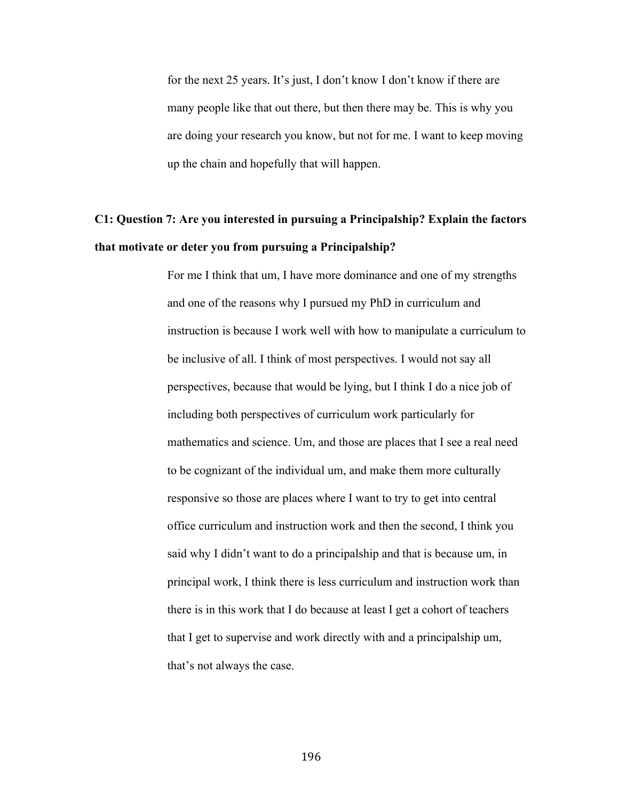for the next 25 years. It's just, I don't know I don't know if there are many people like that out there, but then there may be. This is why you are doing your research you know, but not for me. I want to keep moving up the chain and hopefully that will happen.

### **C1: Question 7: Are you interested in pursuing a Principalship? Explain the factors that motivate or deter you from pursuing a Principalship?**

For me I think that um, I have more dominance and one of my strengths and one of the reasons why I pursued my PhD in curriculum and instruction is because I work well with how to manipulate a curriculum to be inclusive of all. I think of most perspectives. I would not say all perspectives, because that would be lying, but I think I do a nice job of including both perspectives of curriculum work particularly for mathematics and science. Um, and those are places that I see a real need to be cognizant of the individual um, and make them more culturally responsive so those are places where I want to try to get into central office curriculum and instruction work and then the second, I think you said why I didn't want to do a principalship and that is because um, in principal work, I think there is less curriculum and instruction work than there is in this work that I do because at least I get a cohort of teachers that I get to supervise and work directly with and a principalship um, that's not always the case.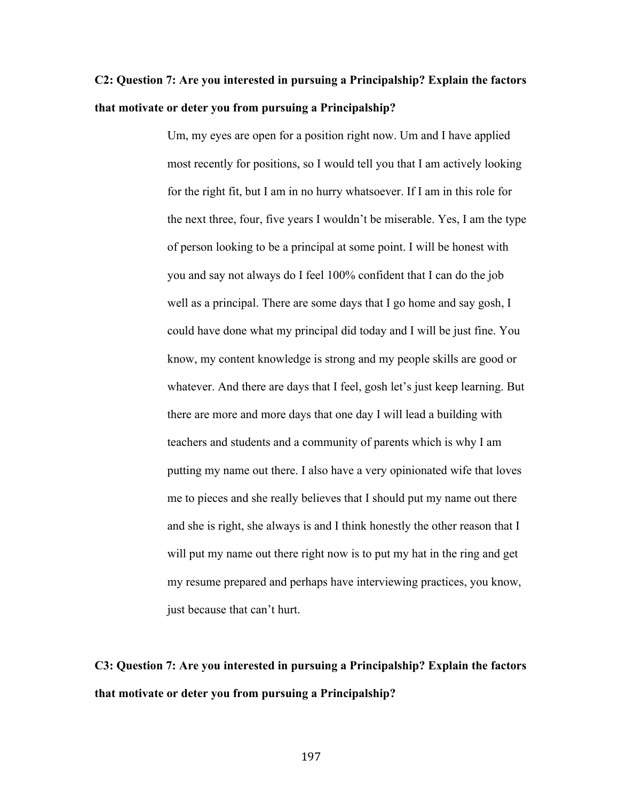# **C2: Question 7: Are you interested in pursuing a Principalship? Explain the factors that motivate or deter you from pursuing a Principalship?**

Um, my eyes are open for a position right now. Um and I have applied most recently for positions, so I would tell you that I am actively looking for the right fit, but I am in no hurry whatsoever. If I am in this role for the next three, four, five years I wouldn't be miserable. Yes, I am the type of person looking to be a principal at some point. I will be honest with you and say not always do I feel 100% confident that I can do the job well as a principal. There are some days that I go home and say gosh, I could have done what my principal did today and I will be just fine. You know, my content knowledge is strong and my people skills are good or whatever. And there are days that I feel, gosh let's just keep learning. But there are more and more days that one day I will lead a building with teachers and students and a community of parents which is why I am putting my name out there. I also have a very opinionated wife that loves me to pieces and she really believes that I should put my name out there and she is right, she always is and I think honestly the other reason that I will put my name out there right now is to put my hat in the ring and get my resume prepared and perhaps have interviewing practices, you know, just because that can't hurt.

# **C3: Question 7: Are you interested in pursuing a Principalship? Explain the factors that motivate or deter you from pursuing a Principalship?**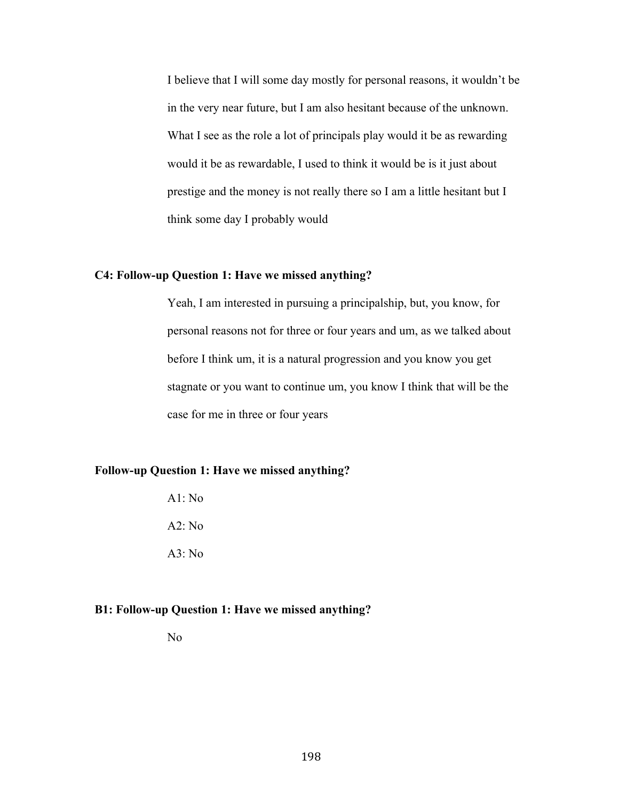I believe that I will some day mostly for personal reasons, it wouldn't be in the very near future, but I am also hesitant because of the unknown. What I see as the role a lot of principals play would it be as rewarding would it be as rewardable, I used to think it would be is it just about prestige and the money is not really there so I am a little hesitant but I think some day I probably would

### **C4: Follow-up Question 1: Have we missed anything?**

Yeah, I am interested in pursuing a principalship, but, you know, for personal reasons not for three or four years and um, as we talked about before I think um, it is a natural progression and you know you get stagnate or you want to continue um, you know I think that will be the case for me in three or four years

### **Follow-up Question 1: Have we missed anything?**

A1: No A2: No  $A3: No$ 

#### **B1: Follow-up Question 1: Have we missed anything?**

No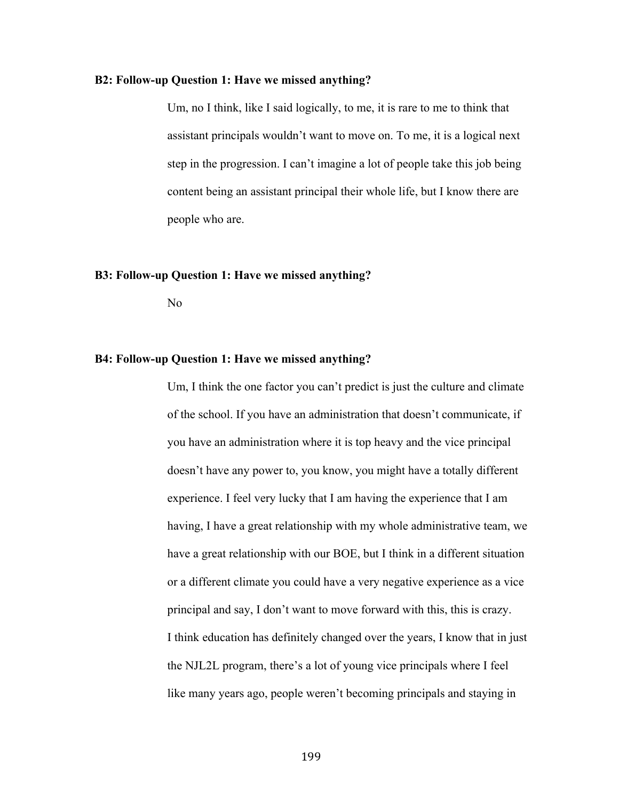#### **B2: Follow-up Question 1: Have we missed anything?**

Um, no I think, like I said logically, to me, it is rare to me to think that assistant principals wouldn't want to move on. To me, it is a logical next step in the progression. I can't imagine a lot of people take this job being content being an assistant principal their whole life, but I know there are people who are.

#### **B3: Follow-up Question 1: Have we missed anything?**

No

#### **B4: Follow-up Question 1: Have we missed anything?**

Um, I think the one factor you can't predict is just the culture and climate of the school. If you have an administration that doesn't communicate, if you have an administration where it is top heavy and the vice principal doesn't have any power to, you know, you might have a totally different experience. I feel very lucky that I am having the experience that I am having, I have a great relationship with my whole administrative team, we have a great relationship with our BOE, but I think in a different situation or a different climate you could have a very negative experience as a vice principal and say, I don't want to move forward with this, this is crazy. I think education has definitely changed over the years, I know that in just the NJL2L program, there's a lot of young vice principals where I feel like many years ago, people weren't becoming principals and staying in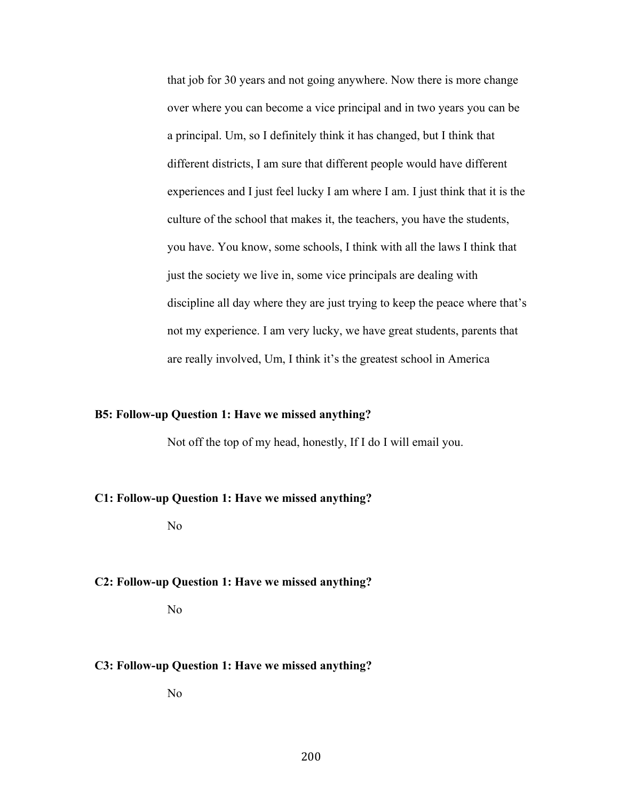that job for 30 years and not going anywhere. Now there is more change over where you can become a vice principal and in two years you can be a principal. Um, so I definitely think it has changed, but I think that different districts, I am sure that different people would have different experiences and I just feel lucky I am where I am. I just think that it is the culture of the school that makes it, the teachers, you have the students, you have. You know, some schools, I think with all the laws I think that just the society we live in, some vice principals are dealing with discipline all day where they are just trying to keep the peace where that's not my experience. I am very lucky, we have great students, parents that are really involved, Um, I think it's the greatest school in America

#### **B5: Follow-up Question 1: Have we missed anything?**

Not off the top of my head, honestly, If I do I will email you.

#### **C1: Follow-up Question 1: Have we missed anything?**

No

#### **C2: Follow-up Question 1: Have we missed anything?**

No

#### **C3: Follow-up Question 1: Have we missed anything?**

No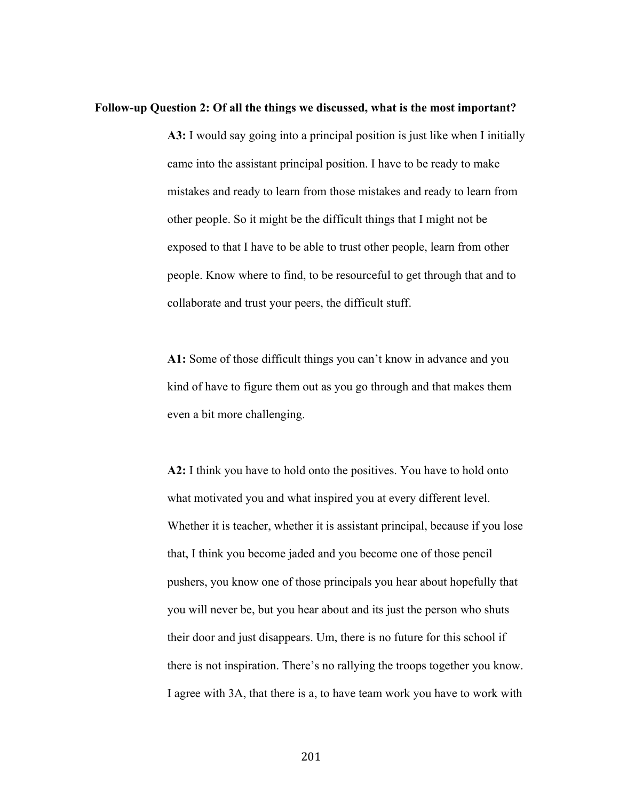#### **Follow-up Question 2: Of all the things we discussed, what is the most important?**

**A3:** I would say going into a principal position is just like when I initially came into the assistant principal position. I have to be ready to make mistakes and ready to learn from those mistakes and ready to learn from other people. So it might be the difficult things that I might not be exposed to that I have to be able to trust other people, learn from other people. Know where to find, to be resourceful to get through that and to collaborate and trust your peers, the difficult stuff.

**A1:** Some of those difficult things you can't know in advance and you kind of have to figure them out as you go through and that makes them even a bit more challenging.

**A2:** I think you have to hold onto the positives. You have to hold onto what motivated you and what inspired you at every different level. Whether it is teacher, whether it is assistant principal, because if you lose that, I think you become jaded and you become one of those pencil pushers, you know one of those principals you hear about hopefully that you will never be, but you hear about and its just the person who shuts their door and just disappears. Um, there is no future for this school if there is not inspiration. There's no rallying the troops together you know. I agree with 3A, that there is a, to have team work you have to work with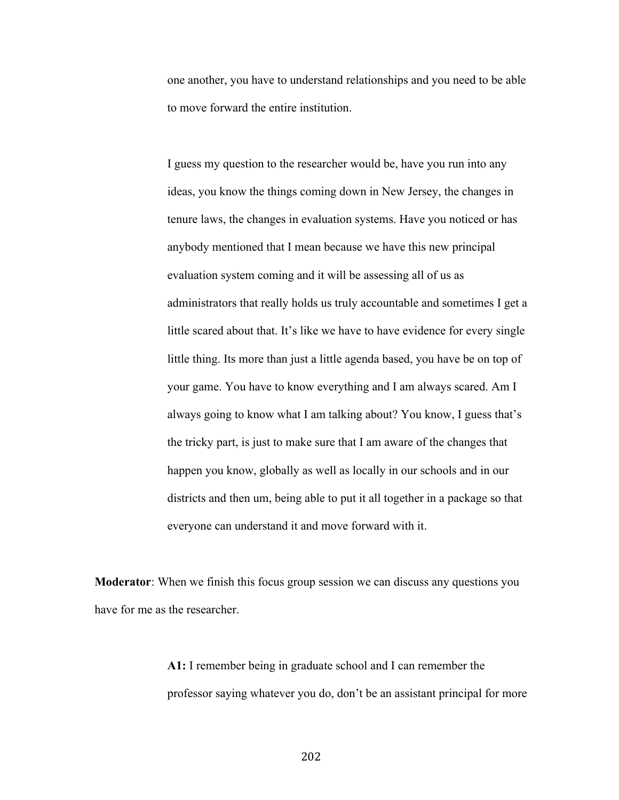one another, you have to understand relationships and you need to be able to move forward the entire institution.

I guess my question to the researcher would be, have you run into any ideas, you know the things coming down in New Jersey, the changes in tenure laws, the changes in evaluation systems. Have you noticed or has anybody mentioned that I mean because we have this new principal evaluation system coming and it will be assessing all of us as administrators that really holds us truly accountable and sometimes I get a little scared about that. It's like we have to have evidence for every single little thing. Its more than just a little agenda based, you have be on top of your game. You have to know everything and I am always scared. Am I always going to know what I am talking about? You know, I guess that's the tricky part, is just to make sure that I am aware of the changes that happen you know, globally as well as locally in our schools and in our districts and then um, being able to put it all together in a package so that everyone can understand it and move forward with it.

**Moderator**: When we finish this focus group session we can discuss any questions you have for me as the researcher.

> **A1:** I remember being in graduate school and I can remember the professor saying whatever you do, don't be an assistant principal for more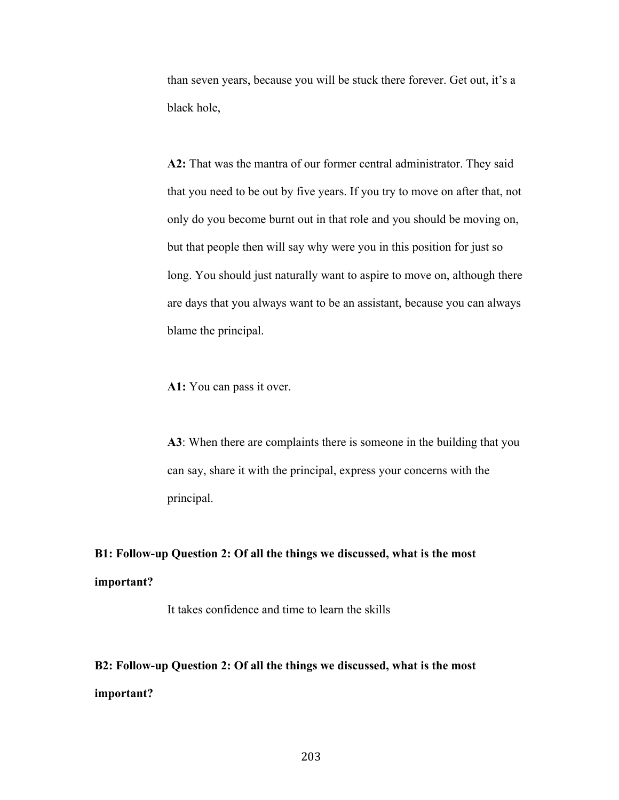than seven years, because you will be stuck there forever. Get out, it's a black hole,

**A2:** That was the mantra of our former central administrator. They said that you need to be out by five years. If you try to move on after that, not only do you become burnt out in that role and you should be moving on, but that people then will say why were you in this position for just so long. You should just naturally want to aspire to move on, although there are days that you always want to be an assistant, because you can always blame the principal.

**A1:** You can pass it over.

**A3**: When there are complaints there is someone in the building that you can say, share it with the principal, express your concerns with the principal.

# **B1: Follow-up Question 2: Of all the things we discussed, what is the most important?**

It takes confidence and time to learn the skills

# **B2: Follow-up Question 2: Of all the things we discussed, what is the most important?**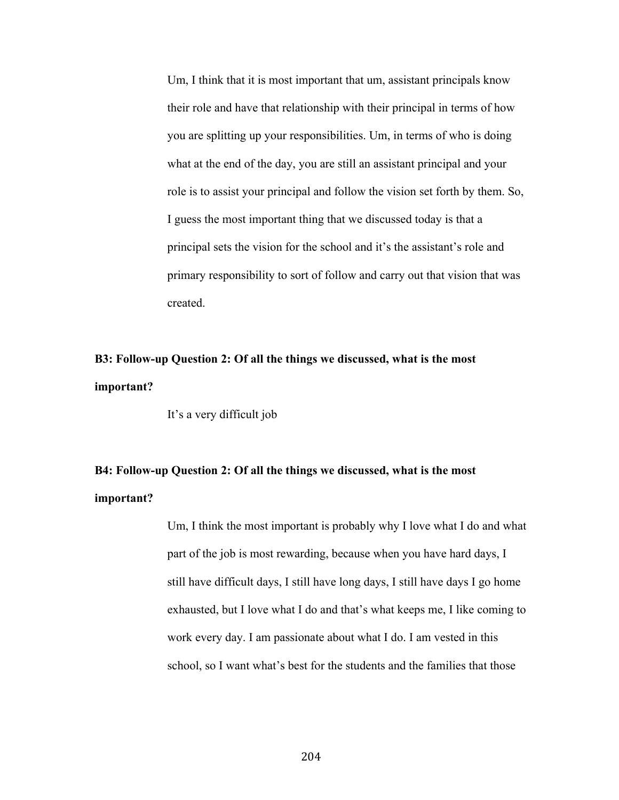Um, I think that it is most important that um, assistant principals know their role and have that relationship with their principal in terms of how you are splitting up your responsibilities. Um, in terms of who is doing what at the end of the day, you are still an assistant principal and your role is to assist your principal and follow the vision set forth by them. So, I guess the most important thing that we discussed today is that a principal sets the vision for the school and it's the assistant's role and primary responsibility to sort of follow and carry out that vision that was created.

# **B3: Follow-up Question 2: Of all the things we discussed, what is the most important?**

It's a very difficult job

# **B4: Follow-up Question 2: Of all the things we discussed, what is the most important?**

Um, I think the most important is probably why I love what I do and what part of the job is most rewarding, because when you have hard days, I still have difficult days, I still have long days, I still have days I go home exhausted, but I love what I do and that's what keeps me, I like coming to work every day. I am passionate about what I do. I am vested in this school, so I want what's best for the students and the families that those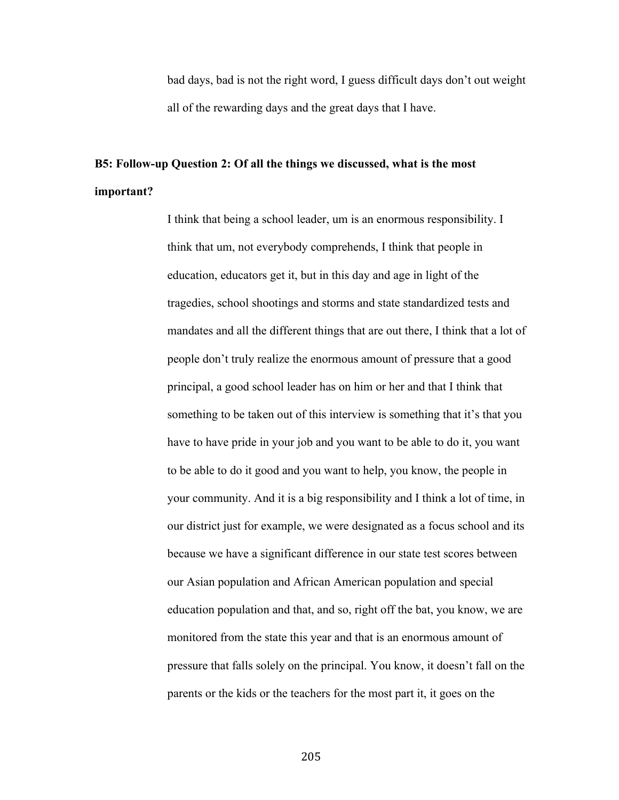bad days, bad is not the right word, I guess difficult days don't out weight all of the rewarding days and the great days that I have.

# **B5: Follow-up Question 2: Of all the things we discussed, what is the most important?**

I think that being a school leader, um is an enormous responsibility. I think that um, not everybody comprehends, I think that people in education, educators get it, but in this day and age in light of the tragedies, school shootings and storms and state standardized tests and mandates and all the different things that are out there, I think that a lot of people don't truly realize the enormous amount of pressure that a good principal, a good school leader has on him or her and that I think that something to be taken out of this interview is something that it's that you have to have pride in your job and you want to be able to do it, you want to be able to do it good and you want to help, you know, the people in your community. And it is a big responsibility and I think a lot of time, in our district just for example, we were designated as a focus school and its because we have a significant difference in our state test scores between our Asian population and African American population and special education population and that, and so, right off the bat, you know, we are monitored from the state this year and that is an enormous amount of pressure that falls solely on the principal. You know, it doesn't fall on the parents or the kids or the teachers for the most part it, it goes on the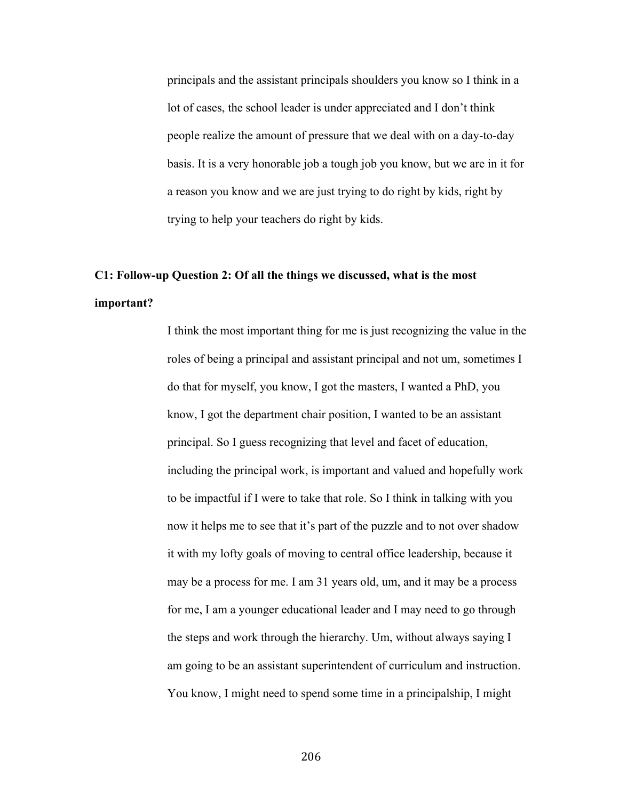principals and the assistant principals shoulders you know so I think in a lot of cases, the school leader is under appreciated and I don't think people realize the amount of pressure that we deal with on a day-to-day basis. It is a very honorable job a tough job you know, but we are in it for a reason you know and we are just trying to do right by kids, right by trying to help your teachers do right by kids.

## **C1: Follow-up Question 2: Of all the things we discussed, what is the most important?**

I think the most important thing for me is just recognizing the value in the roles of being a principal and assistant principal and not um, sometimes I do that for myself, you know, I got the masters, I wanted a PhD, you know, I got the department chair position, I wanted to be an assistant principal. So I guess recognizing that level and facet of education, including the principal work, is important and valued and hopefully work to be impactful if I were to take that role. So I think in talking with you now it helps me to see that it's part of the puzzle and to not over shadow it with my lofty goals of moving to central office leadership, because it may be a process for me. I am 31 years old, um, and it may be a process for me, I am a younger educational leader and I may need to go through the steps and work through the hierarchy. Um, without always saying I am going to be an assistant superintendent of curriculum and instruction. You know, I might need to spend some time in a principalship, I might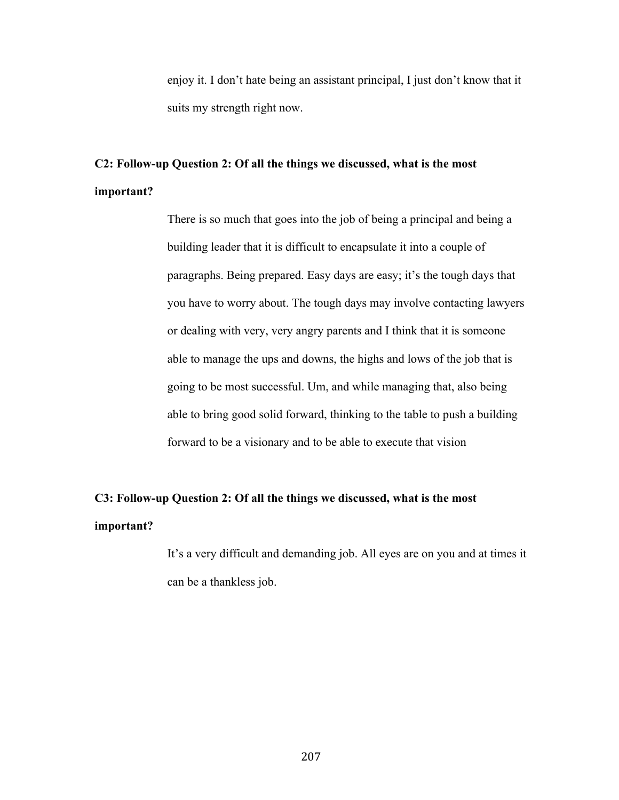enjoy it. I don't hate being an assistant principal, I just don't know that it suits my strength right now.

## **C2: Follow-up Question 2: Of all the things we discussed, what is the most important?**

There is so much that goes into the job of being a principal and being a building leader that it is difficult to encapsulate it into a couple of paragraphs. Being prepared. Easy days are easy; it's the tough days that you have to worry about. The tough days may involve contacting lawyers or dealing with very, very angry parents and I think that it is someone able to manage the ups and downs, the highs and lows of the job that is going to be most successful. Um, and while managing that, also being able to bring good solid forward, thinking to the table to push a building forward to be a visionary and to be able to execute that vision

## **C3: Follow-up Question 2: Of all the things we discussed, what is the most important?**

It's a very difficult and demanding job. All eyes are on you and at times it can be a thankless job.